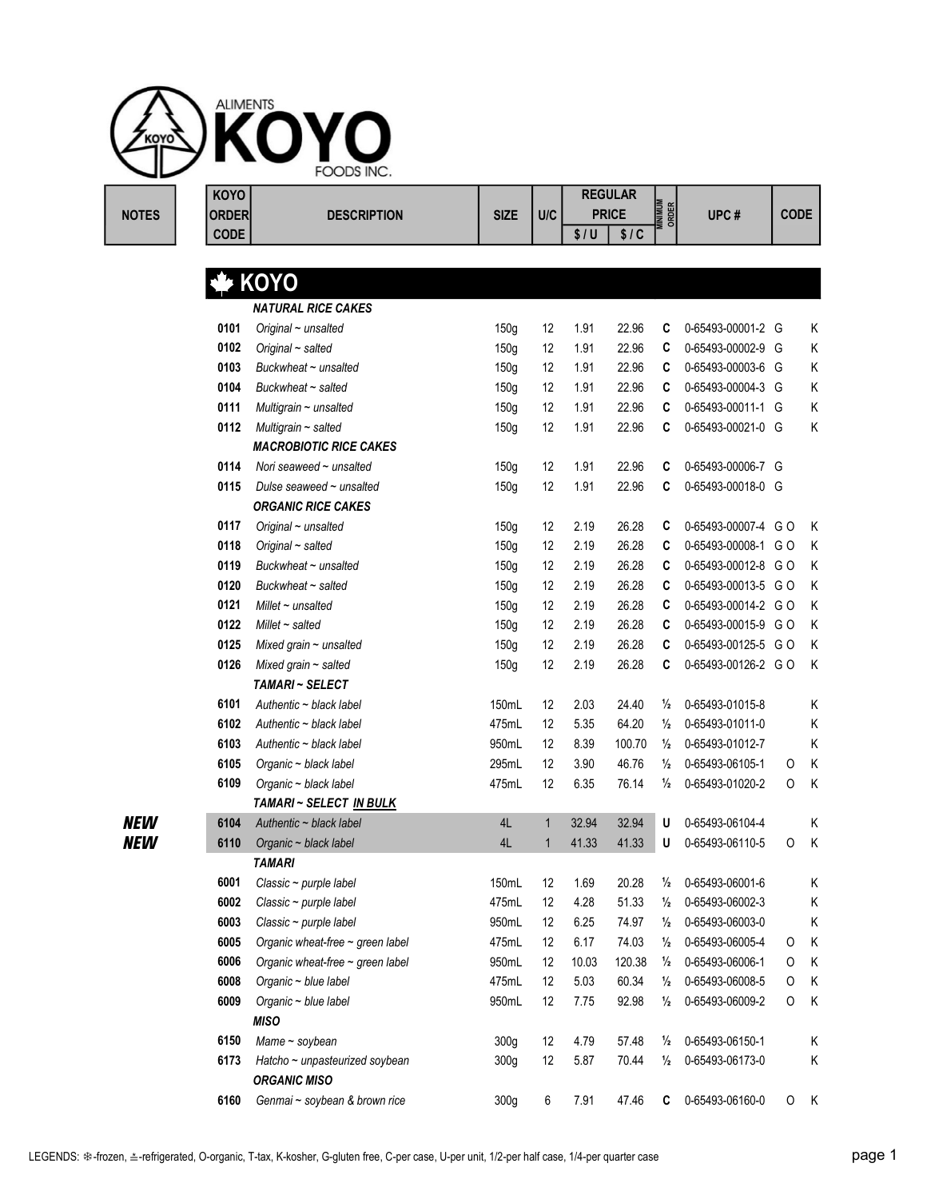

| DERI  |  |
|-------|--|
| )DE I |  |
|       |  |

|                   | <b>KOYO</b> |                                                       |                  |              |       | <b>REGULAR</b> |                         |                    |             |   |
|-------------------|-------------|-------------------------------------------------------|------------------|--------------|-------|----------------|-------------------------|--------------------|-------------|---|
| <b>NOTES</b>      | ORDER       | <b>DESCRIPTION</b>                                    | <b>SIZE</b>      | U/C          |       | <b>PRICE</b>   | <b>MINIMUM</b><br>ORDER | UPC#               | <b>CODE</b> |   |
|                   | <b>CODE</b> |                                                       |                  |              | \$/U  | \$1C           |                         |                    |             |   |
|                   |             |                                                       |                  |              |       |                |                         |                    |             |   |
|                   |             | KOYO                                                  |                  |              |       |                |                         |                    |             |   |
|                   |             |                                                       |                  |              |       |                |                         |                    |             |   |
|                   |             | <b>NATURAL RICE CAKES</b>                             |                  |              |       |                |                         |                    |             |   |
|                   | 0101        | Original $\sim$ unsalted                              | 150g             | 12           | 1.91  | 22.96          | C                       | 0-65493-00001-2 G  |             | K |
|                   | 0102        | Original $\sim$ salted                                | 150g             | 12           | 1.91  | 22.96          | C                       | 0-65493-00002-9 G  |             | K |
|                   | 0103        | Buckwheat $\sim$ unsalted                             | 150 <sub>g</sub> | 12           | 1.91  | 22.96          | C                       | 0-65493-00003-6 G  |             | Κ |
|                   | 0104        | Buckwheat ~ salted                                    | 150g             | 12           | 1.91  | 22.96          | C                       | 0-65493-00004-3 G  |             | Κ |
|                   | 0111        | Multigrain $\sim$ unsalted                            | 150g             | 12           | 1.91  | 22.96          | C                       | 0-65493-00011-1 G  |             | Κ |
|                   | 0112        | Multigrain $\sim$ salted                              | 150g             | 12           | 1.91  | 22.96          | C                       | 0-65493-00021-0 G  |             | Κ |
|                   |             | <b>MACROBIOTIC RICE CAKES</b>                         |                  |              |       |                |                         |                    |             |   |
|                   | 0114        | Nori seaweed $\sim$ unsalted                          | 150g             | 12           | 1.91  | 22.96          | C                       | 0-65493-00006-7 G  |             |   |
|                   | 0115        | Dulse seaweed $\sim$ unsalted                         | 150g             | 12           | 1.91  | 22.96          | C                       | 0-65493-00018-0 G  |             |   |
|                   |             | <b>ORGANIC RICE CAKES</b>                             |                  |              |       |                |                         |                    |             |   |
|                   | 0117        | Original $\sim$ unsalted                              | 150g             | 12           | 2.19  | 26.28          | C                       | 0-65493-00007-4 GO |             | K |
|                   | 0118        | Original $\sim$ salted                                | 150g             | 12           | 2.19  | 26.28          | C                       | 0-65493-00008-1 GO |             | K |
|                   | 0119        | Buckwheat $\sim$ unsalted                             | 150g             | 12           | 2.19  | 26.28          | C                       | 0-65493-00012-8 GO |             | Κ |
|                   | 0120        | Buckwheat ~ salted                                    | 150g             | 12           | 2.19  | 26.28          | C                       | 0-65493-00013-5 GO |             | K |
|                   | 0121        | Millet $\sim$ unsalted                                | 150g             | 12           | 2.19  | 26.28          | C                       | 0-65493-00014-2 GO |             | Κ |
|                   | 0122        | Millet $\sim$ salted                                  | 150g             | 12           | 2.19  | 26.28          | C                       | 0-65493-00015-9 GO |             | K |
|                   | 0125        | Mixed grain $\sim$ unsalted                           | 150g             | 12           | 2.19  | 26.28          | C                       | 0-65493-00125-5 GO |             | K |
|                   | 0126        | Mixed grain $\sim$ salted                             | 150g             | 12           | 2.19  | 26.28          | C                       | 0-65493-00126-2 GO |             | Κ |
|                   |             | <b>TAMARI ~ SELECT</b>                                |                  |              |       |                |                         |                    |             |   |
|                   | 6101        | Authentic ~ black label                               | 150mL            | 12           | 2.03  | 24.40          | $\frac{1}{2}$           | 0-65493-01015-8    |             | Κ |
|                   | 6102        | Authentic ~ black label                               | 475mL            | 12           | 5.35  | 64.20          | $\frac{1}{2}$           | 0-65493-01011-0    |             | Κ |
|                   | 6103        | Authentic ~ black label                               | 950mL            | 12           | 8.39  | 100.70         | $\frac{1}{2}$           | 0-65493-01012-7    |             | Κ |
|                   | 6105        | Organic $\sim$ black label                            | 295mL            | 12           | 3.90  | 46.76          | $\frac{1}{2}$           | 0-65493-06105-1    | 0           | Κ |
|                   | 6109        | Organic ~ black label                                 | 475mL            | 12           | 6.35  | 76.14          | $\frac{1}{2}$           | 0-65493-01020-2    | O           | Κ |
|                   |             | TAMARI ~ SELECT IN BULK                               |                  |              |       |                |                         |                    |             |   |
| NEW               | 6104        | Authentic ~ black label                               | 4L               | $\mathbf{1}$ | 32.94 | 32.94          | U                       | 0-65493-06104-4    |             | Κ |
| <i><b>NEW</b></i> | 6110        | Organic ~ black label                                 | 4L               | 1            | 41.33 | 41.33          | U                       | 0-65493-06110-5    | 0           | Κ |
|                   |             | <b>TAMARI</b>                                         |                  |              |       |                |                         |                    |             |   |
|                   | 6001        | Classic $\sim$ purple label                           | 150mL            | 12           | 1.69  | 20.28          | ⅛                       | 0-65493-06001-6    |             | Κ |
|                   | 6002        | Classic $\sim$ purple label                           | 475mL            | 12           | 4.28  | 51.33          | $\frac{1}{2}$           | 0-65493-06002-3    |             | Κ |
|                   | 6003        | Classic $\sim$ purple label                           | 950mL            | 12           | 6.25  | 74.97          | $\frac{1}{2}$           | 0-65493-06003-0    |             | Κ |
|                   | 6005        | Organic wheat-free ~ green label                      | 475mL            | 12           | 6.17  | 74.03          | $\frac{1}{2}$           | 0-65493-06005-4    | 0           | Κ |
|                   | 6006        | Organic wheat-free ~ green label                      | 950mL            | 12           | 10.03 | 120.38         | $\frac{1}{2}$           | 0-65493-06006-1    | 0           | Κ |
|                   | 6008        | Organic ~ blue label                                  | 475mL            | 12           | 5.03  | 60.34          | $\frac{1}{2}$           | 0-65493-06008-5    | 0           | Κ |
|                   | 6009        | Organic ~ blue label                                  | 950mL            | 12           | 7.75  | 92.98          | $\frac{1}{2}$           | 0-65493-06009-2    | 0           | Κ |
|                   |             | <b>MISO</b>                                           |                  |              |       |                |                         |                    |             |   |
|                   | 6150        | Mame $\sim$ soybean                                   | 300 <sub>g</sub> | 12           | 4.79  | 57.48          | $\frac{1}{2}$           | 0-65493-06150-1    |             | Κ |
|                   | 6173        |                                                       |                  | 12           |       |                | $\frac{1}{2}$           | 0-65493-06173-0    |             | Κ |
|                   |             | Hatcho ~ unpasteurized soybean<br><b>ORGANIC MISO</b> | 300g             |              | 5.87  | 70.44          |                         |                    |             |   |
|                   | 6160        | Genmai ~ soybean & brown rice                         | 300 <sub>g</sub> | 6            | 7.91  | 47.46          | C                       | 0-65493-06160-0    | 0           | Κ |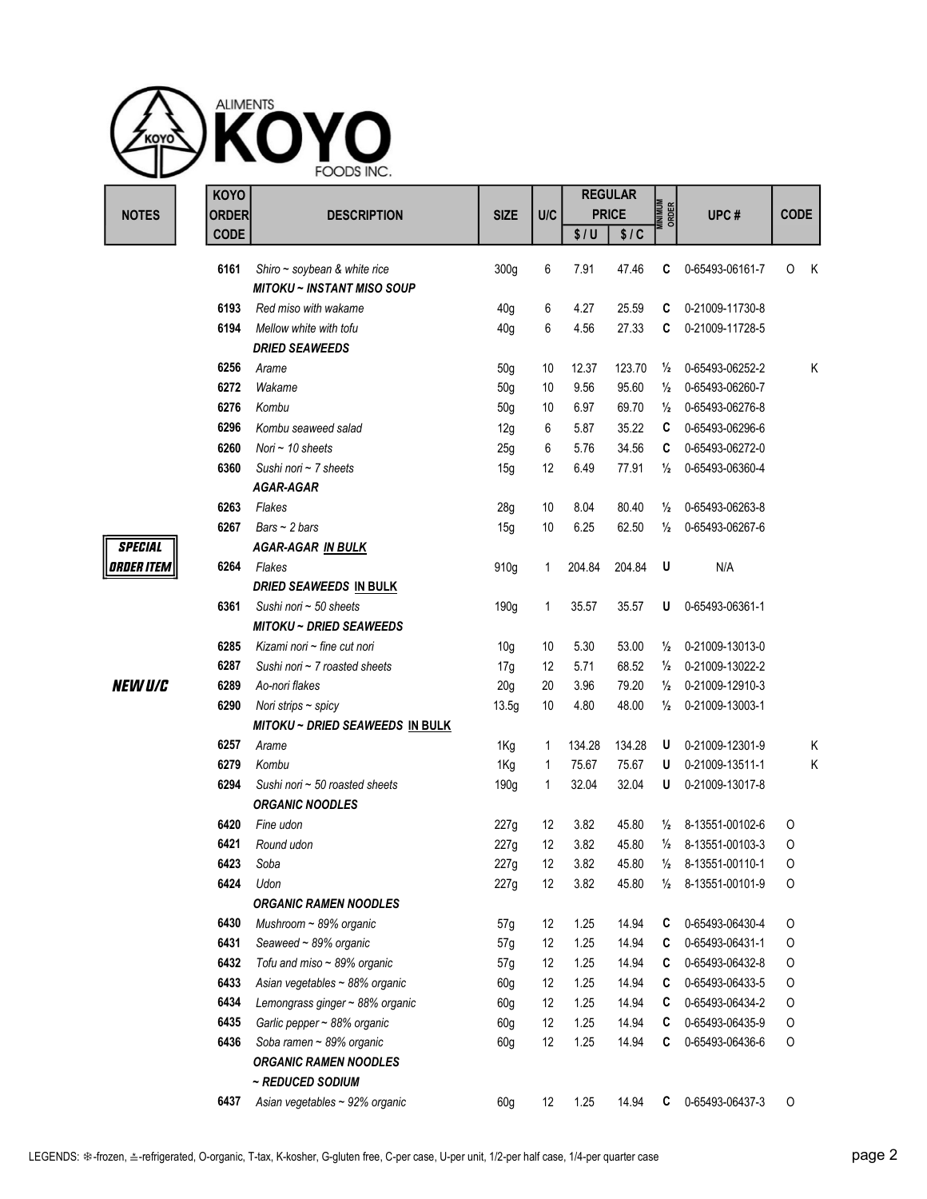| <b>KOYO</b>  |      |                                                               |                 |     |        | <b>REGULAR</b> |                           |                 |             |
|--------------|------|---------------------------------------------------------------|-----------------|-----|--------|----------------|---------------------------|-----------------|-------------|
| <b>ORDER</b> |      | <b>DESCRIPTION</b>                                            | <b>SIZE</b>     | U/C |        | <b>PRICE</b>   | ORDER<br><b>MINIMININ</b> | UPC#            | <b>CODE</b> |
| <b>CODE</b>  |      |                                                               |                 |     | \$/U   | \$1C           |                           |                 |             |
| 6161         |      | Shiro ~ soybean & white rice                                  | 300g            | 6   | 7.91   | 47.46          | C                         | 0-65493-06161-7 | 0<br>K      |
|              |      | <b>MITOKU ~ INSTANT MISO SOUP</b>                             |                 |     |        |                |                           |                 |             |
| 6193         |      | Red miso with wakame                                          | 40 <sub>g</sub> | 6   | 4.27   | 25.59          | C                         | 0-21009-11730-8 |             |
| 6194         |      | Mellow white with tofu                                        | 40 <sub>g</sub> | 6   | 4.56   | 27.33          | C                         | 0-21009-11728-5 |             |
|              |      | <b>DRIED SEAWEEDS</b>                                         |                 |     |        |                |                           |                 |             |
| 6256         |      | Arame                                                         | 50 <sub>g</sub> | 10  | 12.37  | 123.70         | $\frac{1}{2}$             | 0-65493-06252-2 | Κ           |
| 6272         |      | Wakame                                                        | 50 <sub>g</sub> | 10  | 9.56   | 95.60          | $\frac{1}{2}$             | 0-65493-06260-7 |             |
| 6276         |      | Kombu                                                         | 50 <sub>g</sub> | 10  | 6.97   | 69.70          | $\frac{1}{2}$             | 0-65493-06276-8 |             |
| 6296         |      | Kombu seaweed salad                                           | 12g             | 6   | 5.87   | 35.22          | C                         | 0-65493-06296-6 |             |
| 6260         |      | Nori ~ $10$ sheets                                            |                 | 6   | 5.76   | 34.56          | C                         | 0-65493-06272-0 |             |
| 6360         |      | Sushi nori $\sim$ 7 sheets                                    | 25g             |     |        |                |                           |                 |             |
|              |      | AGAR-AGAR                                                     | 15g             | 12  | 6.49   | 77.91          | $\frac{1}{2}$             | 0-65493-06360-4 |             |
| 6263         |      | Flakes                                                        |                 | 10  |        |                | $\frac{1}{2}$             | 0-65493-06263-8 |             |
| 6267         |      | Bars $\sim$ 2 bars                                            | 28g             |     | 8.04   | 80.40          |                           |                 |             |
|              |      |                                                               | 15g             | 10  | 6.25   | 62.50          | $\frac{1}{2}$             | 0-65493-06267-6 |             |
|              |      | <b>AGAR-AGAR IN BULK</b>                                      |                 |     |        |                |                           |                 |             |
|              | 6264 | Flakes                                                        | 910g            | 1   | 204.84 | 204.84         | U                         | N/A             |             |
|              |      | DRIED SEAWEEDS IN BULK                                        |                 |     |        |                |                           |                 |             |
| 6361         |      | Sushi nori ~ 50 sheets                                        | 190g            | 1   | 35.57  | 35.57          | U                         | 0-65493-06361-1 |             |
|              |      | <b>MITOKU ~ DRIED SEAWEEDS</b>                                |                 |     |        |                |                           |                 |             |
| 6285         |      | Kizami nori ~ fine cut nori                                   | 10 <sub>g</sub> | 10  | 5.30   | 53.00          | $\frac{1}{2}$             | 0-21009-13013-0 |             |
| 6287         |      | Sushi nori $\sim$ 7 roasted sheets                            | 17g             | 12  | 5.71   | 68.52          | $\frac{1}{2}$             | 0-21009-13022-2 |             |
| 6289         |      | Ao-nori flakes                                                | 20 <sub>g</sub> | 20  | 3.96   | 79.20          | $\frac{1}{2}$             | 0-21009-12910-3 |             |
| 6290         |      | Nori strips $\sim$ spicy                                      | 13.5g           | 10  | 4.80   | 48.00          | $\frac{1}{2}$             | 0-21009-13003-1 |             |
|              |      | MITOKU ~ DRIED SEAWEEDS IN BULK                               |                 |     |        |                |                           |                 |             |
| 6257         |      | Arame                                                         | 1Kg             | 1   | 134.28 | 134.28         | U                         | 0-21009-12301-9 | Κ           |
| 6279         |      | Kombu                                                         | 1Kg             | 1   | 75.67  | 75.67          | U                         | 0-21009-13511-1 | Κ           |
| 6294         |      | Sushi nori $\sim$ 50 roasted sheets<br><b>ORGANIC NOODLES</b> | 190g            | 1   | 32.04  | 32.04          | U                         | 0-21009-13017-8 |             |
| 6420         |      | Fine udon                                                     | 227g            | 12  | 3.82   | 45.80          | $\frac{1}{2}$             | 8-13551-00102-6 | 0           |
| 6421         |      | Round udon                                                    | 227g            | 12  | 3.82   | 45.80          | $\frac{1}{2}$             | 8-13551-00103-3 | 0           |
| 6423         |      | Soba                                                          | 227g            | 12  | 3.82   | 45.80          | $\frac{1}{2}$             | 8-13551-00110-1 | 0           |
| 6424         |      | Udon                                                          | 227g            | 12  | 3.82   | 45.80          | $\frac{1}{2}$             | 8-13551-00101-9 | O           |
|              |      | <b>ORGANIC RAMEN NOODLES</b>                                  |                 |     |        |                |                           |                 |             |
| 6430         |      | Mushroom ~ 89% organic                                        | 57g             | 12  | 1.25   | 14.94          | C                         | 0-65493-06430-4 | O           |
| 6431         |      | Seaweed ~ 89% organic                                         | 57g             | 12  | 1.25   | 14.94          | C                         | 0-65493-06431-1 | 0           |
| 6432         |      | Tofu and miso $\sim$ 89% organic                              | 57g             | 12  | 1.25   | 14.94          | C                         | 0-65493-06432-8 | O           |
| 6433         |      | Asian vegetables ~ 88% organic                                | 60g             | 12  | 1.25   | 14.94          | C                         | 0-65493-06433-5 | 0           |
| 6434         |      | Lemongrass ginger ~ 88% organic                               | 60g             | 12  | 1.25   | 14.94          | C                         | 0-65493-06434-2 | 0           |
| 6435         |      | Garlic pepper ~ 88% organic                                   | 60g             | 12  | 1.25   | 14.94          | C                         | 0-65493-06435-9 | 0           |
| 6436         |      | Soba ramen ~ 89% organic                                      | 60g             | 12  | 1.25   | 14.94          | C                         | 0-65493-06436-6 | 0           |
|              |      | <b>ORGANIC RAMEN NOODLES</b>                                  |                 |     |        |                |                           |                 |             |
|              |      | ~ REDUCED SODIUM                                              |                 |     |        |                |                           |                 |             |
|              | 6437 | Asian vegetables ~ 92% organic                                | 60g             | 12  | 1.25   | 14.94          | C                         | 0-65493-06437-3 | O           |

 $\overline{r}$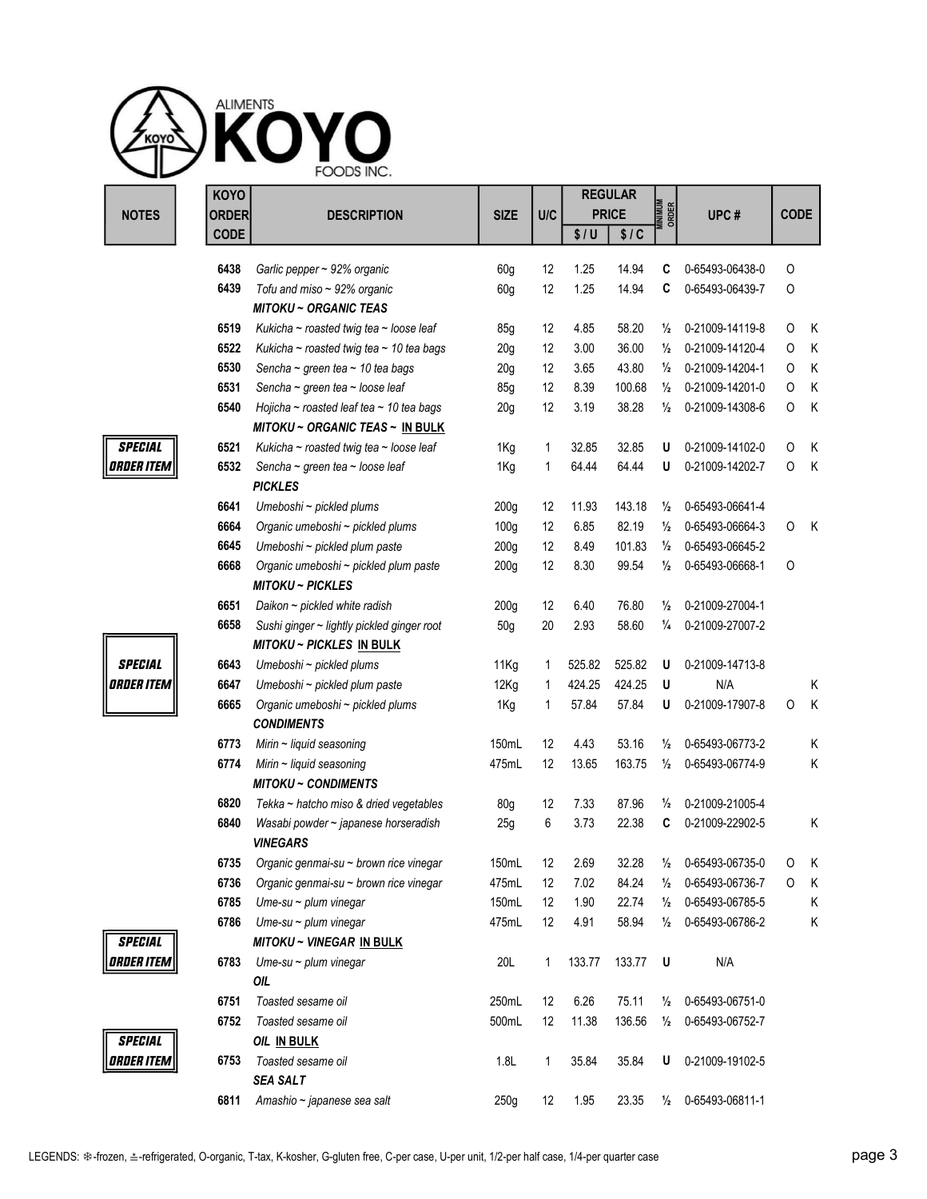| <b>KOYO</b>       | <b>ALIMENTS</b> | YO<br>FOODS INC.                                                |                  |     |        |                |                         |                 |             |   |
|-------------------|-----------------|-----------------------------------------------------------------|------------------|-----|--------|----------------|-------------------------|-----------------|-------------|---|
|                   | <b>KOYO</b>     |                                                                 |                  |     |        | <b>REGULAR</b> |                         |                 |             |   |
| <b>NOTES</b>      | <b>ORDER</b>    | <b>DESCRIPTION</b>                                              | <b>SIZE</b>      | U/C |        | <b>PRICE</b>   | <b>MINIMUM</b><br>ORDER | UPC#            | <b>CODE</b> |   |
|                   | <b>CODE</b>     |                                                                 |                  |     | \$/U   | \$1C           |                         |                 |             |   |
|                   | 6438            |                                                                 |                  | 12  | 1.25   | 14.94          | C                       | 0-65493-06438-0 | O           |   |
|                   | 6439            | Garlic pepper ~ 92% organic<br>Tofu and miso $\sim$ 92% organic | 60g<br>60g       | 12  | 1.25   | 14.94          | C                       | 0-65493-06439-7 | 0           |   |
|                   |                 | <b>MITOKU ~ ORGANIC TEAS</b>                                    |                  |     |        |                |                         |                 |             |   |
|                   | 6519            | Kukicha ~ roasted twig tea ~ loose leaf                         | 85g              | 12  | 4.85   | 58.20          | $\frac{1}{2}$           | 0-21009-14119-8 | 0           | K |
|                   | 6522            | Kukicha ~ roasted twig tea ~ 10 tea bags                        | 20 <sub>g</sub>  | 12  | 3.00   | 36.00          | $\frac{1}{2}$           | 0-21009-14120-4 | 0           | Κ |
|                   | 6530            | Sencha ~ green tea ~ 10 tea bags                                | 20 <sub>g</sub>  | 12  | 3.65   | 43.80          | $\frac{1}{2}$           | 0-21009-14204-1 | O           | Κ |
|                   | 6531            | Sencha ~ green tea ~ loose leaf                                 | 85g              | 12  | 8.39   | 100.68         | $\frac{1}{2}$           | 0-21009-14201-0 | O           | Κ |
|                   | 6540            | Hojicha ~ roasted leaf tea ~ 10 tea bags                        | 20 <sub>g</sub>  | 12  | 3.19   | 38.28          | $\frac{1}{2}$           | 0-21009-14308-6 | 0           | К |
|                   |                 | MITOKU ~ ORGANIC TEAS ~ IN BULK                                 |                  |     |        |                |                         |                 |             |   |
| <b>SPECIAL</b>    | 6521            | Kukicha ~ roasted twig tea ~ loose leaf                         | 1Kg              | 1   | 32.85  | 32.85          | U                       | 0-21009-14102-0 | 0           | K |
| <b>ORDER ITEM</b> | 6532            | Sencha ~ green tea ~ loose leaf                                 | 1Kg              | 1   | 64.44  | 64.44          | U                       | 0-21009-14202-7 | 0           | К |
|                   |                 | <b>PICKLES</b>                                                  |                  |     |        |                |                         |                 |             |   |
|                   | 6641            | Umeboshi ~ pickled plums                                        | 200 <sub>g</sub> | 12  | 11.93  | 143.18         | $\frac{1}{2}$           | 0-65493-06641-4 |             |   |
|                   | 6664            | Organic umeboshi ~ pickled plums                                | 100g             | 12  | 6.85   | 82.19          | $\frac{1}{2}$           | 0-65493-06664-3 | O           | K |
|                   | 6645            | Umeboshi ~ pickled plum paste                                   | 200 <sub>g</sub> | 12  | 8.49   | 101.83         | $\frac{1}{2}$           | 0-65493-06645-2 |             |   |
|                   | 6668            | Organic umeboshi ~ pickled plum paste                           | 200 <sub>g</sub> | 12  | 8.30   | 99.54          | $\frac{1}{2}$           | 0-65493-06668-1 | 0           |   |
|                   |                 | <b>MITOKU ~ PICKLES</b>                                         |                  |     |        |                |                         |                 |             |   |
|                   | 6651            | Daikon $\sim$ pickled white radish                              | 200 <sub>g</sub> | 12  | 6.40   | 76.80          | $\frac{1}{2}$           | 0-21009-27004-1 |             |   |
|                   | 6658            | Sushi ginger ~ lightly pickled ginger root                      | 50g              | 20  | 2.93   | 58.60          | $\frac{1}{4}$           | 0-21009-27007-2 |             |   |
|                   |                 | <b>MITOKU ~ PICKLES IN BULK</b>                                 |                  |     |        |                |                         |                 |             |   |
| <b>SPECIAL</b>    | 6643            | Umeboshi $\sim$ pickled plums                                   | 11Kg             | 1   | 525.82 | 525.82         | U                       | 0-21009-14713-8 |             |   |
| <b>ORDER ITEM</b> | 6647            | Umeboshi ~ pickled plum paste                                   | 12Kg             | 1   | 424.25 | 424.25         | U                       | N/A             |             | Κ |
|                   | 6665            | Organic umeboshi ~ pickled plums                                | 1Kg              | 1   | 57.84  | 57.84          | U                       | 0-21009-17907-8 | O           | Κ |
|                   |                 | <b>CONDIMENTS</b>                                               |                  |     |        |                |                         |                 |             |   |
|                   | 6773            | Mirin $\sim$ liquid seasoning                                   | 150mL            | 12  | 4.43   | 53.16          | $\frac{1}{2}$           | 0-65493-06773-2 |             | Κ |
|                   | 6774            | Mirin $\sim$ liquid seasoning                                   | 475mL            | 12  | 13.65  | 163.75         | $\frac{1}{2}$           | 0-65493-06774-9 |             | Κ |
|                   |                 | <b>MITOKU ~ CONDIMENTS</b>                                      |                  |     |        |                |                         |                 |             |   |
|                   | 6820            | Tekka ~ hatcho miso & dried vegetables                          | 80g              | 12  | 7.33   | 87.96          | $\frac{1}{2}$           | 0-21009-21005-4 |             |   |
|                   | 6840            | Wasabi powder ~ japanese horseradish                            | 25g              | 6   | 3.73   | 22.38          | C                       | 0-21009-22902-5 |             | Κ |
|                   |                 | <b>VINEGARS</b>                                                 |                  |     |        |                |                         |                 |             |   |
|                   | 6735            | Organic genmai-su ~ brown rice vinegar                          | 150mL            | 12  | 2.69   | 32.28          | $\frac{1}{2}$           | 0-65493-06735-0 | 0           | К |
|                   | 6736            | Organic genmai-su ~ brown rice vinegar                          | 475mL            | 12  | 7.02   | 84.24          | $\frac{1}{2}$           | 0-65493-06736-7 | O           | Κ |
|                   | 6785            | Ume-su $\sim$ plum vinegar                                      | 150mL            | 12  | 1.90   | 22.74          | $\frac{1}{2}$           | 0-65493-06785-5 |             | Κ |
|                   | 6786            | Ume-su $\sim$ plum vinegar                                      | 475mL            | 12  | 4.91   | 58.94          | $\frac{1}{2}$           | 0-65493-06786-2 |             | Κ |
| <b>SPECIAL</b>    |                 | MITOKU ~ VINEGAR IN BULK                                        |                  |     |        |                |                         |                 |             |   |
| <b>ORDER ITEM</b> | 6783            | Ume-su ~ plum vinegar                                           | 20L              | 1   | 133.77 | 133.77         | U                       | N/A             |             |   |
|                   |                 | OIL                                                             |                  |     |        |                |                         |                 |             |   |
|                   | 6751            | Toasted sesame oil                                              | 250mL            | 12  | 6.26   | 75.11          | $\frac{1}{2}$           | 0-65493-06751-0 |             |   |
|                   | 6752            | Toasted sesame oil                                              | 500mL            | 12  | 11.38  | 136.56         | $\frac{1}{2}$           | 0-65493-06752-7 |             |   |
| <b>SPECIAL</b>    |                 | OIL IN BULK                                                     |                  |     |        |                |                         |                 |             |   |
| ORDER ITEN        | 6753            | Toasted sesame oil                                              | 1.8L             | 1   | 35.84  | 35.84          | U                       | 0-21009-19102-5 |             |   |
|                   |                 | <b>SEA SALT</b>                                                 |                  |     |        |                |                         |                 |             |   |
|                   | 6811            | Amashio ~ japanese sea salt                                     | 250 <sub>g</sub> | 12  | 1.95   | 23.35          | $\frac{1}{2}$           | 0-65493-06811-1 |             |   |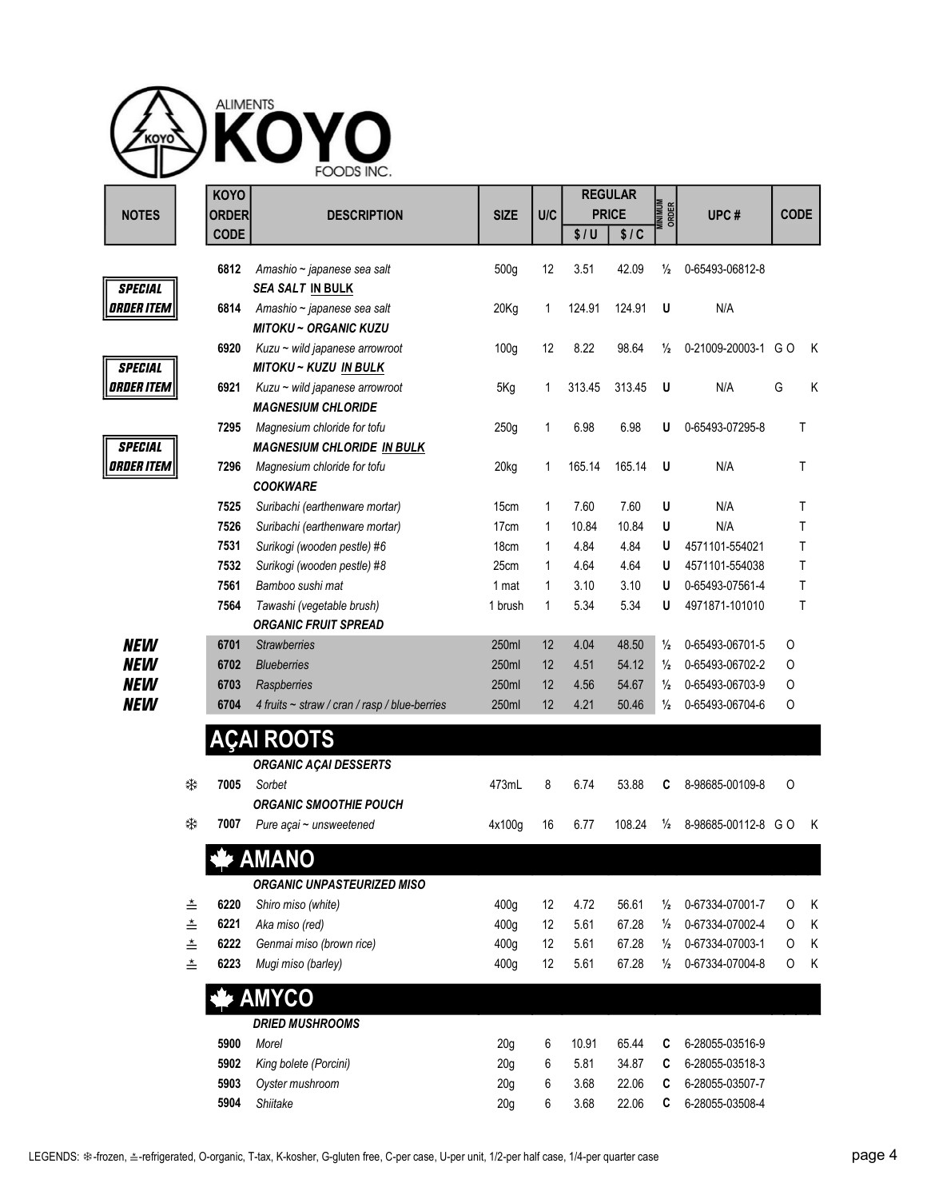|            |                       | <b>KOYO</b>                 |                                                          |                  |                              |              | <b>REGULAR</b><br><b>PRICE</b> | <b>MINIMUM</b><br>ORDER |                    |              |
|------------|-----------------------|-----------------------------|----------------------------------------------------------|------------------|------------------------------|--------------|--------------------------------|-------------------------|--------------------|--------------|
|            |                       | <b>ORDER</b><br><b>CODE</b> | <b>DESCRIPTION</b>                                       | <b>SIZE</b>      | U/C                          | \$/U         | \$1C                           |                         | UPC#               | <b>CODE</b>  |
|            |                       |                             |                                                          |                  |                              |              |                                |                         |                    |              |
|            |                       | 6812                        | Amashio ~ japanese sea salt                              | 500g             | 12                           | 3.51         | 42.09                          | $\frac{1}{2}$           | 0-65493-06812-8    |              |
|            |                       |                             | <b>SEA SALT IN BULK</b>                                  |                  |                              |              |                                |                         |                    |              |
|            |                       | 6814                        | Amashio ~ japanese sea salt                              | 20Kg             | 1                            | 124.91       | 124.91                         | U                       | N/A                |              |
|            |                       |                             | <b>MITOKU ~ ORGANIC KUZU</b>                             |                  |                              |              |                                |                         |                    |              |
|            |                       | 6920                        | Kuzu ~ wild japanese arrowroot                           | 100g             | 12                           | 8.22         | 98.64                          | $\frac{1}{2}$           | 0-21009-20003-1 GO | K            |
|            |                       |                             | MITOKU ~ KUZU IN BULK                                    |                  |                              |              |                                |                         |                    |              |
|            |                       | 6921                        | Kuzu ~ wild japanese arrowroot                           | 5Kg              | 1                            | 313.45       | 313.45                         | U                       | N/A                | G<br>Κ       |
|            |                       |                             | <b>MAGNESIUM CHLORIDE</b>                                |                  |                              |              |                                |                         |                    |              |
|            |                       | 7295                        | Magnesium chloride for tofu                              | 250 <sub>g</sub> | 1                            | 6.98         | 6.98                           | U                       | 0-65493-07295-8    | Τ            |
|            |                       |                             | <b>MAGNESIUM CHLORIDE IN BULK</b>                        |                  |                              |              |                                |                         |                    |              |
| ORDER ITEM |                       | 7296                        | Magnesium chloride for tofu                              | 20kg             | 1                            | 165.14       | 165.14                         | U                       | N/A                | $\mathsf T$  |
|            |                       |                             | <b>COOKWARE</b>                                          |                  |                              |              |                                |                         |                    |              |
|            |                       | 7525                        | Suribachi (earthenware mortar)                           | 15cm             | $\mathbf{1}$                 | 7.60         | 7.60                           | U                       | N/A                | T            |
|            |                       | 7526                        | Suribachi (earthenware mortar)                           | 17cm             | $\mathbf{1}$                 | 10.84        | 10.84                          | U                       | N/A                | T            |
|            |                       | 7531                        | Surikogi (wooden pestle) #6                              | 18cm             | 1                            | 4.84         | 4.84                           | U                       | 4571101-554021     | $\mathsf{T}$ |
|            |                       | 7532                        | Surikogi (wooden pestle) #8                              | 25cm             | 1                            | 4.64         | 4.64                           | U                       | 4571101-554038     | $\mathsf{T}$ |
|            |                       | 7561                        | Bamboo sushi mat                                         | 1 mat            | $\mathbf{1}$<br>$\mathbf{1}$ | 3.10<br>5.34 | 3.10<br>5.34                   | U<br>U                  | 0-65493-07561-4    | T<br>Τ       |
|            |                       | 7564                        | Tawashi (vegetable brush)<br><b>ORGANIC FRUIT SPREAD</b> | 1 brush          |                              |              |                                |                         | 4971871-101010     |              |
|            |                       | 6701                        | <b>Strawberries</b>                                      | 250ml            | 12                           | 4.04         | 48.50                          | $\frac{1}{2}$           | 0-65493-06701-5    | O            |
|            |                       | 6702                        | <b>Blueberries</b>                                       | 250ml            | 12                           | 4.51         | 54.12                          | $\frac{1}{2}$           | 0-65493-06702-2    | 0            |
|            |                       | 6703                        | Raspberries                                              | 250ml            | 12                           | 4.56         | 54.67                          | $\frac{1}{2}$           | 0-65493-06703-9    | 0            |
|            |                       | 6704                        | 4 fruits ~ straw / cran / rasp / blue-berries            | 250ml            | 12                           | 4.21         | 50.46                          | $\frac{1}{2}$           | 0-65493-06704-6    | 0            |
|            |                       |                             |                                                          |                  |                              |              |                                |                         |                    |              |
|            |                       |                             | <b>DOTS</b>                                              |                  |                              |              |                                |                         |                    |              |
|            |                       |                             | ORGANIC AÇAI DESSERTS                                    |                  |                              |              |                                |                         |                    |              |
|            | ₩                     | 7005                        | Sorbet                                                   | 473mL            | 8                            | 6.74         | 53.88                          | С                       | 8-98685-00109-8    | O            |
|            |                       |                             | <b>ORGANIC SMOOTHIE POUCH</b>                            |                  |                              |              |                                |                         |                    |              |
|            | ₩                     | 7007                        | Pure açai ~ unsweetened                                  | 4x100g           | 16                           | 6.77         | 108.24                         | $\frac{1}{2}$           | 8-98685-00112-8 GO | K            |
|            |                       |                             | <b>AMANO</b>                                             |                  |                              |              |                                |                         |                    |              |
|            |                       |                             |                                                          |                  |                              |              |                                |                         |                    |              |
|            |                       |                             | <b>ORGANIC UNPASTEURIZED MISO</b>                        |                  |                              |              |                                |                         |                    |              |
|            | $\stackrel{\star}{=}$ | 6220                        | Shiro miso (white)                                       | 400g             | 12                           | 4.72         | 56.61                          | $\frac{1}{2}$           | 0-67334-07001-7    | Κ<br>0       |
|            | ≛                     | 6221                        | Aka miso (red)                                           | 400g             | 12                           | 5.61         | 67.28                          | $\frac{1}{2}$           | 0-67334-07002-4    | Κ<br>0       |
|            | ≛                     | 6222                        | Genmai miso (brown rice)                                 | 400g             | 12                           | 5.61         | 67.28                          | $\frac{1}{2}$           | 0-67334-07003-1    | Κ<br>0       |
|            | ≛                     | 6223                        | Mugi miso (barley)                                       | 400g             | 12                           | 5.61         | 67.28                          | $\frac{1}{2}$           | 0-67334-07004-8    | O<br>Κ       |
|            |                       |                             | <b>AMYCO</b>                                             |                  |                              |              |                                |                         |                    |              |
|            |                       |                             | <b>DRIED MUSHROOMS</b>                                   |                  |                              |              |                                |                         |                    |              |
|            |                       | 5900                        | Morel                                                    | 20 <sub>g</sub>  | 6                            | 10.91        | 65.44                          | C                       | 6-28055-03516-9    |              |
|            |                       | 5902                        | King bolete (Porcini)                                    | 20 <sub>g</sub>  | 6                            | 5.81         | 34.87                          | C                       | 6-28055-03518-3    |              |
|            |                       | 5903                        | Oyster mushroom                                          | 20g              | 6                            | 3.68         | 22.06                          | C                       | 6-28055-03507-7    |              |
|            |                       | 5904                        | Shiitake                                                 | 20 <sub>g</sub>  | 6                            | 3.68         | 22.06                          | C                       | 6-28055-03508-4    |              |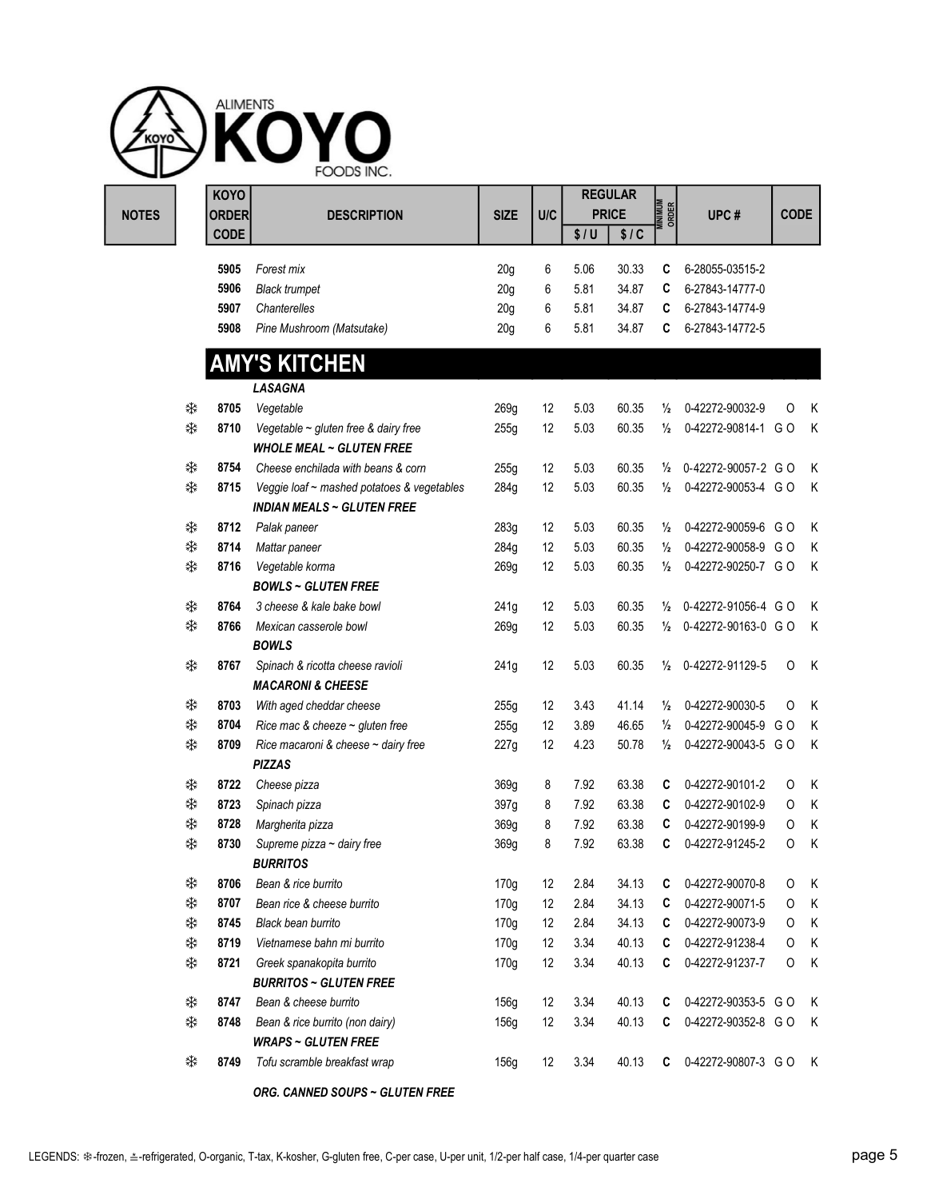|        | <b>KOYO</b>                 |                                                     |                                    |        |              | <b>REGULAR</b>       |                         |                                    |             |        |
|--------|-----------------------------|-----------------------------------------------------|------------------------------------|--------|--------------|----------------------|-------------------------|------------------------------------|-------------|--------|
|        | <b>ORDER</b><br><b>CODE</b> | <b>DESCRIPTION</b>                                  | <b>SIZE</b>                        | U/C    | \$/U         | <b>PRICE</b><br>\$1C | <b>MINIMUM</b><br>ORDER | UPC#                               | <b>CODE</b> |        |
|        |                             |                                                     |                                    |        |              |                      |                         |                                    |             |        |
|        | 5905                        | Forest mix                                          | 20 <sub>g</sub>                    | 6      | 5.06         | 30.33                | C                       | 6-28055-03515-2                    |             |        |
|        | 5906<br>5907                | <b>Black trumpet</b>                                | 20 <sub>g</sub>                    | 6      | 5.81         | 34.87                | C<br>C                  | 6-27843-14777-0                    |             |        |
|        | 5908                        | Chanterelles<br>Pine Mushroom (Matsutake)           | 20 <sub>g</sub><br>20 <sub>g</sub> | 6<br>6 | 5.81<br>5.81 | 34.87<br>34.87       | C                       | 6-27843-14774-9<br>6-27843-14772-5 |             |        |
|        |                             | <b>AMY'S KITCHEN</b>                                |                                    |        |              |                      |                         |                                    |             |        |
|        |                             | LASAGNA                                             |                                    |        |              |                      |                         |                                    |             |        |
| ₩      | 8705                        | Vegetable                                           | 269g                               | 12     | 5.03         | 60.35                | $\frac{1}{2}$           | 0-42272-90032-9                    | 0           | Κ      |
| ₩      | 8710                        | Vegetable $\sim$ gluten free & dairy free           | 255g                               | 12     | 5.03         | 60.35                | $\frac{1}{2}$           | 0-42272-90814-1 GO                 |             | Κ      |
|        |                             | <b>WHOLE MEAL ~ GLUTEN FREE</b>                     |                                    |        |              |                      |                         |                                    |             |        |
| ₩      | 8754                        | Cheese enchilada with beans & corn                  | 255g                               | 12     | 5.03         | 60.35                | $\frac{1}{2}$           | 0-42272-90057-2 GO                 |             | K      |
| ₩      | 8715                        | Veggie loaf ~ mashed potatoes & vegetables          | 284g                               | 12     | 5.03         | 60.35                | $\frac{1}{2}$           | 0-42272-90053-4 GO                 |             | Κ      |
|        |                             | <b>INDIAN MEALS ~ GLUTEN FREE</b>                   |                                    |        |              |                      |                         |                                    |             |        |
| ₩      | 8712                        | Palak paneer                                        | 283g                               | 12     | 5.03         | 60.35                | $\frac{1}{2}$           | 0-42272-90059-6 GO                 |             | Κ      |
| ₩      | 8714                        | Mattar paneer                                       | 284g                               | 12     | 5.03         | 60.35                | $\frac{1}{2}$           | 0-42272-90058-9 GO                 |             | Κ      |
| ₩      | 8716                        | Vegetable korma                                     | 269g                               | 12     | 5.03         | 60.35                | $\frac{1}{2}$           | 0-42272-90250-7 GO                 |             | Κ      |
|        |                             | <b>BOWLS ~ GLUTEN FREE</b>                          |                                    |        |              |                      |                         |                                    |             |        |
| ₩      | 8764                        | 3 cheese & kale bake bowl                           | 241g                               | 12     | 5.03         | 60.35                | $\frac{1}{2}$           | 0-42272-91056-4 GO                 |             | Κ      |
| ₩      | 8766                        | Mexican casserole bowl                              | 269g                               | 12     | 5.03         | 60.35                | $\frac{1}{2}$           | 0-42272-90163-0 GO                 |             | K      |
|        |                             | <b>BOWLS</b>                                        |                                    |        |              |                      |                         |                                    |             |        |
| ₩      | 8767                        | Spinach & ricotta cheese ravioli                    | 241g                               | 12     | 5.03         | 60.35                | $\frac{1}{2}$           | 0-42272-91129-5                    | 0           | Κ      |
|        |                             | <b>MACARONI &amp; CHEESE</b>                        |                                    |        |              |                      |                         |                                    |             |        |
| ₩      | 8703                        | With aged cheddar cheese                            | 255g                               | 12     | 3.43         | 41.14                | $\frac{1}{2}$           | 0-42272-90030-5                    | 0           | Κ      |
| ₩      | 8704                        | Rice mac & cheeze $\sim$ gluten free                | 255g                               | 12     | 3.89         | 46.65                | $\frac{1}{2}$           | 0-42272-90045-9                    | GO          | Κ      |
| ₩      | 8709                        | Rice macaroni & cheese ~ dairy free                 | 227g                               | 12     | 4.23         | 50.78                | $\frac{1}{2}$           | 0-42272-90043-5 GO                 |             | Κ      |
|        |                             | <b>PIZZAS</b>                                       |                                    |        |              |                      |                         |                                    |             |        |
| ₩      | 8722                        | Cheese pizza                                        | 369g                               | 8      | 7.92         | 63.38                | C                       | 0-42272-90101-2                    | 0           | Κ      |
| ₩      | 8723                        | Spinach pizza                                       | 397g                               | 8      | 7.92         | 63.38                | C                       | 0-42272-90102-9                    | O           | Κ<br>Κ |
| ₩<br>₩ | 8728<br>8730                | Margherita pizza<br>Supreme pizza $\sim$ dairy free | 369g<br>369g                       | 8<br>8 | 7.92<br>7.92 | 63.38<br>63.38       | C<br>C                  | 0-42272-90199-9<br>0-42272-91245-2 | 0<br>0      | Κ      |
|        |                             | <b>BURRITOS</b>                                     |                                    |        |              |                      |                         |                                    |             |        |
| ₩      | 8706                        | Bean & rice burrito                                 | 170g                               | 12     | 2.84         | 34.13                | C                       | 0-42272-90070-8                    | 0           | Κ      |
| ₩      | 8707                        | Bean rice & cheese burrito                          | 170g                               | 12     | 2.84         | 34.13                | C                       | 0-42272-90071-5                    | O           | Κ      |
| ₩      | 8745                        | Black bean burrito                                  | 170g                               | 12     | 2.84         | 34.13                | C                       | 0-42272-90073-9                    | O           | Κ      |
| ₩      | 8719                        | Vietnamese bahn mi burrito                          | 170g                               | 12     | 3.34         | 40.13                | C                       | 0-42272-91238-4                    | 0           | Κ      |
| ₩      | 8721                        | Greek spanakopita burrito                           | 170g                               | 12     | 3.34         | 40.13                | C                       | 0-42272-91237-7                    | 0           | Κ      |
|        |                             | <b>BURRITOS ~ GLUTEN FREE</b>                       |                                    |        |              |                      |                         |                                    |             |        |
| ₩      | 8747                        | Bean & cheese burrito                               | 156g                               | 12     | 3.34         | 40.13                | C                       | 0-42272-90353-5 GO                 |             | Κ      |
| ₩      | 8748                        | Bean & rice burrito (non dairy)                     | 156g                               | 12     | 3.34         | 40.13                | C                       | 0-42272-90352-8 GO                 |             | K      |
|        |                             | <b>WRAPS ~ GLUTEN FREE</b>                          |                                    |        |              |                      |                         |                                    |             |        |
|        |                             |                                                     |                                    |        |              |                      |                         |                                    |             |        |

ORG. CANNED SOUPS ~ GLUTEN FREE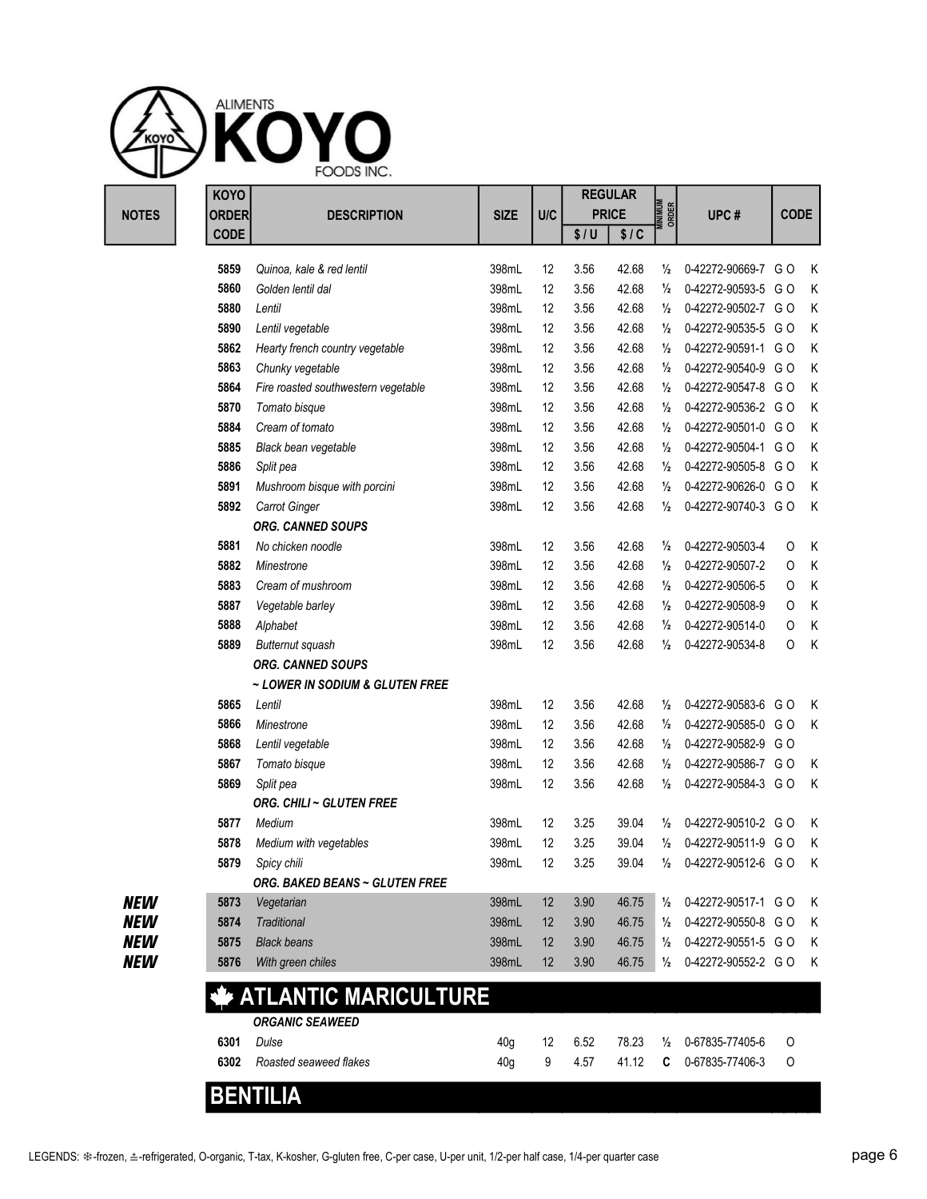

| <b>MINIMUM</b><br>ORDER<br><b>PRICE</b><br><b>CODE</b><br><b>ORDER</b><br><b>DESCRIPTION</b><br>U/C<br>UPC#<br><b>SIZE</b><br>\$1C<br><b>CODE</b><br>\$/U<br>42.68<br>5859<br>398mL<br>12<br>3.56<br>$\frac{1}{2}$<br>0-42272-90669-7 GO<br>Quinoa, kale & red lentil<br>5860<br>398mL<br>12<br>42.68<br>$\frac{1}{2}$<br>0-42272-90593-5 GO<br>3.56<br>Golden lentil dal<br>398mL<br>12<br>42.68<br>$\frac{1}{2}$<br>0-42272-90502-7 GO<br>5880<br>Lentil<br>3.56<br>12<br>0-42272-90535-5 GO<br>5890<br>Lentil vegetable<br>398mL<br>3.56<br>42.68<br>$\frac{1}{2}$<br>398mL<br>12<br>0-42272-90591-1 GO<br>5862<br>Hearty french country vegetable<br>3.56<br>42.68<br>1⁄2<br>5863<br>Chunky vegetable<br>398mL<br>12<br>42.68<br>$\frac{1}{2}$<br>0-42272-90540-9 GO<br>3.56<br>5864<br>398mL<br>12<br>3.56<br>42.68<br>$\frac{1}{2}$<br>0-42272-90547-8 GO<br>Fire roasted southwestern vegetable<br>0-42272-90536-2 GO<br>5870<br>398mL<br>12<br>42.68<br>$\frac{1}{2}$<br>Tomato bisque<br>3.56<br>398mL<br>12<br>42.68<br>0-42272-90501-0 GO<br>5884<br>Cream of tomato<br>3.56<br>$\frac{1}{2}$<br>12<br>5885<br>398mL<br>3.56<br>42.68<br>$\frac{1}{2}$<br>0-42272-90504-1 GO<br>Black bean vegetable<br>5886<br>Split pea<br>398mL<br>12<br>42.68<br>1⁄2<br>0-42272-90505-8 GO<br>3.56<br>5891<br>12<br>42.68<br>$\frac{1}{2}$<br>0-42272-90626-0 GO<br>Mushroom bisque with porcini<br>398mL<br>3.56<br>398mL<br>12<br>42.68<br>0-42272-90740-3 GO<br>5892<br>Carrot Ginger<br>3.56<br>$\frac{1}{2}$<br><b>ORG. CANNED SOUPS</b><br>No chicken noodle<br>398mL<br>12<br>3.56<br>42.68<br>0-42272-90503-4<br>5881<br>$\frac{1}{2}$<br>0<br>398mL<br>12<br>42.68<br>0-42272-90507-2<br>5882<br>3.56<br><b>Minestrone</b><br>1⁄2<br>0<br>398mL<br>5883<br>Cream of mushroom<br>12<br>42.68<br>$\frac{1}{2}$<br>0-42272-90506-5<br>3.56<br>0<br>0-42272-90508-9<br>5887<br>398mL<br>12<br>3.56<br>42.68<br>$\frac{1}{2}$<br>O<br>Vegetable barley<br>5888<br>12<br>$\frac{1}{2}$<br>0-42272-90514-0<br>398mL<br>42.68<br>Alphabet<br>3.56<br>0<br>398mL<br>12<br>42.68<br>$\frac{1}{2}$<br>0-42272-90534-8<br>5889<br>3.56<br>0<br><b>Butternut squash</b><br><b>ORG. CANNED SOUPS</b><br>~ LOWER IN SODIUM & GLUTEN FREE<br>12<br>3.56<br>42.68<br>5865<br>398mL<br>$\frac{1}{2}$<br>0-42272-90583-6 GO<br>Lentil<br>398mL<br>12<br>42.68<br>5866<br>3.56<br>$\frac{1}{2}$<br>0-42272-90585-0 GO<br>Minestrone<br>Lentil vegetable<br>398mL<br>12<br>42.68<br>$\frac{1}{2}$<br>0-42272-90582-9 GO<br>5868<br>3.56<br>12<br>42.68<br>0-42272-90586-7 GO<br>Tomato bisque<br>398mL<br>3.56<br>5867<br>$\frac{1}{2}$<br>398mL<br>12<br>5869<br>Split pea<br>3.56<br>42.68<br>$\frac{1}{2}$<br>0-42272-90584-3 GO<br>ORG. CHILI ~ GLUTEN FREE<br>5877<br>398mL<br>12<br>3.25<br>39.04<br>⅛<br>0-42272-90510-2 GO<br>Medium<br>0-42272-90511-9 GO<br>5878<br>398mL<br>12<br>39.04<br>$\frac{1}{2}$<br>Medium with vegetables<br>3.25<br>5879<br>398mL<br>12<br>3.25<br>39.04<br>$\frac{1}{2}$<br>0-42272-90512-6 GO<br>Spicy chili<br>ORG. BAKED BEANS ~ GLUTEN FREE<br>398mL<br>46.75<br>0-42272-90517-1 GO<br>5873<br>Vegetarian<br>$12 \overline{ }$<br>3.90<br>$\frac{1}{2}$<br>398mL<br><b>Traditional</b><br>12<br>46.75<br>$\frac{1}{2}$<br>0-42272-90550-8 GO<br>5874<br>3.90<br><b>Black beans</b><br>5875<br>398mL<br>12<br>0-42272-90551-5 GO<br>3.90<br>46.75<br>$\frac{1}{2}$<br>5876<br>With green chiles<br>398mL<br>$\frac{1}{2}$<br>0-42272-90552-2 GO<br>12<br>3.90<br>46.75<br><b>ATLANTIC MARICULTURE</b><br><b>ORGANIC SEAWEED</b><br>6301<br>78.23<br>0-67835-77405-6<br>Dulse<br>40 <sub>g</sub><br>12<br>6.52<br>$\frac{1}{2}$<br>0<br>6302<br>Roasted seaweed flakes<br>40 <sub>g</sub><br>9<br>41.12<br>0-67835-77406-3<br>4.57<br>С<br>0<br><b>BENTILIA</b> |              | <b>KOYO</b> |  |  | <b>REGULAR</b> |  |   |
|--------------------------------------------------------------------------------------------------------------------------------------------------------------------------------------------------------------------------------------------------------------------------------------------------------------------------------------------------------------------------------------------------------------------------------------------------------------------------------------------------------------------------------------------------------------------------------------------------------------------------------------------------------------------------------------------------------------------------------------------------------------------------------------------------------------------------------------------------------------------------------------------------------------------------------------------------------------------------------------------------------------------------------------------------------------------------------------------------------------------------------------------------------------------------------------------------------------------------------------------------------------------------------------------------------------------------------------------------------------------------------------------------------------------------------------------------------------------------------------------------------------------------------------------------------------------------------------------------------------------------------------------------------------------------------------------------------------------------------------------------------------------------------------------------------------------------------------------------------------------------------------------------------------------------------------------------------------------------------------------------------------------------------------------------------------------------------------------------------------------------------------------------------------------------------------------------------------------------------------------------------------------------------------------------------------------------------------------------------------------------------------------------------------------------------------------------------------------------------------------------------------------------------------------------------------------------------------------------------------------------------------------------------------------------------------------------------------------------------------------------------------------------------------------------------------------------------------------------------------------------------------------------------------------------------------------------------------------------------------------------------------------------------------------------------------------------------------------------------------------------------------------------------------------------------------------------------------------------------------------------------------------------------------------------------------------------------------------------------------------------------------------------------------------------------------------------------------------------------------------------------------------------------------------------------------------------------------------------------------------------------------------------------------------------------------------------------------------------------------------------------------------------------------------|--------------|-------------|--|--|----------------|--|---|
|                                                                                                                                                                                                                                                                                                                                                                                                                                                                                                                                                                                                                                                                                                                                                                                                                                                                                                                                                                                                                                                                                                                                                                                                                                                                                                                                                                                                                                                                                                                                                                                                                                                                                                                                                                                                                                                                                                                                                                                                                                                                                                                                                                                                                                                                                                                                                                                                                                                                                                                                                                                                                                                                                                                                                                                                                                                                                                                                                                                                                                                                                                                                                                                                                                                                                                                                                                                                                                                                                                                                                                                                                                                                                                                                                                                            | <b>NOTES</b> |             |  |  |                |  |   |
| K                                                                                                                                                                                                                                                                                                                                                                                                                                                                                                                                                                                                                                                                                                                                                                                                                                                                                                                                                                                                                                                                                                                                                                                                                                                                                                                                                                                                                                                                                                                                                                                                                                                                                                                                                                                                                                                                                                                                                                                                                                                                                                                                                                                                                                                                                                                                                                                                                                                                                                                                                                                                                                                                                                                                                                                                                                                                                                                                                                                                                                                                                                                                                                                                                                                                                                                                                                                                                                                                                                                                                                                                                                                                                                                                                                                          |              |             |  |  |                |  |   |
| K                                                                                                                                                                                                                                                                                                                                                                                                                                                                                                                                                                                                                                                                                                                                                                                                                                                                                                                                                                                                                                                                                                                                                                                                                                                                                                                                                                                                                                                                                                                                                                                                                                                                                                                                                                                                                                                                                                                                                                                                                                                                                                                                                                                                                                                                                                                                                                                                                                                                                                                                                                                                                                                                                                                                                                                                                                                                                                                                                                                                                                                                                                                                                                                                                                                                                                                                                                                                                                                                                                                                                                                                                                                                                                                                                                                          |              |             |  |  |                |  |   |
| K<br>K                                                                                                                                                                                                                                                                                                                                                                                                                                                                                                                                                                                                                                                                                                                                                                                                                                                                                                                                                                                                                                                                                                                                                                                                                                                                                                                                                                                                                                                                                                                                                                                                                                                                                                                                                                                                                                                                                                                                                                                                                                                                                                                                                                                                                                                                                                                                                                                                                                                                                                                                                                                                                                                                                                                                                                                                                                                                                                                                                                                                                                                                                                                                                                                                                                                                                                                                                                                                                                                                                                                                                                                                                                                                                                                                                                                     |              |             |  |  |                |  |   |
|                                                                                                                                                                                                                                                                                                                                                                                                                                                                                                                                                                                                                                                                                                                                                                                                                                                                                                                                                                                                                                                                                                                                                                                                                                                                                                                                                                                                                                                                                                                                                                                                                                                                                                                                                                                                                                                                                                                                                                                                                                                                                                                                                                                                                                                                                                                                                                                                                                                                                                                                                                                                                                                                                                                                                                                                                                                                                                                                                                                                                                                                                                                                                                                                                                                                                                                                                                                                                                                                                                                                                                                                                                                                                                                                                                                            |              |             |  |  |                |  |   |
|                                                                                                                                                                                                                                                                                                                                                                                                                                                                                                                                                                                                                                                                                                                                                                                                                                                                                                                                                                                                                                                                                                                                                                                                                                                                                                                                                                                                                                                                                                                                                                                                                                                                                                                                                                                                                                                                                                                                                                                                                                                                                                                                                                                                                                                                                                                                                                                                                                                                                                                                                                                                                                                                                                                                                                                                                                                                                                                                                                                                                                                                                                                                                                                                                                                                                                                                                                                                                                                                                                                                                                                                                                                                                                                                                                                            |              |             |  |  |                |  |   |
|                                                                                                                                                                                                                                                                                                                                                                                                                                                                                                                                                                                                                                                                                                                                                                                                                                                                                                                                                                                                                                                                                                                                                                                                                                                                                                                                                                                                                                                                                                                                                                                                                                                                                                                                                                                                                                                                                                                                                                                                                                                                                                                                                                                                                                                                                                                                                                                                                                                                                                                                                                                                                                                                                                                                                                                                                                                                                                                                                                                                                                                                                                                                                                                                                                                                                                                                                                                                                                                                                                                                                                                                                                                                                                                                                                                            |              |             |  |  |                |  |   |
|                                                                                                                                                                                                                                                                                                                                                                                                                                                                                                                                                                                                                                                                                                                                                                                                                                                                                                                                                                                                                                                                                                                                                                                                                                                                                                                                                                                                                                                                                                                                                                                                                                                                                                                                                                                                                                                                                                                                                                                                                                                                                                                                                                                                                                                                                                                                                                                                                                                                                                                                                                                                                                                                                                                                                                                                                                                                                                                                                                                                                                                                                                                                                                                                                                                                                                                                                                                                                                                                                                                                                                                                                                                                                                                                                                                            |              |             |  |  |                |  | Κ |
|                                                                                                                                                                                                                                                                                                                                                                                                                                                                                                                                                                                                                                                                                                                                                                                                                                                                                                                                                                                                                                                                                                                                                                                                                                                                                                                                                                                                                                                                                                                                                                                                                                                                                                                                                                                                                                                                                                                                                                                                                                                                                                                                                                                                                                                                                                                                                                                                                                                                                                                                                                                                                                                                                                                                                                                                                                                                                                                                                                                                                                                                                                                                                                                                                                                                                                                                                                                                                                                                                                                                                                                                                                                                                                                                                                                            |              |             |  |  |                |  | K |
|                                                                                                                                                                                                                                                                                                                                                                                                                                                                                                                                                                                                                                                                                                                                                                                                                                                                                                                                                                                                                                                                                                                                                                                                                                                                                                                                                                                                                                                                                                                                                                                                                                                                                                                                                                                                                                                                                                                                                                                                                                                                                                                                                                                                                                                                                                                                                                                                                                                                                                                                                                                                                                                                                                                                                                                                                                                                                                                                                                                                                                                                                                                                                                                                                                                                                                                                                                                                                                                                                                                                                                                                                                                                                                                                                                                            |              |             |  |  |                |  | K |
|                                                                                                                                                                                                                                                                                                                                                                                                                                                                                                                                                                                                                                                                                                                                                                                                                                                                                                                                                                                                                                                                                                                                                                                                                                                                                                                                                                                                                                                                                                                                                                                                                                                                                                                                                                                                                                                                                                                                                                                                                                                                                                                                                                                                                                                                                                                                                                                                                                                                                                                                                                                                                                                                                                                                                                                                                                                                                                                                                                                                                                                                                                                                                                                                                                                                                                                                                                                                                                                                                                                                                                                                                                                                                                                                                                                            |              |             |  |  |                |  | K |
|                                                                                                                                                                                                                                                                                                                                                                                                                                                                                                                                                                                                                                                                                                                                                                                                                                                                                                                                                                                                                                                                                                                                                                                                                                                                                                                                                                                                                                                                                                                                                                                                                                                                                                                                                                                                                                                                                                                                                                                                                                                                                                                                                                                                                                                                                                                                                                                                                                                                                                                                                                                                                                                                                                                                                                                                                                                                                                                                                                                                                                                                                                                                                                                                                                                                                                                                                                                                                                                                                                                                                                                                                                                                                                                                                                                            |              |             |  |  |                |  | K |
|                                                                                                                                                                                                                                                                                                                                                                                                                                                                                                                                                                                                                                                                                                                                                                                                                                                                                                                                                                                                                                                                                                                                                                                                                                                                                                                                                                                                                                                                                                                                                                                                                                                                                                                                                                                                                                                                                                                                                                                                                                                                                                                                                                                                                                                                                                                                                                                                                                                                                                                                                                                                                                                                                                                                                                                                                                                                                                                                                                                                                                                                                                                                                                                                                                                                                                                                                                                                                                                                                                                                                                                                                                                                                                                                                                                            |              |             |  |  |                |  | Κ |
|                                                                                                                                                                                                                                                                                                                                                                                                                                                                                                                                                                                                                                                                                                                                                                                                                                                                                                                                                                                                                                                                                                                                                                                                                                                                                                                                                                                                                                                                                                                                                                                                                                                                                                                                                                                                                                                                                                                                                                                                                                                                                                                                                                                                                                                                                                                                                                                                                                                                                                                                                                                                                                                                                                                                                                                                                                                                                                                                                                                                                                                                                                                                                                                                                                                                                                                                                                                                                                                                                                                                                                                                                                                                                                                                                                                            |              |             |  |  |                |  | Κ |
|                                                                                                                                                                                                                                                                                                                                                                                                                                                                                                                                                                                                                                                                                                                                                                                                                                                                                                                                                                                                                                                                                                                                                                                                                                                                                                                                                                                                                                                                                                                                                                                                                                                                                                                                                                                                                                                                                                                                                                                                                                                                                                                                                                                                                                                                                                                                                                                                                                                                                                                                                                                                                                                                                                                                                                                                                                                                                                                                                                                                                                                                                                                                                                                                                                                                                                                                                                                                                                                                                                                                                                                                                                                                                                                                                                                            |              |             |  |  |                |  | K |
|                                                                                                                                                                                                                                                                                                                                                                                                                                                                                                                                                                                                                                                                                                                                                                                                                                                                                                                                                                                                                                                                                                                                                                                                                                                                                                                                                                                                                                                                                                                                                                                                                                                                                                                                                                                                                                                                                                                                                                                                                                                                                                                                                                                                                                                                                                                                                                                                                                                                                                                                                                                                                                                                                                                                                                                                                                                                                                                                                                                                                                                                                                                                                                                                                                                                                                                                                                                                                                                                                                                                                                                                                                                                                                                                                                                            |              |             |  |  |                |  | K |
|                                                                                                                                                                                                                                                                                                                                                                                                                                                                                                                                                                                                                                                                                                                                                                                                                                                                                                                                                                                                                                                                                                                                                                                                                                                                                                                                                                                                                                                                                                                                                                                                                                                                                                                                                                                                                                                                                                                                                                                                                                                                                                                                                                                                                                                                                                                                                                                                                                                                                                                                                                                                                                                                                                                                                                                                                                                                                                                                                                                                                                                                                                                                                                                                                                                                                                                                                                                                                                                                                                                                                                                                                                                                                                                                                                                            |              |             |  |  |                |  |   |
|                                                                                                                                                                                                                                                                                                                                                                                                                                                                                                                                                                                                                                                                                                                                                                                                                                                                                                                                                                                                                                                                                                                                                                                                                                                                                                                                                                                                                                                                                                                                                                                                                                                                                                                                                                                                                                                                                                                                                                                                                                                                                                                                                                                                                                                                                                                                                                                                                                                                                                                                                                                                                                                                                                                                                                                                                                                                                                                                                                                                                                                                                                                                                                                                                                                                                                                                                                                                                                                                                                                                                                                                                                                                                                                                                                                            |              |             |  |  |                |  | K |
|                                                                                                                                                                                                                                                                                                                                                                                                                                                                                                                                                                                                                                                                                                                                                                                                                                                                                                                                                                                                                                                                                                                                                                                                                                                                                                                                                                                                                                                                                                                                                                                                                                                                                                                                                                                                                                                                                                                                                                                                                                                                                                                                                                                                                                                                                                                                                                                                                                                                                                                                                                                                                                                                                                                                                                                                                                                                                                                                                                                                                                                                                                                                                                                                                                                                                                                                                                                                                                                                                                                                                                                                                                                                                                                                                                                            |              |             |  |  |                |  | Κ |
|                                                                                                                                                                                                                                                                                                                                                                                                                                                                                                                                                                                                                                                                                                                                                                                                                                                                                                                                                                                                                                                                                                                                                                                                                                                                                                                                                                                                                                                                                                                                                                                                                                                                                                                                                                                                                                                                                                                                                                                                                                                                                                                                                                                                                                                                                                                                                                                                                                                                                                                                                                                                                                                                                                                                                                                                                                                                                                                                                                                                                                                                                                                                                                                                                                                                                                                                                                                                                                                                                                                                                                                                                                                                                                                                                                                            |              |             |  |  |                |  | Κ |
|                                                                                                                                                                                                                                                                                                                                                                                                                                                                                                                                                                                                                                                                                                                                                                                                                                                                                                                                                                                                                                                                                                                                                                                                                                                                                                                                                                                                                                                                                                                                                                                                                                                                                                                                                                                                                                                                                                                                                                                                                                                                                                                                                                                                                                                                                                                                                                                                                                                                                                                                                                                                                                                                                                                                                                                                                                                                                                                                                                                                                                                                                                                                                                                                                                                                                                                                                                                                                                                                                                                                                                                                                                                                                                                                                                                            |              |             |  |  |                |  | Κ |
|                                                                                                                                                                                                                                                                                                                                                                                                                                                                                                                                                                                                                                                                                                                                                                                                                                                                                                                                                                                                                                                                                                                                                                                                                                                                                                                                                                                                                                                                                                                                                                                                                                                                                                                                                                                                                                                                                                                                                                                                                                                                                                                                                                                                                                                                                                                                                                                                                                                                                                                                                                                                                                                                                                                                                                                                                                                                                                                                                                                                                                                                                                                                                                                                                                                                                                                                                                                                                                                                                                                                                                                                                                                                                                                                                                                            |              |             |  |  |                |  | K |
|                                                                                                                                                                                                                                                                                                                                                                                                                                                                                                                                                                                                                                                                                                                                                                                                                                                                                                                                                                                                                                                                                                                                                                                                                                                                                                                                                                                                                                                                                                                                                                                                                                                                                                                                                                                                                                                                                                                                                                                                                                                                                                                                                                                                                                                                                                                                                                                                                                                                                                                                                                                                                                                                                                                                                                                                                                                                                                                                                                                                                                                                                                                                                                                                                                                                                                                                                                                                                                                                                                                                                                                                                                                                                                                                                                                            |              |             |  |  |                |  | Κ |
|                                                                                                                                                                                                                                                                                                                                                                                                                                                                                                                                                                                                                                                                                                                                                                                                                                                                                                                                                                                                                                                                                                                                                                                                                                                                                                                                                                                                                                                                                                                                                                                                                                                                                                                                                                                                                                                                                                                                                                                                                                                                                                                                                                                                                                                                                                                                                                                                                                                                                                                                                                                                                                                                                                                                                                                                                                                                                                                                                                                                                                                                                                                                                                                                                                                                                                                                                                                                                                                                                                                                                                                                                                                                                                                                                                                            |              |             |  |  |                |  |   |
|                                                                                                                                                                                                                                                                                                                                                                                                                                                                                                                                                                                                                                                                                                                                                                                                                                                                                                                                                                                                                                                                                                                                                                                                                                                                                                                                                                                                                                                                                                                                                                                                                                                                                                                                                                                                                                                                                                                                                                                                                                                                                                                                                                                                                                                                                                                                                                                                                                                                                                                                                                                                                                                                                                                                                                                                                                                                                                                                                                                                                                                                                                                                                                                                                                                                                                                                                                                                                                                                                                                                                                                                                                                                                                                                                                                            |              |             |  |  |                |  |   |
|                                                                                                                                                                                                                                                                                                                                                                                                                                                                                                                                                                                                                                                                                                                                                                                                                                                                                                                                                                                                                                                                                                                                                                                                                                                                                                                                                                                                                                                                                                                                                                                                                                                                                                                                                                                                                                                                                                                                                                                                                                                                                                                                                                                                                                                                                                                                                                                                                                                                                                                                                                                                                                                                                                                                                                                                                                                                                                                                                                                                                                                                                                                                                                                                                                                                                                                                                                                                                                                                                                                                                                                                                                                                                                                                                                                            |              |             |  |  |                |  | K |
|                                                                                                                                                                                                                                                                                                                                                                                                                                                                                                                                                                                                                                                                                                                                                                                                                                                                                                                                                                                                                                                                                                                                                                                                                                                                                                                                                                                                                                                                                                                                                                                                                                                                                                                                                                                                                                                                                                                                                                                                                                                                                                                                                                                                                                                                                                                                                                                                                                                                                                                                                                                                                                                                                                                                                                                                                                                                                                                                                                                                                                                                                                                                                                                                                                                                                                                                                                                                                                                                                                                                                                                                                                                                                                                                                                                            |              |             |  |  |                |  | K |
|                                                                                                                                                                                                                                                                                                                                                                                                                                                                                                                                                                                                                                                                                                                                                                                                                                                                                                                                                                                                                                                                                                                                                                                                                                                                                                                                                                                                                                                                                                                                                                                                                                                                                                                                                                                                                                                                                                                                                                                                                                                                                                                                                                                                                                                                                                                                                                                                                                                                                                                                                                                                                                                                                                                                                                                                                                                                                                                                                                                                                                                                                                                                                                                                                                                                                                                                                                                                                                                                                                                                                                                                                                                                                                                                                                                            |              |             |  |  |                |  |   |
|                                                                                                                                                                                                                                                                                                                                                                                                                                                                                                                                                                                                                                                                                                                                                                                                                                                                                                                                                                                                                                                                                                                                                                                                                                                                                                                                                                                                                                                                                                                                                                                                                                                                                                                                                                                                                                                                                                                                                                                                                                                                                                                                                                                                                                                                                                                                                                                                                                                                                                                                                                                                                                                                                                                                                                                                                                                                                                                                                                                                                                                                                                                                                                                                                                                                                                                                                                                                                                                                                                                                                                                                                                                                                                                                                                                            |              |             |  |  |                |  | K |
|                                                                                                                                                                                                                                                                                                                                                                                                                                                                                                                                                                                                                                                                                                                                                                                                                                                                                                                                                                                                                                                                                                                                                                                                                                                                                                                                                                                                                                                                                                                                                                                                                                                                                                                                                                                                                                                                                                                                                                                                                                                                                                                                                                                                                                                                                                                                                                                                                                                                                                                                                                                                                                                                                                                                                                                                                                                                                                                                                                                                                                                                                                                                                                                                                                                                                                                                                                                                                                                                                                                                                                                                                                                                                                                                                                                            |              |             |  |  |                |  | Κ |
|                                                                                                                                                                                                                                                                                                                                                                                                                                                                                                                                                                                                                                                                                                                                                                                                                                                                                                                                                                                                                                                                                                                                                                                                                                                                                                                                                                                                                                                                                                                                                                                                                                                                                                                                                                                                                                                                                                                                                                                                                                                                                                                                                                                                                                                                                                                                                                                                                                                                                                                                                                                                                                                                                                                                                                                                                                                                                                                                                                                                                                                                                                                                                                                                                                                                                                                                                                                                                                                                                                                                                                                                                                                                                                                                                                                            |              |             |  |  |                |  |   |
|                                                                                                                                                                                                                                                                                                                                                                                                                                                                                                                                                                                                                                                                                                                                                                                                                                                                                                                                                                                                                                                                                                                                                                                                                                                                                                                                                                                                                                                                                                                                                                                                                                                                                                                                                                                                                                                                                                                                                                                                                                                                                                                                                                                                                                                                                                                                                                                                                                                                                                                                                                                                                                                                                                                                                                                                                                                                                                                                                                                                                                                                                                                                                                                                                                                                                                                                                                                                                                                                                                                                                                                                                                                                                                                                                                                            |              |             |  |  |                |  | K |
|                                                                                                                                                                                                                                                                                                                                                                                                                                                                                                                                                                                                                                                                                                                                                                                                                                                                                                                                                                                                                                                                                                                                                                                                                                                                                                                                                                                                                                                                                                                                                                                                                                                                                                                                                                                                                                                                                                                                                                                                                                                                                                                                                                                                                                                                                                                                                                                                                                                                                                                                                                                                                                                                                                                                                                                                                                                                                                                                                                                                                                                                                                                                                                                                                                                                                                                                                                                                                                                                                                                                                                                                                                                                                                                                                                                            |              |             |  |  |                |  | Κ |
|                                                                                                                                                                                                                                                                                                                                                                                                                                                                                                                                                                                                                                                                                                                                                                                                                                                                                                                                                                                                                                                                                                                                                                                                                                                                                                                                                                                                                                                                                                                                                                                                                                                                                                                                                                                                                                                                                                                                                                                                                                                                                                                                                                                                                                                                                                                                                                                                                                                                                                                                                                                                                                                                                                                                                                                                                                                                                                                                                                                                                                                                                                                                                                                                                                                                                                                                                                                                                                                                                                                                                                                                                                                                                                                                                                                            |              |             |  |  |                |  | Κ |
|                                                                                                                                                                                                                                                                                                                                                                                                                                                                                                                                                                                                                                                                                                                                                                                                                                                                                                                                                                                                                                                                                                                                                                                                                                                                                                                                                                                                                                                                                                                                                                                                                                                                                                                                                                                                                                                                                                                                                                                                                                                                                                                                                                                                                                                                                                                                                                                                                                                                                                                                                                                                                                                                                                                                                                                                                                                                                                                                                                                                                                                                                                                                                                                                                                                                                                                                                                                                                                                                                                                                                                                                                                                                                                                                                                                            |              |             |  |  |                |  |   |
|                                                                                                                                                                                                                                                                                                                                                                                                                                                                                                                                                                                                                                                                                                                                                                                                                                                                                                                                                                                                                                                                                                                                                                                                                                                                                                                                                                                                                                                                                                                                                                                                                                                                                                                                                                                                                                                                                                                                                                                                                                                                                                                                                                                                                                                                                                                                                                                                                                                                                                                                                                                                                                                                                                                                                                                                                                                                                                                                                                                                                                                                                                                                                                                                                                                                                                                                                                                                                                                                                                                                                                                                                                                                                                                                                                                            | <b>NEW</b>   |             |  |  |                |  | K |
|                                                                                                                                                                                                                                                                                                                                                                                                                                                                                                                                                                                                                                                                                                                                                                                                                                                                                                                                                                                                                                                                                                                                                                                                                                                                                                                                                                                                                                                                                                                                                                                                                                                                                                                                                                                                                                                                                                                                                                                                                                                                                                                                                                                                                                                                                                                                                                                                                                                                                                                                                                                                                                                                                                                                                                                                                                                                                                                                                                                                                                                                                                                                                                                                                                                                                                                                                                                                                                                                                                                                                                                                                                                                                                                                                                                            | <b>NEW</b>   |             |  |  |                |  | K |
|                                                                                                                                                                                                                                                                                                                                                                                                                                                                                                                                                                                                                                                                                                                                                                                                                                                                                                                                                                                                                                                                                                                                                                                                                                                                                                                                                                                                                                                                                                                                                                                                                                                                                                                                                                                                                                                                                                                                                                                                                                                                                                                                                                                                                                                                                                                                                                                                                                                                                                                                                                                                                                                                                                                                                                                                                                                                                                                                                                                                                                                                                                                                                                                                                                                                                                                                                                                                                                                                                                                                                                                                                                                                                                                                                                                            | <b>NEW</b>   |             |  |  |                |  | K |
|                                                                                                                                                                                                                                                                                                                                                                                                                                                                                                                                                                                                                                                                                                                                                                                                                                                                                                                                                                                                                                                                                                                                                                                                                                                                                                                                                                                                                                                                                                                                                                                                                                                                                                                                                                                                                                                                                                                                                                                                                                                                                                                                                                                                                                                                                                                                                                                                                                                                                                                                                                                                                                                                                                                                                                                                                                                                                                                                                                                                                                                                                                                                                                                                                                                                                                                                                                                                                                                                                                                                                                                                                                                                                                                                                                                            | <b>NEW</b>   |             |  |  |                |  | K |
|                                                                                                                                                                                                                                                                                                                                                                                                                                                                                                                                                                                                                                                                                                                                                                                                                                                                                                                                                                                                                                                                                                                                                                                                                                                                                                                                                                                                                                                                                                                                                                                                                                                                                                                                                                                                                                                                                                                                                                                                                                                                                                                                                                                                                                                                                                                                                                                                                                                                                                                                                                                                                                                                                                                                                                                                                                                                                                                                                                                                                                                                                                                                                                                                                                                                                                                                                                                                                                                                                                                                                                                                                                                                                                                                                                                            |              |             |  |  |                |  |   |
|                                                                                                                                                                                                                                                                                                                                                                                                                                                                                                                                                                                                                                                                                                                                                                                                                                                                                                                                                                                                                                                                                                                                                                                                                                                                                                                                                                                                                                                                                                                                                                                                                                                                                                                                                                                                                                                                                                                                                                                                                                                                                                                                                                                                                                                                                                                                                                                                                                                                                                                                                                                                                                                                                                                                                                                                                                                                                                                                                                                                                                                                                                                                                                                                                                                                                                                                                                                                                                                                                                                                                                                                                                                                                                                                                                                            |              |             |  |  |                |  |   |
|                                                                                                                                                                                                                                                                                                                                                                                                                                                                                                                                                                                                                                                                                                                                                                                                                                                                                                                                                                                                                                                                                                                                                                                                                                                                                                                                                                                                                                                                                                                                                                                                                                                                                                                                                                                                                                                                                                                                                                                                                                                                                                                                                                                                                                                                                                                                                                                                                                                                                                                                                                                                                                                                                                                                                                                                                                                                                                                                                                                                                                                                                                                                                                                                                                                                                                                                                                                                                                                                                                                                                                                                                                                                                                                                                                                            |              |             |  |  |                |  |   |
|                                                                                                                                                                                                                                                                                                                                                                                                                                                                                                                                                                                                                                                                                                                                                                                                                                                                                                                                                                                                                                                                                                                                                                                                                                                                                                                                                                                                                                                                                                                                                                                                                                                                                                                                                                                                                                                                                                                                                                                                                                                                                                                                                                                                                                                                                                                                                                                                                                                                                                                                                                                                                                                                                                                                                                                                                                                                                                                                                                                                                                                                                                                                                                                                                                                                                                                                                                                                                                                                                                                                                                                                                                                                                                                                                                                            |              |             |  |  |                |  |   |
|                                                                                                                                                                                                                                                                                                                                                                                                                                                                                                                                                                                                                                                                                                                                                                                                                                                                                                                                                                                                                                                                                                                                                                                                                                                                                                                                                                                                                                                                                                                                                                                                                                                                                                                                                                                                                                                                                                                                                                                                                                                                                                                                                                                                                                                                                                                                                                                                                                                                                                                                                                                                                                                                                                                                                                                                                                                                                                                                                                                                                                                                                                                                                                                                                                                                                                                                                                                                                                                                                                                                                                                                                                                                                                                                                                                            |              |             |  |  |                |  |   |
|                                                                                                                                                                                                                                                                                                                                                                                                                                                                                                                                                                                                                                                                                                                                                                                                                                                                                                                                                                                                                                                                                                                                                                                                                                                                                                                                                                                                                                                                                                                                                                                                                                                                                                                                                                                                                                                                                                                                                                                                                                                                                                                                                                                                                                                                                                                                                                                                                                                                                                                                                                                                                                                                                                                                                                                                                                                                                                                                                                                                                                                                                                                                                                                                                                                                                                                                                                                                                                                                                                                                                                                                                                                                                                                                                                                            |              |             |  |  |                |  |   |
|                                                                                                                                                                                                                                                                                                                                                                                                                                                                                                                                                                                                                                                                                                                                                                                                                                                                                                                                                                                                                                                                                                                                                                                                                                                                                                                                                                                                                                                                                                                                                                                                                                                                                                                                                                                                                                                                                                                                                                                                                                                                                                                                                                                                                                                                                                                                                                                                                                                                                                                                                                                                                                                                                                                                                                                                                                                                                                                                                                                                                                                                                                                                                                                                                                                                                                                                                                                                                                                                                                                                                                                                                                                                                                                                                                                            |              |             |  |  |                |  |   |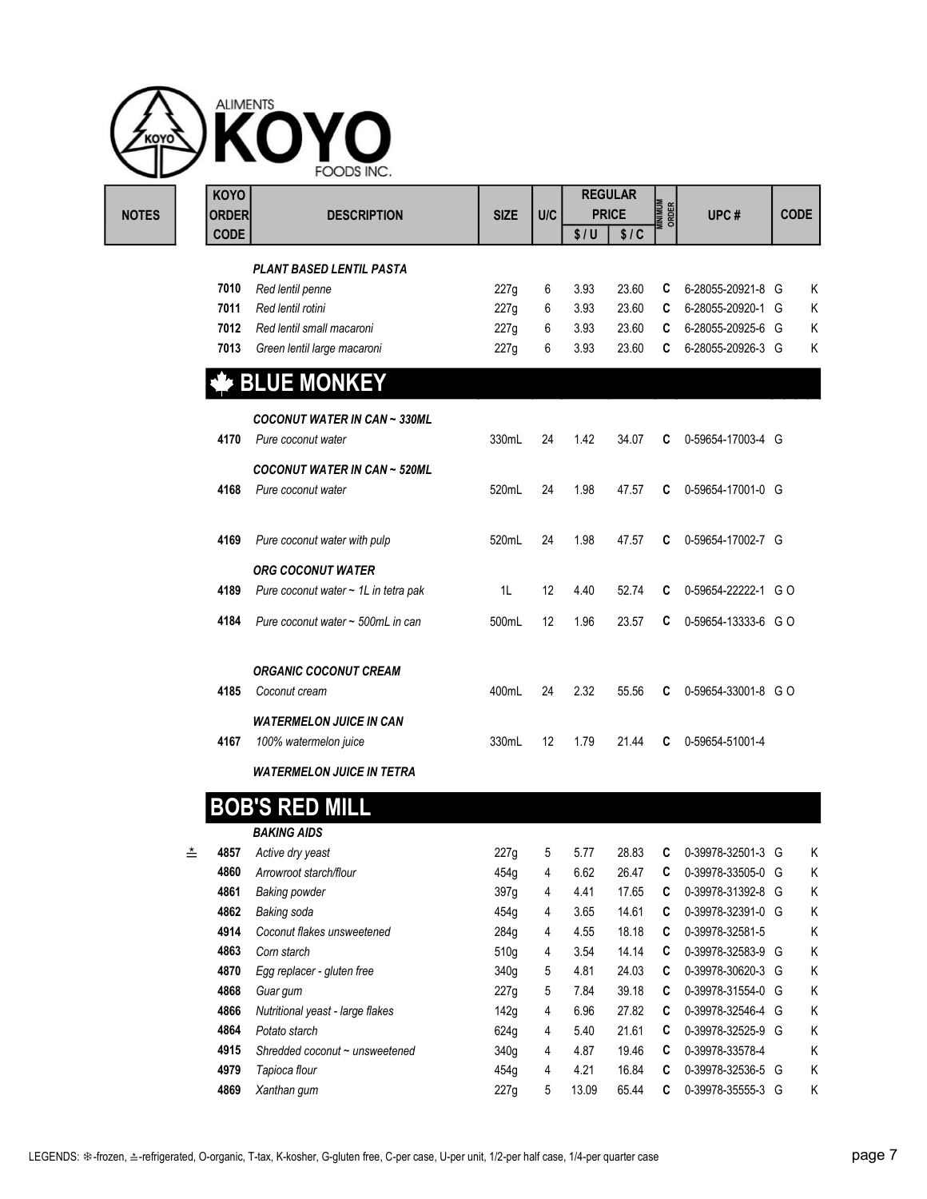| <b>KOYO</b>          |                                      |             |     |       | <b>REGULAR</b>       |                         |                    |             |
|----------------------|--------------------------------------|-------------|-----|-------|----------------------|-------------------------|--------------------|-------------|
| ORDER<br><b>CODE</b> | <b>DESCRIPTION</b>                   | <b>SIZE</b> | U/C | \$/U  | <b>PRICE</b><br>\$1C | <b>MINIMUM</b><br>ORDER | UPC#               | <b>CODE</b> |
|                      |                                      |             |     |       |                      |                         |                    |             |
|                      | <b>PLANT BASED LENTIL PASTA</b>      |             |     |       |                      |                         |                    |             |
| 7010                 | Red lentil penne                     | 227g        | 6   | 3.93  | 23.60                | C                       | 6-28055-20921-8 G  | Κ           |
| 7011                 | Red lentil rotini                    | 227g        | 6   | 3.93  | 23.60                | C                       | 6-28055-20920-1 G  | Κ           |
| 7012                 | Red lentil small macaroni            | 227g        | 6   | 3.93  | 23.60                | C                       | 6-28055-20925-6 G  | Κ           |
| 7013                 | Green lentil large macaroni          | 227g        | 6   | 3.93  | 23.60                | C                       | 6-28055-20926-3 G  | Κ           |
|                      | <b>BLUE MONKEY</b>                   |             |     |       |                      |                         |                    |             |
|                      | <b>COCONUT WATER IN CAN ~ 330ML</b>  |             |     |       |                      |                         |                    |             |
| 4170                 | Pure coconut water                   | 330mL       | 24  | 1.42  | 34.07                | C                       | 0-59654-17003-4 G  |             |
|                      | <b>COCONUT WATER IN CAN ~ 520ML</b>  |             |     |       |                      |                         |                    |             |
| 4168                 | Pure coconut water                   | 520mL       | 24  | 1.98  | 47.57                | C                       | 0-59654-17001-0 G  |             |
|                      |                                      |             |     |       |                      |                         |                    |             |
| 4169                 | Pure coconut water with pulp         | 520mL       | 24  | 1.98  | 47.57                | C                       | 0-59654-17002-7 G  |             |
|                      |                                      |             |     |       |                      |                         |                    |             |
|                      | <b>ORG COCONUT WATER</b>             |             |     |       |                      |                         |                    |             |
| 4189                 | Pure coconut water ~ 1L in tetra pak | 1L          | 12  | 4.40  | 52.74                | C                       | 0-59654-22222-1 GO |             |
| 4184                 | Pure coconut water ~ 500mL in can    | 500mL       | 12  | 1.96  | 23.57                | C                       | 0-59654-13333-6 GO |             |
|                      | <b>ORGANIC COCONUT CREAM</b>         |             |     |       |                      |                         |                    |             |
| 4185                 | Coconut cream                        | 400mL       | 24  | 2.32  | 55.56                | C                       | 0-59654-33001-8 GO |             |
|                      |                                      |             |     |       |                      |                         |                    |             |
|                      | <b>WATERMELON JUICE IN CAN</b>       |             |     |       |                      |                         |                    |             |
| 4167                 | 100% watermelon juice                | 330mL       | 12  | 1.79  | 21.44                | C                       | 0-59654-51001-4    |             |
|                      | <b>WATERMELON JUICE IN TETRA</b>     |             |     |       |                      |                         |                    |             |
|                      | <b>BOB'S RED MILL</b>                |             |     |       |                      |                         |                    |             |
|                      | <b>BAKING AIDS</b>                   |             |     |       |                      |                         |                    |             |
| 4857                 | Active dry yeast                     | 227g        | 5   | 5.77  | 28.83                | C                       | 0-39978-32501-3 G  | Κ           |
| ≛<br>4860            | Arrowroot starch/flour               | 454g        | 4   | 6.62  | 26.47                | C                       | 0-39978-33505-0 G  | Κ           |
| 4861                 | <b>Baking powder</b>                 | 397g        | 4   | 4.41  | 17.65                | C                       | 0-39978-31392-8 G  | Κ           |
| 4862                 | <b>Baking soda</b>                   | 454g        | 4   | 3.65  | 14.61                | C                       | 0-39978-32391-0 G  | Κ           |
| 4914                 | Coconut flakes unsweetened           | 284g        | 4   | 4.55  | 18.18                | C                       | 0-39978-32581-5    | Κ           |
| 4863                 | Corn starch                          | 510g        | 4   | 3.54  | 14.14                | C                       | 0-39978-32583-9 G  | Κ           |
| 4870                 | Egg replacer - gluten free           | 340g        | 5   | 4.81  | 24.03                | C                       | 0-39978-30620-3 G  | Κ           |
| 4868                 | Guar gum                             | 227g        | 5   | 7.84  | 39.18                | C                       | 0-39978-31554-0 G  | Κ           |
| 4866                 | Nutritional yeast - large flakes     | 142g        | 4   | 6.96  | 27.82                | C                       | 0-39978-32546-4 G  | Κ           |
| 4864                 | Potato starch                        | 624g        | 4   | 5.40  | 21.61                | C                       | 0-39978-32525-9 G  | Κ           |
| 4915                 | Shredded coconut ~ unsweetened       | 340g        | 4   | 4.87  | 19.46                | C                       | 0-39978-33578-4    | Κ           |
| 4979                 | Tapioca flour                        | 454g        | 4   | 4.21  | 16.84                | C                       | 0-39978-32536-5 G  | Κ           |
| 4869                 | Xanthan gum                          | 227g        | 5   | 13.09 | 65.44                | C                       | 0-39978-35555-3 G  | Κ           |
|                      |                                      |             |     |       |                      |                         |                    |             |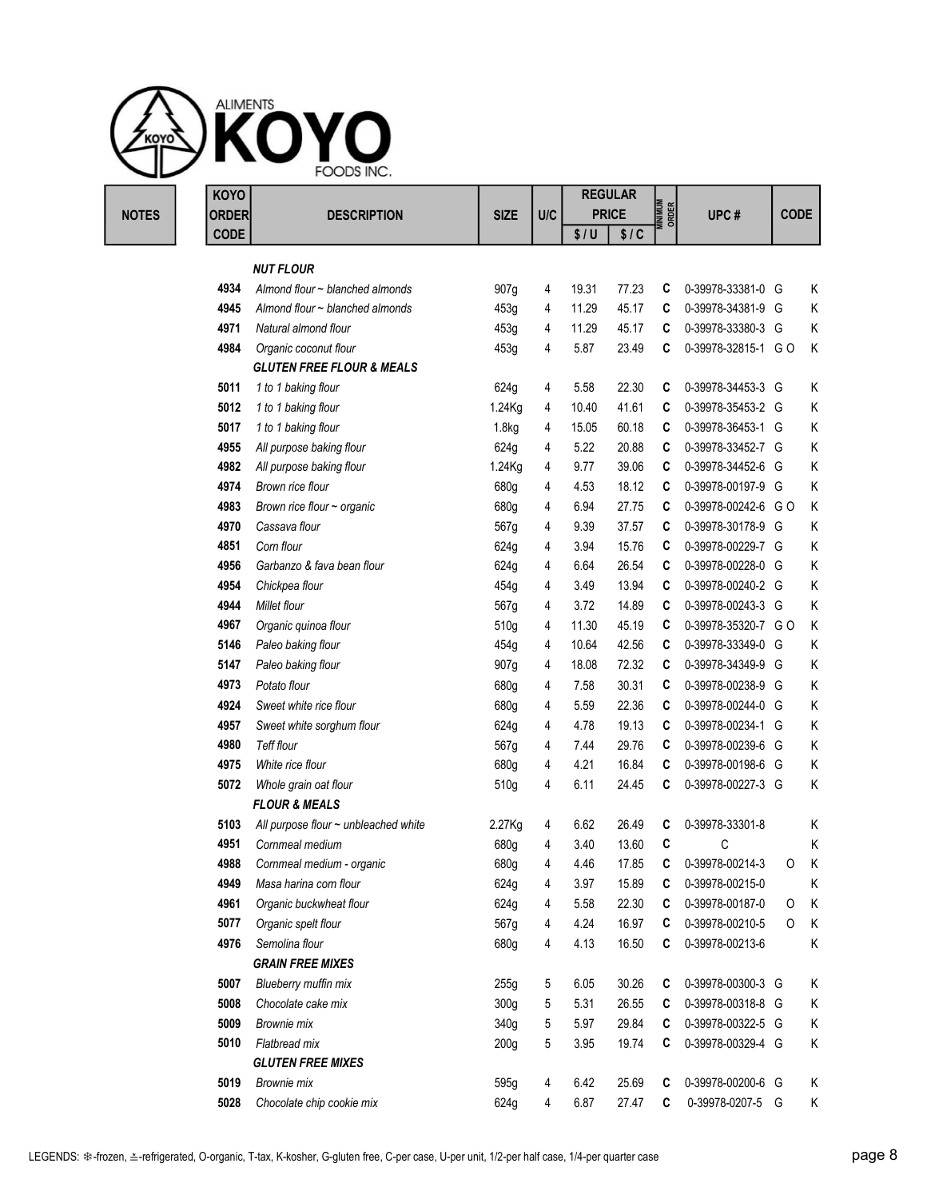

NOTES ORDER DESCRIPTION SIZE U/C UPC # CODE \$ / U \$ / C  $\text{PRICE}$   $\frac{12}{2}$   $\frac{11}{2}$  UPC # CODE REGULAR<br>PRICE MINIMUM UPC # CODE NUT FLOUR Almond flour ~ blanched almonds 907g 4 19.31 77.23 C 0-39978-33381-0 G K 4945 Almond flour ~ blanched almonds 453g 4 11.29 45.17 C 0-39978-34381-9 G K Natural almond flour  $453q$  4 11.29 45.17 **C** 0-39978-33380-3 G K Organic coconut flour 453g 4 5.87 23.49 C 0-39978-32815-1 G O K GLUTEN FREE FLOUR & MEALS 1 to 1 baking flour 624g 4 5.58 22.30 C 0-39978-34453-3 G K 1 to 1 baking flour 1.24Kg 4 10.40 41.61 C 0-39978-35453-2 G K 1 to 1 baking flour 1.8kg 4 15.05 60.18 C 0-39978-36453-1 G K All purpose baking flour 624g 4 5.22 20.88 C 0-39978-33452-7 G K 4982 All purpose baking flour the total to the 1.24Kg tasks and the 1.24Kg tasks and the 1.24Kg tasks and the 0.39978-34452-6 G K Brown rice flour **680g** 4 4.53 18.12 **C** 0-39978-00197-9 G K 4983 Brown rice flour ~ organic  $680g$  4 6.94 27.75 C 0-39978-00242-6 G O K Cassava flour 567g 4 9.39 37.57 C 0-39978-30178-9 G K Corn flour 624g 4 3.94 15.76 C 0-39978-00229-7 G K 4956 Garbanzo & fava bean flour  $624g$  4 6.64 26.54 C 0-39978-00228-0 G K Chickpea flour 454g 4 3.49 13.94 C 0-39978-00240-2 G K Millet flour **567g** 4 3.72 14.89 **C** 0-39978-00243-3 G K Organic quinoa flour 510g 4 11.30 45.19 C 0-39978-35320-7 G O K Paleo baking flour 454g 4 10.64 42.56 C 0-39978-33349-0 G K Paleo baking flour 907g 4 18.08 72.32 C 0-39978-34349-9 G K Potato flour 680g 4 7.58 30.31 C 0-39978-00238-9 G K Sweet white rice flour **680g** 4 5.59 22.36 **C** 0-39978-00244-0 G K Sweet white sorghum flour 624g 4 4.78 19.13 C 0-39978-00234-1 G K 4980 Teff flour 10 100 100 100 567g 4 7.44 29.76 C 0-39978-00239-6 G K White rice flour **680g** 4 4.21 16.84 **C** 0-39978-00198-6 G K Whole grain oat flour 510g 4 6.11 24.45 C 0-39978-00227-3 G K FLOUR & MEALS 5103 All purpose flour ~ unbleached white  $2.27$ Kg  $4$  6.62 26.49 C 0-39978-33301-8 K Cornmeal medium **680g** 4 3.40 13.60 **C** C K Cornmeal medium - organic 680g 4 4.46 17.85 C 0-39978-00214-3 O K Masa harina corn flour **624g** 4 3.97 15.89 **C** 0-39978-00215-0 K Organic buckwheat flour 624g 4 5.58 22.30 C 0-39978-00187-0 O K 5077 Organic spelt flour 567g 4 4.24 16.97 C 0-39978-00210-5 O K Semolina flour **680g** 4 4.13 16.50 **C** 0-39978-00213-6 K GRAIN FREE MIXES Blueberry muffin mix 255g 5 6.05 30.26 C 0-39978-00300-3 G K Chocolate cake mix 300g 5 5.31 26.55 C 0-39978-00318-8 G K Brownie mix 340g 5 5.97 29.84 C 0-39978-00322-5 G K Flatbread mix 200g 5 3.95 19.74 C 0-39978-00329-4 G K GLUTEN FREE MIXES Brownie mix 595g 4 6.42 25.69 C 0-39978-00200-6 G K Chocolate chip cookie mix 624g 4 6.87 27.47 C 0-39978-0207-5 G K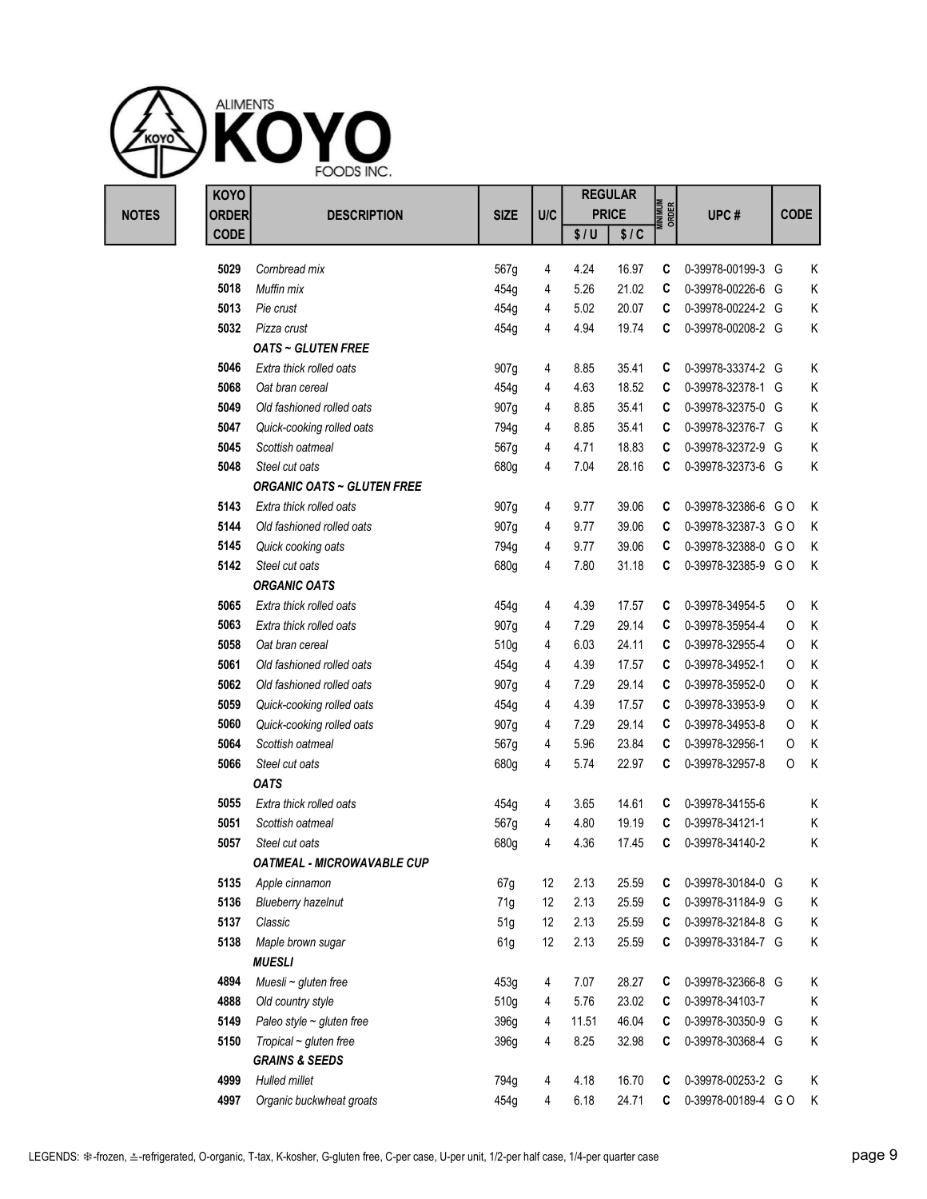

|              | <b>KOYO</b>  |                                   |             |     |       | <b>REGULAR</b> |                         |                    |             |   |
|--------------|--------------|-----------------------------------|-------------|-----|-------|----------------|-------------------------|--------------------|-------------|---|
| <b>NOTES</b> | <b>ORDER</b> | <b>DESCRIPTION</b>                | <b>SIZE</b> | U/C |       | <b>PRICE</b>   | <b>MINIMUM</b><br>Order | UPC#               | <b>CODE</b> |   |
|              | <b>CODE</b>  |                                   |             |     | \$/U  | \$1C           |                         |                    |             |   |
|              |              |                                   |             |     |       |                |                         |                    |             |   |
|              | 5029         | Cornbread mix                     | 567g        | 4   | 4.24  | 16.97          | C                       | 0-39978-00199-3 G  |             | Κ |
|              | 5018         | Muffin mix                        | 454g        | 4   | 5.26  | 21.02          | C                       | 0-39978-00226-6 G  |             | Κ |
|              | 5013         | Pie crust                         | 454g        | 4   | 5.02  | 20.07          | C                       | 0-39978-00224-2 G  |             | Κ |
|              | 5032         | Pizza crust                       | 454g        | 4   | 4.94  | 19.74          | C                       | 0-39978-00208-2 G  |             | Κ |
|              |              | <b>OATS ~ GLUTEN FREE</b>         |             |     |       |                |                         |                    |             |   |
|              | 5046         | Extra thick rolled oats           | 907g        | 4   | 8.85  | 35.41          | C                       | 0-39978-33374-2 G  |             | Κ |
|              | 5068         | Oat bran cereal                   | 454g        | 4   | 4.63  | 18.52          | C                       | 0-39978-32378-1 G  |             | Κ |
|              | 5049         | Old fashioned rolled oats         | 907g        | 4   | 8.85  | 35.41          | C                       | 0-39978-32375-0 G  |             | Κ |
|              | 5047         | Quick-cooking rolled oats         | 794g        | 4   | 8.85  | 35.41          | C                       | 0-39978-32376-7 G  |             | Κ |
|              | 5045         | Scottish oatmeal                  | 567g        | 4   | 4.71  | 18.83          | C                       | 0-39978-32372-9 G  |             | Κ |
|              | 5048         | Steel cut oats                    | 680g        | 4   | 7.04  | 28.16          | C                       | 0-39978-32373-6 G  |             | Κ |
|              |              | <b>ORGANIC OATS ~ GLUTEN FREE</b> |             |     |       |                |                         |                    |             |   |
|              | 5143         | Extra thick rolled oats           | 907g        | 4   | 9.77  | 39.06          | C                       | 0-39978-32386-6 GO |             | K |
|              | 5144         | Old fashioned rolled oats         | 907g        | 4   | 9.77  | 39.06          | C                       | 0-39978-32387-3 GO |             | Κ |
|              | 5145         | Quick cooking oats                | 794g        | 4   | 9.77  | 39.06          | C                       | 0-39978-32388-0 GO |             | Κ |
|              | 5142         | Steel cut oats                    | 680g        | 4   | 7.80  | 31.18          | C                       | 0-39978-32385-9 GO |             | Κ |
|              |              | <b>ORGANIC OATS</b>               |             |     |       |                |                         |                    |             |   |
|              | 5065         | Extra thick rolled oats           | 454g        | 4   | 4.39  | 17.57          | C                       | 0-39978-34954-5    | O           | Κ |
|              | 5063         | Extra thick rolled oats           | 907g        | 4   | 7.29  | 29.14          | C                       | 0-39978-35954-4    | 0           | Κ |
|              | 5058         | Oat bran cereal                   | 510g        | 4   | 6.03  | 24.11          | C                       | 0-39978-32955-4    | 0           | Κ |
|              | 5061         | Old fashioned rolled oats         | 454g        | 4   | 4.39  | 17.57          | C                       | 0-39978-34952-1    | 0           | K |
|              | 5062         | Old fashioned rolled oats         | 907g        | 4   | 7.29  | 29.14          | C                       | 0-39978-35952-0    | 0           | Κ |
|              | 5059         | Quick-cooking rolled oats         | 454g        | 4   | 4.39  | 17.57          | C                       | 0-39978-33953-9    | 0           | Κ |
|              | 5060         | Quick-cooking rolled oats         | 907g        | 4   | 7.29  | 29.14          | C                       | 0-39978-34953-8    | 0           | Κ |
|              | 5064         | Scottish oatmeal                  | 567g        | 4   | 5.96  | 23.84          | C                       | 0-39978-32956-1    | 0           | Κ |
|              | 5066         | Steel cut oats                    | 680g        | 4   | 5.74  | 22.97          | C                       | 0-39978-32957-8    | O           | Κ |
|              |              | <b>OATS</b>                       |             |     |       |                |                         |                    |             |   |
|              | 5055         | Extra thick rolled oats           | 454g        | 4   | 3.65  | 14.61          | C                       | 0-39978-34155-6    |             | Κ |
|              | 5051         | Scottish oatmeal                  | 567g        | 4   | 4.80  | 19.19          | C                       | 0-39978-34121-1    |             | Κ |
|              | 5057         | Steel cut oats                    | 680g        | 4   | 4.36  | 17.45          | C                       | 0-39978-34140-2    |             | Κ |
|              |              | <b>OATMEAL - MICROWAVABLE CUP</b> |             |     |       |                |                         |                    |             |   |
|              | 5135         | Apple cinnamon                    | 67g         | 12  | 2.13  | 25.59          | C                       | 0-39978-30184-0 G  |             | Κ |
|              | 5136         | <b>Blueberry hazelnut</b>         | 71g         | 12  | 2.13  | 25.59          | C                       | 0-39978-31184-9 G  |             | Κ |
|              | 5137         | Classic                           | 51g         | 12  | 2.13  | 25.59          | C                       | 0-39978-32184-8 G  |             | Κ |
|              | 5138         | Maple brown sugar                 | 61g         | 12  | 2.13  | 25.59          | C                       | 0-39978-33184-7 G  |             | Κ |
|              |              | <b>MUESLI</b>                     |             |     |       |                |                         |                    |             |   |
|              | 4894         | Muesli $\sim$ gluten free         | 453g        | 4   | 7.07  | 28.27          | C                       | 0-39978-32366-8 G  |             | Κ |
|              | 4888         | Old country style                 | 510g        | 4   | 5.76  | 23.02          | C                       | 0-39978-34103-7    |             | Κ |
|              | 5149         | Paleo style $\sim$ gluten free    | 396g        | 4   | 11.51 | 46.04          | C                       | 0-39978-30350-9 G  |             | Κ |
|              | 5150         | Tropical $\sim$ gluten free       | 396g        | 4   | 8.25  | 32.98          | C                       | 0-39978-30368-4 G  |             | Κ |
|              |              | <b>GRAINS &amp; SEEDS</b>         |             |     |       |                |                         |                    |             |   |
|              | 4999         | <b>Hulled millet</b>              | 794g        | 4   | 4.18  | 16.70          | C                       | 0-39978-00253-2 G  |             | Κ |
|              | 4997         | Organic buckwheat groats          | 454g        | 4   | 6.18  | 24.71          | C                       | 0-39978-00189-4 GO |             | Κ |
|              |              |                                   |             |     |       |                |                         |                    |             |   |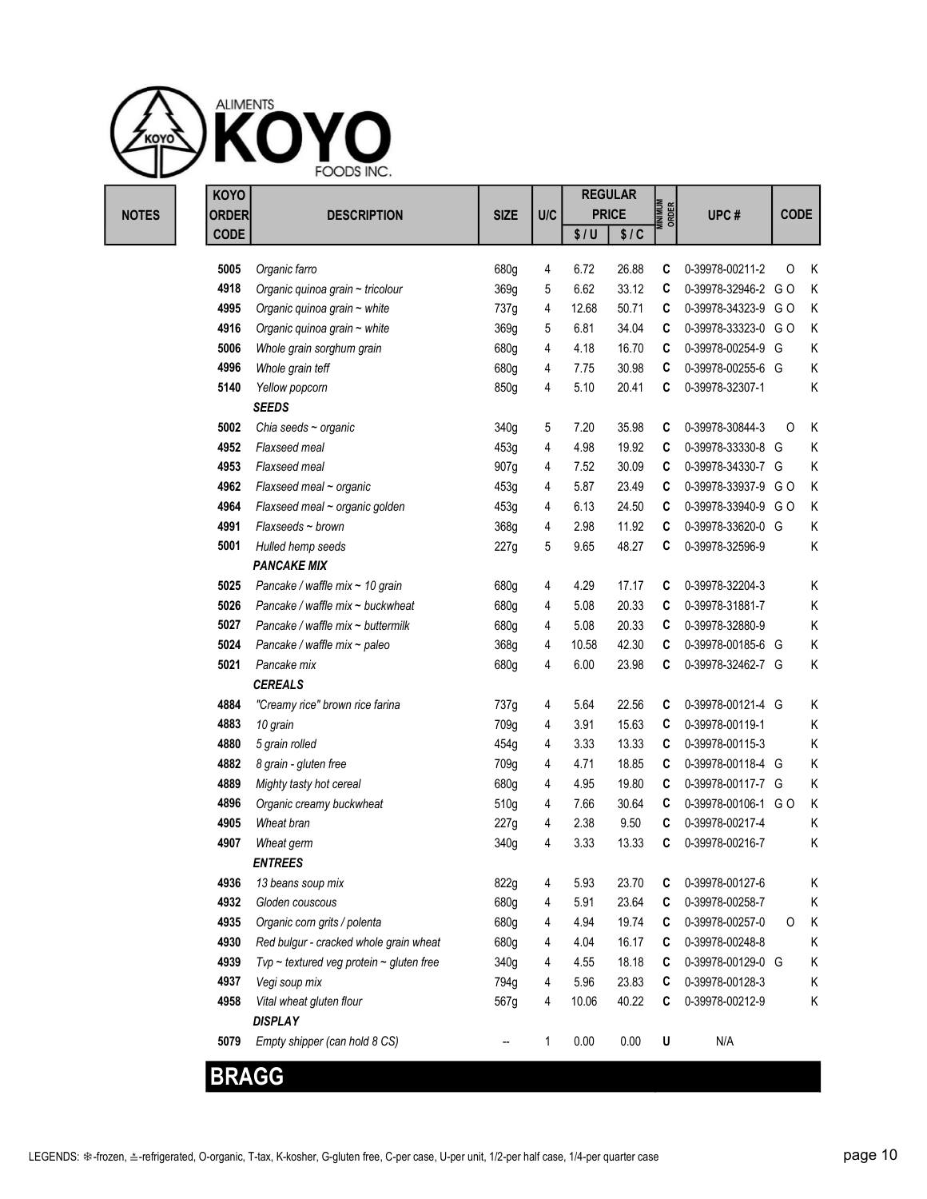

| <b>KOYO</b>  |                                                    |             |     |              | <b>REGULAR</b> |                         |                                       |             |        |
|--------------|----------------------------------------------------|-------------|-----|--------------|----------------|-------------------------|---------------------------------------|-------------|--------|
| <b>ORDER</b> | <b>DESCRIPTION</b>                                 | <b>SIZE</b> | U/C |              | <b>PRICE</b>   | <b>MINIMUM</b><br>Order | UPC#                                  | <b>CODE</b> |        |
| <b>CODE</b>  |                                                    |             |     | \$/U         | \$1C           |                         |                                       |             |        |
|              |                                                    |             |     |              |                |                         |                                       |             | K      |
| 5005<br>4918 | Organic farro                                      | 680g        | 4   | 6.72<br>6.62 | 26.88<br>33.12 | C                       | 0-39978-00211-2<br>0-39978-32946-2 GO | 0           |        |
|              | Organic quinoa grain ~ tricolour                   | 369g        | 5   |              |                | C                       |                                       |             | Κ      |
| 4995         | Organic quinoa grain ~ white                       | 737g        | 4   | 12.68        | 50.71          | C                       | 0-39978-34323-9 GO                    |             | Κ      |
| 4916         | Organic quinoa grain ~ white                       | 369g        | 5   | 6.81         | 34.04          | C                       | 0-39978-33323-0 GO                    |             | Κ      |
| 5006         | Whole grain sorghum grain                          | 680g        | 4   | 4.18         | 16.70          | C                       | 0-39978-00254-9 G                     |             | Κ      |
| 4996         | Whole grain teff                                   | 680g        | 4   | 7.75         | 30.98          | C                       | 0-39978-00255-6 G                     |             | Κ<br>Κ |
| 5140         | Yellow popcorn<br><b>SEEDS</b>                     | 850g        | 4   | 5.10         | 20.41          | C                       | 0-39978-32307-1                       |             |        |
| 5002         | Chia seeds ~ organic                               | 340g        | 5   | 7.20         | 35.98          | C                       | 0-39978-30844-3                       | O           | Κ      |
| 4952         | Flaxseed meal                                      | 453g        | 4   | 4.98         | 19.92          | C                       | 0-39978-33330-8 G                     |             | Κ      |
| 4953         | Flaxseed meal                                      | 907g        | 4   | 7.52         | 30.09          | C                       | 0-39978-34330-7 G                     |             | Κ      |
| 4962         | Flaxseed meal $\sim$ organic                       | 453g        | 4   | 5.87         | 23.49          | C                       | 0-39978-33937-9 GO                    |             | Κ      |
| 4964         | Flaxseed meal ~ organic golden                     | 453g        | 4   | 6.13         | 24.50          | C                       | 0-39978-33940-9 GO                    |             | Κ      |
| 4991         | $Flaxseeds \sim brown$                             | 368g        | 4   | 2.98         | 11.92          | C                       | 0-39978-33620-0 G                     |             | Κ      |
| 5001         | Hulled hemp seeds                                  | 227g        | 5   | 9.65         | 48.27          | C                       | 0-39978-32596-9                       |             | Κ      |
|              | <b>PANCAKE MIX</b>                                 |             |     |              |                |                         |                                       |             |        |
| 5025         | Pancake / waffle mix ~ 10 grain                    | 680g        | 4   | 4.29         | 17.17          | C                       | 0-39978-32204-3                       |             | Κ      |
| 5026         | Pancake / waffle mix ~ buckwheat                   | 680g        | 4   | 5.08         | 20.33          | C                       | 0-39978-31881-7                       |             | Κ      |
| 5027         | Pancake / waffle mix ~ buttermilk                  | 680g        | 4   | 5.08         | 20.33          | C                       | 0-39978-32880-9                       |             | Κ      |
| 5024         | Pancake / waffle mix ~ paleo                       | 368g        | 4   | 10.58        | 42.30          | C                       | 0-39978-00185-6 G                     |             | Κ      |
| 5021         | Pancake mix                                        | 680g        | 4   | 6.00         | 23.98          | C                       | 0-39978-32462-7 G                     |             | Κ      |
|              | <b>CEREALS</b>                                     |             |     |              |                |                         |                                       |             |        |
| 4884         | "Creamy rice" brown rice farina                    | 737g        | 4   | 5.64         | 22.56          | C                       | 0-39978-00121-4 G                     |             | Κ      |
| 4883         | 10 grain                                           | 709g        | 4   | 3.91         | 15.63          | C                       | 0-39978-00119-1                       |             | Κ      |
| 4880         | 5 grain rolled                                     | 454g        | 4   | 3.33         | 13.33          | C                       | 0-39978-00115-3                       |             | Κ      |
| 4882         | 8 grain - gluten free                              | 709g        | 4   | 4.71         | 18.85          | C                       | 0-39978-00118-4 G                     |             | Κ      |
| 4889         | Mighty tasty hot cereal                            | 680g        | 4   | 4.95         | 19.80          | C                       | 0-39978-00117-7 G                     |             | Κ      |
| 4896         | Organic creamy buckwheat                           | 510g        | 4   | 7.66         | 30.64          | C                       | 0-39978-00106-1 GO                    |             | Κ      |
| 4905         | Wheat bran                                         | 227g        | 4   | 2.38         | 9.50           | C                       | 0-39978-00217-4                       |             | Κ      |
| 4907         | Wheat germ                                         | 340g        | 4   | 3.33         | 13.33          | C                       | 0-39978-00216-7                       |             | Κ      |
|              | <b>ENTREES</b>                                     |             |     |              |                |                         |                                       |             |        |
| 4936         | 13 beans soup mix                                  | 822g        | 4   | 5.93         | 23.70          | C                       | 0-39978-00127-6                       |             | Κ      |
| 4932         | Gloden couscous                                    | 680g        | 4   | 5.91         | 23.64          | C                       | 0-39978-00258-7                       |             | Κ      |
| 4935         | Organic corn grits / polenta                       | 680g        | 4   | 4.94         | 19.74          | C                       | 0-39978-00257-0                       | 0           | Κ      |
| 4930         | Red bulgur - cracked whole grain wheat             | 680g        | 4   | 4.04         | 16.17          | C                       | 0-39978-00248-8                       |             | Κ      |
| 4939         | $Tvp \sim$ textured veg protein $\sim$ gluten free | 340g        | 4   | 4.55         | 18.18          | C                       | 0-39978-00129-0 G                     |             | Κ      |
| 4937         | Vegi soup mix                                      | 794g        | 4   | 5.96         | 23.83          | C                       | 0-39978-00128-3                       |             | Κ      |
| 4958         | Vital wheat gluten flour                           | 567g        | 4   | 10.06        | 40.22          | C                       | 0-39978-00212-9                       |             | Κ      |
|              | <b>DISPLAY</b>                                     |             |     |              |                |                         |                                       |             |        |
| 5079         | Empty shipper (can hold 8 CS)                      |             |     | 0.00         | 0.00           | U                       | N/A                                   |             |        |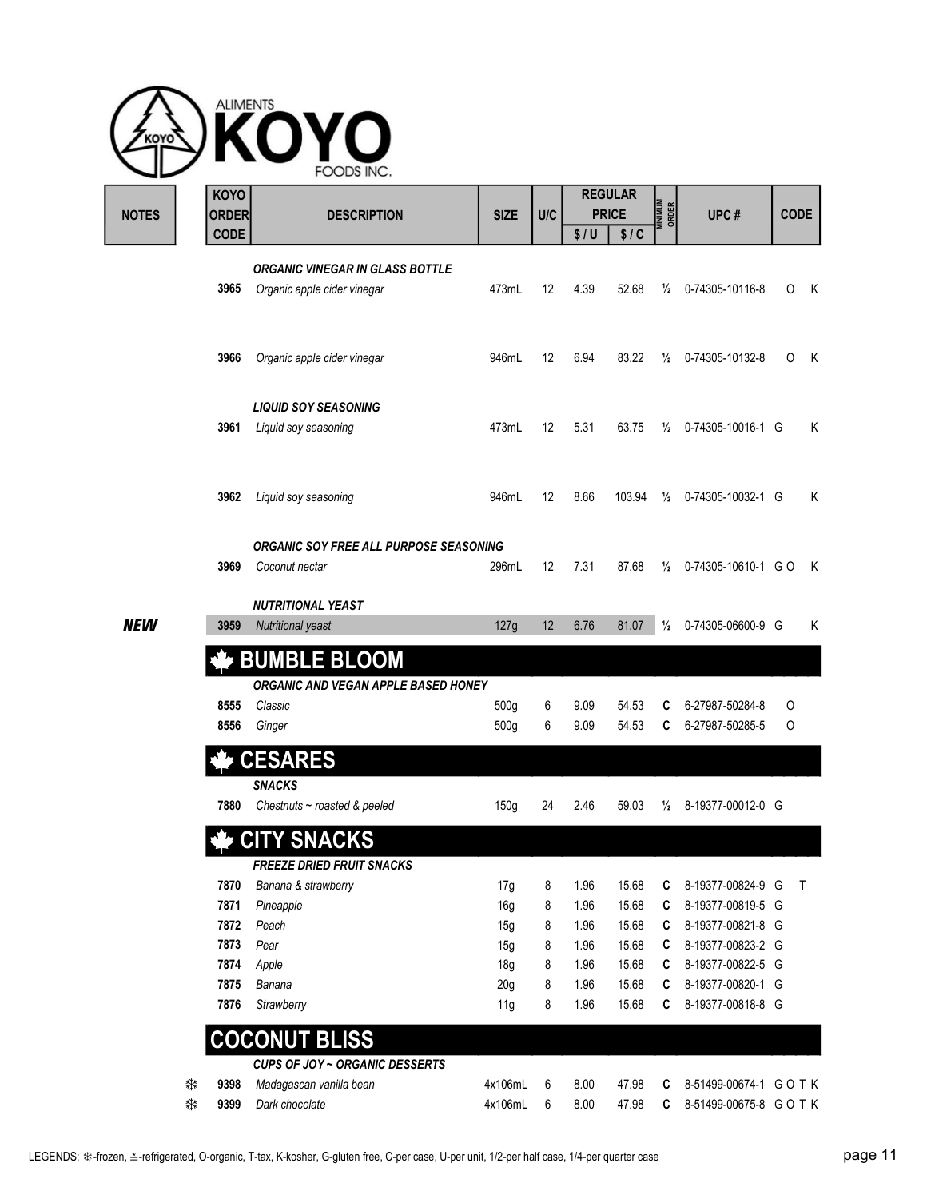|              | KOYO                        |                                        |                 |        |              | <b>REGULAR</b><br><b>PRICE</b> | MINIMUM<br>ORDER |                                        | <b>CODE</b>  |
|--------------|-----------------------------|----------------------------------------|-----------------|--------|--------------|--------------------------------|------------------|----------------------------------------|--------------|
| <b>NOTES</b> | <b>ORDER</b><br><b>CODE</b> | <b>DESCRIPTION</b>                     | <b>SIZE</b>     | U/C    | \$/U         | \$1C                           |                  | UPC#                                   |              |
|              |                             |                                        |                 |        |              |                                |                  |                                        |              |
|              | 3965                        | <b>ORGANIC VINEGAR IN GLASS BOTTLE</b> | 473mL           | 12     | 4.39         | 52.68                          | $\frac{1}{2}$    | 0-74305-10116-8                        | 0<br>K       |
|              |                             | Organic apple cider vinegar            |                 |        |              |                                |                  |                                        |              |
|              | 3966                        | Organic apple cider vinegar            | 946mL           | 12     | 6.94         | 83.22                          |                  | $\frac{1}{2}$ 0-74305-10132-8          | 0<br>K       |
|              |                             |                                        |                 |        |              |                                |                  |                                        |              |
|              |                             | <b>LIQUID SOY SEASONING</b>            |                 |        |              |                                |                  |                                        |              |
|              | 3961                        | Liquid soy seasoning                   | 473mL           | 12     | 5.31         | 63.75                          |                  | $\frac{1}{2}$ 0-74305-10016-1 G        | K            |
|              |                             |                                        |                 |        |              |                                |                  |                                        |              |
|              | 3962                        | Liquid soy seasoning                   | 946mL           | 12     | 8.66         | 103.94                         |                  | 1/ <sub>2</sub> 0-74305-10032-1 G      | Κ            |
|              |                             | ORGANIC SOY FREE ALL PURPOSE SEASONING |                 |        |              |                                |                  |                                        |              |
|              | 3969                        | Coconut nectar                         | 296mL           | 12     | 7.31         | 87.68                          |                  | 1/ <sub>2</sub> 0-74305-10610-1 GO     | K            |
|              |                             | <b>NUTRITIONAL YEAST</b>               |                 |        |              |                                |                  |                                        |              |
| <b>NEW</b>   | 3959                        | Nutritional yeast                      | 127g            | 12     | 6.76         | 81.07                          | $\frac{1}{2}$    | 0-74305-06600-9 G                      | K            |
|              |                             | <b>BUMBLE BLOOM</b>                    |                 |        |              |                                |                  |                                        |              |
|              |                             | ORGANIC AND VEGAN APPLE BASED HONEY    |                 |        |              |                                |                  |                                        |              |
|              | 8555                        | Classic                                | 500g            | 6      | 9.09         | 54.53                          | C                | 6-27987-50284-8                        | O            |
|              | 8556                        | Ginger                                 | 500g            | 6      | 9.09         | 54.53                          | C                | 6-27987-50285-5                        | O            |
|              |                             | <b>CESARES</b>                         |                 |        |              |                                |                  |                                        |              |
|              |                             | <b>SNACKS</b>                          |                 |        |              |                                |                  |                                        |              |
|              | 7880                        | Chestnuts $\sim$ roasted & peeled      | 150g            | 24     | 2.46         | 59.03                          |                  | 1/ <sub>2</sub> 8-19377-00012-0 G      |              |
|              |                             | <b>CITY SNACKS</b>                     |                 |        |              |                                |                  |                                        |              |
|              |                             | <b>FREEZE DRIED FRUIT SNACKS</b>       |                 |        |              |                                |                  |                                        |              |
|              | 7870<br>7871                | Banana & strawberry<br>Pineapple       | 17g<br>16g      | 8<br>8 | 1.96<br>1.96 | 15.68<br>15.68                 | C<br>C           | 8-19377-00824-9 G<br>8-19377-00819-5 G | $\mathsf{T}$ |
|              | 7872                        | Peach                                  | 15g             | 8      | 1.96         | 15.68                          | C                | 8-19377-00821-8 G                      |              |
|              | 7873                        | Pear                                   | 15g             | 8      | 1.96         | 15.68                          | C                | 8-19377-00823-2 G                      |              |
|              | 7874                        | Apple                                  | 18 <sub>g</sub> | 8      | 1.96         | 15.68                          | C                | 8-19377-00822-5 G                      |              |
|              | 7875                        | Banana                                 | 20 <sub>g</sub> | 8      | 1.96         | 15.68                          | C                | 8-19377-00820-1 G                      |              |
|              | 7876                        | Strawberry                             | 11g             | 8      | 1.96         | 15.68                          | C                | 8-19377-00818-8 G                      |              |
|              |                             | <b>COCONUT BLISS</b>                   |                 |        |              |                                |                  |                                        |              |
|              |                             | <b>CUPS OF JOY ~ ORGANIC DESSERTS</b>  |                 |        |              |                                |                  |                                        |              |
| ₩            | 9398                        | Madagascan vanilla bean                | 4x106mL         | 6      | 8.00         | 47.98                          | C                | 8-51499-00674-1 GOTK                   |              |
| ₩            | 9399                        | Dark chocolate                         | 4x106mL         | 6      | 8.00         | 47.98                          |                  | C 8-51499-00675-8 GOTK                 |              |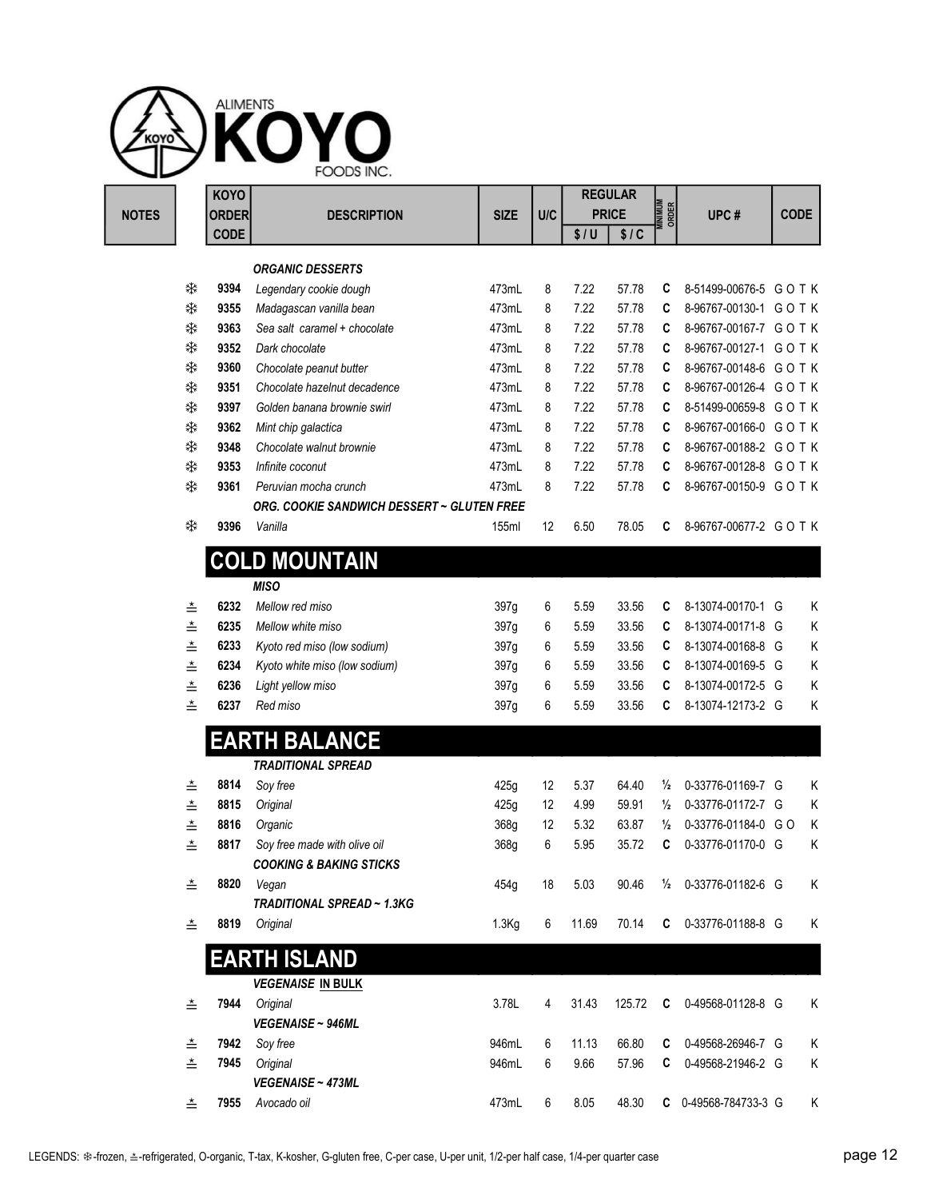|                       | <b>KOYO</b>                 |                                                              |                   |     |       | <b>REGULAR</b>       |                         |                      |             |
|-----------------------|-----------------------------|--------------------------------------------------------------|-------------------|-----|-------|----------------------|-------------------------|----------------------|-------------|
|                       | <b>ORDER</b><br><b>CODE</b> | <b>DESCRIPTION</b>                                           | <b>SIZE</b>       | U/C | \$/U  | <b>PRICE</b><br>\$1C | <b>MINIMUM</b><br>ORDER | UPC#                 | <b>CODE</b> |
|                       |                             |                                                              |                   |     |       |                      |                         |                      |             |
|                       |                             | <b>ORGANIC DESSERTS</b>                                      |                   |     |       |                      |                         |                      |             |
| ₩                     | 9394                        | Legendary cookie dough                                       | 473mL             | 8   | 7.22  | 57.78                | C                       | 8-51499-00676-5 GOTK |             |
| ₩                     | 9355                        | Madagascan vanilla bean                                      | 473mL             | 8   | 7.22  | 57.78                | C                       | 8-96767-00130-1 GOTK |             |
| ₩                     | 9363                        | Sea salt caramel + chocolate                                 | 473mL             | 8   | 7.22  | 57.78                | C                       | 8-96767-00167-7 GOTK |             |
| ₩                     | 9352                        | Dark chocolate                                               | 473mL             | 8   | 7.22  | 57.78                | C                       | 8-96767-00127-1 GOTK |             |
| ₩                     | 9360                        | Chocolate peanut butter                                      | 473mL             | 8   | 7.22  | 57.78                | C                       | 8-96767-00148-6 GOTK |             |
| ₩                     | 9351                        | Chocolate hazelnut decadence                                 | 473mL             | 8   | 7.22  | 57.78                | C                       | 8-96767-00126-4 GOTK |             |
| ₩                     | 9397                        | Golden banana brownie swirl                                  | 473mL             | 8   | 7.22  | 57.78                | C                       | 8-51499-00659-8 GOTK |             |
| ₩                     | 9362                        | Mint chip galactica                                          | 473mL             | 8   | 7.22  | 57.78                | C                       | 8-96767-00166-0 GOTK |             |
| ₩                     | 9348                        | Chocolate walnut brownie                                     | 473mL             | 8   | 7.22  | 57.78                | C                       | 8-96767-00188-2 GOTK |             |
| ₩                     | 9353                        | Infinite coconut                                             | 473mL             | 8   | 7.22  | 57.78                | C                       | 8-96767-00128-8 GOTK |             |
| ₩                     | 9361                        | Peruvian mocha crunch                                        | 473mL             | 8   | 7.22  | 57.78                | C                       | 8-96767-00150-9 GOTK |             |
| ₩                     | 9396                        | <b>ORG. COOKIE SANDWICH DESSERT ~ GLUTEN FREE</b><br>Vanilla | 155ml             | 12  | 6.50  | 78.05                | C                       | 8-96767-00677-2 GOTK |             |
|                       |                             |                                                              |                   |     |       |                      |                         |                      |             |
|                       |                             | <b>COLD MOUNTAIN</b>                                         |                   |     |       |                      |                         |                      |             |
|                       | 6232                        | <b>MISO</b><br>Mellow red miso                               | 397g              | 6   | 5.59  | 33.56                | C                       | 8-13074-00170-1 G    | Κ           |
| $\stackrel{\star}{=}$ | 6235                        | Mellow white miso                                            |                   |     |       | 33.56                |                         | 8-13074-00171-8 G    | K           |
| $\stackrel{\star}{=}$ |                             |                                                              | 397g              | 6   | 5.59  |                      | C                       |                      |             |
| $\stackrel{\star}{=}$ | 6233                        | Kyoto red miso (low sodium)                                  | 397g              | 6   | 5.59  | 33.56                | C                       | 8-13074-00168-8 G    | Κ           |
| $\stackrel{\star}{=}$ | 6234                        | Kyoto white miso (low sodium)                                | 397g              | 6   | 5.59  | 33.56                | C                       | 8-13074-00169-5 G    | Κ           |
| ≛                     | 6236                        | Light yellow miso                                            | 397g              | 6   | 5.59  | 33.56                | C                       | 8-13074-00172-5 G    | K           |
| ≛                     | 6237                        | Red miso                                                     | 397g              | 6   | 5.59  | 33.56                | C                       | 8-13074-12173-2 G    | Κ           |
|                       |                             | <b>EARTH BALANCE</b>                                         |                   |     |       |                      |                         |                      |             |
|                       |                             | <b>TRADITIONAL SPREAD</b>                                    |                   |     |       |                      |                         |                      |             |
| ≛                     | 8814                        | Soy free                                                     | 425g              | 12  | 5.37  | 64.40                | $\frac{1}{2}$           | 0-33776-01169-7 G    | Κ           |
| ≛                     | 8815                        | Original                                                     | 425g              | 12  | 4.99  | 59.91                | $\frac{1}{2}$           | 0-33776-01172-7 G    | Κ           |
| ≛                     | 8816                        | Organic                                                      | 368g              | 12  | 5.32  | 63.87                | $\frac{1}{2}$           | 0-33776-01184-0 GO   | K           |
| ≛                     | 8817                        | Soy free made with olive oil                                 | 368g              | 6   | 5.95  | 35.72                | C                       | 0-33776-01170-0 G    | Κ           |
|                       |                             | <b>COOKING &amp; BAKING STICKS</b>                           |                   |     |       |                      |                         |                      |             |
| ≛                     | 8820                        | Vegan                                                        | 454g              | 18  | 5.03  | 90.46                | $\frac{1}{2}$           | 0-33776-01182-6 G    | Κ           |
| ≛                     | 8819                        | TRADITIONAL SPREAD ~ 1.3KG<br>Original                       | 1.3 <sub>kg</sub> | 6   | 11.69 | 70.14                | C                       | 0-33776-01188-8 G    | Κ           |
|                       |                             |                                                              |                   |     |       |                      |                         |                      |             |
|                       |                             | <b>EARTH ISLAND</b>                                          |                   |     |       |                      |                         |                      |             |
|                       |                             | <b>VEGENAISE IN BULK</b>                                     |                   |     |       |                      |                         |                      |             |
| ≛                     | 7944                        | Original<br>VEGENAISE ~ 946ML                                | 3.78L             | 4   | 31.43 | 125.72               | C                       | 0-49568-01128-8 G    | Κ           |
| ≛                     | 7942                        | Soy free                                                     | 946mL             | 6   | 11.13 | 66.80                | C                       | 0-49568-26946-7 G    | Κ           |
| ≛                     | 7945                        | Original                                                     | 946mL             | 6   | 9.66  | 57.96                | C                       | 0-49568-21946-2 G    | Κ           |
|                       |                             | VEGENAISE ~ 473ML                                            |                   |     |       |                      |                         |                      |             |
| ≛                     | 7955                        | Avocado oil                                                  | 473mL             | 6   | 8.05  |                      |                         | C 0-49568-784733-3 G | Κ           |
|                       |                             |                                                              |                   |     |       | 48.30                |                         |                      |             |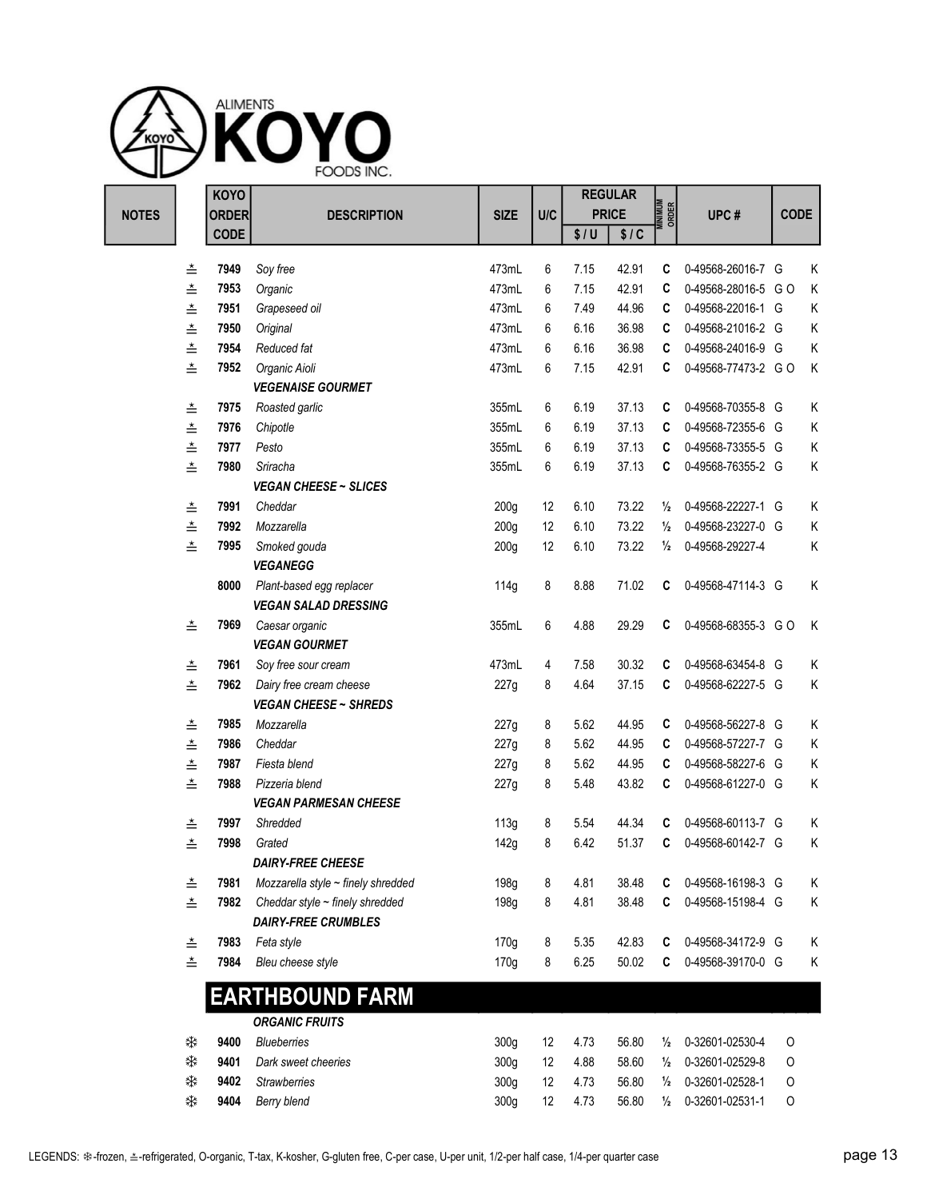

|              |                       | <b>KOYO</b>  |                                         |                  |     |      | <b>REGULAR</b> |                         |                    |             |   |
|--------------|-----------------------|--------------|-----------------------------------------|------------------|-----|------|----------------|-------------------------|--------------------|-------------|---|
| <b>NOTES</b> |                       | <b>ORDER</b> | <b>DESCRIPTION</b>                      | <b>SIZE</b>      | U/C |      | <b>PRICE</b>   | <b>MINIMUM</b><br>ORDER | UPC#               | <b>CODE</b> |   |
|              |                       | <b>CODE</b>  |                                         |                  |     | \$/U | \$1C           |                         |                    |             |   |
|              |                       |              |                                         |                  |     |      |                |                         |                    |             |   |
|              | $\stackrel{\star}{=}$ | 7949         | Soy free                                | 473mL            | 6   | 7.15 | 42.91          | C                       | 0-49568-26016-7 G  |             | Κ |
|              | $\stackrel{\star}{=}$ | 7953         | Organic                                 | 473mL            | 6   | 7.15 | 42.91          | C                       | 0-49568-28016-5 GO |             | K |
|              | $\stackrel{\star}{=}$ | 7951         | Grapeseed oil                           | 473mL            | 6   | 7.49 | 44.96          | C                       | 0-49568-22016-1 G  |             | K |
|              | $\stackrel{\star}{=}$ | 7950         | Original                                | 473mL            | 6   | 6.16 | 36.98          | C                       | 0-49568-21016-2 G  |             | K |
|              | ≛                     | 7954         | Reduced fat                             | 473mL            | 6   | 6.16 | 36.98          | C                       | 0-49568-24016-9 G  |             | Κ |
|              | $\stackrel{\star}{=}$ | 7952         | Organic Aioli                           | 473mL            | 6   | 7.15 | 42.91          | C                       | 0-49568-77473-2 GO |             | Κ |
|              |                       |              | <b>VEGENAISE GOURMET</b>                |                  |     |      |                |                         |                    |             |   |
|              | ≛                     | 7975         | Roasted garlic                          | 355mL            | 6   | 6.19 | 37.13          | C                       | 0-49568-70355-8 G  |             | Κ |
|              | ≛                     | 7976         | Chipotle                                | 355mL            | 6   | 6.19 | 37.13          | C                       | 0-49568-72355-6 G  |             | K |
|              | $\stackrel{\star}{=}$ | 7977         | Pesto                                   | 355mL            | 6   | 6.19 | 37.13          | C                       | 0-49568-73355-5 G  |             | K |
|              | ≛                     | 7980         | Sriracha                                | 355mL            | 6   | 6.19 | 37.13          | C                       | 0-49568-76355-2 G  |             | Κ |
|              |                       |              | <b>VEGAN CHEESE ~ SLICES</b>            |                  |     |      |                |                         |                    |             |   |
|              | ≛                     | 7991         | Cheddar                                 | 200 <sub>g</sub> | 12  | 6.10 | 73.22          | $\frac{1}{2}$           | 0-49568-22227-1 G  |             | K |
|              | ≛                     | 7992         | Mozzarella                              | 200 <sub>g</sub> | 12  | 6.10 | 73.22          | $\frac{1}{2}$           | 0-49568-23227-0 G  |             | Κ |
|              | ≛                     | 7995         | Smoked gouda                            | 200 <sub>g</sub> | 12  | 6.10 | 73.22          | $\frac{1}{2}$           | 0-49568-29227-4    |             | Κ |
|              |                       |              | <b>VEGANEGG</b>                         |                  |     |      |                |                         |                    |             |   |
|              |                       | 8000         | Plant-based egg replacer                | 114g             | 8   | 8.88 | 71.02          | C                       | 0-49568-47114-3 G  |             | K |
|              |                       |              | <b>VEGAN SALAD DRESSING</b>             |                  |     |      |                |                         |                    |             |   |
|              | ≛                     | 7969         | Caesar organic                          | 355mL            | 6   | 4.88 | 29.29          | C                       | 0-49568-68355-3 GO |             | K |
|              |                       |              | <b>VEGAN GOURMET</b>                    |                  |     |      |                |                         |                    |             |   |
|              | $\stackrel{\star}{=}$ | 7961         | Soy free sour cream                     | 473mL            | 4   | 7.58 | 30.32          | C                       | 0-49568-63454-8 G  |             | Κ |
|              | ≛                     | 7962         | Dairy free cream cheese                 | 227g             | 8   | 4.64 | 37.15          | C                       | 0-49568-62227-5 G  |             | Κ |
|              |                       |              | <b>VEGAN CHEESE ~ SHREDS</b>            |                  |     |      |                |                         |                    |             |   |
|              | ≛                     | 7985         | Mozzarella                              | 227g             | 8   | 5.62 | 44.95          | C                       | 0-49568-56227-8 G  |             | K |
|              | $\stackrel{\star}{=}$ | 7986         | Cheddar                                 | 227g             | 8   | 5.62 | 44.95          | C                       | 0-49568-57227-7 G  |             | Κ |
|              | ≛                     | 7987         | Fiesta blend                            | 227g             | 8   | 5.62 | 44.95          | C                       | 0-49568-58227-6 G  |             | Κ |
|              | ≛                     | 7988         | Pizzeria blend                          | 227g             | 8   | 5.48 | 43.82          | C                       | 0-49568-61227-0 G  |             | Κ |
|              |                       |              | <b>VEGAN PARMESAN CHEESE</b>            |                  |     |      |                |                         |                    |             |   |
|              | $\stackrel{\star}{=}$ | 7997         | Shredded                                | 113g             | 8   | 5.54 | 44.34          | C                       | 0-49568-60113-7 G  |             | Κ |
|              | ≛                     | 7998         | Grated                                  | 142g             | 8   | 6.42 | 51.37          | C                       | 0-49568-60142-7 G  |             | Κ |
|              |                       |              | <b>DAIRY-FREE CHEESE</b>                |                  |     |      |                |                         |                    |             |   |
|              | ≛                     | 7981         | Mozzarella style $\sim$ finely shredded | 198g             | 8   | 4.81 | 38.48          | C                       | 0-49568-16198-3 G  |             | Κ |
|              | ≛                     | 7982         | Cheddar style $\sim$ finely shredded    | 198g             | 8   | 4.81 | 38.48          | C                       | 0-49568-15198-4 G  |             | Κ |
|              |                       |              | <b>DAIRY-FREE CRUMBLES</b>              |                  |     |      |                |                         |                    |             |   |
|              |                       | 7983         |                                         |                  | 8   | 5.35 | 42.83          | C                       | 0-49568-34172-9 G  |             | K |
|              | ≛                     | 7984         | Feta style                              | 170g             |     |      | 50.02          | C                       |                    |             |   |
|              | ≛                     |              | Bleu cheese style                       | 170g             | 8   | 6.25 |                |                         | 0-49568-39170-0 G  |             | Κ |
|              |                       |              | <b>EARTHBOUND FARM</b>                  |                  |     |      |                |                         |                    |             |   |
|              |                       |              |                                         |                  |     |      |                |                         |                    |             |   |
|              |                       |              | <b>ORGANIC FRUITS</b>                   |                  |     |      |                |                         |                    |             |   |
|              | ₩                     | 9400         | <b>Blueberries</b>                      | 300g             | 12  | 4.73 | 56.80          | $\frac{1}{2}$           | 0-32601-02530-4    | 0           |   |
|              | ₩                     | 9401         | Dark sweet cheeries                     | 300 <sub>g</sub> | 12  | 4.88 | 58.60          | $\frac{1}{2}$           | 0-32601-02529-8    | 0           |   |
|              | ₩                     | 9402         | <b>Strawberries</b>                     | 300g             | 12  | 4.73 | 56.80          | $\frac{1}{2}$           | 0-32601-02528-1    | 0           |   |
|              | ₩                     | 9404         | Berry blend                             | 300g             | 12  | 4.73 | 56.80          | $\frac{1}{2}$           | 0-32601-02531-1    | 0           |   |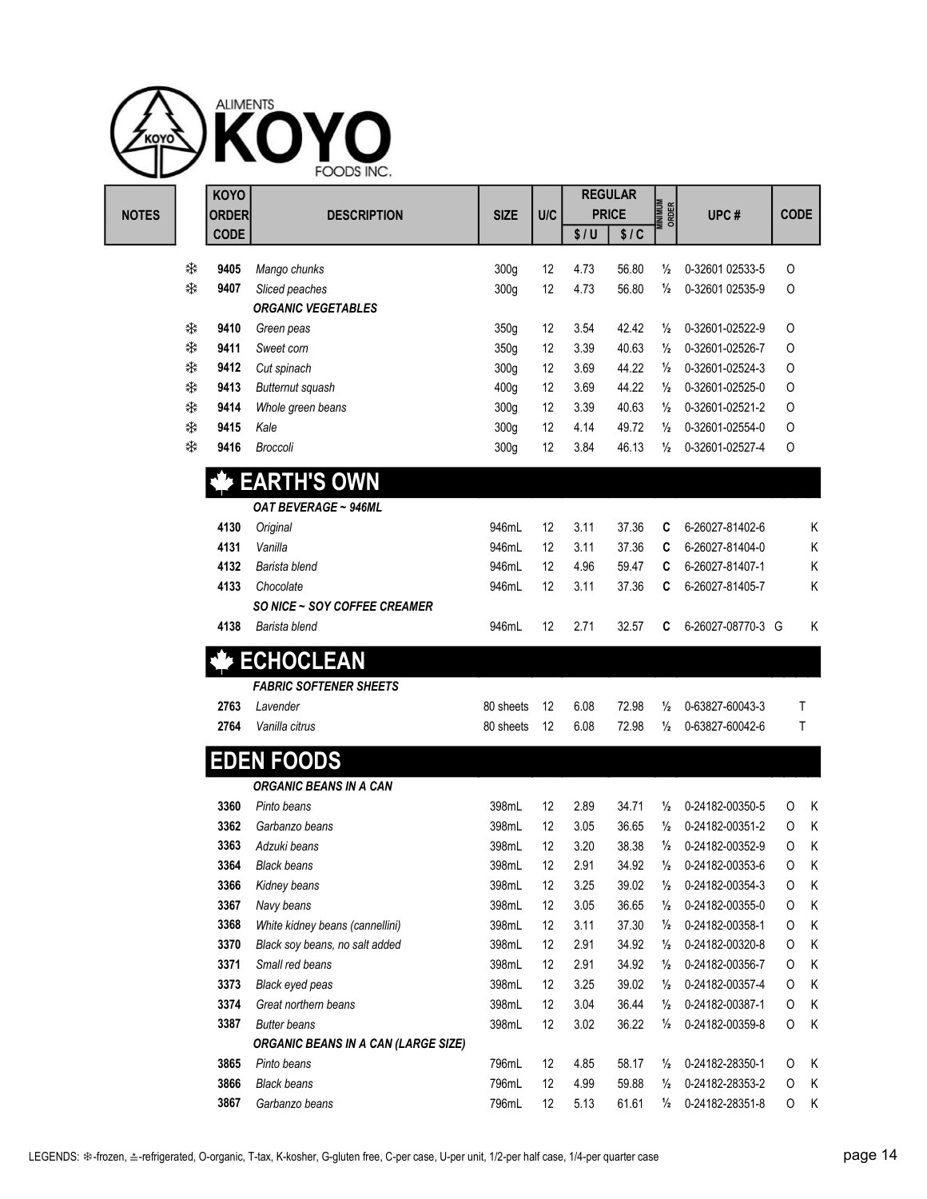| ₩<br>₩ | 9405 |                                     |           | U/C | \$/U | <b>PRICE</b><br>\$1C | MINIMUM<br>ORDER | UPC#              | <b>CODE</b> |   |
|--------|------|-------------------------------------|-----------|-----|------|----------------------|------------------|-------------------|-------------|---|
|        |      | Mango chunks                        | 300g      | 12  | 4.73 | 56.80                | ⅓                | 0-32601 02533-5   | $\Omega$    |   |
|        | 9407 | Sliced peaches                      | 300g      | 12  | 4.73 | 56.80                | $\frac{1}{2}$    | 0-32601 02535-9   | 0           |   |
|        |      | <b>ORGANIC VEGETABLES</b>           |           |     |      |                      |                  |                   |             |   |
| ₩      | 9410 | Green peas                          | 350g      | 12  | 3.54 | 42.42                | $\frac{1}{2}$    | 0-32601-02522-9   | 0           |   |
| ₩      | 9411 | Sweet corn                          | 350g      | 12  | 3.39 | 40.63                | $\frac{1}{2}$    | 0-32601-02526-7   | 0           |   |
| ₩      | 9412 | Cut spinach                         | 300g      | 12  | 3.69 | 44.22                | $\frac{1}{2}$    | 0-32601-02524-3   | 0           |   |
| ₩      | 9413 | <b>Butternut squash</b>             | 400g      | 12  | 3.69 | 44.22                | $\frac{1}{2}$    | 0-32601-02525-0   | 0           |   |
| ₩      | 9414 | Whole green beans                   | 300g      | 12  | 3.39 | 40.63                | ⅓                | 0-32601-02521-2   | 0           |   |
| ₩      | 9415 | Kale                                | 300g      | 12  | 4.14 | 49.72                | $\frac{1}{2}$    | 0-32601-02554-0   | $\circ$     |   |
| ₩      | 9416 | <b>Broccoli</b>                     | 300g      | 12  | 3.84 | 46.13                | $\frac{1}{2}$    | 0-32601-02527-4   | 0           |   |
|        |      | <b>EARTH'S OWN</b>                  |           |     |      |                      |                  |                   |             |   |
|        |      | OAT BEVERAGE ~ 946ML                |           |     |      |                      |                  |                   |             |   |
|        | 4130 | Original                            | 946mL     | 12  | 3.11 | 37.36                | C                | 6-26027-81402-6   |             | Κ |
|        | 4131 | Vanilla                             | 946mL     | 12  | 3.11 | 37.36                | C                | 6-26027-81404-0   |             | Κ |
|        | 4132 | Barista blend                       | 946mL     | 12  | 4.96 | 59.47                | C                | 6-26027-81407-1   |             | Κ |
|        | 4133 | Chocolate                           | 946mL     | 12  | 3.11 | 37.36                | C                | 6-26027-81405-7   |             | Κ |
|        |      | <b>SO NICE ~ SOY COFFEE CREAMER</b> |           |     |      |                      |                  |                   |             |   |
|        | 4138 | Barista blend                       | 946mL     | 12  | 2.71 | 32.57                | C                | 6-26027-08770-3 G |             | K |
|        |      | <b>ECHOCLEAN</b>                    |           |     |      |                      |                  |                   |             |   |
|        |      | <b>FABRIC SOFTENER SHEETS</b>       |           |     |      |                      |                  |                   |             |   |
|        | 2763 | Lavender                            | 80 sheets | 12  | 6.08 | 72.98                | $\frac{1}{2}$    | 0-63827-60043-3   | Τ           |   |
|        | 2764 | Vanilla citrus                      | 80 sheets | 12  | 6.08 | 72.98                | $\frac{1}{2}$    | 0-63827-60042-6   | T           |   |

|      | <b>ORGANIC BEANS IN A CAN</b>              |       |    |      |       |               |                 |          |   |
|------|--------------------------------------------|-------|----|------|-------|---------------|-----------------|----------|---|
| 3360 | Pinto beans                                | 398mL | 12 | 2.89 | 34.71 | $\frac{1}{2}$ | 0-24182-00350-5 | O        | K |
| 3362 | Garbanzo beans                             | 398mL | 12 | 3.05 | 36.65 | ⅓             | 0-24182-00351-2 | O        | K |
| 3363 | Adzuki beans                               | 398mL | 12 | 3.20 | 38.38 | ⅓             | 0-24182-00352-9 | O        | K |
| 3364 | <b>Black beans</b>                         | 398mL | 12 | 2.91 | 34.92 | ⅓             | 0-24182-00353-6 | O        | K |
| 3366 | Kidney beans                               | 398mL | 12 | 3.25 | 39.02 | ⅓             | 0-24182-00354-3 | O        | K |
| 3367 | Navy beans                                 | 398mL | 12 | 3.05 | 36.65 | $\frac{1}{2}$ | 0-24182-00355-0 | $\Omega$ | K |
| 3368 | White kidney beans (cannellini)            | 398mL | 12 | 3.11 | 37.30 | ⅓             | 0-24182-00358-1 | O        | K |
| 3370 | Black soy beans, no salt added             | 398mL | 12 | 2.91 | 34.92 | ⅓             | 0-24182-00320-8 | O        | K |
| 3371 | Small red beans                            | 398mL | 12 | 2.91 | 34.92 | ⅓             | 0-24182-00356-7 | 0        | K |
| 3373 | Black eyed peas                            | 398mL | 12 | 3.25 | 39.02 | ⅓             | 0-24182-00357-4 | O        | K |
| 3374 | Great northern beans                       | 398mL | 12 | 3.04 | 36.44 | ⅓             | 0-24182-00387-1 | O        | K |
| 3387 | <b>Butter beans</b>                        | 398mL | 12 | 3.02 | 36.22 | ⅓             | 0-24182-00359-8 | 0        | K |
|      | <b>ORGANIC BEANS IN A CAN (LARGE SIZE)</b> |       |    |      |       |               |                 |          |   |
| 3865 | Pinto beans                                | 796mL | 12 | 4.85 | 58.17 | ⅓             | 0-24182-28350-1 | $\Omega$ | K |
| 3866 | <b>Black beans</b>                         | 796mL | 12 | 4.99 | 59.88 | ⅓             | 0-24182-28353-2 | $\Omega$ | K |
| 3867 | Garbanzo beans                             | 796mL | 12 | 5.13 | 61.61 | $\frac{1}{2}$ | 0-24182-28351-8 | 0        | K |

REGULAR<br>PRICE MINIMUM UPC # CODE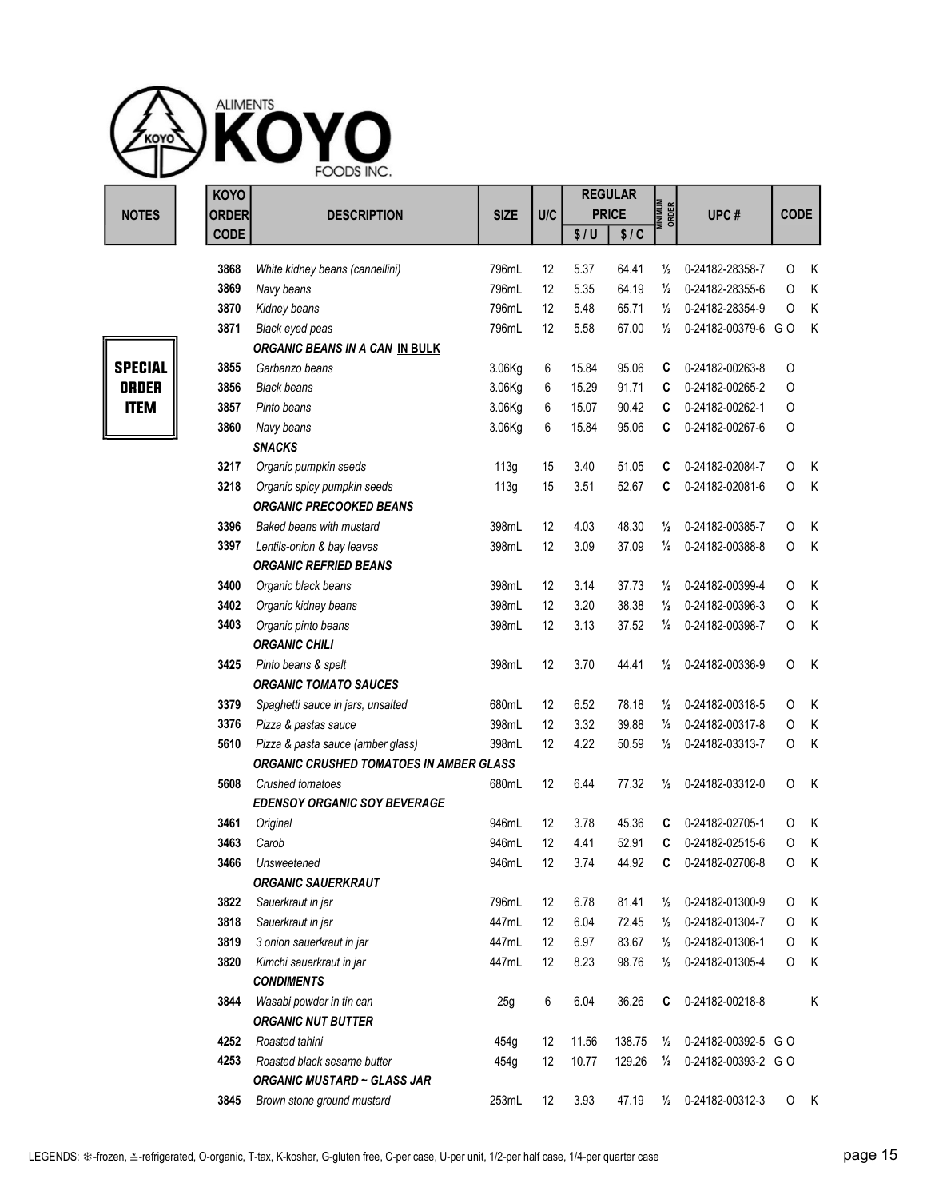| <b>KOYO</b>  |                                                |             |     |       | <b>REGULAR</b> |                         |                    |             |   |
|--------------|------------------------------------------------|-------------|-----|-------|----------------|-------------------------|--------------------|-------------|---|
| <b>ORDER</b> | <b>DESCRIPTION</b>                             | <b>SIZE</b> | U/C |       | <b>PRICE</b>   | <b>MINIMUM</b><br>ORDER | UPC#               | <b>CODE</b> |   |
| <b>CODE</b>  |                                                |             |     | \$/U  | \$1C           |                         |                    |             |   |
| 3868         | White kidney beans (cannellini)                | 796mL       | 12  | 5.37  | 64.41          | $\frac{1}{2}$           | 0-24182-28358-7    | 0           | Κ |
| 3869         | Navy beans                                     | 796mL       | 12  | 5.35  | 64.19          | $\frac{1}{2}$           | 0-24182-28355-6    | O           | Κ |
| 3870         | Kidney beans                                   | 796mL       | 12  | 5.48  | 65.71          | $\frac{1}{2}$           | 0-24182-28354-9    | 0           | Κ |
| 3871         | Black eyed peas                                | 796mL       | 12  | 5.58  | 67.00          | $\frac{1}{2}$           | 0-24182-00379-6 GO |             | Κ |
|              | ORGANIC BEANS IN A CAN IN BULK                 |             |     |       |                |                         |                    |             |   |
| 3855         | Garbanzo beans                                 | 3.06Kg      | 6   | 15.84 | 95.06          | C                       | 0-24182-00263-8    | 0           |   |
| 3856         | <b>Black beans</b>                             | 3.06Kg      | 6   | 15.29 | 91.71          | C                       | 0-24182-00265-2    | 0           |   |
| 3857         | Pinto beans                                    | 3.06Kg      | 6   | 15.07 | 90.42          | C                       | 0-24182-00262-1    | O           |   |
| 3860         | Navy beans                                     | 3.06Kg      | 6   | 15.84 | 95.06          | C                       | 0-24182-00267-6    | O           |   |
|              | <b>SNACKS</b>                                  |             |     |       |                |                         |                    |             |   |
| 3217         | Organic pumpkin seeds                          | 113g        | 15  | 3.40  | 51.05          | C                       | 0-24182-02084-7    | O           | Κ |
| 3218         | Organic spicy pumpkin seeds                    | 113g        | 15  | 3.51  | 52.67          | C                       | 0-24182-02081-6    | 0           | Κ |
|              | ORGANIC PRECOOKED BEANS                        |             |     |       |                |                         |                    |             |   |
| 3396         | Baked beans with mustard                       | 398mL       | 12  | 4.03  | 48.30          | $\frac{1}{2}$           | 0-24182-00385-7    | O           | Κ |
| 3397         | Lentils-onion & bay leaves                     | 398mL       | 12  | 3.09  | 37.09          | $\frac{1}{2}$           | 0-24182-00388-8    | 0           | Κ |
|              | <b>ORGANIC REFRIED BEANS</b>                   |             |     |       |                |                         |                    |             |   |
| 3400         | Organic black beans                            | 398mL       | 12  | 3.14  | 37.73          | $\frac{1}{2}$           | 0-24182-00399-4    | O           | Κ |
| 3402         | Organic kidney beans                           | 398mL       | 12  | 3.20  | 38.38          | $\frac{1}{2}$           | 0-24182-00396-3    | 0           | Κ |
| 3403         | Organic pinto beans                            | 398mL       | 12  | 3.13  | 37.52          | $\frac{1}{2}$           | 0-24182-00398-7    | O           | Κ |
|              | <b>ORGANIC CHILI</b>                           |             |     |       |                |                         |                    |             |   |
| 3425         | Pinto beans & spelt                            | 398mL       | 12  | 3.70  | 44.41          | ⅛                       | 0-24182-00336-9    | 0           | Κ |
|              | <b>ORGANIC TOMATO SAUCES</b>                   |             |     |       |                |                         |                    |             |   |
| 3379         | Spaghetti sauce in jars, unsalted              | 680mL       | 12  | 6.52  | 78.18          | $\frac{1}{2}$           | 0-24182-00318-5    | 0           | Κ |
| 3376         | Pizza & pastas sauce                           | 398mL       | 12  | 3.32  | 39.88          | $\frac{1}{2}$           | 0-24182-00317-8    | 0           | Κ |
| 5610         | Pizza & pasta sauce (amber glass)              | 398mL       | 12  | 4.22  | 50.59          | $\frac{1}{2}$           | 0-24182-03313-7    | O           | Κ |
|              | <b>ORGANIC CRUSHED TOMATOES IN AMBER GLASS</b> |             |     |       |                |                         |                    |             |   |
| 5608         | Crushed tomatoes                               | 680mL       | 12  | 6.44  | 77.32          | $\frac{1}{2}$           | 0-24182-03312-0    | 0           | К |
|              | <b>EDENSOY ORGANIC SOY BEVERAGE</b>            |             |     |       |                |                         |                    |             |   |
| 3461         | Original                                       | 946mL       | 12  | 3.78  | 45.36          | C                       | 0-24182-02705-1    | 0           | Κ |
| 3463         | Carob                                          | 946mL       | 12  | 4.41  | 52.91          | C                       | 0-24182-02515-6    | 0           | Κ |
| 3466         | Unsweetened                                    | 946mL       | 12  | 3.74  | 44.92          | C                       | 0-24182-02706-8    | 0           | Κ |
|              | <b>ORGANIC SAUERKRAUT</b>                      |             |     |       |                |                         |                    |             |   |
| 3822         | Sauerkraut in jar                              | 796mL       | 12  | 6.78  | 81.41          | $\frac{1}{2}$           | 0-24182-01300-9    | 0           | Κ |
| 3818         | Sauerkraut in jar                              | 447mL       | 12  | 6.04  | 72.45          | $\frac{1}{2}$           | 0-24182-01304-7    | 0           | Κ |
| 3819         | 3 onion sauerkraut in jar                      | 447mL       | 12  | 6.97  | 83.67          | $\frac{1}{2}$           | 0-24182-01306-1    | 0           | Κ |
| 3820         | Kimchi sauerkraut in jar<br><b>CONDIMENTS</b>  | 447mL       | 12  | 8.23  | 98.76          | $\frac{1}{2}$           | 0-24182-01305-4    | 0           | Κ |
| 3844         | Wasabi powder in tin can                       | 25g         | 6   | 6.04  | 36.26          | C                       | 0-24182-00218-8    |             | Κ |
|              | <b>ORGANIC NUT BUTTER</b>                      |             |     |       |                |                         |                    |             |   |
| 4252         | Roasted tahini                                 | 454g        | 12  | 11.56 | 138.75         | $\frac{1}{2}$           | 0-24182-00392-5 GO |             |   |
| 4253         | Roasted black sesame butter                    | 454g        | 12  | 10.77 | 129.26         | $\frac{1}{2}$           | 0-24182-00393-2 GO |             |   |
|              | <b>ORGANIC MUSTARD ~ GLASS JAR</b>             |             |     |       |                |                         |                    |             |   |
| 3845         | Brown stone ground mustard                     | 253mL       | 12  | 3.93  | 47.19          | $\frac{1}{2}$           | 0-24182-00312-3    | 0           | K |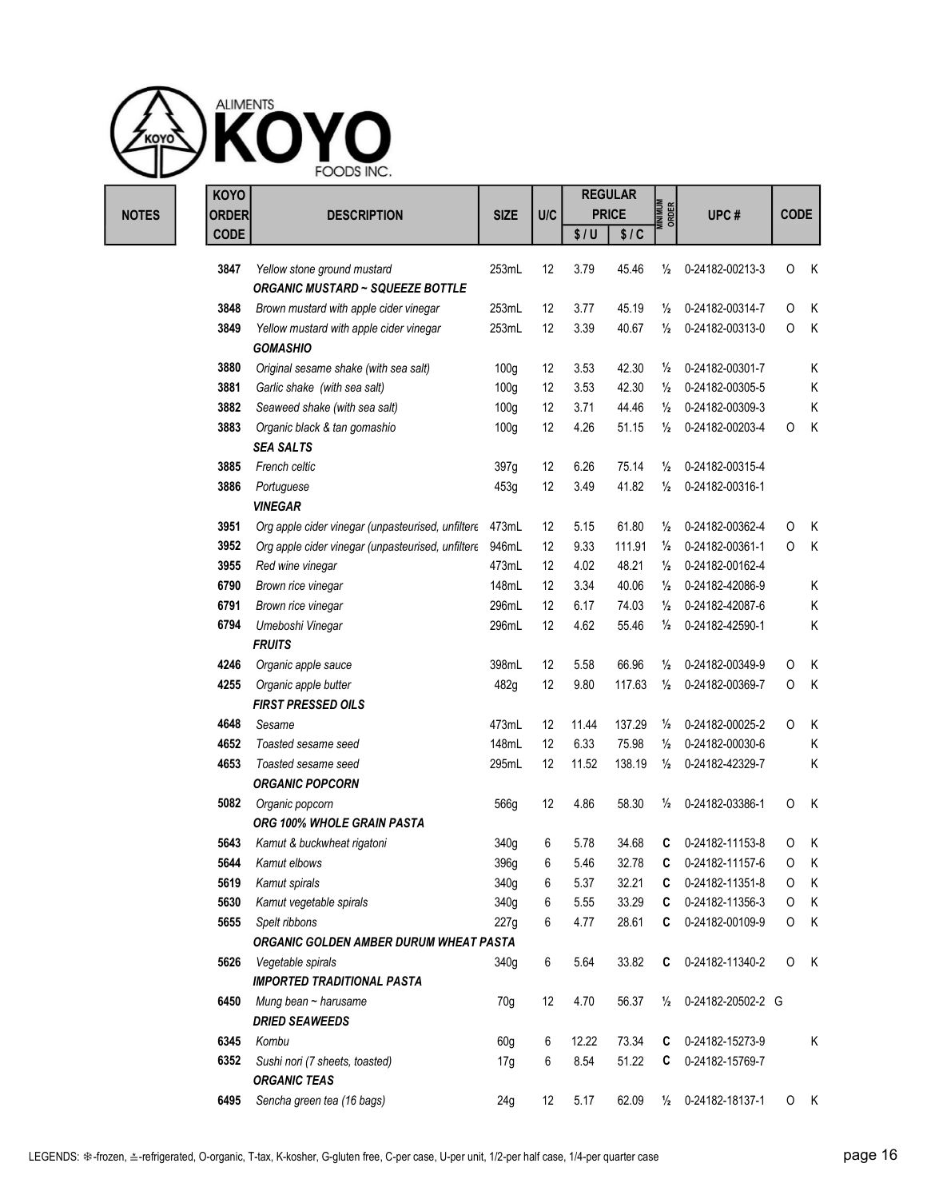| <b>KOYO</b><br><b>ORDER</b> | <b>DESCRIPTION</b>                                                     | <b>SIZE</b>      | U/C |       | <b>REGULAR</b><br><b>PRICE</b> | <b>MINIMUM</b><br>ORDER | UPC#                | <b>CODE</b> |   |
|-----------------------------|------------------------------------------------------------------------|------------------|-----|-------|--------------------------------|-------------------------|---------------------|-------------|---|
| <b>CODE</b>                 |                                                                        |                  |     | \$/U  | \$1C                           |                         |                     |             |   |
| 3847                        | Yellow stone ground mustard<br><b>ORGANIC MUSTARD ~ SQUEEZE BOTTLE</b> | 253mL            | 12  | 3.79  | 45.46                          | $\frac{1}{2}$           | 0-24182-00213-3     | O           | K |
| 3848                        | Brown mustard with apple cider vinegar                                 | 253mL            | 12  | 3.77  | 45.19                          | $\frac{1}{2}$           | 0-24182-00314-7     | 0           | Κ |
| 3849                        | Yellow mustard with apple cider vinegar<br><b>GOMASHIO</b>             | 253mL            | 12  | 3.39  | 40.67                          | $\frac{1}{2}$           | 0-24182-00313-0     | 0           | Κ |
| 3880                        | Original sesame shake (with sea salt)                                  | 100g             | 12  | 3.53  | 42.30                          | $\frac{1}{2}$           | 0-24182-00301-7     |             | Κ |
| 3881                        | Garlic shake (with sea salt)                                           | 100g             | 12  | 3.53  | 42.30                          | $\frac{1}{2}$           | 0-24182-00305-5     |             | Κ |
| 3882                        | Seaweed shake (with sea salt)                                          | 100 <sub>g</sub> | 12  | 3.71  | 44.46                          | $\frac{1}{2}$           | 0-24182-00309-3     |             | Κ |
| 3883                        | Organic black & tan gomashio<br><b>SEA SALTS</b>                       | 100g             | 12  | 4.26  | 51.15                          | $\frac{1}{2}$           | 0-24182-00203-4     | O           | K |
| 3885                        | French celtic                                                          | 397g             | 12  | 6.26  | 75.14                          | $\frac{1}{2}$           | 0-24182-00315-4     |             |   |
| 3886                        | Portuguese<br><i><b>VINEGAR</b></i>                                    | 453g             | 12  | 3.49  | 41.82                          | $\frac{1}{2}$           | 0-24182-00316-1     |             |   |
| 3951                        | Org apple cider vinegar (unpasteurised, unfiltere                      | 473mL            | 12  | 5.15  | 61.80                          | $\frac{1}{2}$           | 0-24182-00362-4     | 0           | Κ |
| 3952                        | Org apple cider vinegar (unpasteurised, unfiltere                      | 946mL            | 12  | 9.33  | 111.91                         | $\frac{1}{2}$           | 0-24182-00361-1     | O           | Κ |
| 3955                        | Red wine vinegar                                                       | 473mL            | 12  | 4.02  | 48.21                          | $\frac{1}{2}$           | 0-24182-00162-4     |             |   |
| 6790                        | Brown rice vinegar                                                     | 148mL            | 12  | 3.34  | 40.06                          | $\frac{1}{2}$           | 0-24182-42086-9     |             | Κ |
| 6791                        | Brown rice vinegar                                                     | 296mL            | 12  | 6.17  | 74.03                          | $\frac{1}{2}$           | 0-24182-42087-6     |             | Κ |
| 6794                        | Umeboshi Vinegar<br><b>FRUITS</b>                                      | 296mL            | 12  | 4.62  | 55.46                          | 1⁄2                     | 0-24182-42590-1     |             | Κ |
| 4246                        | Organic apple sauce                                                    | 398mL            | 12  | 5.58  | 66.96                          | $\frac{1}{2}$           | 0-24182-00349-9     | 0           | K |
| 4255                        | Organic apple butter<br><b>FIRST PRESSED OILS</b>                      | 482g             | 12  | 9.80  | 117.63                         | $\frac{1}{2}$           | 0-24182-00369-7     | O           | Κ |
| 4648                        | Sesame                                                                 | 473mL            | 12  | 11.44 | 137.29                         | $\frac{1}{2}$           | 0-24182-00025-2     | O           | K |
| 4652                        | Toasted sesame seed                                                    | 148mL            | 12  | 6.33  | 75.98                          | $\frac{1}{2}$           | 0-24182-00030-6     |             | Κ |
| 4653                        | Toasted sesame seed<br><b>ORGANIC POPCORN</b>                          | 295mL            | 12  | 11.52 | 138.19                         |                         | 1/2 0-24182-42329-7 |             | Κ |
| 5082                        | Organic popcorn<br>ORG 100% WHOLE GRAIN PASTA                          | 566g             | 12  | 4.86  | 58.30                          | $\frac{1}{2}$           | 0-24182-03386-1     | 0           | K |
| 5643                        | Kamut & buckwheat rigatoni                                             | 340g             | 6   | 5.78  | 34.68                          | C                       | 0-24182-11153-8     | 0           | Κ |
| 5644                        | Kamut elbows                                                           | 396g             | 6   | 5.46  | 32.78                          | C                       | 0-24182-11157-6     | 0           | Κ |
| 5619                        | Kamut spirals                                                          | 340g             | 6   | 5.37  | 32.21                          | C                       | 0-24182-11351-8     | 0           | Κ |
| 5630                        | Kamut vegetable spirals                                                | 340g             | 6   | 5.55  | 33.29                          | C                       | 0-24182-11356-3     | O           | Κ |
| 5655                        | Spelt ribbons                                                          | 227g             | 6   | 4.77  | 28.61                          | C                       | 0-24182-00109-9     | 0           | K |
| 5626                        | ORGANIC GOLDEN AMBER DURUM WHEAT PASTA<br>Vegetable spirals            | 340g             | 6   | 5.64  | 33.82                          | C                       | 0-24182-11340-2     | 0           | K |
| 6450                        | <b>IMPORTED TRADITIONAL PASTA</b><br>Mung bean ~ harusame              | 70g              | 12  | 4.70  | 56.37                          | $\frac{1}{2}$           | 0-24182-20502-2 G   |             |   |
|                             | <b>DRIED SEAWEEDS</b>                                                  |                  |     |       |                                |                         |                     |             |   |
| 6345                        | Kombu                                                                  | 60g              | 6   | 12.22 | 73.34                          | C                       | 0-24182-15273-9     |             | Κ |
| 6352                        | Sushi nori (7 sheets, toasted)<br><b>ORGANIC TEAS</b>                  | 17g              | 6   | 8.54  | 51.22                          | C                       | 0-24182-15769-7     |             |   |
| 6495                        | Sencha green tea (16 bags)                                             | 24g              | 12  | 5.17  | 62.09                          |                         | 1/2 0-24182-18137-1 | 0           | K |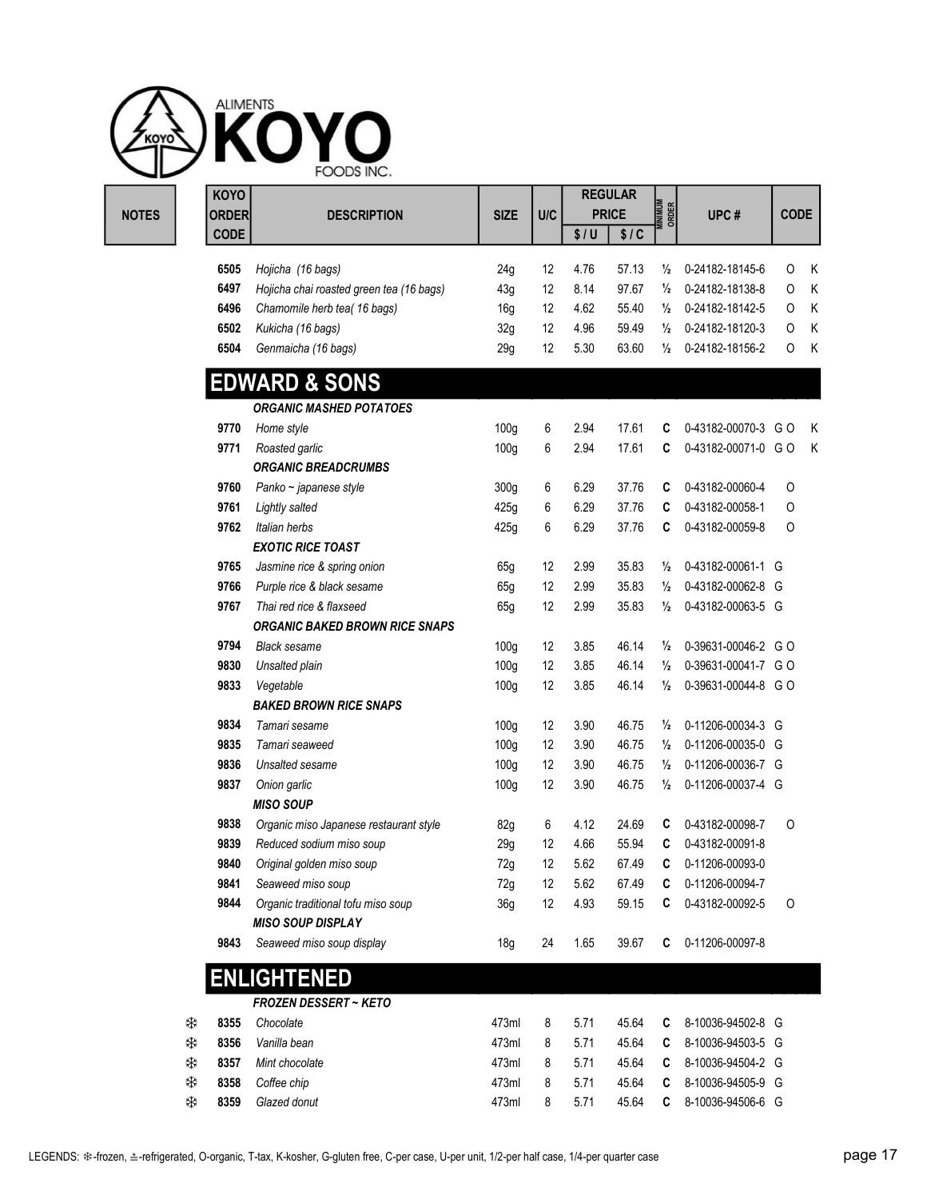| <b>KOYO</b>          |                                          |                  |     |      | <b>REGULAR</b>       |                         |                    |             |
|----------------------|------------------------------------------|------------------|-----|------|----------------------|-------------------------|--------------------|-------------|
| ORDER<br><b>CODE</b> | <b>DESCRIPTION</b>                       | <b>SIZE</b>      | U/C | \$/U | <b>PRICE</b><br>\$1C | <b>MINIMUM</b><br>ORDER | UPC#               | <b>CODE</b> |
|                      |                                          |                  |     |      |                      |                         |                    |             |
| 6505                 | Hojicha (16 bags)                        | 24g              | 12  | 4.76 | 57.13                | $\frac{1}{2}$           | 0-24182-18145-6    | Κ<br>0      |
| 6497                 | Hojicha chai roasted green tea (16 bags) | 43g              | 12  | 8.14 | 97.67                | $\frac{1}{2}$           | 0-24182-18138-8    | Κ<br>0      |
| 6496                 | Chamomile herb tea( 16 bags)             | 16g              | 12  | 4.62 | 55.40                | $\frac{1}{2}$           | 0-24182-18142-5    | Κ<br>0      |
| 6502                 | Kukicha (16 bags)                        | 32g              | 12  | 4.96 | 59.49                | $\frac{1}{2}$           | 0-24182-18120-3    | Κ<br>0      |
| 6504                 | Genmaicha (16 bags)                      | 29g              | 12  | 5.30 | 63.60                | $\frac{1}{2}$           | 0-24182-18156-2    | Κ<br>0      |
|                      | <b>EDWARD &amp; SONS</b>                 |                  |     |      |                      |                         |                    |             |
|                      | <b>ORGANIC MASHED POTATOES</b>           |                  |     |      |                      |                         |                    |             |
| 9770                 | Home style                               | 100g             | 6   | 2.94 | 17.61                | C                       | 0-43182-00070-3 GO | Κ           |
| 9771                 | Roasted garlic                           | 100g             | 6   | 2.94 | 17.61                | C                       | 0-43182-00071-0 GO | K           |
|                      | <b>ORGANIC BREADCRUMBS</b>               |                  |     |      |                      |                         |                    |             |
| 9760                 | Panko ~ japanese style                   | 300 <sub>g</sub> | 6   | 6.29 | 37.76                | C                       | 0-43182-00060-4    | 0           |
| 9761                 | Lightly salted                           | 425g             | 6   | 6.29 | 37.76                | C                       | 0-43182-00058-1    | 0           |
| 9762                 | Italian herbs                            | 425g             | 6   | 6.29 | 37.76                | C                       | 0-43182-00059-8    | 0           |
|                      | <b>EXOTIC RICE TOAST</b>                 |                  |     |      |                      |                         |                    |             |
| 9765                 | Jasmine rice & spring onion              | 65g              | 12  | 2.99 | 35.83                | $\frac{1}{2}$           | 0-43182-00061-1 G  |             |
| 9766                 | Purple rice & black sesame               | 65g              | 12  | 2.99 | 35.83                | $\frac{1}{2}$           | 0-43182-00062-8 G  |             |
| 9767                 | Thai red rice & flaxseed                 | 65g              | 12  | 2.99 | 35.83                | $\frac{1}{2}$           | 0-43182-00063-5 G  |             |
|                      | <b>ORGANIC BAKED BROWN RICE SNAPS</b>    |                  |     |      |                      |                         |                    |             |
| 9794                 | <b>Black sesame</b>                      | 100g             | 12  | 3.85 | 46.14                | $\frac{1}{2}$           | 0-39631-00046-2 GO |             |
| 9830                 | Unsalted plain                           | 100g             | 12  | 3.85 | 46.14                | $\frac{1}{2}$           | 0-39631-00041-7 GO |             |
| 9833                 | Vegetable                                | 100g             | 12  | 3.85 | 46.14                | $\frac{1}{2}$           | 0-39631-00044-8 GO |             |
|                      | <b>BAKED BROWN RICE SNAPS</b>            |                  |     |      |                      |                         |                    |             |
| 9834                 | Tamari sesame                            | 100 <sub>g</sub> | 12  | 3.90 | 46.75                | $\frac{1}{2}$           | 0-11206-00034-3 G  |             |
| 9835                 | Tamari seaweed                           | 100g             | 12  | 3.90 | 46.75                | $\frac{1}{2}$           | 0-11206-00035-0 G  |             |
| 9836                 | Unsalted sesame                          | 100g             | 12  | 3.90 | 46.75                | $\frac{1}{2}$           | 0-11206-00036-7 G  |             |
| 9837                 | Onion garlic                             | 100g             | 12  | 3.90 | 46.75                | $\frac{1}{2}$           | 0-11206-00037-4 G  |             |
|                      | MISO SOUP                                |                  |     |      |                      |                         |                    |             |
| 9838                 | Organic miso Japanese restaurant style   | 82g              | 6   | 4.12 | 24.69                | C                       | 0-43182-00098-7    | $\circ$     |
| 9839                 | Reduced sodium miso soup                 | 29g              | 12  | 4.66 | 55.94                | C                       | 0-43182-00091-8    |             |
| 9840                 | Original golden miso soup                | 72g              | 12  | 5.62 | 67.49                | C                       | 0-11206-00093-0    |             |
| 9841                 | Seaweed miso soup                        | 72g              | 12  | 5.62 | 67.49                | C                       | 0-11206-00094-7    |             |
| 9844                 | Organic traditional tofu miso soup       | 36g              | 12  | 4.93 | 59.15                | C                       | 0-43182-00092-5    | 0           |
|                      | <b>MISO SOUP DISPLAY</b>                 |                  |     |      |                      |                         |                    |             |
| 9843                 | Seaweed miso soup display                | 18 <sub>g</sub>  | 24  | 1.65 | 39.67                | C                       | 0-11206-00097-8    |             |
|                      | <b>ENLIGHTENED</b>                       |                  |     |      |                      |                         |                    |             |
|                      | <b>FROZEN DESSERT ~ KETO</b>             |                  |     |      |                      |                         |                    |             |
| 8355                 | Chocolate                                | 473ml            | 8   | 5.71 | 45.64                | C                       | 8-10036-94502-8 G  |             |
| 8356                 | Vanilla bean                             | 473ml            | 8   | 5.71 | 45.64                | C                       | 8-10036-94503-5 G  |             |
| 8357                 | Mint chocolate                           | 473ml            | 8   | 5.71 | 45.64                | C                       | 8-10036-94504-2 G  |             |
| 8358                 | Coffee chip                              | 473ml            | 8   | 5.71 | 45.64                | C                       | 8-10036-94505-9 G  |             |
| 8359                 | Glazed donut                             | 473ml            | 8   | 5.71 | 45.64                | C                       | 8-10036-94506-6 G  |             |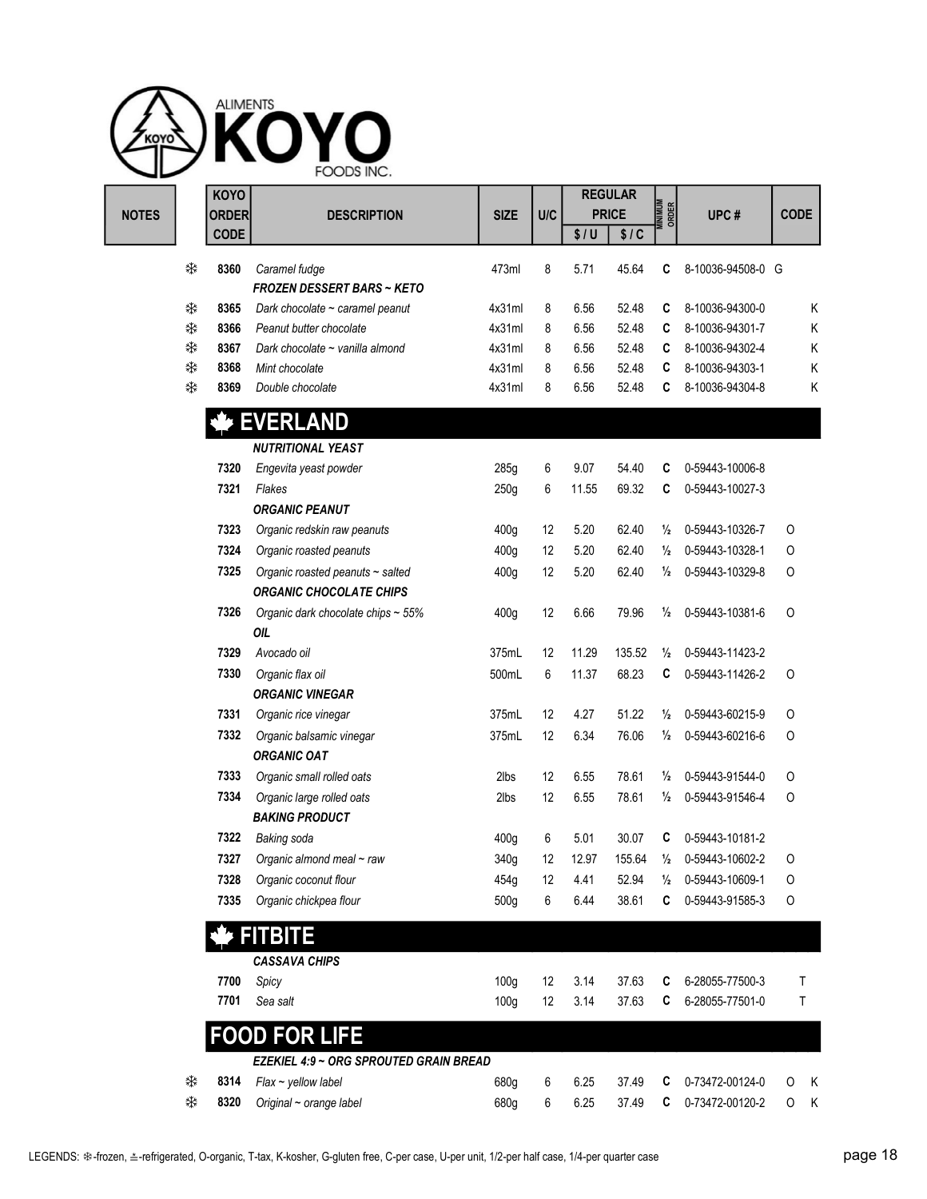| <b>MINIMUM</b><br>ORDER<br><b>PRICE</b><br>U/C<br>ORDER<br><b>DESCRIPTION</b><br>UPC#<br><b>SIZE</b><br><b>CODE</b><br>\$/U<br>\$1C<br>₩<br>473ml<br>8<br>5.71<br>45.64<br>8360<br>Caramel fudge<br>C<br>8-10036-94508-0 G<br><b>FROZEN DESSERT BARS ~ KETO</b><br>₩<br>8365<br>Dark chocolate ~ caramel peanut<br>4x31ml<br>8<br>6.56<br>52.48<br>C<br>8-10036-94300-0<br>₩<br>4x31ml<br>8<br>6.56<br>52.48<br>8-10036-94301-7<br>8366<br>Peanut butter chocolate<br>C<br>₩<br>Dark chocolate ~ vanilla almond<br>4x31ml<br>8<br>6.56<br>52.48<br>8-10036-94302-4<br>8367<br>C<br>₩<br>4x31ml<br>6.56<br>52.48<br>8-10036-94303-1<br>8368<br>Mint chocolate<br>8<br>C<br>₩<br>8<br>6.56<br>8-10036-94304-8<br>8369<br>Double chocolate<br>4x31ml<br>52.48<br>C<br><b>EVERLAND</b><br><b>NUTRITIONAL YEAST</b><br>7320<br>285g<br>6<br>9.07<br>54.40<br>0-59443-10006-8<br>Engevita yeast powder<br>C<br>6<br>69.32<br>7321<br>Flakes<br>250g<br>11.55<br>C<br>0-59443-10027-3<br><b>ORGANIC PEANUT</b><br>7323<br>5.20<br>Organic redskin raw peanuts<br>400g<br>12<br>62.40<br>$\frac{1}{2}$<br>0-59443-10326-7<br>0<br>7324<br>12<br>5.20<br>62.40<br>$\frac{1}{2}$<br>0-59443-10328-1<br>Organic roasted peanuts<br>400g<br>0<br>12<br>5.20<br>62.40<br>7325<br>Organic roasted peanuts ~ salted<br>400g<br>0-59443-10329-8<br>0<br>$\frac{1}{2}$<br><b>ORGANIC CHOCOLATE CHIPS</b><br>12<br>0<br>6.66<br>79.96<br>0-59443-10381-6<br>7326<br>Organic dark chocolate chips ~ 55%<br>400g<br>$\frac{1}{2}$<br>OIL<br>7329<br>Avocado oil<br>375mL<br>12<br>11.29<br>135.52<br>0-59443-11423-2<br>$\frac{1}{2}$<br>7330<br>Organic flax oil<br>500mL<br>6<br>11.37<br>68.23<br>C<br>0-59443-11426-2<br>O<br><b>ORGANIC VINEGAR</b><br>12<br>4.27<br>51.22<br>7331<br>375mL<br>0-59443-60215-9<br>0<br>Organic rice vinegar<br>$\frac{1}{2}$<br>12<br>7332<br>375mL<br>6.34<br>76.06<br>0-59443-60216-6<br>0<br>Organic balsamic vinegar<br>$\frac{1}{2}$<br><b>ORGANIC OAT</b> | <b>CODE</b><br>Κ<br>Κ<br>Κ<br>Κ<br>Κ                                                              |
|----------------------------------------------------------------------------------------------------------------------------------------------------------------------------------------------------------------------------------------------------------------------------------------------------------------------------------------------------------------------------------------------------------------------------------------------------------------------------------------------------------------------------------------------------------------------------------------------------------------------------------------------------------------------------------------------------------------------------------------------------------------------------------------------------------------------------------------------------------------------------------------------------------------------------------------------------------------------------------------------------------------------------------------------------------------------------------------------------------------------------------------------------------------------------------------------------------------------------------------------------------------------------------------------------------------------------------------------------------------------------------------------------------------------------------------------------------------------------------------------------------------------------------------------------------------------------------------------------------------------------------------------------------------------------------------------------------------------------------------------------------------------------------------------------------------------------------------------------------------------------------------------------------------------------------------------------------------------------------|---------------------------------------------------------------------------------------------------|
|                                                                                                                                                                                                                                                                                                                                                                                                                                                                                                                                                                                                                                                                                                                                                                                                                                                                                                                                                                                                                                                                                                                                                                                                                                                                                                                                                                                                                                                                                                                                                                                                                                                                                                                                                                                                                                                                                                                                                                                  |                                                                                                   |
|                                                                                                                                                                                                                                                                                                                                                                                                                                                                                                                                                                                                                                                                                                                                                                                                                                                                                                                                                                                                                                                                                                                                                                                                                                                                                                                                                                                                                                                                                                                                                                                                                                                                                                                                                                                                                                                                                                                                                                                  |                                                                                                   |
|                                                                                                                                                                                                                                                                                                                                                                                                                                                                                                                                                                                                                                                                                                                                                                                                                                                                                                                                                                                                                                                                                                                                                                                                                                                                                                                                                                                                                                                                                                                                                                                                                                                                                                                                                                                                                                                                                                                                                                                  |                                                                                                   |
|                                                                                                                                                                                                                                                                                                                                                                                                                                                                                                                                                                                                                                                                                                                                                                                                                                                                                                                                                                                                                                                                                                                                                                                                                                                                                                                                                                                                                                                                                                                                                                                                                                                                                                                                                                                                                                                                                                                                                                                  |                                                                                                   |
|                                                                                                                                                                                                                                                                                                                                                                                                                                                                                                                                                                                                                                                                                                                                                                                                                                                                                                                                                                                                                                                                                                                                                                                                                                                                                                                                                                                                                                                                                                                                                                                                                                                                                                                                                                                                                                                                                                                                                                                  |                                                                                                   |
|                                                                                                                                                                                                                                                                                                                                                                                                                                                                                                                                                                                                                                                                                                                                                                                                                                                                                                                                                                                                                                                                                                                                                                                                                                                                                                                                                                                                                                                                                                                                                                                                                                                                                                                                                                                                                                                                                                                                                                                  |                                                                                                   |
|                                                                                                                                                                                                                                                                                                                                                                                                                                                                                                                                                                                                                                                                                                                                                                                                                                                                                                                                                                                                                                                                                                                                                                                                                                                                                                                                                                                                                                                                                                                                                                                                                                                                                                                                                                                                                                                                                                                                                                                  |                                                                                                   |
|                                                                                                                                                                                                                                                                                                                                                                                                                                                                                                                                                                                                                                                                                                                                                                                                                                                                                                                                                                                                                                                                                                                                                                                                                                                                                                                                                                                                                                                                                                                                                                                                                                                                                                                                                                                                                                                                                                                                                                                  |                                                                                                   |
|                                                                                                                                                                                                                                                                                                                                                                                                                                                                                                                                                                                                                                                                                                                                                                                                                                                                                                                                                                                                                                                                                                                                                                                                                                                                                                                                                                                                                                                                                                                                                                                                                                                                                                                                                                                                                                                                                                                                                                                  |                                                                                                   |
|                                                                                                                                                                                                                                                                                                                                                                                                                                                                                                                                                                                                                                                                                                                                                                                                                                                                                                                                                                                                                                                                                                                                                                                                                                                                                                                                                                                                                                                                                                                                                                                                                                                                                                                                                                                                                                                                                                                                                                                  |                                                                                                   |
|                                                                                                                                                                                                                                                                                                                                                                                                                                                                                                                                                                                                                                                                                                                                                                                                                                                                                                                                                                                                                                                                                                                                                                                                                                                                                                                                                                                                                                                                                                                                                                                                                                                                                                                                                                                                                                                                                                                                                                                  |                                                                                                   |
|                                                                                                                                                                                                                                                                                                                                                                                                                                                                                                                                                                                                                                                                                                                                                                                                                                                                                                                                                                                                                                                                                                                                                                                                                                                                                                                                                                                                                                                                                                                                                                                                                                                                                                                                                                                                                                                                                                                                                                                  |                                                                                                   |
|                                                                                                                                                                                                                                                                                                                                                                                                                                                                                                                                                                                                                                                                                                                                                                                                                                                                                                                                                                                                                                                                                                                                                                                                                                                                                                                                                                                                                                                                                                                                                                                                                                                                                                                                                                                                                                                                                                                                                                                  |                                                                                                   |
|                                                                                                                                                                                                                                                                                                                                                                                                                                                                                                                                                                                                                                                                                                                                                                                                                                                                                                                                                                                                                                                                                                                                                                                                                                                                                                                                                                                                                                                                                                                                                                                                                                                                                                                                                                                                                                                                                                                                                                                  |                                                                                                   |
|                                                                                                                                                                                                                                                                                                                                                                                                                                                                                                                                                                                                                                                                                                                                                                                                                                                                                                                                                                                                                                                                                                                                                                                                                                                                                                                                                                                                                                                                                                                                                                                                                                                                                                                                                                                                                                                                                                                                                                                  |                                                                                                   |
|                                                                                                                                                                                                                                                                                                                                                                                                                                                                                                                                                                                                                                                                                                                                                                                                                                                                                                                                                                                                                                                                                                                                                                                                                                                                                                                                                                                                                                                                                                                                                                                                                                                                                                                                                                                                                                                                                                                                                                                  |                                                                                                   |
|                                                                                                                                                                                                                                                                                                                                                                                                                                                                                                                                                                                                                                                                                                                                                                                                                                                                                                                                                                                                                                                                                                                                                                                                                                                                                                                                                                                                                                                                                                                                                                                                                                                                                                                                                                                                                                                                                                                                                                                  |                                                                                                   |
|                                                                                                                                                                                                                                                                                                                                                                                                                                                                                                                                                                                                                                                                                                                                                                                                                                                                                                                                                                                                                                                                                                                                                                                                                                                                                                                                                                                                                                                                                                                                                                                                                                                                                                                                                                                                                                                                                                                                                                                  |                                                                                                   |
| 7333                                                                                                                                                                                                                                                                                                                                                                                                                                                                                                                                                                                                                                                                                                                                                                                                                                                                                                                                                                                                                                                                                                                                                                                                                                                                                                                                                                                                                                                                                                                                                                                                                                                                                                                                                                                                                                                                                                                                                                             | 12<br>6.55<br>78.61<br>0-59443-91544-0<br>0<br>Organic small rolled oats<br>2lbs<br>$\frac{1}{2}$ |
| 12<br>6.55<br>78.61<br>7334<br>Organic large rolled oats<br>2lbs<br>0-59443-91546-4<br>0<br>$\frac{1}{2}$<br><b>BAKING PRODUCT</b>                                                                                                                                                                                                                                                                                                                                                                                                                                                                                                                                                                                                                                                                                                                                                                                                                                                                                                                                                                                                                                                                                                                                                                                                                                                                                                                                                                                                                                                                                                                                                                                                                                                                                                                                                                                                                                               |                                                                                                   |
| $\boldsymbol{6}$<br>Baking soda<br>5.01<br>30.07<br>0-59443-10181-2<br>7322<br>400g<br>C                                                                                                                                                                                                                                                                                                                                                                                                                                                                                                                                                                                                                                                                                                                                                                                                                                                                                                                                                                                                                                                                                                                                                                                                                                                                                                                                                                                                                                                                                                                                                                                                                                                                                                                                                                                                                                                                                         |                                                                                                   |
| Organic almond meal ~ raw<br>12<br>12.97<br>155.64<br>0-59443-10602-2<br>7327<br>340g<br>O<br>$\frac{1}{2}$                                                                                                                                                                                                                                                                                                                                                                                                                                                                                                                                                                                                                                                                                                                                                                                                                                                                                                                                                                                                                                                                                                                                                                                                                                                                                                                                                                                                                                                                                                                                                                                                                                                                                                                                                                                                                                                                      |                                                                                                   |
| 7328<br>Organic coconut flour<br>12<br>4.41<br>52.94<br>0-59443-10609-1<br>454g<br>$\frac{1}{2}$<br>0                                                                                                                                                                                                                                                                                                                                                                                                                                                                                                                                                                                                                                                                                                                                                                                                                                                                                                                                                                                                                                                                                                                                                                                                                                                                                                                                                                                                                                                                                                                                                                                                                                                                                                                                                                                                                                                                            |                                                                                                   |
| 6<br>7335<br>Organic chickpea flour<br>500g<br>38.61<br>0-59443-91585-3<br>0<br>6.44<br>C                                                                                                                                                                                                                                                                                                                                                                                                                                                                                                                                                                                                                                                                                                                                                                                                                                                                                                                                                                                                                                                                                                                                                                                                                                                                                                                                                                                                                                                                                                                                                                                                                                                                                                                                                                                                                                                                                        |                                                                                                   |
| <b>FITBITE</b><br><b>CASSAVA CHIPS</b>                                                                                                                                                                                                                                                                                                                                                                                                                                                                                                                                                                                                                                                                                                                                                                                                                                                                                                                                                                                                                                                                                                                                                                                                                                                                                                                                                                                                                                                                                                                                                                                                                                                                                                                                                                                                                                                                                                                                           |                                                                                                   |
| 7700<br>100g<br>12<br>3.14<br>37.63<br>6-28055-77500-3<br>Spicy<br>C                                                                                                                                                                                                                                                                                                                                                                                                                                                                                                                                                                                                                                                                                                                                                                                                                                                                                                                                                                                                                                                                                                                                                                                                                                                                                                                                                                                                                                                                                                                                                                                                                                                                                                                                                                                                                                                                                                             | Τ                                                                                                 |
| 12<br>7701<br>100g<br>3.14<br>37.63<br>6-28055-77501-0<br>Sea salt<br>C                                                                                                                                                                                                                                                                                                                                                                                                                                                                                                                                                                                                                                                                                                                                                                                                                                                                                                                                                                                                                                                                                                                                                                                                                                                                                                                                                                                                                                                                                                                                                                                                                                                                                                                                                                                                                                                                                                          | Τ                                                                                                 |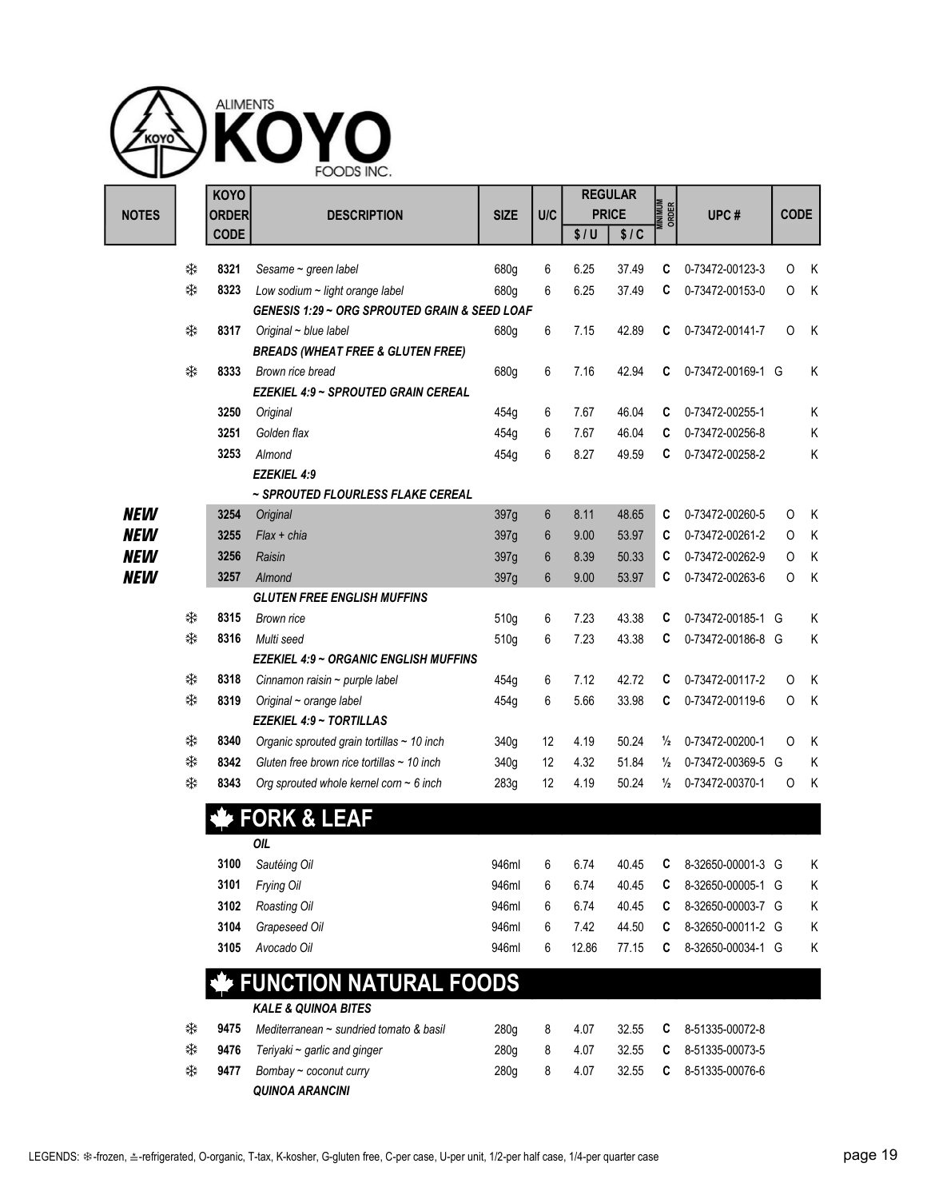|              |   | <b>KOYO</b>  | FOODS INC.                                                                   |                  |     |       | <b>REGULAR</b> |                         |                   |             |   |
|--------------|---|--------------|------------------------------------------------------------------------------|------------------|-----|-------|----------------|-------------------------|-------------------|-------------|---|
| <b>NOTES</b> |   | <b>ORDER</b> | <b>DESCRIPTION</b>                                                           | <b>SIZE</b>      | U/C |       | <b>PRICE</b>   | <b>MINIMUM</b><br>ORDER | UPC#              | <b>CODE</b> |   |
|              |   | <b>CODE</b>  |                                                                              |                  |     | \$/U  | \$1C           |                         |                   |             |   |
|              | ₩ | 8321         | Sesame ~ green label                                                         | 680g             | 6   | 6.25  | 37.49          | C                       | 0-73472-00123-3   | O           | Κ |
|              | ₩ | 8323         | Low sodium ~ light orange label                                              | 680g             | 6   | 6.25  | 37.49          | C                       | 0-73472-00153-0   | 0           | Κ |
|              |   |              | <b>GENESIS 1:29 ~ ORG SPROUTED GRAIN &amp; SEED LOAF</b>                     |                  |     |       |                |                         |                   |             |   |
|              | ₩ | 8317         | Original $\sim$ blue label                                                   | 680g             | 6   | 7.15  | 42.89          | C                       | 0-73472-00141-7   | O           | K |
|              |   |              | <b>BREADS (WHEAT FREE &amp; GLUTEN FREE)</b>                                 |                  |     |       |                |                         |                   |             |   |
|              | ₩ | 8333         | Brown rice bread                                                             | 680g             | 6   | 7.16  | 42.94          | C                       | 0-73472-00169-1 G |             | K |
|              |   |              | <b>EZEKIEL 4:9 ~ SPROUTED GRAIN CEREAL</b>                                   |                  |     |       |                |                         |                   |             |   |
|              |   | 3250         | Original                                                                     | 454g             | 6   | 7.67  | 46.04          | C                       | 0-73472-00255-1   |             | Κ |
|              |   | 3251         | Golden flax                                                                  | 454g             | 6   | 7.67  | 46.04          | C                       | 0-73472-00256-8   |             | Κ |
|              |   | 3253         | Almond<br><b>EZEKIEL 4:9</b>                                                 | 454g             | 6   | 8.27  | 49.59          | C                       | 0-73472-00258-2   |             | Κ |
|              |   |              | ~ SPROUTED FLOURLESS FLAKE CEREAL                                            |                  |     |       |                |                         |                   |             |   |
| <b>NEW</b>   |   | 3254         | Original                                                                     | 397g             | 6   | 8.11  | 48.65          | C                       | 0-73472-00260-5   | 0           | K |
| <b>NEW</b>   |   | 3255         | $Flax + chia$                                                                | 397g             | 6   | 9.00  | 53.97          | C                       | 0-73472-00261-2   | O           | K |
| <b>NEW</b>   |   | 3256         | Raisin                                                                       | 397g             | 6   | 8.39  | 50.33          | C                       | 0-73472-00262-9   | O           | K |
| <b>NEW</b>   |   | 3257         | Almond                                                                       | 397g             | 6   | 9.00  | 53.97          | C                       | 0-73472-00263-6   | O           | Κ |
|              |   |              | <b>GLUTEN FREE ENGLISH MUFFINS</b>                                           |                  |     |       |                |                         |                   |             |   |
|              | ₩ | 8315         | <b>Brown rice</b>                                                            | 510g             | 6   | 7.23  | 43.38          | C                       | 0-73472-00185-1 G |             | Κ |
|              | ₩ | 8316         | Multi seed                                                                   | 510g             | 6   | 7.23  | 43.38          | C                       | 0-73472-00186-8 G |             | Κ |
|              |   |              | <b>EZEKIEL 4:9 ~ ORGANIC ENGLISH MUFFINS</b>                                 |                  |     |       |                |                         |                   |             |   |
|              | ₩ | 8318         | Cinnamon raisin ~ purple label                                               | 454g             | 6   | 7.12  | 42.72          | C                       | 0-73472-00117-2   | O           | Κ |
|              | ₩ | 8319         | Original ~ orange label                                                      | 454g             | 6   | 5.66  | 33.98          | C                       | 0-73472-00119-6   | O           | Κ |
|              | ₩ | 8340         | <b>EZEKIEL 4:9 ~ TORTILLAS</b><br>Organic sprouted grain tortillas ~ 10 inch | 340 <sub>g</sub> | 12  | 4.19  | 50.24          | $\frac{1}{2}$           | 0-73472-00200-1   | O           | Κ |
|              | ₩ | 8342         | Gluten free brown rice tortillas $\sim$ 10 inch                              | 340g             | 12  | 4.32  | 51.84          | $\frac{1}{2}$           | 0-73472-00369-5 G |             | Κ |
|              | ₩ | 8343         | Org sprouted whole kernel corn $\sim$ 6 inch                                 | 283g             | 12  | 4.19  | 50.24          | $\frac{1}{2}$           | 0-73472-00370-1   | O           | K |
|              |   |              |                                                                              |                  |     |       |                |                         |                   |             |   |
|              |   |              | <b>FORK &amp; LEAF</b>                                                       |                  |     |       |                |                         |                   |             |   |
|              |   |              | OIL                                                                          |                  |     |       |                |                         |                   |             |   |
|              |   | 3100         | Sautéing Oil                                                                 | 946ml            | 6   | 6.74  | 40.45          | C                       | 8-32650-00001-3 G |             | Κ |
|              |   | 3101         | Frying Oil                                                                   | 946ml            | 6   | 6.74  | 40.45          | C                       | 8-32650-00005-1 G |             | Κ |
|              |   | 3102         | Roasting Oil                                                                 | 946ml            | 6   | 6.74  | 40.45          | C                       | 8-32650-00003-7 G |             | Κ |
|              |   | 3104         | Grapeseed Oil                                                                | 946ml            | 6   | 7.42  | 44.50          | C                       | 8-32650-00011-2 G |             | Κ |
|              |   | 3105         | Avocado Oil                                                                  | 946ml            | 6   | 12.86 | 77.15          | C                       | 8-32650-00034-1 G |             | Κ |
|              |   |              | <b>FUNCTION NATURAL FOODS</b>                                                |                  |     |       |                |                         |                   |             |   |
|              |   |              | <b>KALE &amp; QUINOA BITES</b>                                               |                  |     |       |                |                         |                   |             |   |
|              | ₩ | 9475         | Mediterranean $\sim$ sundried tomato & basil                                 | 280g             | 8   | 4.07  | 32.55          | C                       | 8-51335-00072-8   |             |   |
|              | ₩ | 9476         | Teriyaki ~ garlic and ginger                                                 | 280g             | 8   | 4.07  | 32.55          | C                       | 8-51335-00073-5   |             |   |
|              | ₩ | 9477         | Bombay ~ coconut curry                                                       | 280g             | 8   | 4.07  | 32.55          | C                       | 8-51335-00076-6   |             |   |
|              |   |              | <b>QUINOA ARANCINI</b>                                                       |                  |     |       |                |                         |                   |             |   |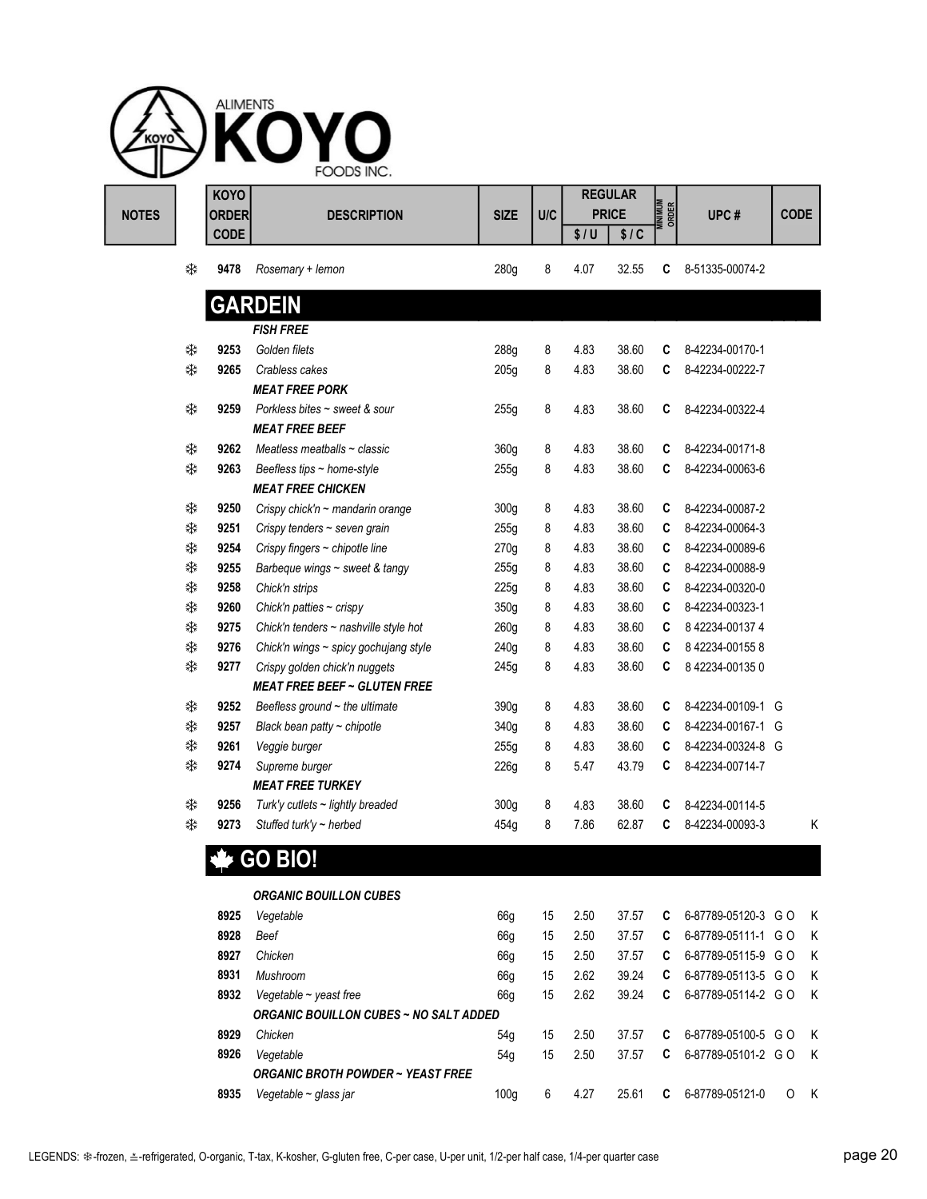|   | <b>KOYO</b><br><b>ORDER</b> | <b>DESCRIPTION</b>                            | <b>SIZE</b>      | U/C |      | <b>REGULAR</b><br><b>PRICE</b> | <b>MINIMUM</b><br>ORDER | UPC#               | <b>CODE</b> |
|---|-----------------------------|-----------------------------------------------|------------------|-----|------|--------------------------------|-------------------------|--------------------|-------------|
|   | <b>CODE</b>                 |                                               |                  |     | \$/U | \$1C                           |                         |                    |             |
|   | 9478                        | Rosemary + lemon                              | 280g             | 8   | 4.07 | 32.55                          | C                       | 8-51335-00074-2    |             |
|   |                             | <b>GARDEIN</b>                                |                  |     |      |                                |                         |                    |             |
|   |                             | <b>FISH FREE</b>                              |                  |     |      |                                |                         |                    |             |
| ₩ | 9253                        | Golden filets                                 | 288g             | 8   | 4.83 | 38.60                          | C                       | 8-42234-00170-1    |             |
| ₩ | 9265                        | Crabless cakes                                | 205g             | 8   | 4.83 | 38.60                          | C                       | 8-42234-00222-7    |             |
|   |                             | <b>MEAT FREE PORK</b>                         |                  |     |      |                                |                         |                    |             |
| ₩ | 9259                        | Porkless bites ~ sweet & sour                 | 255g             | 8   | 4.83 | 38.60                          | C                       | 8-42234-00322-4    |             |
|   |                             | <b>MEAT FREE BEEF</b>                         |                  |     |      |                                |                         |                    |             |
| ₩ | 9262                        | Meatless meatballs $\sim$ classic             | 360g             | 8   | 4.83 | 38.60                          | C                       | 8-42234-00171-8    |             |
| ₩ | 9263                        | Beefless tips ~ home-style                    | 255g             | 8   | 4.83 | 38.60                          | C                       | 8-42234-00063-6    |             |
|   |                             | <b>MEAT FREE CHICKEN</b>                      |                  |     |      |                                |                         |                    |             |
| ₩ | 9250                        | Crispy chick'n ~ mandarin orange              | 300 <sub>g</sub> | 8   | 4.83 | 38.60                          | C                       | 8-42234-00087-2    |             |
| ₩ | 9251                        | Crispy tenders ~ seven grain                  | 255g             | 8   | 4.83 | 38.60                          | C                       | 8-42234-00064-3    |             |
| ₩ | 9254                        | Crispy fingers ~ chipotle line                | 270g             | 8   | 4.83 | 38.60                          | C                       | 8-42234-00089-6    |             |
| ₩ | 9255                        | Barbeque wings ~ sweet & tangy                | 255g             | 8   | 4.83 | 38.60                          | C                       | 8-42234-00088-9    |             |
| ₩ | 9258                        | Chick'n strips                                | 225g             | 8   | 4.83 | 38.60                          | C                       | 8-42234-00320-0    |             |
| ₩ | 9260                        | Chick'n patties $\sim$ crispy                 | 350g             | 8   | 4.83 | 38.60                          | C                       | 8-42234-00323-1    |             |
| ₩ | 9275                        | Chick'n tenders ~ nashville style hot         | 260g             | 8   | 4.83 | 38.60                          | C                       | 8 42234-00137 4    |             |
| ₩ | 9276                        | Chick'n wings ~ spicy gochujang style         | 240g             | 8   | 4.83 | 38.60                          | C                       | 8 42234-00155 8    |             |
| ₩ | 9277                        | Crispy golden chick'n nuggets                 | 245g             | 8   | 4.83 | 38.60                          | C                       | 8 42234-001350     |             |
|   |                             | <b>MEAT FREE BEEF ~ GLUTEN FREE</b>           |                  |     |      |                                |                         |                    |             |
| ₩ | 9252                        | Beefless ground $\sim$ the ultimate           | 390g             | 8   | 4.83 | 38.60                          | C                       | 8-42234-00109-1 G  |             |
| ₩ | 9257                        | Black bean patty $\sim$ chipotle              | 340g             | 8   | 4.83 | 38.60                          | C                       | 8-42234-00167-1 G  |             |
| ₩ | 9261                        | Veggie burger                                 | 255g             | 8   | 4.83 | 38.60                          | C                       | 8-42234-00324-8 G  |             |
| ₩ | 9274                        | Supreme burger                                | 226g             | 8   | 5.47 | 43.79                          | C                       | 8-42234-00714-7    |             |
|   |                             | <b>MEAT FREE TURKEY</b>                       |                  |     |      |                                |                         |                    |             |
| ₩ | 9256                        | Turk'y cutlets ~ lightly breaded              | 300 <sub>g</sub> | 8   | 4.83 | 38.60                          | C                       | 8-42234-00114-5    |             |
| ₩ | 9273                        | Stuffed turk'y ~ herbed                       | 454g             | 8   | 7.86 | 62.87                          | C                       | 8-42234-00093-3    | Κ           |
|   |                             | <b>GO BIO!</b>                                |                  |     |      |                                |                         |                    |             |
|   |                             | <b>ORGANIC BOUILLON CUBES</b>                 |                  |     |      |                                |                         |                    |             |
|   | 8925                        | Vegetable                                     | 66g              | 15  | 2.50 | 37.57                          | C                       | 6-87789-05120-3 GO | Κ           |
|   | 8928                        | <b>Beef</b>                                   | 66g              | 15  | 2.50 | 37.57                          | C                       | 6-87789-05111-1 GO | Κ           |
|   | 8927                        | Chicken                                       | 66g              | 15  | 2.50 | 37.57                          | C                       | 6-87789-05115-9 GO | Κ           |
|   | 8931                        | Mushroom                                      | 66g              | 15  | 2.62 | 39.24                          | C                       | 6-87789-05113-5 GO | Κ           |
|   | 8932                        | Vegetable $\sim$ yeast free                   | 66g              | 15  | 2.62 | 39.24                          | C                       | 6-87789-05114-2 GO | Κ           |
|   |                             | <b>ORGANIC BOUILLON CUBES ~ NO SALT ADDED</b> |                  |     |      |                                |                         |                    |             |
|   | 8929                        | Chicken                                       | 54g              | 15  | 2.50 | 37.57                          | C                       | 6-87789-05100-5 GO | Κ           |
|   | 8926                        | Vegetable                                     | 54g              | 15  | 2.50 | 37.57                          | C                       | 6-87789-05101-2 GO | Κ           |

ORGANIC BROTH POWDER ~ YEAST FREE

8935 Vegetable ~ glass jar 100g 6 4.27 25.61 C 6-87789-05121-0 O K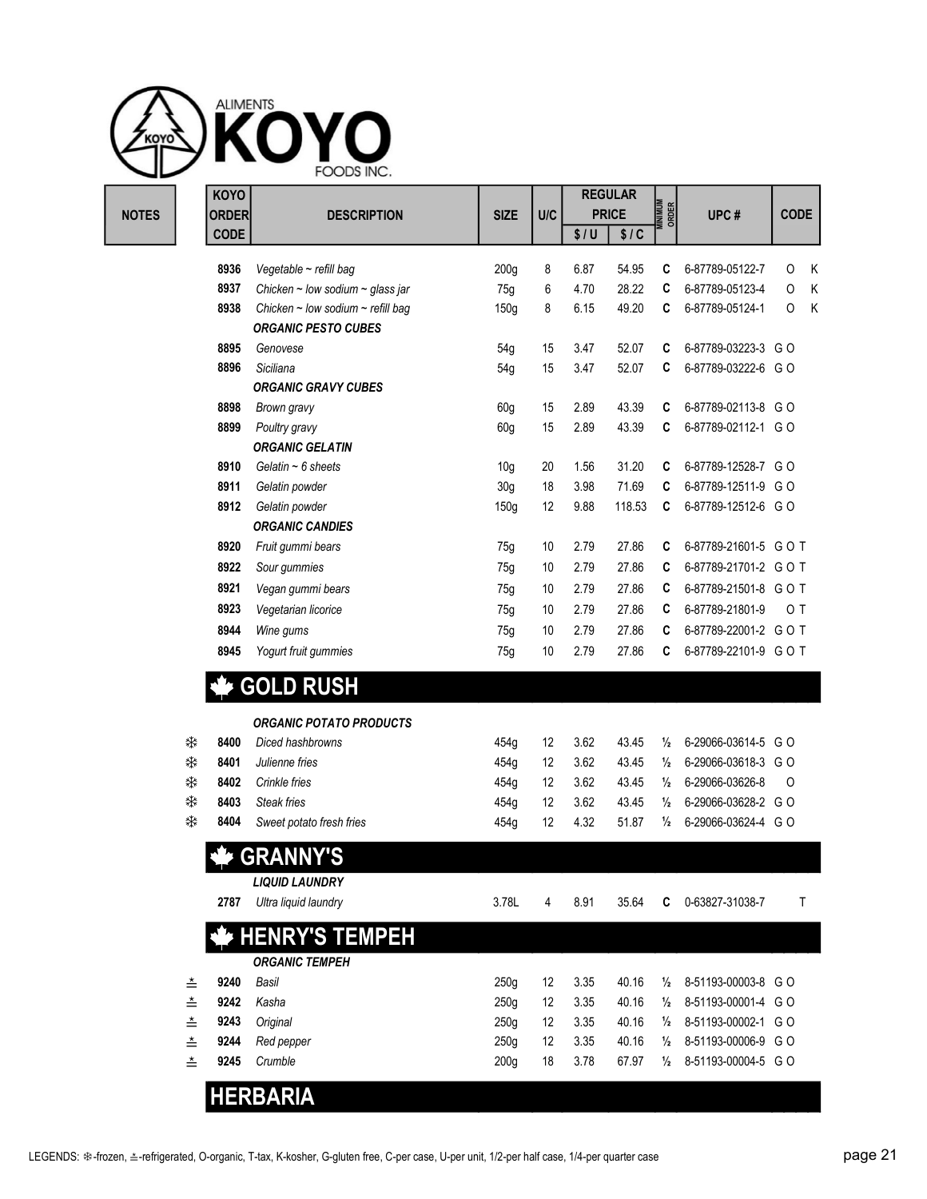

|              | <b>KOYO</b> |                                   |                  |            |      | <b>REGULAR</b> |                         |                     |             |   |
|--------------|-------------|-----------------------------------|------------------|------------|------|----------------|-------------------------|---------------------|-------------|---|
| <b>NOTES</b> | ORDER       | <b>DESCRIPTION</b>                | <b>SIZE</b>      | <b>U/C</b> |      | <b>PRICE</b>   | <b>MINIMUM</b><br>ORDER | UPC#                | <b>CODE</b> |   |
|              | <b>CODE</b> |                                   |                  |            | \$/U | \$1C           |                         |                     |             |   |
|              | 8936        | Vegetable $\sim$ refill bag       | 200q             | 8          | 6.87 | 54.95          | C                       | 6-87789-05122-7     | 0           | K |
|              | 8937        | Chicken ~ low sodium ~ glass jar  | 75g              | 6          | 4.70 | 28.22          | С                       | 6-87789-05123-4     | 0           | K |
|              | 8938        | Chicken ~ low sodium ~ refill bag | 150 <sub>g</sub> | 8          | 6.15 | 49.20          | C                       | 6-87789-05124-1     | 0           | K |
|              |             | <b>ORGANIC PESTO CUBES</b>        |                  |            |      |                |                         |                     |             |   |
|              | 8895        | Genovese                          | 54g              | 15         | 3.47 | 52.07          | C                       | 6-87789-03223-3 GO  |             |   |
|              | 8896        | Siciliana                         | 54g              | 15         | 3.47 | 52.07          | C                       | 6-87789-03222-6 GO  |             |   |
|              |             | <b>ORGANIC GRAVY CUBES</b>        |                  |            |      |                |                         |                     |             |   |
|              | 8898        | Brown gravy                       | 60g              | 15         | 2.89 | 43.39          | C                       | 6-87789-02113-8 GO  |             |   |
|              | 8899        | Poultry gravy                     | 60g              | 15         | 2.89 | 43.39          | C                       | 6-87789-02112-1 GO  |             |   |
|              |             | <b>ORGANIC GELATIN</b>            |                  |            |      |                |                         |                     |             |   |
|              | 8910        | Gelatin $\sim$ 6 sheets           | 10 <sub>g</sub>  | 20         | 1.56 | 31.20          | C                       | 6-87789-12528-7 GO  |             |   |
|              | 8911        | Gelatin powder                    | 30 <sub>g</sub>  | 18         | 3.98 | 71.69          | C                       | 6-87789-12511-9 GO  |             |   |
|              | 8912        | Gelatin powder                    | 150 <sub>g</sub> | 12         | 9.88 | 118.53         | C                       | 6-87789-12512-6 GO  |             |   |
|              |             | <b>ORGANIC CANDIES</b>            |                  |            |      |                |                         |                     |             |   |
|              | 8920        | Fruit gummi bears                 | 75g              | 10         | 2.79 | 27.86          | C                       | 6-87789-21601-5 GOT |             |   |
|              | 8922        | Sour gummies                      | 75g              | 10         | 2.79 | 27.86          | C                       | 6-87789-21701-2 GOT |             |   |
|              | 8921        | Vegan gummi bears                 | 75g              | 10         | 2.79 | 27.86          | C                       | 6-87789-21501-8 GOT |             |   |
|              | 8923        | Vegetarian licorice               | 75g              | 10         | 2.79 | 27.86          | C                       | 6-87789-21801-9     | O T         |   |
|              | 8944        | Wine gums                         | 75g              | 10         | 2.79 | 27.86          | C                       | 6-87789-22001-2 GOT |             |   |
|              | 8945        | Yogurt fruit gummies              | 75g              | 10         | 2.79 | 27.86          | C                       | 6-87789-22101-9 GOT |             |   |
|              |             | $A = A \cup B$                    |                  |            |      |                |                         |                     |             |   |

### GOLD RUSH

| ⋇ | 8400 | Diced hashbrowns         | 454a | 12 | 3.62 |  |  |
|---|------|--------------------------|------|----|------|--|--|
| ⋇ | 8401 | Julienne fries           | 454a | 12 | 3.62 |  |  |
| ⋇ | 8402 | Crinkle fries            | 454a | 12 | 3.62 |  |  |
| ⋇ | 8403 | Steak fries              | 454a | 12 | 3.62 |  |  |
| ⋇ | 8404 | Sweet potato fresh fries | 454a | 12 | 4.32 |  |  |
|   |      | <b>WARD ANNIVE</b>       |      |    |      |  |  |

|   |      | G THRIAN                                      |                  |    |      |       |   |                     |  |
|---|------|-----------------------------------------------|------------------|----|------|-------|---|---------------------|--|
|   | 2787 | <b>LIQUID LAUNDRY</b><br>Ultra liquid laundry | 3.78L            | 4  | 8.91 | 35.64 | C | 0-63827-31038-7     |  |
|   |      | <b>WE HENRY'S TEMPEH</b>                      |                  |    |      |       |   |                     |  |
|   |      | <b>ORGANIC TEMPEH</b>                         |                  |    |      |       |   |                     |  |
| ≛ | 9240 | Basil                                         | 250q             | 12 | 3.35 | 40.16 | ⅓ | 8-51193-00003-8 G O |  |
| ≛ | 9242 | Kasha                                         | 250q             | 12 | 3.35 | 40.16 | ⅓ | 8-51193-00001-4 GO  |  |
| ≛ | 9243 | Original                                      | 250q             | 12 | 3.35 | 40.16 | ⅓ | 8-51193-00002-1 G O |  |
| ≛ | 9244 | Red pepper                                    | 250q             | 12 | 3.35 | 40.16 | ⅓ | 8-51193-00006-9 G O |  |
| ᅕ | 9245 | Crumble                                       | 200 <sub>g</sub> | 18 | 3.78 | 67.97 | ⅓ | 8-51193-00004-5 GO  |  |
|   |      | <b>HERBARIA</b>                               |                  |    |      |       |   |                     |  |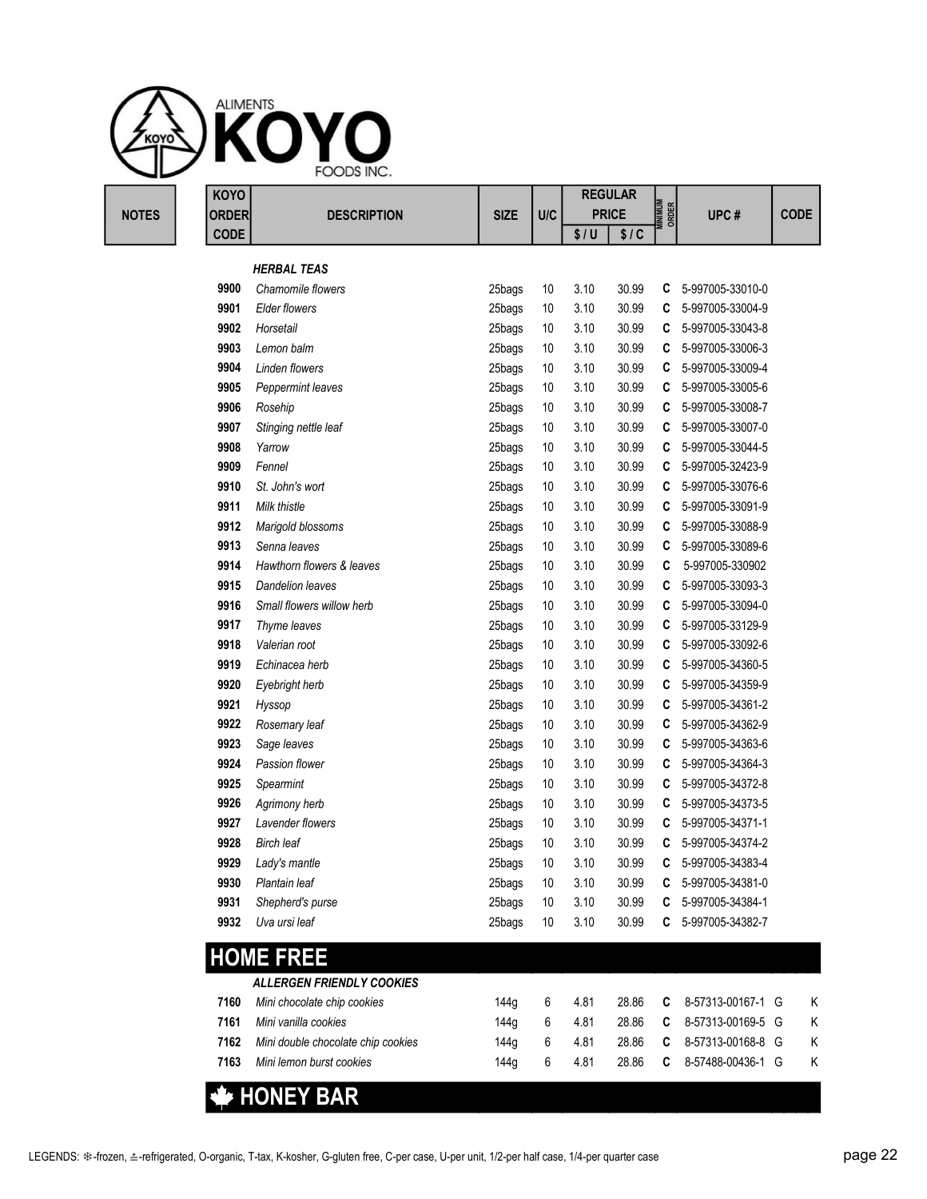

|              | <b>KOYO</b>  |                                         |             |          |              | <b>REGULAR</b> |                         |                    |             |
|--------------|--------------|-----------------------------------------|-------------|----------|--------------|----------------|-------------------------|--------------------|-------------|
| <b>NOTES</b> | <b>ORDER</b> | <b>DESCRIPTION</b>                      | <b>SIZE</b> | U/C      |              | <b>PRICE</b>   | <b>MINIMUM</b><br>Order | UPC#               | <b>CODE</b> |
|              | <b>CODE</b>  |                                         |             |          | \$/U         | \$1C           |                         |                    |             |
|              |              |                                         |             |          |              |                |                         |                    |             |
|              | 9900         | <b>HERBAL TEAS</b><br>Chamomile flowers | 25bags      |          |              |                |                         | 5-997005-33010-0   |             |
|              | 9901         | <b>Elder flowers</b>                    | 25bags      | 10<br>10 | 3.10<br>3.10 | 30.99<br>30.99 | C<br>C                  | 5-997005-33004-9   |             |
|              | 9902         | Horsetail                               | 25bags      | 10       | 3.10         | 30.99          | C                       | 5-997005-33043-8   |             |
|              | 9903         | Lemon balm                              | 25bags      | 10       | 3.10         | 30.99          | C                       | 5-997005-33006-3   |             |
|              | 9904         | <b>Linden flowers</b>                   | 25bags      | 10       | 3.10         | 30.99          | C                       | 5-997005-33009-4   |             |
|              | 9905         | Peppermint leaves                       | 25bags      | 10       | 3.10         | 30.99          | C                       | 5-997005-33005-6   |             |
|              | 9906         | Rosehip                                 | 25bags      | 10       | 3.10         | 30.99          | C                       | 5-997005-33008-7   |             |
|              | 9907         | Stinging nettle leaf                    | 25bags      | 10       | 3.10         | 30.99          | C                       | 5-997005-33007-0   |             |
|              | 9908         | Yarrow                                  | 25bags      | 10       | 3.10         | 30.99          | C                       | 5-997005-33044-5   |             |
|              | 9909         | Fennel                                  | 25bags      | 10       | 3.10         | 30.99          | C                       | 5-997005-32423-9   |             |
|              | 9910         | St. John's wort                         | 25bags      | 10       | 3.10         | 30.99          | C                       | 5-997005-33076-6   |             |
|              | 9911         | Milk thistle                            | 25bags      | 10       | 3.10         | 30.99          | C                       | 5-997005-33091-9   |             |
|              | 9912         | Marigold blossoms                       | 25bags      | 10       | 3.10         | 30.99          | C                       | 5-997005-33088-9   |             |
|              | 9913         | Senna leaves                            | 25bags      | 10       | 3.10         | 30.99          | C                       | 5-997005-33089-6   |             |
|              | 9914         | Hawthorn flowers & leaves               | 25bags      | 10       | 3.10         | 30.99          | C                       | 5-997005-330902    |             |
|              | 9915         | Dandelion leaves                        | 25bags      | 10       | 3.10         | 30.99          | C                       | 5-997005-33093-3   |             |
|              | 9916         | Small flowers willow herb               | 25bags      | 10       | 3.10         | 30.99          | C                       | 5-997005-33094-0   |             |
|              | 9917         | Thyme leaves                            | 25bags      | 10       | 3.10         | 30.99          | C                       | 5-997005-33129-9   |             |
|              | 9918         | Valerian root                           | 25bags      | 10       | 3.10         | 30.99          | C                       | 5-997005-33092-6   |             |
|              | 9919         | Echinacea herb                          | 25bags      | 10       | 3.10         | 30.99          | C                       | 5-997005-34360-5   |             |
|              | 9920         | Eyebright herb                          | 25bags      | 10       | 3.10         | 30.99          | C                       | 5-997005-34359-9   |             |
|              | 9921         | Hyssop                                  | 25bags      | 10       | 3.10         | 30.99          | C                       | 5-997005-34361-2   |             |
|              | 9922         | Rosemary leaf                           | 25bags      | 10       | 3.10         | 30.99          | C                       | 5-997005-34362-9   |             |
|              | 9923         | Sage leaves                             | 25bags      | 10       | 3.10         | 30.99          | C                       | 5-997005-34363-6   |             |
|              | 9924         | Passion flower                          | 25bags      | 10       | 3.10         | 30.99          | C                       | 5-997005-34364-3   |             |
|              | 9925         | Spearmint                               | 25bags      | 10       | 3.10         | 30.99          | C                       | 5-997005-34372-8   |             |
|              | 9926         | Agrimony herb                           | 25bags      | 10       | 3.10         | 30.99          | C                       | 5-997005-34373-5   |             |
|              | 9927         | Lavender flowers                        | 25bags      | 10       | 3.10         | 30.99          | C                       | 5-997005-34371-1   |             |
|              | 9928         | <b>Birch leaf</b>                       | 25bags      | 10       | 3.10         | 30.99          |                         | C 5-997005-34374-2 |             |
|              | 9929         | Lady's mantle                           | 25bags      | 10       | 3.10         | 30.99          |                         | C 5-997005-34383-4 |             |
|              | 9930         | Plantain leaf                           | 25bags      | 10       | 3.10         | 30.99          | C                       | 5-997005-34381-0   |             |
|              | 9931         | Shepherd's purse                        | 25bags      | 10       | 3.10         | 30.99          | C                       | 5-997005-34384-1   |             |
|              | 9932         | Uva ursi leaf                           | 25bags      | 10       | 3.10         | 30.99          |                         | C 5-997005-34382-7 |             |
|              |              |                                         |             |          |              |                |                         |                    |             |
|              |              | <b>HOME FREE</b>                        |             |          |              |                |                         |                    |             |
|              |              | <b>ALLERGEN FRIENDLY COOKIES</b>        |             |          |              |                |                         |                    |             |
|              | 7160         | Mini chocolate chip cookies             | 144g        | 6        | 4.81         | 28.86          | C                       | 8-57313-00167-1 G  | Κ           |
|              | 7161         | Mini vanilla cookies                    | 144g        | 6        | 4.81         | 28.86          | C                       | 8-57313-00169-5 G  | Κ           |
|              | 7162         | Mini double chocolate chip cookies      | 144g        | 6        | 4.81         | 28.86          | C                       | 8-57313-00168-8 G  | Κ           |
|              | 7163         | Mini lemon burst cookies                | 144g        | 6        | 4.81         | 28.86          | C                       | 8-57488-00436-1 G  | Κ           |
|              |              | <b>W</b> HONEY BAR                      |             |          |              |                |                         |                    |             |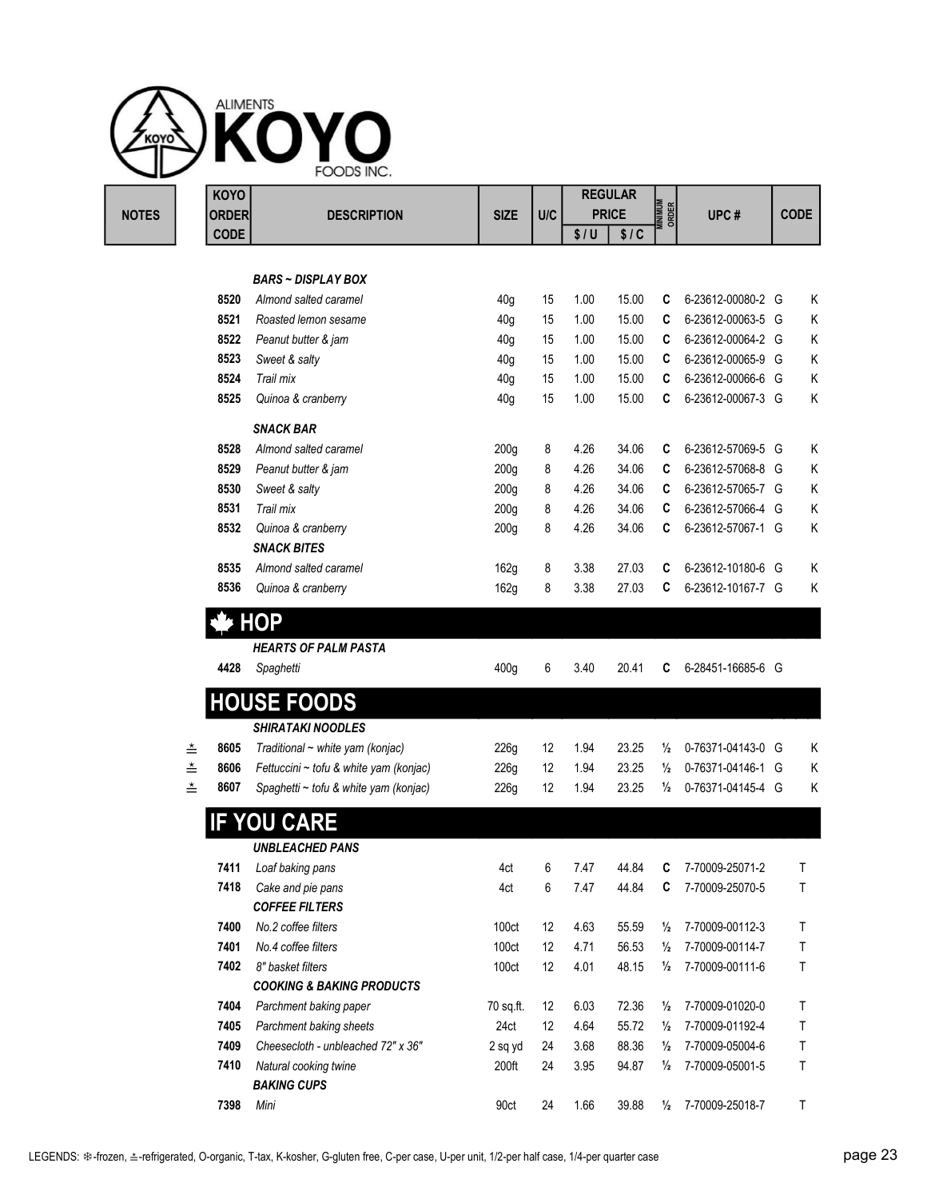

|              | <b>KOYO</b>                   |                                        |                  |     | <b>REGULAR</b> |              |                         |                   |             |  |
|--------------|-------------------------------|----------------------------------------|------------------|-----|----------------|--------------|-------------------------|-------------------|-------------|--|
| <b>NOTES</b> | <b>ORDER</b>                  | <b>DESCRIPTION</b>                     | <b>SIZE</b>      | U/C |                | <b>PRICE</b> | <b>MINIMUM</b><br>ORDER | UPC#              | <b>CODE</b> |  |
|              | <b>CODE</b>                   |                                        |                  |     | \$/U           | \$1C         |                         |                   |             |  |
|              |                               |                                        |                  |     |                |              |                         |                   |             |  |
|              |                               | <b>BARS ~ DISPLAY BOX</b>              |                  |     |                |              |                         |                   |             |  |
|              | 8520                          | Almond salted caramel                  | 40 <sub>g</sub>  | 15  | 1.00           | 15.00        | C                       | 6-23612-00080-2 G | Κ           |  |
|              | 8521                          | Roasted lemon sesame                   | 40 <sub>g</sub>  | 15  | 1.00           | 15.00        | C                       | 6-23612-00063-5 G | K           |  |
|              | 8522                          | Peanut butter & jam                    | 40 <sub>g</sub>  | 15  | 1.00           | 15.00        | C                       | 6-23612-00064-2 G | Κ           |  |
|              | 8523                          | Sweet & salty                          | 40 <sub>g</sub>  | 15  | 1.00           | 15.00        | C                       | 6-23612-00065-9 G | Κ           |  |
|              | 8524                          | Trail mix                              | 40 <sub>g</sub>  | 15  | 1.00           | 15.00        | C                       | 6-23612-00066-6 G | Κ           |  |
|              | 8525                          | Quinoa & cranberry                     | 40 <sub>g</sub>  | 15  | 1.00           | 15.00        | C                       | 6-23612-00067-3 G | Κ           |  |
|              |                               | <b>SNACK BAR</b>                       |                  |     |                |              |                         |                   |             |  |
|              | 8528                          | Almond salted caramel                  | 200 <sub>g</sub> | 8   | 4.26           | 34.06        | C                       | 6-23612-57069-5 G | Κ           |  |
|              | 8529                          | Peanut butter & jam                    | 200 <sub>g</sub> | 8   | 4.26           | 34.06        | C                       | 6-23612-57068-8 G | Κ           |  |
|              | 8530                          | Sweet & salty                          | 200 <sub>g</sub> | 8   | 4.26           | 34.06        | C                       | 6-23612-57065-7 G | Κ           |  |
|              | 8531                          | Trail mix                              | 200 <sub>g</sub> | 8   | 4.26           | 34.06        | C                       | 6-23612-57066-4 G | Κ           |  |
|              | 8532                          | Quinoa & cranberry                     | 200 <sub>g</sub> | 8   | 4.26           | 34.06        | C                       | 6-23612-57067-1 G | Κ           |  |
|              |                               | <b>SNACK BITES</b>                     |                  |     |                |              |                         |                   |             |  |
|              | 8535                          | Almond salted caramel                  | 162g             | 8   | 3.38           | 27.03        | C                       | 6-23612-10180-6 G | Κ           |  |
|              | 8536                          | Quinoa & cranberry                     | 162g             | 8   | 3.38           | 27.03        | C                       | 6-23612-10167-7 G | K           |  |
|              |                               |                                        |                  |     |                |              |                         |                   |             |  |
|              |                               | <b>HOP</b>                             |                  |     |                |              |                         |                   |             |  |
|              |                               | <b>HEARTS OF PALM PASTA</b>            |                  |     |                |              |                         |                   |             |  |
|              | 4428                          | Spaghetti                              | 400g             | 6   | 3.40           | 20.41        | C                       | 6-28451-16685-6 G |             |  |
|              |                               |                                        |                  |     |                |              |                         |                   |             |  |
|              |                               | <b>HOUSE FOODS</b>                     |                  |     |                |              |                         |                   |             |  |
|              |                               | <b>SHIRATAKI NOODLES</b>               |                  |     |                |              |                         |                   |             |  |
|              | ≛<br>8605                     | Traditional ~ white yam (konjac)       | 226g             | 12  | 1.94           | 23.25        | $\frac{1}{2}$           | 0-76371-04143-0 G | Κ           |  |
|              | $\stackrel{\star}{=}$<br>8606 | Fettuccini ~ tofu & white yam (konjac) | 226g             | 12  | 1.94           | 23.25        | ⅛                       | 0-76371-04146-1 G | Κ           |  |
|              | ≛<br>8607                     | Spaghetti ~ tofu & white yam (konjac)  | 226g             | 12  | 1.94           | 23.25        | $\frac{1}{2}$           | 0-76371-04145-4 G | Κ           |  |
|              |                               |                                        |                  |     |                |              |                         |                   |             |  |
|              |                               | <b>CARE</b>                            |                  |     |                |              |                         |                   |             |  |
|              |                               | <b>UNBLEACHED PANS</b>                 |                  |     |                |              |                         |                   |             |  |
|              | 7411                          | Loaf baking pans                       | 4ct              | 6   | 7.47           | 44.84        | C                       | 7-70009-25071-2   | Τ           |  |
|              | 7418                          | Cake and pie pans                      | 4ct              | 6   | 7.47           | 44.84        | C                       | 7-70009-25070-5   | Τ           |  |
|              |                               | <b>COFFEE FILTERS</b>                  |                  |     |                |              |                         |                   |             |  |
|              | 7400                          | No.2 coffee filters                    | 100ct            | 12  | 4.63           | 55.59        | $\frac{1}{2}$           | 7-70009-00112-3   | Τ           |  |
|              | 7401                          | No.4 coffee filters                    | 100ct            | 12  | 4.71           | 56.53        | $\frac{1}{2}$           | 7-70009-00114-7   | Τ           |  |
|              | 7402                          | 8" basket filters                      | 100ct            | 12  | 4.01           | 48.15        | $\frac{1}{2}$           | 7-70009-00111-6   | Τ           |  |
|              |                               | <b>COOKING &amp; BAKING PRODUCTS</b>   |                  |     |                |              |                         |                   |             |  |
|              | 7404                          | Parchment baking paper                 | 70 sq.ft.        | 12  | 6.03           | 72.36        | $\frac{1}{2}$           | 7-70009-01020-0   | Τ           |  |
|              | 7405                          | Parchment baking sheets                | 24ct             | 12  | 4.64           | 55.72        | $\frac{1}{2}$           | 7-70009-01192-4   | Τ           |  |
|              | 7409                          | Cheesecloth - unbleached 72" x 36"     | 2 sq yd          | 24  | 3.68           | 88.36        | $\frac{1}{2}$           | 7-70009-05004-6   | Τ           |  |
|              | 7410                          | Natural cooking twine                  | 200ft            | 24  | 3.95           | 94.87        | $\frac{1}{2}$           | 7-70009-05001-5   | Τ           |  |
|              |                               | <b>BAKING CUPS</b>                     |                  |     |                |              |                         |                   |             |  |
|              | 7398                          | Mini                                   | 90ct             | 24  | 1.66           | 39.88        | $\frac{1}{2}$           | 7-70009-25018-7   | Τ           |  |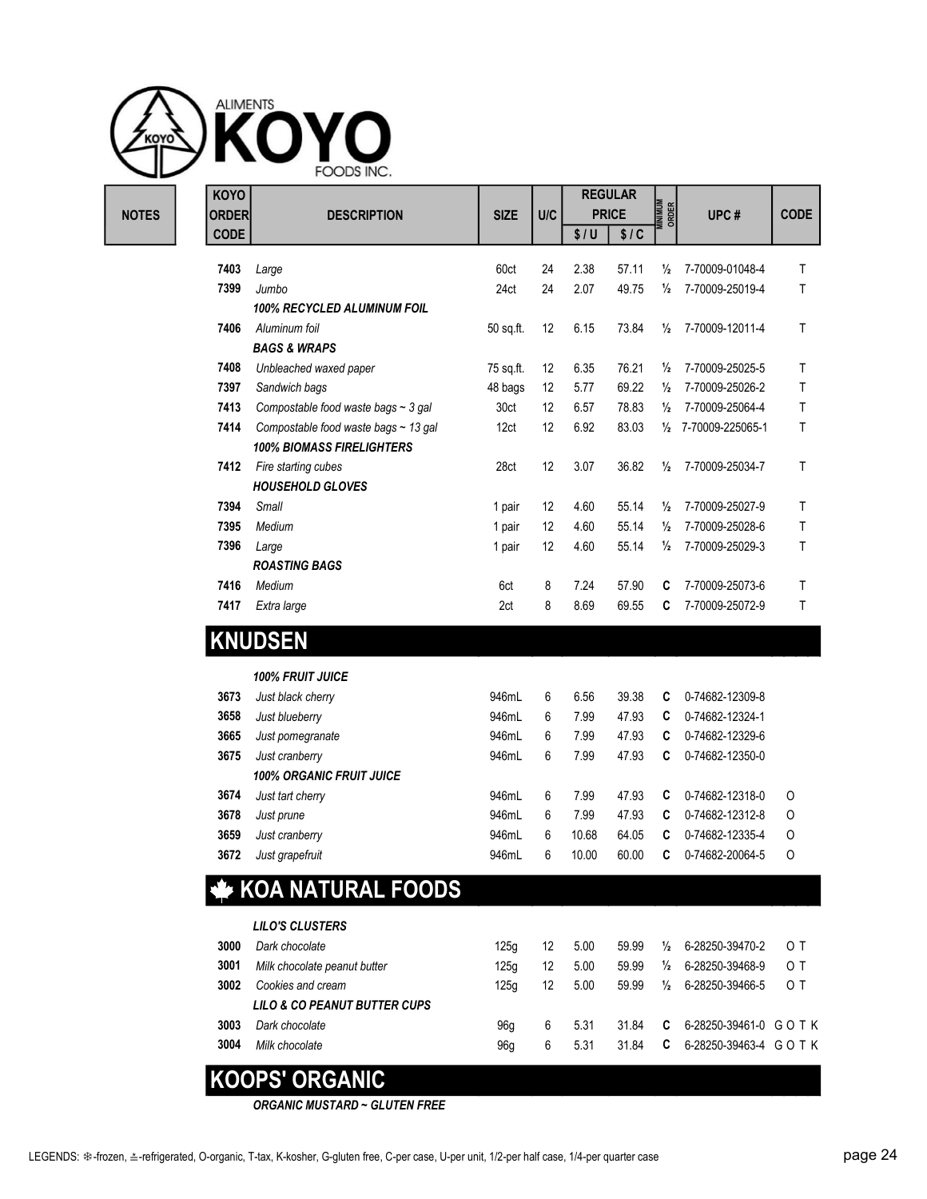

| NOTES |
|-------|
|-------|

|              | <b>KOYO</b>  |                                           |             |            |      | <b>REGULAR</b> |                         |                  |             |
|--------------|--------------|-------------------------------------------|-------------|------------|------|----------------|-------------------------|------------------|-------------|
| <b>NOTES</b> | <b>ORDER</b> | <b>DESCRIPTION</b>                        | <b>SIZE</b> | <b>U/C</b> |      | <b>PRICE</b>   | <b>MINIMUM</b><br>ORDER | UPC#             | <b>CODE</b> |
|              | <b>CODE</b>  |                                           |             |            | \$/U | \$/C           |                         |                  |             |
|              | 7403         | Large                                     | 60ct        | 24         | 2.38 | 57.11          | $\frac{1}{2}$           | 7-70009-01048-4  | T           |
|              | 7399         | Jumbo                                     | 24ct        | 24         | 2.07 | 49.75          | $\frac{1}{2}$           | 7-70009-25019-4  | T           |
|              |              | 100% RECYCLED ALUMINUM FOIL               |             |            |      |                |                         |                  |             |
|              | 7406         | Aluminum foil                             | 50 sq.ft.   | 12         | 6.15 | 73.84          | $\frac{1}{2}$           | 7-70009-12011-4  | Τ           |
|              |              | <b>BAGS &amp; WRAPS</b>                   |             |            |      |                |                         |                  |             |
|              | 7408         | Unbleached waxed paper                    | 75 sq.ft.   | 12         | 6.35 | 76.21          | $\frac{1}{2}$           | 7-70009-25025-5  | Τ           |
|              | 7397         | Sandwich bags                             | 48 bags     | 12         | 5.77 | 69.22          | $\frac{1}{2}$           | 7-70009-25026-2  | T           |
|              | 7413         | Compostable food waste bags $\sim$ 3 gal  | 30ct        | 12         | 6.57 | 78.83          | $\frac{1}{2}$           | 7-70009-25064-4  | T           |
|              | 7414         | Compostable food waste bags $\sim$ 13 gal | 12ct        | 12         | 6.92 | 83.03          | $\frac{1}{2}$           | 7-70009-225065-1 | T           |
|              |              | <b>100% BIOMASS FIRELIGHTERS</b>          |             |            |      |                |                         |                  |             |
|              | 7412         | Fire starting cubes                       | 28ct        | 12         | 3.07 | 36.82          | $\frac{1}{2}$           | 7-70009-25034-7  | T           |
|              |              | <b>HOUSEHOLD GLOVES</b>                   |             |            |      |                |                         |                  |             |
|              | 7394         | Small                                     | 1 pair      | 12         | 4.60 | 55.14          | $\frac{1}{2}$           | 7-70009-25027-9  | Τ           |
|              | 7395         | Medium                                    | 1 pair      | 12         | 4.60 | 55.14          | $\frac{1}{2}$           | 7-70009-25028-6  | Τ           |
|              | 7396         | Large                                     | 1 pair      | 12         | 4.60 | 55.14          | $\frac{1}{2}$           | 7-70009-25029-3  | T           |
|              |              | <b>ROASTING BAGS</b>                      |             |            |      |                |                         |                  |             |
|              | 7416         | Medium                                    | 6ct         | 8          | 7.24 | 57.90          | C                       | 7-70009-25073-6  | T           |
|              | 7417         | Extra large                               | 2ct         | 8          | 8.69 | 69.55          | C                       | 7-70009-25072-9  | T           |

## KNUDSEN

| <b>100% FRUIT JUICE</b>         |       |   |       |       |   |                 |          |
|---------------------------------|-------|---|-------|-------|---|-----------------|----------|
| Just black cherry               | 946mL | 6 | 6.56  | 39.38 | C | 0-74682-12309-8 |          |
| Just blueberry                  | 946mL | 6 | 7.99  | 47.93 | C | 0-74682-12324-1 |          |
| Just pomegranate                | 946mL | 6 | 7.99  | 47.93 | C | 0-74682-12329-6 |          |
| Just cranberry                  | 946mL | 6 | 7.99  | 47.93 | C | 0-74682-12350-0 |          |
| <b>100% ORGANIC FRUIT JUICE</b> |       |   |       |       |   |                 |          |
| Just tart cherry                | 946mL | 6 | 7.99  | 47.93 | C | 0-74682-12318-0 | 0        |
| Just prune                      | 946mL | 6 | 7.99  | 47.93 | C | 0-74682-12312-8 | $\Omega$ |
| Just cranberry                  | 946mL | 6 | 10.68 | 64.05 | C | 0-74682-12335-4 | O        |
| Just grapefruit                 | 946mL | 6 | 10.00 | 60.00 | C | 0-74682-20064-5 | O        |
|                                 |       |   |       |       |   |                 |          |

# **KOA NATURAL FOODS**

|      | LILO'S CLUSTERS                         |                 |    |      |       |   |                      |     |
|------|-----------------------------------------|-----------------|----|------|-------|---|----------------------|-----|
| 3000 | Dark chocolate                          | 125q            | 12 | 5.00 | 59.99 | ⅓ | 6-28250-39470-2      | O T |
| 3001 | Milk chocolate peanut butter            | 125q            | 12 | 5.00 | 59.99 | ⅓ | 6-28250-39468-9      | O T |
| 3002 | Cookies and cream                       | 125q            | 12 | 5.00 | 59.99 | ⅓ | 6-28250-39466-5      | O T |
|      | <b>LILO &amp; CO PEANUT BUTTER CUPS</b> |                 |    |      |       |   |                      |     |
| 3003 | Dark chocolate                          | 96q             | 6  | 5.31 | 31.84 | C | 6-28250-39461-0 GOTK |     |
| 3004 | Milk chocolate                          | 96 <sub>g</sub> | 6  | 5.31 | 31.84 | C | 6-28250-39463-4 GOTK |     |
|      | <b>KOOPS' ORGANIC</b>                   |                 |    |      |       |   |                      |     |

ORGANIC MUSTARD ~ GLUTEN FREE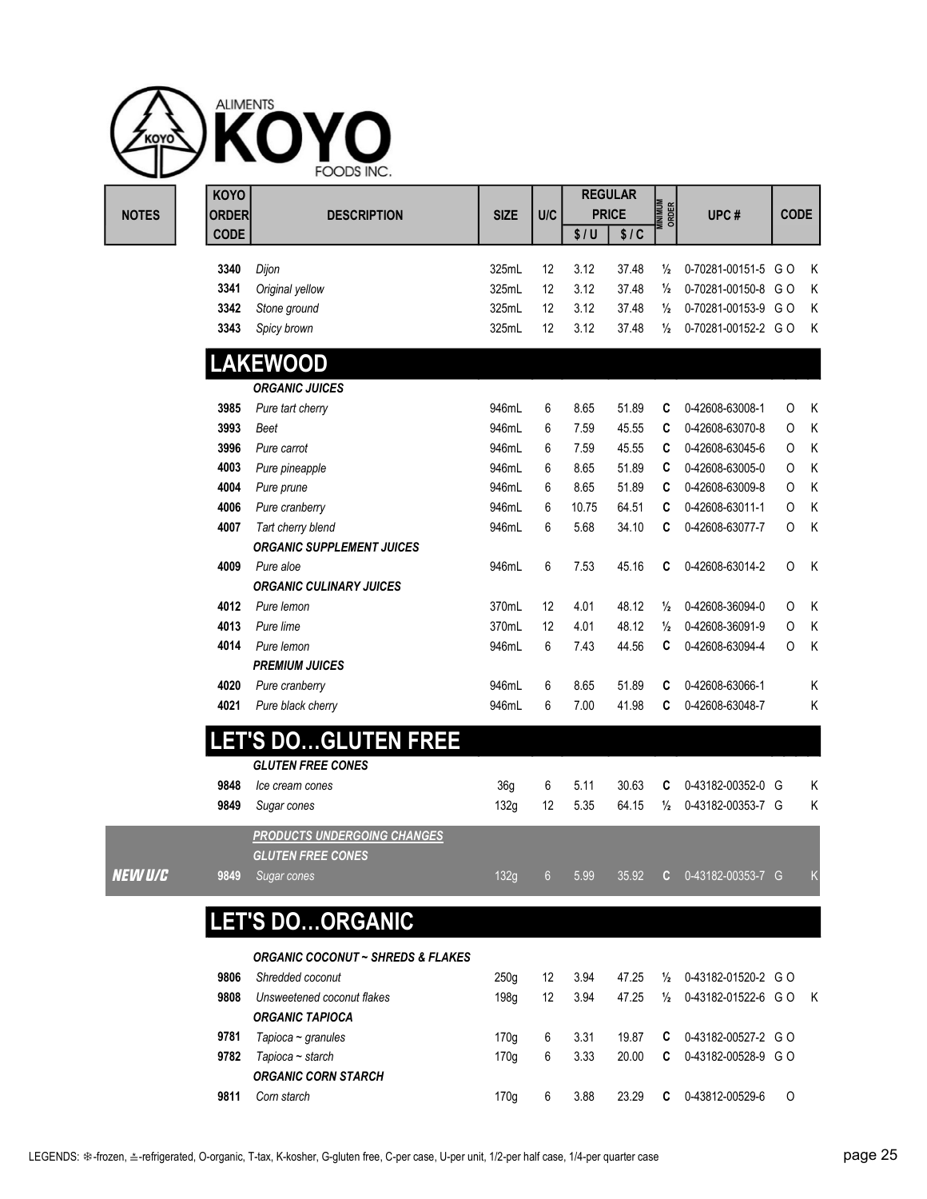| <b>KOYO</b>  |                                              |             |                |       | <b>REGULAR</b> |                         |                    |             |   |
|--------------|----------------------------------------------|-------------|----------------|-------|----------------|-------------------------|--------------------|-------------|---|
| <b>ORDER</b> | <b>DESCRIPTION</b>                           | <b>SIZE</b> | <b>U/C</b>     |       | <b>PRICE</b>   | <b>MINIMUM</b><br>ORDER | UPC#               | <b>CODE</b> |   |
| <b>CODE</b>  |                                              |             |                | \$/U  | \$1C           |                         |                    |             |   |
| 3340         | Dijon                                        | 325mL       | 12             | 3.12  | 37.48          | $\frac{1}{2}$           | 0-70281-00151-5    | G O         | Κ |
| 3341         | Original yellow                              | 325mL       | 12             | 3.12  | 37.48          | $\frac{1}{2}$           | 0-70281-00150-8 GO |             | Κ |
| 3342         | Stone ground                                 | 325mL       | 12             | 3.12  | 37.48          | $\frac{1}{2}$           | 0-70281-00153-9 GO |             | Κ |
| 3343         | Spicy brown                                  | 325mL       | 12             | 3.12  | 37.48          | $\frac{1}{2}$           | 0-70281-00152-2 GO |             | Κ |
|              | <b>LAKEWOOD</b>                              |             |                |       |                |                         |                    |             |   |
|              | <b>ORGANIC JUICES</b>                        |             |                |       |                |                         |                    |             |   |
| 3985         | Pure tart cherry                             | 946mL       | 6              | 8.65  | 51.89          | C                       | 0-42608-63008-1    | 0           | K |
| 3993         | <b>Beet</b>                                  | 946mL       | 6              | 7.59  | 45.55          | C                       | 0-42608-63070-8    | O           | Κ |
| 3996         | Pure carrot                                  | 946mL       | 6              | 7.59  | 45.55          | C                       | 0-42608-63045-6    | O           | K |
| 4003         | Pure pineapple                               | 946mL       | 6              | 8.65  | 51.89          | C                       | 0-42608-63005-0    | O           | K |
| 4004         | Pure prune                                   | 946mL       | 6              | 8.65  | 51.89          | C                       | 0-42608-63009-8    | O           | K |
| 4006         | Pure cranberry                               | 946mL       | 6              | 10.75 | 64.51          | C                       | 0-42608-63011-1    | O           | Κ |
| 4007         | Tart cherry blend                            | 946mL       | 6              | 5.68  | 34.10          | C                       | 0-42608-63077-7    | 0           | Κ |
|              | <b>ORGANIC SUPPLEMENT JUICES</b>             |             |                |       |                |                         |                    |             |   |
| 4009         | Pure aloe                                    | 946mL       | 6              | 7.53  | 45.16          | C                       | 0-42608-63014-2    | O           | K |
|              | <b>ORGANIC CULINARY JUICES</b>               |             |                |       |                |                         |                    |             |   |
| 4012         | Pure lemon                                   | 370mL       | 12             | 4.01  | 48.12          | $\frac{1}{2}$           | 0-42608-36094-0    | 0           | K |
| 4013         | Pure lime                                    | 370mL       | 12             | 4.01  | 48.12          | $\frac{1}{2}$           | 0-42608-36091-9    | O           | Κ |
| 4014         | Pure lemon                                   | 946mL       | 6              | 7.43  | 44.56          | C                       | 0-42608-63094-4    | 0           | Κ |
|              | <b>PREMIUM JUICES</b>                        |             |                |       |                |                         |                    |             |   |
| 4020         | Pure cranberry                               | 946mL       | 6              | 8.65  | 51.89          | C                       | 0-42608-63066-1    |             | Κ |
| 4021         | Pure black cherry                            | 946mL       | 6              | 7.00  | 41.98          | C                       | 0-42608-63048-7    |             | Κ |
|              | <b>LET'S DOGLUTEN FREE</b>                   |             |                |       |                |                         |                    |             |   |
|              |                                              |             |                |       |                |                         |                    |             |   |
|              | <b>GLUTEN FREE CONES</b>                     |             |                |       |                |                         |                    |             |   |
| 9848         | Ice cream cones                              | 36g         | 6              | 5.11  | 30.63          | C                       | 0-43182-00352-0 G  |             | Κ |
| 9849         | Sugar cones                                  | 132g        | 12             | 5.35  | 64.15          | $\frac{1}{2}$           | 0-43182-00353-7 G  |             | Κ |
|              | <b>PRODUCTS UNDERGOING CHANGES</b>           |             |                |       |                |                         |                    |             |   |
|              | <b>GLUTEN FREE CONES</b>                     |             |                |       |                |                         |                    |             |   |
| 9849         | Sugar cones                                  | 132g        | 6 <sup>1</sup> | 5.99  | 35.92          | C.                      | 0-43182-00353-7 G  |             | K |
|              | <b>LET'S DOORGANIC</b>                       |             |                |       |                |                         |                    |             |   |
|              |                                              |             |                |       |                |                         |                    |             |   |
|              | <b>ORGANIC COCONUT ~ SHREDS &amp; FLAKES</b> |             |                |       |                |                         |                    |             |   |
| 9806         | Shredded coconut                             | 250g        | 12             | 3.94  | 47.25          | $\frac{1}{2}$           | 0-43182-01520-2 GO |             |   |
| 9808         | Unsweetened coconut flakes                   | 198g        | 12             | 3.94  | 47.25          | $\frac{1}{2}$           | 0-43182-01522-6 GO |             | K |
|              | <b>ORGANIC TAPIOCA</b>                       |             |                |       |                |                         |                    |             |   |
| 9781         | $Tapioca \sim granules$                      | 170g        | 6              | 3.31  | 19.87          | C                       | 0-43182-00527-2 GO |             |   |
| 9782         | Tapioca ~ starch                             | 170g        | 6              | 3.33  | 20.00          | C                       | 0-43182-00528-9 GO |             |   |
|              | <b>ORGANIC CORN STARCH</b>                   |             |                |       |                |                         |                    |             |   |

9811 Corn starch 170g 6 3.88 23.29 C 0-43812-00529-6 O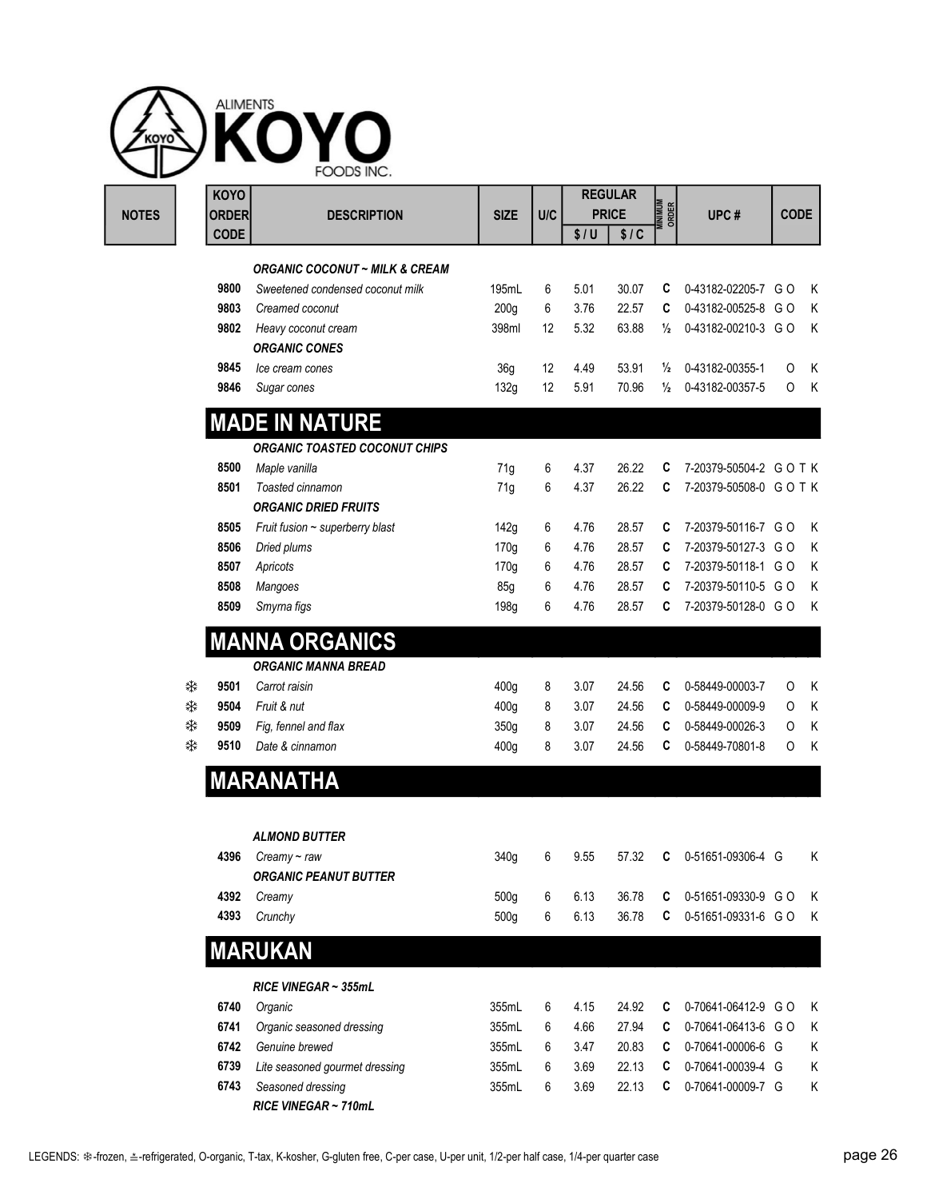|   | <b>KOYO</b>  |                                             |                  |        |              | <b>REGULAR</b> |                  |                                    |             |        |
|---|--------------|---------------------------------------------|------------------|--------|--------------|----------------|------------------|------------------------------------|-------------|--------|
|   | <b>ORDER</b> | <b>DESCRIPTION</b>                          | <b>SIZE</b>      | U/C    |              | <b>PRICE</b>   | MINIMUM<br>ORDER | UPC#                               | <b>CODE</b> |        |
|   | <b>CODE</b>  |                                             |                  |        | \$/U         | \$1C           |                  |                                    |             |        |
|   |              | <b>ORGANIC COCONUT ~ MILK &amp; CREAM</b>   |                  |        |              |                |                  |                                    |             |        |
|   | 9800         | Sweetened condensed coconut milk            | 195mL            | 6      | 5.01         | 30.07          | C                | 0-43182-02205-7 GO                 |             | K      |
|   | 9803         | Creamed coconut                             | 200 <sub>g</sub> | 6      | 3.76         | 22.57          | C                | 0-43182-00525-8 GO                 |             | K      |
|   | 9802         | Heavy coconut cream                         | 398ml            | 12     | 5.32         | 63.88          | $\frac{1}{2}$    | 0-43182-00210-3 GO                 |             | K      |
|   |              | <b>ORGANIC CONES</b>                        |                  |        |              |                |                  |                                    |             |        |
|   | 9845         | Ice cream cones                             | 36g              | 12     | 4.49         | 53.91          | $\frac{1}{2}$    | 0-43182-00355-1                    | 0           | K      |
|   | 9846         | Sugar cones                                 | 132g             | 12     | 5.91         | 70.96          | $\frac{1}{2}$    | 0-43182-00357-5                    | 0           | K      |
|   |              |                                             |                  |        |              |                |                  |                                    |             |        |
|   |              | <b>MADE IN NATURE</b>                       |                  |        |              |                |                  |                                    |             |        |
|   |              | <b>ORGANIC TOASTED COCONUT CHIPS</b>        |                  |        |              |                |                  |                                    |             |        |
|   | 8500         | Maple vanilla                               | 71g              | 6      | 4.37         | 26.22          | C                | 7-20379-50504-2 GOTK               |             |        |
|   | 8501         | Toasted cinnamon                            | 71g              | 6      | 4.37         | 26.22          | C                | 7-20379-50508-0 GOTK               |             |        |
|   |              | <b>ORGANIC DRIED FRUITS</b>                 |                  |        |              |                |                  |                                    |             |        |
|   | 8505         | Fruit fusion ~ superberry blast             | 142g             | 6      | 4.76         | 28.57          | C                | 7-20379-50116-7 GO                 |             | K      |
|   | 8506         | Dried plums                                 | 170g             | 6      | 4.76         | 28.57          | C                | 7-20379-50127-3 GO                 |             | K      |
|   | 8507         | Apricots                                    | 170g             | 6      | 4.76         | 28.57          | C                | 7-20379-50118-1 GO                 |             | K      |
|   | 8508         | Mangoes                                     | 85g              | 6      | 4.76         | 28.57          | C                | 7-20379-50110-5 GO                 |             | K      |
|   | 8509         | Smyrna figs                                 | 198g             | 6      | 4.76         | 28.57          | C                | 7-20379-50128-0 GO                 |             | K      |
|   |              | <b>MANNA ORGANICS</b>                       |                  |        |              |                |                  |                                    |             |        |
|   |              |                                             |                  |        |              |                |                  |                                    |             |        |
| ₩ | 9501         | <b>ORGANIC MANNA BREAD</b><br>Carrot raisin |                  |        |              |                |                  |                                    |             |        |
|   | 9504         | Fruit & nut                                 | 400g<br>400g     | 8<br>8 | 3.07<br>3.07 | 24.56<br>24.56 | C<br>C           | 0-58449-00003-7<br>0-58449-00009-9 | 0<br>0      | K<br>Κ |
|   | 9509         | Fig, fennel and flax                        | 350g             | 8      | 3.07         | 24.56          | C                | 0-58449-00026-3                    | 0           | K      |
|   | 9510         | Date & cinnamon                             | 400g             | 8      | 3.07         | 24.56          | C                | 0-58449-70801-8                    | O           | K      |
|   |              |                                             |                  |        |              |                |                  |                                    |             |        |
|   |              | <b>MARANATHA</b>                            |                  |        |              |                |                  |                                    |             |        |
|   |              |                                             |                  |        |              |                |                  |                                    |             |        |
|   |              | <b>ALMOND BUTTER</b>                        |                  |        |              |                |                  |                                    |             |        |
|   | 4396         | Creamy $\sim$ raw                           | 340g             | 6      | 9.55         | 57.32          | C                | 0-51651-09306-4 G                  |             | K      |
|   |              | <b>ORGANIC PEANUT BUTTER</b>                |                  |        |              |                |                  |                                    |             |        |
|   | 4392         | Creamy                                      | 500g             | 6      | 6.13         | 36.78          | C                | 0-51651-09330-9 GO                 |             | K      |
|   | 4393         | Crunchy                                     | 500g             | 6      | 6.13         | 36.78          | C                | 0-51651-09331-6 GO                 |             | K      |
|   |              |                                             |                  |        |              |                |                  |                                    |             |        |
|   |              | <b>MARUKAN</b>                              |                  |        |              |                |                  |                                    |             |        |
|   |              | RICE VINEGAR ~ 355mL                        |                  |        |              |                |                  |                                    |             |        |
|   | 6740         | Organic                                     | 355mL            | 6      | 4.15         | 24.92          | C                | 0-70641-06412-9 GO                 |             | Κ      |
|   | 6741         | Organic seasoned dressing                   | 355mL            | 6      | 4.66         | 27.94          | C                | 0-70641-06413-6 GO                 |             | Κ      |
|   | 6742         | Genuine brewed                              | 355mL            | 6      | 3.47         | 20.83          | C                | 0-70641-00006-6 G                  |             | Κ      |
|   | 6739         | Lite seasoned gourmet dressing              | 355mL            | 6      | 3.69         | 22.13          | C                | 0-70641-00039-4 G                  |             | K      |
|   | 6743         | Seasoned dressing                           | 355mL            | 6      | 3.69         | 22.13          | C                | 0-70641-00009-7 G                  |             | Κ      |
|   |              | RICE VINEGAR ~ 710mL                        |                  |        |              |                |                  |                                    |             |        |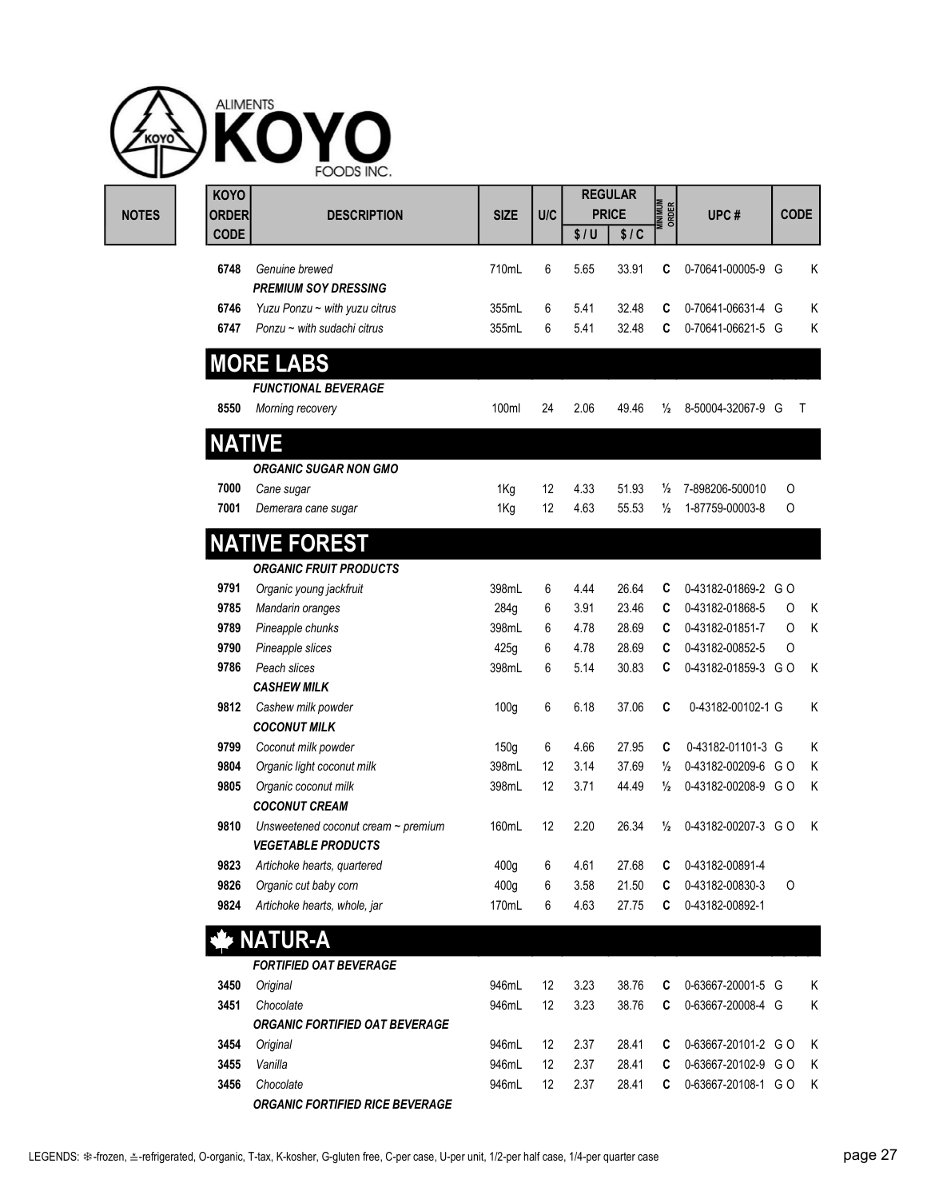| <b>KOYO</b>                 |                                          |             | U/C |      | <b>REGULAR</b><br><b>PRICE</b> | MINIMUM<br>Order | UPC#               | <b>CODE</b> |
|-----------------------------|------------------------------------------|-------------|-----|------|--------------------------------|------------------|--------------------|-------------|
| <b>ORDER</b><br><b>CODE</b> | <b>DESCRIPTION</b>                       | <b>SIZE</b> |     | \$/U | \$1C                           |                  |                    |             |
|                             |                                          |             |     |      |                                |                  |                    |             |
| 6748                        | Genuine brewed                           | 710mL       | 6   | 5.65 | 33.91                          | C                | 0-70641-00005-9 G  | Κ           |
|                             | <b>PREMIUM SOY DRESSING</b>              |             |     |      |                                |                  |                    |             |
| 6746                        | Yuzu Ponzu ~ with yuzu citrus            | 355mL       | 6   | 5.41 | 32.48                          | C                | 0-70641-06631-4 G  | Κ           |
| 6747                        | Ponzu $\sim$ with sudachi citrus         | 355mL       | 6   | 5.41 | 32.48                          | C                | 0-70641-06621-5 G  | Κ           |
|                             | <b>MORE LABS</b>                         |             |     |      |                                |                  |                    |             |
|                             | <b>FUNCTIONAL BEVERAGE</b>               |             |     |      |                                |                  |                    |             |
| 8550                        | Morning recovery                         | 100ml       | 24  | 2.06 | 49.46                          | $\frac{1}{2}$    | 8-50004-32067-9 G  | T           |
|                             |                                          |             |     |      |                                |                  |                    |             |
| <b>NATIVE</b>               |                                          |             |     |      |                                |                  |                    |             |
|                             | <b>ORGANIC SUGAR NON GMO</b>             |             |     |      |                                |                  |                    |             |
| 7000                        | Cane sugar                               | 1Kg         | 12  | 4.33 | 51.93                          | $\frac{1}{2}$    | 7-898206-500010    | O           |
| 7001                        | Demerara cane sugar                      | 1Kg         | 12  | 4.63 | 55.53                          | $\frac{1}{2}$    | 1-87759-00003-8    | O           |
|                             | <b>NATIVE FOREST</b>                     |             |     |      |                                |                  |                    |             |
|                             | <b>ORGANIC FRUIT PRODUCTS</b>            |             |     |      |                                |                  |                    |             |
| 9791                        | Organic young jackfruit                  | 398mL       | 6   | 4.44 | 26.64                          | C                | 0-43182-01869-2 GO |             |
| 9785                        | Mandarin oranges                         | 284g        | 6   | 3.91 | 23.46                          | C                | 0-43182-01868-5    | Κ<br>0      |
| 9789                        | Pineapple chunks                         | 398mL       | 6   | 4.78 | 28.69                          | C                | 0-43182-01851-7    | Κ<br>0      |
| 9790                        | Pineapple slices                         | 425g        | 6   | 4.78 | 28.69                          | C                | 0-43182-00852-5    | 0           |
| 9786                        | Peach slices                             | 398mL       | 6   | 5.14 | 30.83                          | C                | 0-43182-01859-3 GO | Κ           |
|                             | <b>CASHEW MILK</b>                       |             |     |      |                                |                  |                    |             |
| 9812                        | Cashew milk powder                       | 100g        | 6   | 6.18 | 37.06                          | C                | 0-43182-00102-1 G  | Κ           |
|                             | <b>COCONUT MILK</b>                      |             |     |      |                                |                  |                    |             |
| 9799                        | Coconut milk powder                      | 150g        | 6   | 4.66 | 27.95                          | C                | 0-43182-01101-3 G  | Κ           |
| 9804                        | Organic light coconut milk               | 398mL       | 12  | 3.14 | 37.69                          | $\frac{1}{2}$    | 0-43182-00209-6 GO | Κ           |
| 9805                        | Organic coconut milk                     | 398mL       | 12  | 3.71 | 44.49                          | $\frac{1}{2}$    | 0-43182-00208-9 GO | Κ           |
|                             | <b>COCONUT CREAM</b>                     |             |     |      |                                |                  |                    |             |
| 9810                        | Unsweetened coconut cream $\sim$ premium | 160mL       | 12  | 2.20 | 26.34                          | $\frac{1}{2}$    | 0-43182-00207-3 GO | К           |
|                             | <b>VEGETABLE PRODUCTS</b>                |             |     |      |                                |                  |                    |             |
| 9823                        | Artichoke hearts, quartered              | 400g        | 6   | 4.61 | 27.68                          | C                | 0-43182-00891-4    |             |
| 9826                        | Organic cut baby corn                    | 400g        | 6   | 3.58 | 21.50                          | C                | 0-43182-00830-3    | 0           |
| 9824                        | Artichoke hearts, whole, jar             | 170mL       | 6   | 4.63 | 27.75                          | C                | 0-43182-00892-1    |             |
|                             | <b>NATUR-A</b>                           |             |     |      |                                |                  |                    |             |
|                             | <b>FORTIFIED OAT BEVERAGE</b>            |             |     |      |                                |                  |                    |             |
| 3450                        | Original                                 | 946mL       | 12  | 3.23 | 38.76                          | C                | 0-63667-20001-5 G  | Κ           |
| 3451                        | Chocolate                                | 946mL       | 12  | 3.23 | 38.76                          | C                | 0-63667-20008-4 G  | Κ           |
|                             | ORGANIC FORTIFIED OAT BEVERAGE           |             |     |      |                                |                  |                    |             |
| 3454                        | Original                                 | 946mL       | 12  | 2.37 | 28.41                          | C                | 0-63667-20101-2 GO | Κ           |
| 3455                        | Vanilla                                  | 946mL       | 12  | 2.37 | 28.41                          | C                | 0-63667-20102-9 GO | Κ           |
| 3456                        | Chocolate                                | 946mL       | 12  | 2.37 | 28.41                          | C                | 0-63667-20108-1 GO | Κ           |
|                             | ORGANIC FORTIFIED RICE BEVERAGE          |             |     |      |                                |                  |                    |             |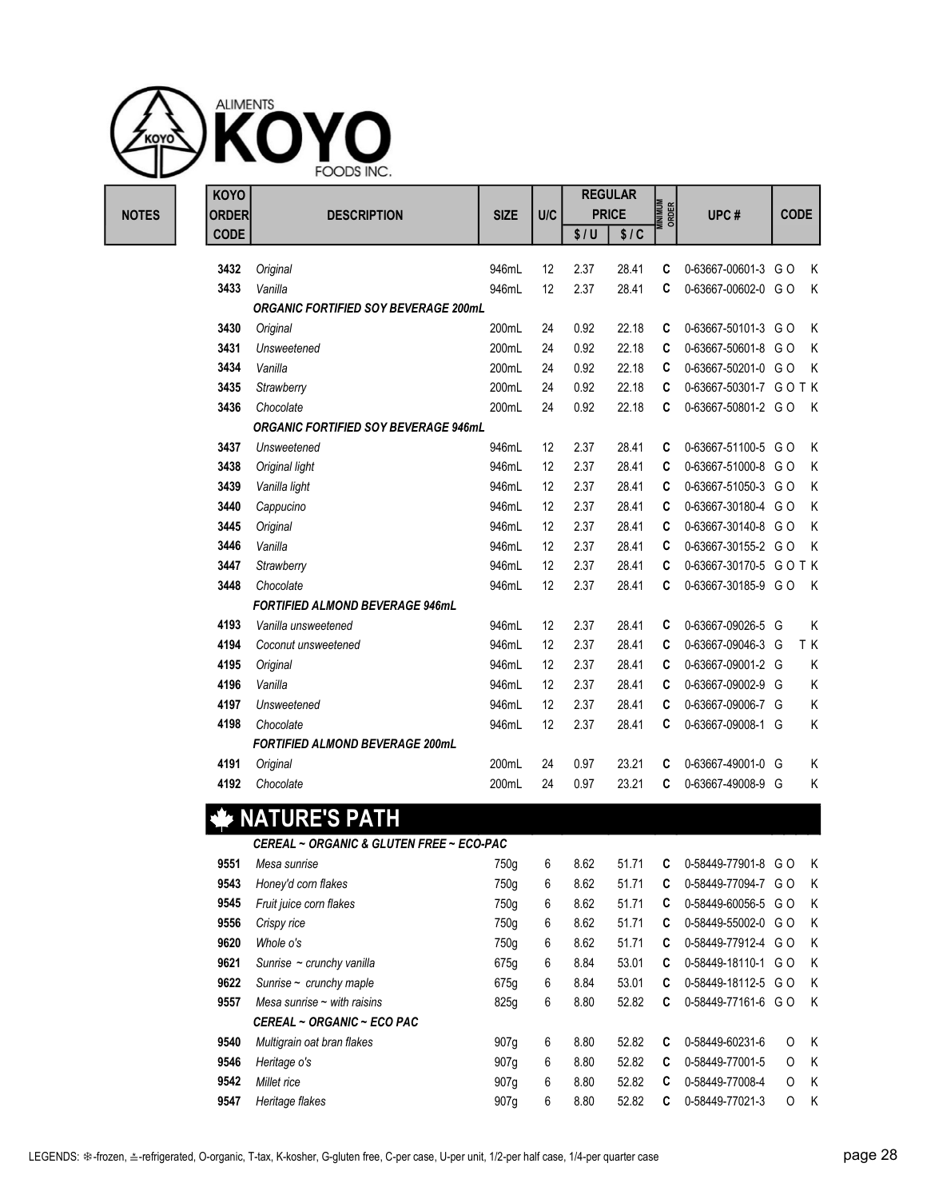

|              | <b>KOYO</b>  |                                             |             |     | <b>REGULAR</b> |              |                         |                      |             |     |
|--------------|--------------|---------------------------------------------|-------------|-----|----------------|--------------|-------------------------|----------------------|-------------|-----|
| <b>NOTES</b> | <b>ORDER</b> | <b>DESCRIPTION</b>                          | <b>SIZE</b> | U/C |                | <b>PRICE</b> | <b>MINIMUM</b><br>Order | UPC#                 | <b>CODE</b> |     |
|              | <b>CODE</b>  |                                             |             |     | \$/U           | \$1C         |                         |                      |             |     |
|              |              |                                             |             |     |                |              |                         |                      |             |     |
|              | 3432         | Original                                    | 946mL       | 12  | 2.37           | 28.41        | C                       | 0-63667-00601-3 GO   |             | K   |
|              | 3433         | Vanilla                                     | 946mL       | 12  | 2.37           | 28.41        | C                       | 0-63667-00602-0 GO   |             | K   |
|              |              | ORGANIC FORTIFIED SOY BEVERAGE 200mL        |             |     |                |              |                         |                      |             |     |
|              | 3430         | Original                                    | 200mL       | 24  | 0.92           | 22.18        | C                       | 0-63667-50101-3 GO   |             | K   |
|              | 3431         | Unsweetened                                 | 200mL       | 24  | 0.92           | 22.18        | C                       | 0-63667-50601-8 GO   |             | K   |
|              | 3434         | Vanilla                                     | 200mL       | 24  | 0.92           | 22.18        | C                       | 0-63667-50201-0 GO   |             | K   |
|              | 3435         | Strawberry                                  | 200mL       | 24  | 0.92           | 22.18        | C                       | 0-63667-50301-7 GOTK |             |     |
|              | 3436         | Chocolate                                   | 200mL       | 24  | 0.92           | 22.18        | C                       | 0-63667-50801-2 GO   |             | K   |
|              |              | <b>ORGANIC FORTIFIED SOY BEVERAGE 946mL</b> |             |     |                |              |                         |                      |             |     |
|              | 3437         | Unsweetened                                 | 946mL       | 12  | 2.37           | 28.41        | C                       | 0-63667-51100-5 GO   |             | K   |
|              | 3438         | Original light                              | 946mL       | 12  | 2.37           | 28.41        | C                       | 0-63667-51000-8 GO   |             | K   |
|              | 3439         | Vanilla light                               | 946mL       | 12  | 2.37           | 28.41        | C                       | 0-63667-51050-3 GO   |             | K   |
|              | 3440         | Cappucino                                   | 946mL       | 12  | 2.37           | 28.41        | C                       | 0-63667-30180-4 GO   |             | K   |
|              | 3445         | Original                                    | 946mL       | 12  | 2.37           | 28.41        | C                       | 0-63667-30140-8 GO   |             | K   |
|              | 3446         | Vanilla                                     | 946mL       | 12  | 2.37           | 28.41        | C                       | 0-63667-30155-2 GO   |             | K   |
|              | 3447         | Strawberry                                  | 946mL       | 12  | 2.37           | 28.41        | C                       | 0-63667-30170-5 GOTK |             |     |
|              | 3448         | Chocolate                                   | 946mL       | 12  | 2.37           | 28.41        | C                       | 0-63667-30185-9 GO   |             | K   |
|              |              | <b>FORTIFIED ALMOND BEVERAGE 946mL</b>      |             |     |                |              |                         |                      |             |     |
|              | 4193         | Vanilla unsweetened                         | 946mL       | 12  | 2.37           | 28.41        | C                       | 0-63667-09026-5 G    |             | Κ   |
|              | 4194         | Coconut unsweetened                         | 946mL       | 12  | 2.37           | 28.41        | C                       | 0-63667-09046-3 G    |             | T K |
|              | 4195         | Original                                    | 946mL       | 12  | 2.37           | 28.41        | C                       | 0-63667-09001-2 G    |             | K   |
|              | 4196         | Vanilla                                     | 946mL       | 12  | 2.37           | 28.41        | C                       | 0-63667-09002-9 G    |             | Κ   |
|              | 4197         | Unsweetened                                 | 946mL       | 12  | 2.37           | 28.41        | C                       | 0-63667-09006-7 G    |             | Κ   |
|              | 4198         | Chocolate                                   | 946mL       | 12  | 2.37           | 28.41        | C                       | 0-63667-09008-1 G    |             | Κ   |
|              |              | FORTIFIED ALMOND BEVERAGE 200mL             |             |     |                |              |                         |                      |             |     |
|              | 4191         | Original                                    | 200mL       | 24  | 0.97           | 23.21        | C                       | 0-63667-49001-0 G    |             | Κ   |
|              | 4192         | Chocolate                                   | 200mL       | 24  | 0.97           | 23.21        | C                       | 0-63667-49008-9 G    |             | Κ   |
|              |              |                                             |             |     |                |              |                         |                      |             |     |
|              |              | <b>NATURE'S PATH</b>                        |             |     |                |              |                         |                      |             |     |
|              |              | CEREAL ~ ORGANIC & GLUTEN FREE ~ ECO-PAC    |             |     |                |              |                         |                      |             |     |
|              | 9551         | Mesa sunrise                                | 750g        | 6   | 8.62           | 51.71        | C                       | 0-58449-77901-8 GO   |             |     |
|              | 9543         | Honey'd corn flakes                         | 750g        | 6   | 8.62           | 51.71        | C                       | 0-58449-77094-7 GO   |             | Κ   |
|              | 9545         | Fruit juice corn flakes                     | 750g        | 6   | 8.62           | 51.71        | C                       | 0-58449-60056-5 GO   |             | Κ   |
|              | 9556         | Crispy rice                                 | 750g        | 6   | 8.62           | 51.71        | C                       | 0-58449-55002-0 GO   |             | Κ   |
|              | 9620         | Whole o's                                   | 750g        | 6   | 8.62           | 51.71        | C                       | 0-58449-77912-4 GO   |             | Κ   |
|              | 9621         | Sunrise $\sim$ crunchy vanilla              | 675g        | 6   | 8.84           | 53.01        | C                       | 0-58449-18110-1 GO   |             | Κ   |
|              | 9622         | Sunrise $\sim$ crunchy maple                | 675g        | 6   | 8.84           | 53.01        | C                       | 0-58449-18112-5 GO   |             | Κ   |
|              | 9557         | Mesa sunrise $\sim$ with raisins            | 825g        | 6   | 8.80           | 52.82        | C                       | 0-58449-77161-6 GO   |             | K   |
|              |              | CEREAL ~ ORGANIC ~ ECO PAC                  |             |     |                |              |                         |                      |             |     |
|              | 9540         | Multigrain oat bran flakes                  | 907g        | 6   | 8.80           | 52.82        | C                       | 0-58449-60231-6      | 0           | Κ   |
|              | 9546         | Heritage o's                                | 907g        | 6   | 8.80           | 52.82        | C                       | 0-58449-77001-5      | O           | Κ   |
|              | 9542         | Millet rice                                 | 907g        | 6   | 8.80           | 52.82        | C                       | 0-58449-77008-4      | 0           | К   |
|              |              |                                             |             |     |                |              |                         |                      |             |     |

Heritage flakes 907g 6 8.80 52.82 C 0-58449-77021-3 O K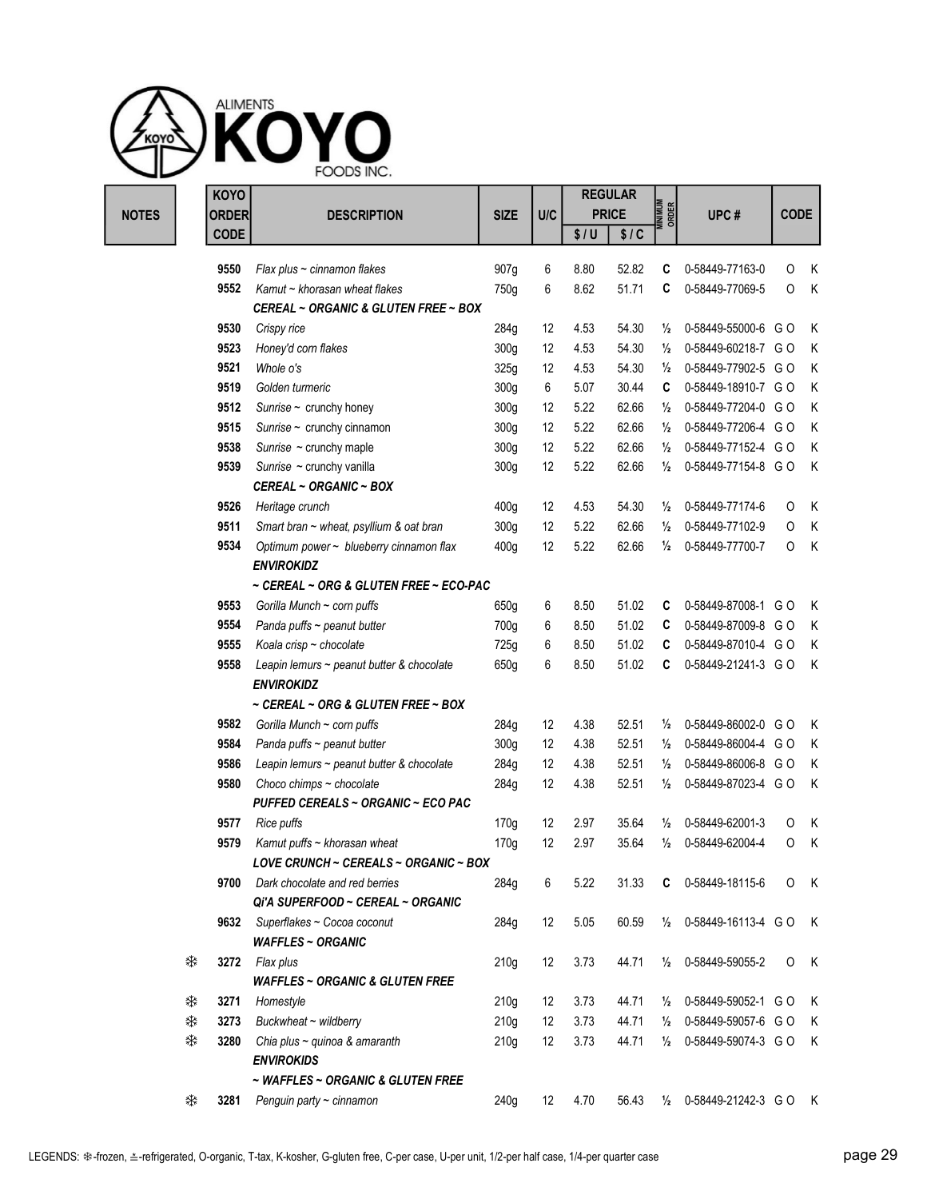| KOYC | <b>ALIMENTS</b> | FOODS INC. |
|------|-----------------|------------|
|      | KOYO            |            |

| <b>NOTES</b> |  |
|--------------|--|
|              |  |

|              |   | <b>KOYO</b>  |                                                   |                  |     | <b>REGULAR</b> |              |                         |                                      |             |   |
|--------------|---|--------------|---------------------------------------------------|------------------|-----|----------------|--------------|-------------------------|--------------------------------------|-------------|---|
| <b>NOTES</b> |   | <b>ORDER</b> | <b>DESCRIPTION</b>                                | <b>SIZE</b>      | U/C |                | <b>PRICE</b> | <b>MINIMUM</b><br>Order | UPC#                                 | <b>CODE</b> |   |
|              |   | <b>CODE</b>  |                                                   |                  |     | \$/U           | \$1C         |                         |                                      |             |   |
|              |   |              |                                                   |                  |     |                |              |                         |                                      |             |   |
|              |   | 9550         | Flax plus $\sim$ cinnamon flakes                  | 907g             | 6   | 8.80           | 52.82        | C                       | 0-58449-77163-0                      | 0           | K |
|              |   | 9552         | Kamut ~ khorasan wheat flakes                     | 750g             | 6   | 8.62           | 51.71        | C                       | 0-58449-77069-5                      | 0           | K |
|              |   |              | CEREAL ~ ORGANIC & GLUTEN FREE ~ BOX              |                  |     |                |              |                         |                                      |             |   |
|              |   | 9530         | Crispy rice                                       | 284g             | 12  | 4.53           | 54.30        | $\frac{1}{2}$           | 0-58449-55000-6 GO                   |             | K |
|              |   | 9523         | Honey'd corn flakes                               | 300 <sub>g</sub> | 12  | 4.53           | 54.30        | $\frac{1}{2}$           | 0-58449-60218-7 GO                   |             | K |
|              |   | 9521         | Whole o's                                         | 325g             | 12  | 4.53           | 54.30        | $\frac{1}{2}$           | 0-58449-77902-5 GO                   |             | K |
|              |   | 9519         | Golden turmeric                                   | 300 <sub>g</sub> | 6   | 5.07           | 30.44        | C                       | 0-58449-18910-7 GO                   |             | K |
|              |   | 9512         | Sunrise $\sim$ crunchy honey                      | 300 <sub>g</sub> | 12  | 5.22           | 62.66        | $\frac{1}{2}$           | 0-58449-77204-0 GO                   |             | K |
|              |   | 9515         | Sunrise $\sim$ crunchy cinnamon                   | 300g             | 12  | 5.22           | 62.66        | $\frac{1}{2}$           | 0-58449-77206-4 GO                   |             | K |
|              |   | 9538         | Sunrise $\sim$ crunchy maple                      | 300 <sub>g</sub> | 12  | 5.22           | 62.66        | $\frac{1}{2}$           | 0-58449-77152-4 GO                   |             | K |
|              |   | 9539         | Sunrise $\sim$ crunchy vanilla                    | 300g             | 12  | 5.22           | 62.66        | $\frac{1}{2}$           | 0-58449-77154-8 GO                   |             | K |
|              |   |              | CEREAL ~ ORGANIC ~ BOX                            |                  |     |                |              |                         |                                      |             |   |
|              |   | 9526         | Heritage crunch                                   | 400g             | 12  | 4.53           | 54.30        | $\frac{1}{2}$           | 0-58449-77174-6                      | 0           | K |
|              |   | 9511         | Smart bran $\sim$ wheat, psyllium & oat bran      | 300 <sub>g</sub> | 12  | 5.22           | 62.66        | $\frac{1}{2}$           | 0-58449-77102-9                      | 0           | K |
|              |   | 9534         | Optimum power ~ blueberry cinnamon flax           | 400g             | 12  | 5.22           | 62.66        | $\frac{1}{2}$           | 0-58449-77700-7                      | 0           | K |
|              |   |              | <b>ENVIROKIDZ</b>                                 |                  |     |                |              |                         |                                      |             |   |
|              |   |              | ~ CEREAL ~ ORG & GLUTEN FREE ~ ECO-PAC            |                  |     |                |              |                         |                                      |             |   |
|              |   | 9553         | Gorilla Munch $\sim$ corn puffs                   | 650g             | 6   | 8.50           | 51.02        | C                       | 0-58449-87008-1 GO                   |             | K |
|              |   | 9554         | Panda puffs $\sim$ peanut butter                  | 700g             | 6   | 8.50           | 51.02        | C                       | 0-58449-87009-8 GO                   |             | K |
|              |   | 9555         | Koala crisp ~ chocolate                           | 725g             | 6   | 8.50           | 51.02        | C                       | 0-58449-87010-4 GO                   |             | K |
|              |   | 9558         | Leapin lemurs $\sim$ peanut butter & chocolate    | 650g             | 6   | 8.50           | 51.02        | C                       | 0-58449-21241-3 GO                   |             | K |
|              |   |              | <b>ENVIROKIDZ</b>                                 |                  |     |                |              |                         |                                      |             |   |
|              |   |              | $\sim$ CEREAL $\sim$ ORG & GLUTEN FREE $\sim$ BOX |                  |     |                |              |                         |                                      |             |   |
|              |   | 9582         | Gorilla Munch $\sim$ corn puffs                   | 284g             | 12  | 4.38           | 52.51        | $\frac{1}{2}$           | 0-58449-86002-0 GO                   |             | K |
|              |   | 9584         | Panda puffs ~ peanut butter                       | 300 <sub>g</sub> | 12  | 4.38           | 52.51        | $\frac{1}{2}$           | 0-58449-86004-4 GO                   |             | K |
|              |   | 9586         | Leapin lemurs $\sim$ peanut butter & chocolate    | 284g             | 12  | 4.38           | 52.51        | $\frac{1}{2}$           | 0-58449-86006-8 GO                   |             | K |
|              |   | 9580         | Choco chimps ~ chocolate                          | 284g             | 12  | 4.38           | 52.51        | $\frac{1}{2}$           | 0-58449-87023-4 GO                   |             | K |
|              |   |              | <b>PUFFED CEREALS ~ ORGANIC ~ ECO PAC</b>         |                  |     |                |              |                         |                                      |             |   |
|              |   | 9577         | <b>Rice puffs</b>                                 | 170g             | 12  | 2.97           | 35.64        | $\frac{1}{2}$           | 0-58449-62001-3                      | 0           | Κ |
|              |   | 9579         | Kamut puffs $\sim$ khorasan wheat                 | 170g             | 12  | 2.97           | 35.64        | $\frac{1}{2}$           | 0-58449-62004-4                      | 0           | Κ |
|              |   |              | LOVE CRUNCH ~ CEREALS ~ ORGANIC ~ BOX             |                  |     |                |              |                         |                                      |             |   |
|              |   | 9700         | Dark chocolate and red berries                    | 284g             | 6   | 5.22           | 31.33        | C                       | 0-58449-18115-6                      | 0           | K |
|              |   |              | Qi'A SUPERFOOD ~ CEREAL ~ ORGANIC                 |                  |     |                |              |                         |                                      |             |   |
|              |   |              | 9632 Superflakes ~ Cocoa coconut                  | 284g             | 12  | 5.05           | 60.59        | $\frac{1}{2}$           | 0-58449-16113-4 GO K                 |             |   |
|              |   |              | <b>WAFFLES ~ ORGANIC</b>                          |                  |     |                |              |                         |                                      |             |   |
|              | ₩ |              | 3272 Flax plus                                    | 210 <sub>g</sub> | 12  | 3.73           | 44.71        | $\frac{1}{2}$           | 0-58449-59055-2                      | $\circ$     | K |
|              |   |              | <b>WAFFLES ~ ORGANIC &amp; GLUTEN FREE</b>        |                  |     |                |              |                         |                                      |             |   |
|              | ₩ | 3271         | Homestyle                                         | 210 <sub>g</sub> | 12  | 3.73           | 44.71        | $\frac{1}{2}$           | 0-58449-59052-1 GO                   |             | K |
|              | ₩ | 3273         | Buckwheat ~ wildberry                             | 210 <sub>g</sub> | 12  | 3.73           | 44.71        | $\frac{1}{2}$           | 0-58449-59057-6 GO                   |             | K |
|              | ₩ | 3280         | Chia plus ~ quinoa & amaranth                     | 210g             | 12  | 3.73           | 44.71        | $\frac{1}{2}$           | 0-58449-59074-3 GO K                 |             |   |
|              |   |              | <b>ENVIROKIDS</b>                                 |                  |     |                |              |                         |                                      |             |   |
|              |   |              | ~ WAFFLES ~ ORGANIC & GLUTEN FREE                 |                  |     |                |              |                         |                                      |             |   |
|              | ₩ | 3281         | Penguin party ~ cinnamon                          | 240g             | 12  | 4.70           | 56.43        |                         | 1/ <sub>2</sub> 0-58449-21242-3 GO K |             |   |
|              |   |              |                                                   |                  |     |                |              |                         |                                      |             |   |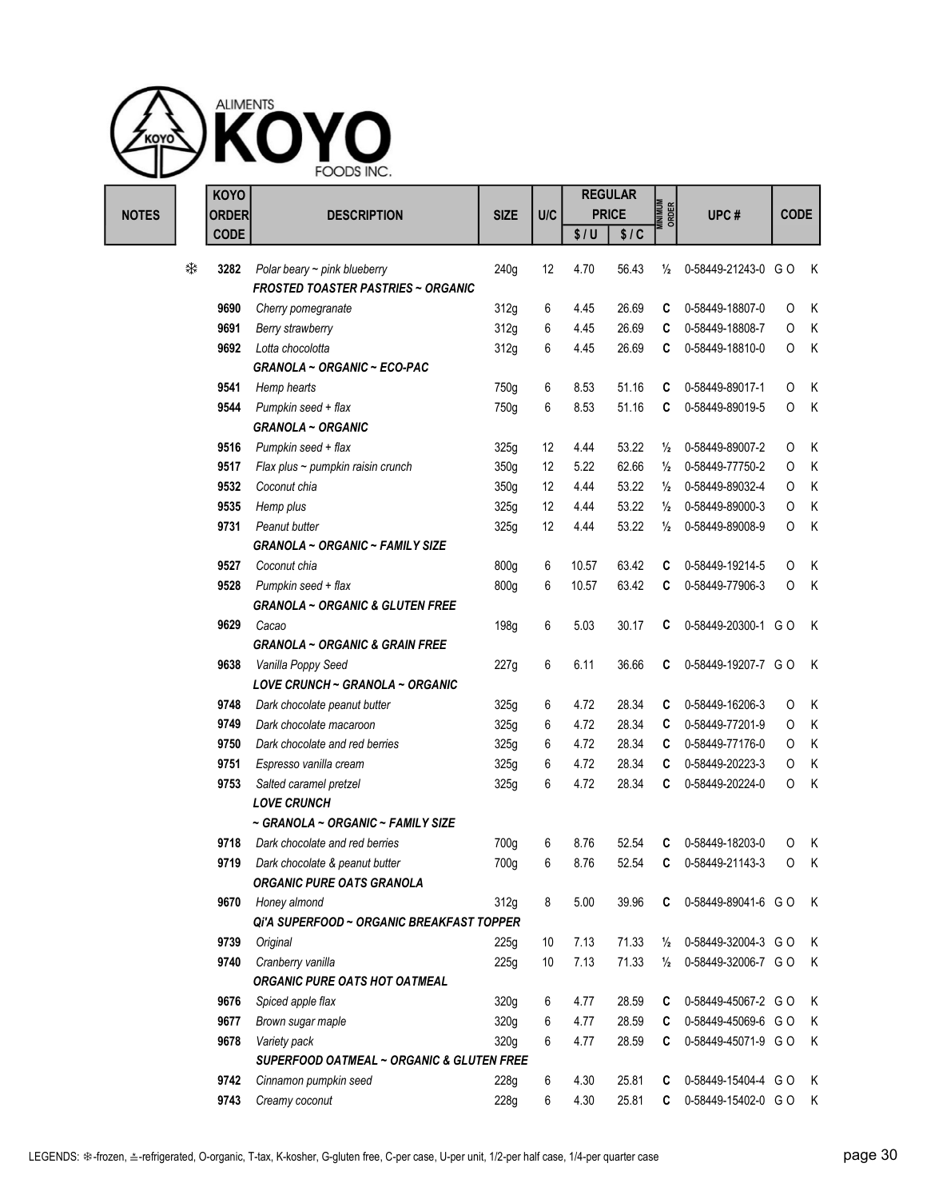

|              | <b>KOYO</b> |              |                                                      |                  |     | <b>REGULAR</b> |              |                         |                      |             |   |
|--------------|-------------|--------------|------------------------------------------------------|------------------|-----|----------------|--------------|-------------------------|----------------------|-------------|---|
| <b>NOTES</b> |             | <b>ORDER</b> | <b>DESCRIPTION</b>                                   | <b>SIZE</b>      | U/C |                | <b>PRICE</b> | <b>MINIMUM</b><br>ORDER | UPC#                 | <b>CODE</b> |   |
|              |             | <b>CODE</b>  |                                                      |                  |     | \$/U           | \$1C         |                         |                      |             |   |
|              |             |              |                                                      |                  |     |                |              |                         |                      |             |   |
|              | ₩           | 3282         | Polar beary $\sim$ pink blueberry                    | 240g             | 12  | 4.70           | 56.43        | $\frac{1}{2}$           | 0-58449-21243-0 GO   |             | K |
|              |             |              | <b>FROSTED TOASTER PASTRIES ~ ORGANIC</b>            |                  |     |                |              |                         |                      |             |   |
|              |             | 9690         | Cherry pomegranate                                   | 312g             | 6   | 4.45           | 26.69        | C                       | 0-58449-18807-0      | 0           | K |
|              |             | 9691         | Berry strawberry                                     | 312g             | 6   | 4.45           | 26.69        | C                       | 0-58449-18808-7      | 0           | K |
|              |             | 9692         | Lotta chocolotta                                     | 312g             | 6   | 4.45           | 26.69        | C                       | 0-58449-18810-0      | 0           | Κ |
|              |             |              | GRANOLA ~ ORGANIC ~ ECO-PAC                          |                  |     |                |              |                         |                      |             |   |
|              |             | 9541         | Hemp hearts                                          | 750g             | 6   | 8.53           | 51.16        | C                       | 0-58449-89017-1      | 0           | K |
|              |             | 9544         | Pumpkin seed + flax                                  | 750g             | 6   | 8.53           | 51.16        | C                       | 0-58449-89019-5      | 0           | K |
|              |             |              | <b>GRANOLA ~ ORGANIC</b>                             |                  |     |                |              |                         |                      |             |   |
|              |             | 9516         | Pumpkin seed + flax                                  | 325g             | 12  | 4.44           | 53.22        | $\frac{1}{2}$           | 0-58449-89007-2      | 0           | Κ |
|              |             | 9517         | Flax plus ~ pumpkin raisin crunch                    | 350g             | 12  | 5.22           | 62.66        | $\frac{1}{2}$           | 0-58449-77750-2      | 0           | K |
|              |             | 9532         | Coconut chia                                         | 350 <sub>g</sub> | 12  | 4.44           | 53.22        | $\frac{1}{2}$           | 0-58449-89032-4      | O           | K |
|              |             | 9535         | Hemp plus                                            | 325g             | 12  | 4.44           | 53.22        | $\frac{1}{2}$           | 0-58449-89000-3      | 0           | K |
|              |             | 9731         | Peanut butter                                        | 325g             | 12  | 4.44           | 53.22        | $\frac{1}{2}$           | 0-58449-89008-9      | 0           | K |
|              |             |              | <b>GRANOLA ~ ORGANIC ~ FAMILY SIZE</b>               |                  |     |                |              |                         |                      |             |   |
|              |             | 9527         | Coconut chia                                         | 800g             | 6   | 10.57          | 63.42        | C                       | 0-58449-19214-5      | 0           | Κ |
|              |             | 9528         | Pumpkin seed + flax                                  | 800g             | 6   | 10.57          | 63.42        | C                       | 0-58449-77906-3      | 0           | Κ |
|              |             |              | <b>GRANOLA ~ ORGANIC &amp; GLUTEN FREE</b>           |                  |     |                |              |                         |                      |             |   |
|              |             | 9629         | Cacao                                                | 198g             | 6   | 5.03           | 30.17        | C                       | 0-58449-20300-1 GO   |             | K |
|              |             |              | <b>GRANOLA ~ ORGANIC &amp; GRAIN FREE</b>            |                  |     |                |              |                         |                      |             |   |
|              |             | 9638         | Vanilla Poppy Seed                                   | 227g             | 6   | 6.11           | 36.66        | C                       | 0-58449-19207-7 GO   |             | K |
|              |             |              | LOVE CRUNCH ~ GRANOLA ~ ORGANIC                      |                  |     |                |              |                         |                      |             |   |
|              |             | 9748         | Dark chocolate peanut butter                         | 325g             | 6   | 4.72           | 28.34        | C                       | 0-58449-16206-3      | 0           | Κ |
|              |             | 9749         | Dark chocolate macaroon                              | 325g             | 6   | 4.72           | 28.34        | C                       | 0-58449-77201-9      | 0           | K |
|              |             | 9750         | Dark chocolate and red berries                       | 325g             | 6   | 4.72           | 28.34        | C                       | 0-58449-77176-0      | 0           | K |
|              |             | 9751         | Espresso vanilla cream                               | 325g             | 6   | 4.72           | 28.34        | C                       | 0-58449-20223-3      | 0           | K |
|              |             | 9753         | Salted caramel pretzel                               | 325g             | 6   | 4.72           | 28.34        | C                       | 0-58449-20224-0      | 0           | Κ |
|              |             |              | <b>LOVE CRUNCH</b>                                   |                  |     |                |              |                         |                      |             |   |
|              |             |              | ~ GRANOLA ~ ORGANIC ~ FAMILY SIZE                    |                  |     |                |              |                         |                      |             |   |
|              |             |              |                                                      |                  |     |                |              |                         |                      |             |   |
|              |             | 9718         | Dark chocolate and red berries                       | 700g             | 6   | 8.76           | 52.54        | C                       | 0-58449-18203-0      | O           | Κ |
|              |             | 9719         | Dark chocolate & peanut butter                       | 700g             | 6   | 8.76           | 52.54        | C                       | 0-58449-21143-3      | O           | K |
|              |             |              | ORGANIC PURE OATS GRANOLA                            |                  |     |                |              |                         |                      |             |   |
|              |             | 9670         | Honey almond                                         | 312g             | 8   | 5.00           | 39.96        | C                       | 0-58449-89041-6 GO K |             |   |
|              |             |              | Qi'A SUPERFOOD ~ ORGANIC BREAKFAST TOPPER            |                  |     |                |              |                         |                      |             |   |
|              |             | 9739         | Original                                             | 225g             | 10  | 7.13           | 71.33        | $\frac{1}{2}$           | 0-58449-32004-3 GO   |             | K |
|              |             | 9740         | Cranberry vanilla                                    | 225g             | 10  | 7.13           | 71.33        | $\frac{1}{2}$           | 0-58449-32006-7 GO   |             | K |
|              |             |              | ORGANIC PURE OATS HOT OATMEAL                        |                  |     |                |              |                         |                      |             |   |
|              |             | 9676         | Spiced apple flax                                    | 320g             | 6   | 4.77           | 28.59        | C                       | 0-58449-45067-2 GO   |             | K |
|              |             | 9677         | Brown sugar maple                                    | 320g             | 6   | 4.77           | 28.59        | C                       | 0-58449-45069-6 GO   |             | K |
|              |             | 9678         | Variety pack                                         | 320g             | 6   | 4.77           | 28.59        | C                       | 0-58449-45071-9 GO   |             | K |
|              |             |              | <b>SUPERFOOD OATMEAL ~ ORGANIC &amp; GLUTEN FREE</b> |                  |     |                |              |                         |                      |             |   |
|              |             | 9742         | Cinnamon pumpkin seed                                | 228g             | 6   | 4.30           | 25.81        | C                       | 0-58449-15404-4 GO   |             | K |
|              |             | 9743         | Creamy coconut                                       | 228g             | 6   | 4.30           | 25.81        | C                       | 0-58449-15402-0 GO K |             |   |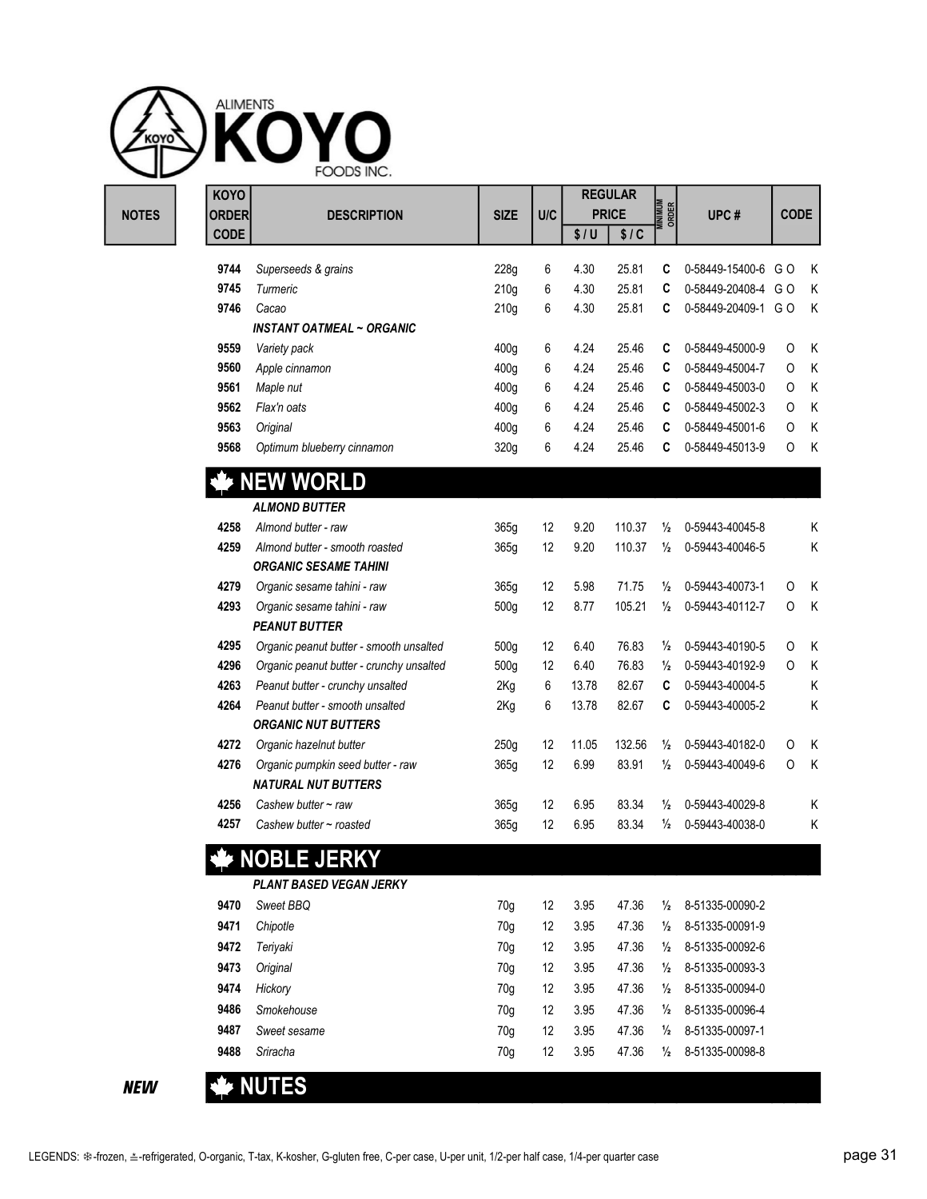

|              | <b>KOYO</b>  |                                                                                                                                                                                                                                                                                                                                                                                                                        |                  |     |       | <b>REGULAR</b> |                         |                    |             |   |
|--------------|--------------|------------------------------------------------------------------------------------------------------------------------------------------------------------------------------------------------------------------------------------------------------------------------------------------------------------------------------------------------------------------------------------------------------------------------|------------------|-----|-------|----------------|-------------------------|--------------------|-------------|---|
| <b>NOTES</b> | <b>ORDER</b> | <b>DESCRIPTION</b>                                                                                                                                                                                                                                                                                                                                                                                                     | <b>SIZE</b>      | U/C |       | <b>PRICE</b>   | <b>MINIMUM</b><br>ORDER | UPC#               | <b>CODE</b> |   |
|              | <b>CODE</b>  |                                                                                                                                                                                                                                                                                                                                                                                                                        |                  |     | \$/U  | \$1C           |                         |                    |             |   |
|              | 9744         | Superseeds & grains                                                                                                                                                                                                                                                                                                                                                                                                    | 228g             | 6   | 4.30  | 25.81          | C                       | 0-58449-15400-6    | GO          | K |
|              | 9745         | Turmeric                                                                                                                                                                                                                                                                                                                                                                                                               | 210 <sub>g</sub> | 6   | 4.30  | 25.81          | C                       | 0-58449-20408-4 GO |             | K |
|              | 9746         | Cacao                                                                                                                                                                                                                                                                                                                                                                                                                  | 210g             | 6   | 4.30  | 25.81          | C                       | 0-58449-20409-1 GO |             | K |
|              |              | <b>INSTANT OATMEAL ~ ORGANIC</b>                                                                                                                                                                                                                                                                                                                                                                                       |                  |     |       |                |                         |                    |             |   |
|              | 9559         | Variety pack                                                                                                                                                                                                                                                                                                                                                                                                           | 400 <sub>g</sub> | 6   | 4.24  | 25.46          | C                       | 0-58449-45000-9    | 0           | K |
|              | 9560         | Apple cinnamon                                                                                                                                                                                                                                                                                                                                                                                                         | 400g             | 6   | 4.24  | 25.46          | C                       | 0-58449-45004-7    | O           | K |
|              | 9561         | Maple nut                                                                                                                                                                                                                                                                                                                                                                                                              | 400g             | 6   | 4.24  | 25.46          | C                       | 0-58449-45003-0    | O           | K |
|              | 9562         | Flax'n oats                                                                                                                                                                                                                                                                                                                                                                                                            | 400g             | 6   | 4.24  | 25.46          | C                       | 0-58449-45002-3    | O           | K |
|              | 9563         | Original                                                                                                                                                                                                                                                                                                                                                                                                               | 400g             | 6   | 4.24  | 25.46          | C                       | 0-58449-45001-6    | 0           | K |
|              | 9568         | Optimum blueberry cinnamon                                                                                                                                                                                                                                                                                                                                                                                             | 320g             | 6   | 4.24  | 25.46          | C                       | 0-58449-45013-9    | O           | K |
|              |              |                                                                                                                                                                                                                                                                                                                                                                                                                        |                  |     |       |                |                         |                    |             |   |
|              |              | <b>NEW WORLD</b>                                                                                                                                                                                                                                                                                                                                                                                                       |                  |     |       |                |                         |                    |             |   |
|              |              | <b>ALMOND BUTTER</b>                                                                                                                                                                                                                                                                                                                                                                                                   |                  |     |       |                |                         |                    |             |   |
|              | 4258         | Almond butter - raw                                                                                                                                                                                                                                                                                                                                                                                                    | 365g             | 12  | 9.20  | 110.37         | $\frac{1}{2}$           | 0-59443-40045-8    |             | K |
|              | 4259         | Almond butter - smooth roasted                                                                                                                                                                                                                                                                                                                                                                                         | 365g             | 12  | 9.20  | 110.37         | $\frac{1}{2}$           | 0-59443-40046-5    |             | Κ |
|              |              | <b>ORGANIC SESAME TAHINI</b>                                                                                                                                                                                                                                                                                                                                                                                           |                  |     |       |                |                         |                    |             |   |
|              | 4279         | Organic sesame tahini - raw                                                                                                                                                                                                                                                                                                                                                                                            | 365g             | 12  | 5.98  | 71.75          | $\frac{1}{2}$           | 0-59443-40073-1    | O           | K |
|              | 4293         | Organic sesame tahini - raw                                                                                                                                                                                                                                                                                                                                                                                            | 500 <sub>g</sub> | 12  | 8.77  | 105.21         | $\frac{1}{2}$           | 0-59443-40112-7    | 0           | K |
|              |              | <b>PEANUT BUTTER</b>                                                                                                                                                                                                                                                                                                                                                                                                   |                  |     |       |                |                         |                    |             |   |
|              | 4295         | Organic peanut butter - smooth unsalted                                                                                                                                                                                                                                                                                                                                                                                | 500g             | 12  | 6.40  | 76.83          | $\frac{1}{2}$           | 0-59443-40190-5    | 0           | K |
|              | 4296         | Organic peanut butter - crunchy unsalted                                                                                                                                                                                                                                                                                                                                                                               | 500g             | 12  | 6.40  | 76.83          | $\frac{1}{2}$           | 0-59443-40192-9    | 0           | K |
|              | 4263         | Peanut butter - crunchy unsalted                                                                                                                                                                                                                                                                                                                                                                                       | 2Kg              | 6   | 13.78 | 82.67          | C                       | 0-59443-40004-5    |             | Κ |
|              | 4264         | Peanut butter - smooth unsalted                                                                                                                                                                                                                                                                                                                                                                                        | 2Kg              | 6   | 13.78 | 82.67          | C                       | 0-59443-40005-2    |             | Κ |
|              |              | <b>ORGANIC NUT BUTTERS</b>                                                                                                                                                                                                                                                                                                                                                                                             |                  |     |       |                |                         |                    |             |   |
|              | 4272         | Organic hazelnut butter                                                                                                                                                                                                                                                                                                                                                                                                | 250 <sub>g</sub> | 12  | 11.05 | 132.56         | $\frac{1}{2}$           | 0-59443-40182-0    | O           | K |
|              | 4276         | Organic pumpkin seed butter - raw                                                                                                                                                                                                                                                                                                                                                                                      | 365g             | 12  | 6.99  | 83.91          | $\frac{1}{2}$           | 0-59443-40049-6    | O           | K |
|              |              | <b>NATURAL NUT BUTTERS</b>                                                                                                                                                                                                                                                                                                                                                                                             |                  |     |       |                |                         |                    |             |   |
|              | 4256         | Cashew butter $\sim$ raw                                                                                                                                                                                                                                                                                                                                                                                               | 365g             | 12  | 6.95  | 83.34          | $\frac{1}{2}$           | 0-59443-40029-8    |             | K |
|              | 4257         | Cashew butter $\sim$ roasted                                                                                                                                                                                                                                                                                                                                                                                           | 365g             | 12  | 6.95  | 83.34          | $\frac{1}{2}$           | 0-59443-40038-0    |             | Κ |
|              |              | $\mathbf{1} \mathbf{1} \mathbf{1} \mathbf{1} \mathbf{1} \mathbf{1} \mathbf{1} \mathbf{1} \mathbf{1} \mathbf{1} \mathbf{1} \mathbf{1} \mathbf{1} \mathbf{1} \mathbf{1} \mathbf{1} \mathbf{1} \mathbf{1} \mathbf{1} \mathbf{1} \mathbf{1} \mathbf{1} \mathbf{1} \mathbf{1} \mathbf{1} \mathbf{1} \mathbf{1} \mathbf{1} \mathbf{1} \mathbf{1} \mathbf{1} \mathbf{1} \mathbf{1} \mathbf{1} \mathbf{1} \mathbf{1} \mathbf{$ |                  |     |       |                |                         |                    |             |   |

# NOBLE JERKY

|  | <b>PLANT BASED VEGAN JERKY</b> |  |  |
|--|--------------------------------|--|--|
|--|--------------------------------|--|--|

| 9470 | Sweet BBQ    | 70 <sub>g</sub> | 12 | 3.95 | 47.36 | $\frac{1}{2}$ | 8-51335-00090-2 |
|------|--------------|-----------------|----|------|-------|---------------|-----------------|
| 9471 | Chipotle     | 70 <sub>q</sub> | 12 | 3.95 | 47.36 | ⅓             | 8-51335-00091-9 |
| 9472 | Teriyaki     | 70 <sub>g</sub> | 12 | 3.95 | 47.36 | ⅓             | 8-51335-00092-6 |
| 9473 | Original     | 70q             | 12 | 3.95 | 47.36 | $\frac{1}{2}$ | 8-51335-00093-3 |
| 9474 | Hickory      | 70q             | 12 | 3.95 | 47.36 | ⅓             | 8-51335-00094-0 |
| 9486 | Smokehouse   | 70 <sub>g</sub> | 12 | 3.95 | 47.36 | ⅓             | 8-51335-00096-4 |
| 9487 | Sweet sesame | 70q             | 12 | 3.95 | 47.36 | $\frac{1}{2}$ | 8-51335-00097-1 |
| 9488 | Sriracha     | 70 <sub>g</sub> | 12 | 3.95 | 47.36 | ⅓             | 8-51335-00098-8 |
|      |              |                 |    |      |       |               |                 |

**NEW WE NUTES**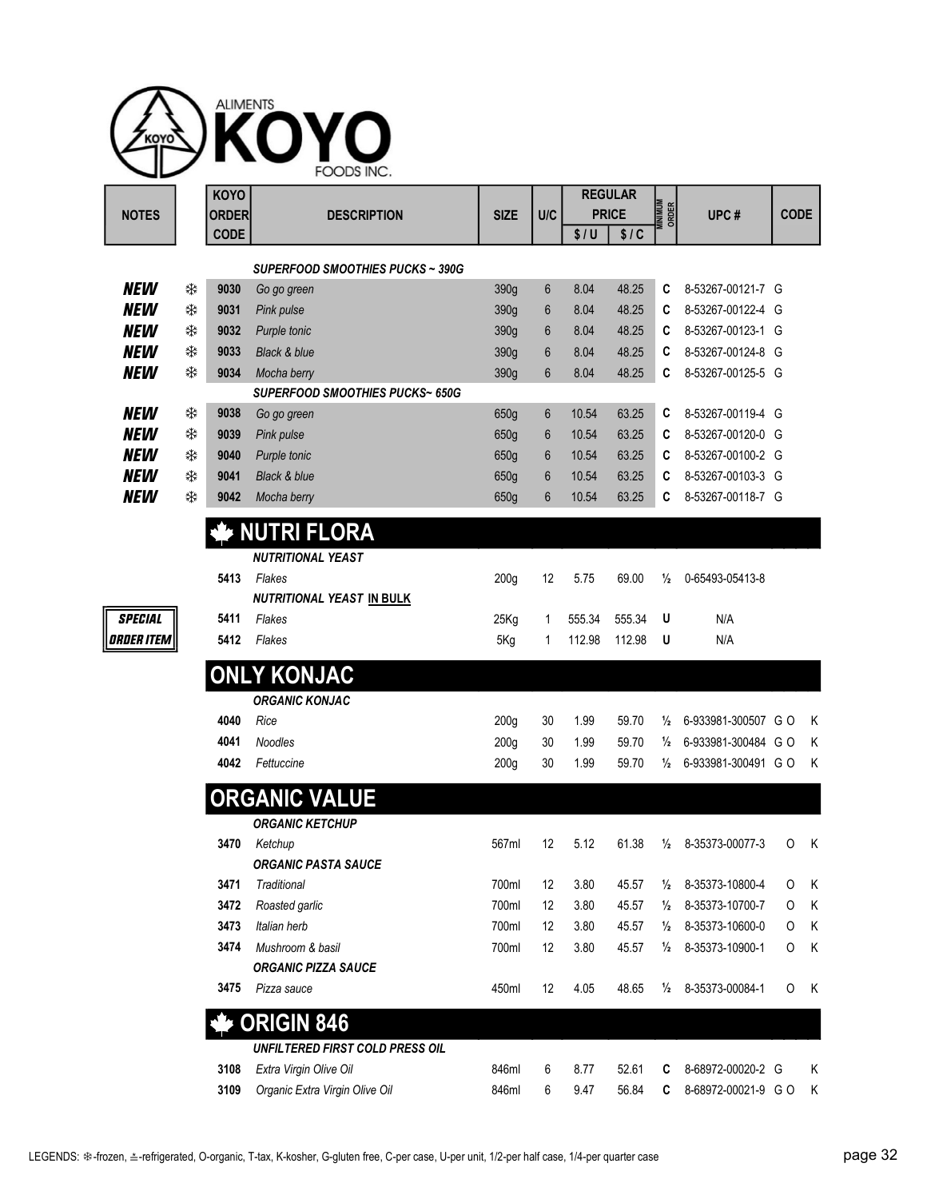

|                |   | <b>KOYO</b> |                                                          |                  |                |        | <b>REGULAR</b> |                         |                    |             |   |
|----------------|---|-------------|----------------------------------------------------------|------------------|----------------|--------|----------------|-------------------------|--------------------|-------------|---|
| <b>NOTES</b>   |   | ORDER       | <b>DESCRIPTION</b>                                       | <b>SIZE</b>      | U/C            |        | <b>PRICE</b>   | <b>MINIMUM</b><br>Order | UPC#               | <b>CODE</b> |   |
|                |   | <b>CODE</b> |                                                          |                  |                | \$/U   | \$1C           |                         |                    |             |   |
|                |   |             | <b>SUPERFOOD SMOOTHIES PUCKS ~ 390G</b>                  |                  |                |        |                |                         |                    |             |   |
| <b>NEW</b>     | ₩ | 9030        | Go go green                                              | 390g             | 6              | 8.04   | 48.25          | C                       | 8-53267-00121-7 G  |             |   |
| <b>NEW</b>     | ₩ | 9031        | Pink pulse                                               | 390g             | 6              | 8.04   | 48.25          | C                       | 8-53267-00122-4 G  |             |   |
| <b>NEW</b>     | ₩ | 9032        | Purple tonic                                             | 390g             | 6              | 8.04   | 48.25          | C                       | 8-53267-00123-1 G  |             |   |
| <b>NEW</b>     | ₩ | 9033        | <b>Black &amp; blue</b>                                  | 390g             | 6              | 8.04   | 48.25          | C                       | 8-53267-00124-8 G  |             |   |
| <b>NEW</b>     | ₩ | 9034        | Mocha berry                                              | 390g             | 6              | 8.04   | 48.25          | C                       | 8-53267-00125-5 G  |             |   |
|                |   |             | SUPERFOOD SMOOTHIES PUCKS~ 650G                          |                  |                |        |                |                         |                    |             |   |
| <b>NEW</b>     | ₩ | 9038        | Go go green                                              | 650g             | 6              | 10.54  | 63.25          | C                       | 8-53267-00119-4 G  |             |   |
| <b>NEW</b>     | ₩ | 9039        | Pink pulse                                               | 650g             | 6              | 10.54  | 63.25          | C                       | 8-53267-00120-0 G  |             |   |
| <b>NEW</b>     | ₩ | 9040        | Purple tonic                                             | 650g             | $6\phantom{1}$ | 10.54  | 63.25          | C                       | 8-53267-00100-2 G  |             |   |
| <b>NEW</b>     | ₩ | 9041        | <b>Black &amp; blue</b>                                  | 650g             | 6              | 10.54  | 63.25          | C                       | 8-53267-00103-3 G  |             |   |
| <b>NEW</b>     | ₩ | 9042        | Mocha berry                                              | 650g             | $6\phantom{1}$ | 10.54  | 63.25          | C                       | 8-53267-00118-7 G  |             |   |
|                |   | 5413        | <b>NUTRI FLORA</b><br><b>NUTRITIONAL YEAST</b><br>Flakes | 200 <sub>g</sub> | 12             | 5.75   | 69.00          | $\frac{1}{2}$           | 0-65493-05413-8    |             |   |
|                |   |             | <b>NUTRITIONAL YEAST IN BULK</b>                         |                  |                |        |                |                         |                    |             |   |
| <b>SPECIAL</b> |   | 5411        | Flakes                                                   | 25Kg             | 1              | 555.34 | 555.34         | U                       | N/A                |             |   |
| ORDER ITEM     |   | 5412        | Flakes                                                   | 5Kg              | 1              | 112.98 | 112.98         | U                       | N/A                |             |   |
|                |   |             | <b>ONLY KONJAC</b>                                       |                  |                |        |                |                         |                    |             |   |
|                |   |             | <b>ORGANIC KONJAC</b>                                    |                  |                |        |                |                         |                    |             |   |
|                |   | 4040        | Rice                                                     | 200 <sub>g</sub> | 30             | 1.99   | 59.70          | $\frac{1}{2}$           | 6-933981-300507 GO |             | K |
|                |   | 4041        | <b>Noodles</b>                                           | 200 <sub>g</sub> | 30             | 1.99   | 59.70          | $\frac{1}{2}$           | 6-933981-300484 GO |             | K |
|                |   | 4042        | Fettuccine                                               | 200 <sub>g</sub> | 30             | 1.99   | 59.70          | $\frac{1}{2}$           | 6-933981-300491 GO |             | K |
|                |   |             |                                                          |                  |                |        |                |                         |                    |             |   |
|                |   |             | <b>ORGANIC VALUE</b>                                     |                  |                |        |                |                         |                    |             |   |
|                |   |             | <b>ORGANIC KETCHUP</b>                                   |                  |                |        |                |                         |                    |             |   |
|                |   | 3470        | Ketchup                                                  | 567ml            | 12             | 5.12   | 61.38          | $\frac{1}{2}$           | 8-35373-00077-3    | 0           | K |
|                |   | 3471        | <b>ORGANIC PASTA SAUCE</b><br>Traditional                | 700ml            | 12             | 3.80   | 45.57          | $\frac{1}{2}$           | 8-35373-10800-4    | 0           | Κ |
|                |   | 3472        | Roasted garlic                                           | 700ml            | 12             | 3.80   | 45.57          | $\frac{1}{2}$           | 8-35373-10700-7    | 0           | K |
|                |   | 3473        | Italian herb                                             | 700ml            | 12             | 3.80   | 45.57          | $\frac{1}{2}$           | 8-35373-10600-0    | 0           | Κ |
|                |   | 3474        | Mushroom & basil                                         | 700ml            | 12             | 3.80   | 45.57          | $\frac{1}{2}$           | 8-35373-10900-1    | O           | Κ |
|                |   |             | <b>ORGANIC PIZZA SAUCE</b>                               |                  |                |        |                |                         |                    |             |   |
|                |   | 3475        | Pizza sauce                                              | 450ml            | 12             | 4.05   | 48.65          | $\frac{1}{2}$           | 8-35373-00084-1    | O           | Κ |
|                |   |             |                                                          |                  |                |        |                |                         |                    |             |   |
|                |   |             | <b>ORIGIN 846</b>                                        |                  |                |        |                |                         |                    |             |   |
|                |   |             | UNFILTERED FIRST COLD PRESS OIL                          |                  |                |        |                |                         |                    |             |   |
|                |   | 3108        | Extra Virgin Olive Oil                                   | 846ml            | 6              | 8.77   | 52.61          | C                       | 8-68972-00020-2 G  |             | Κ |
|                |   | 3109        | Organic Extra Virgin Olive Oil                           | 846ml            | 6              | 9.47   | 56.84          | C                       | 8-68972-00021-9 GO |             | Κ |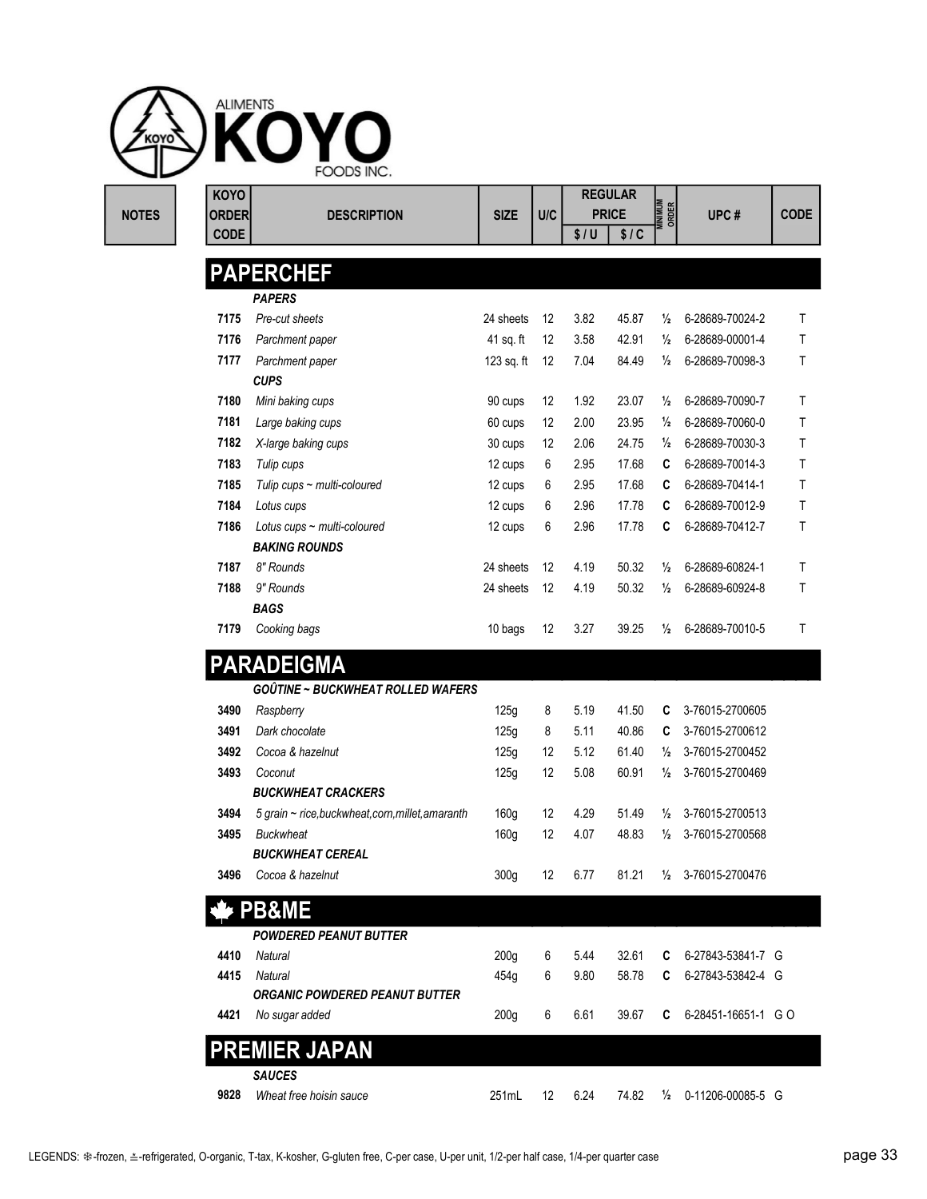| <b>KOYO</b>  |                                                   |                  |     |      | <b>REGULAR</b> |                         |                                   |             |
|--------------|---------------------------------------------------|------------------|-----|------|----------------|-------------------------|-----------------------------------|-------------|
| <b>ORDER</b> | <b>DESCRIPTION</b>                                | <b>SIZE</b>      | U/C |      | <b>PRICE</b>   | <b>MINIMUM</b><br>ORDER | UPC#                              | <b>CODE</b> |
| <b>CODE</b>  |                                                   |                  |     | \$/U | \$1C           |                         |                                   |             |
|              | <b>PAPERCHEF</b>                                  |                  |     |      |                |                         |                                   |             |
|              | <b>PAPERS</b>                                     |                  |     |      |                |                         |                                   |             |
| 7175         | Pre-cut sheets                                    | 24 sheets        | 12  | 3.82 | 45.87          | $\frac{1}{2}$           | 6-28689-70024-2                   | T           |
| 7176         | Parchment paper                                   | 41 sq. ft        | 12  | 3.58 | 42.91          | $\frac{1}{2}$           | 6-28689-00001-4                   | T           |
| 7177         | Parchment paper                                   | 123 sq. ft       | 12  | 7.04 | 84.49          | $\frac{1}{2}$           | 6-28689-70098-3                   | Τ           |
|              | <b>CUPS</b>                                       |                  |     |      |                |                         |                                   |             |
| 7180         | Mini baking cups                                  | 90 cups          | 12  | 1.92 | 23.07          | $\frac{1}{2}$           | 6-28689-70090-7                   | T           |
| 7181         | Large baking cups                                 | 60 cups          | 12  | 2.00 | 23.95          | $\frac{1}{2}$           | 6-28689-70060-0                   | T           |
| 7182         | X-large baking cups                               | 30 cups          | 12  | 2.06 | 24.75          | $\frac{1}{2}$           | 6-28689-70030-3                   | T           |
| 7183         | Tulip cups                                        | 12 cups          | 6   | 2.95 | 17.68          | C                       | 6-28689-70014-3                   | T           |
| 7185         | Tulip cups ~ multi-coloured                       | 12 cups          | 6   | 2.95 | 17.68          | C                       | 6-28689-70414-1                   | T           |
| 7184         | Lotus cups                                        | 12 cups          | 6   | 2.96 | 17.78          | C                       | 6-28689-70012-9                   | Τ           |
| 7186         | Lotus cups ~ multi-coloured                       | 12 cups          | 6   | 2.96 | 17.78          | C                       | 6-28689-70412-7                   | Τ           |
|              | <b>BAKING ROUNDS</b>                              |                  |     |      |                |                         |                                   |             |
| 7187         | 8" Rounds                                         | 24 sheets        | 12  | 4.19 | 50.32          | $\frac{1}{2}$           | 6-28689-60824-1                   | T           |
| 7188         | 9" Rounds                                         | 24 sheets        | 12  | 4.19 | 50.32          | $\frac{1}{2}$           | 6-28689-60924-8                   | Τ           |
|              | <b>BAGS</b>                                       |                  |     |      |                |                         |                                   |             |
| 7179         | Cooking bags                                      | 10 bags          | 12  | 3.27 | 39.25          | $\frac{1}{2}$           | 6-28689-70010-5                   | Τ           |
|              | <b>PARADEIGMA</b>                                 |                  |     |      |                |                         |                                   |             |
|              | <b>GOÛTINE ~ BUCKWHEAT ROLLED WAFERS</b>          |                  |     |      |                |                         |                                   |             |
| 3490         |                                                   |                  | 8   | 5.19 | 41.50          | C                       | 3-76015-2700605                   |             |
| 3491         | Raspberry<br>Dark chocolate                       | 125g<br>125g     | 8   | 5.11 | 40.86          | C                       | 3-76015-2700612                   |             |
| 3492         | Cocoa & hazelnut                                  | 125g             | 12  | 5.12 | 61.40          | ⅛                       | 3-76015-2700452                   |             |
| 3493         | Coconut                                           | 125g             | 12  | 5.08 | 60.91          |                         | 1/2 3-76015-2700469               |             |
|              | <b>BUCKWHEAT CRACKERS</b>                         |                  |     |      |                |                         |                                   |             |
| 3494         | 5 grain ~ rice, buckwheat, corn, millet, amaranth | 160g             | 12  | 4.29 | 51.49          |                         | 1/2 3-76015-2700513               |             |
| 3495         | <b>Buckwheat</b>                                  | 160g             | 12  | 4.07 | 48.83          | $\frac{1}{2}$           | 3-76015-2700568                   |             |
|              | <b>BUCKWHEAT CEREAL</b>                           |                  |     |      |                |                         |                                   |             |
| 3496         | Cocoa & hazelnut                                  | 300 <sub>g</sub> | 12  | 6.77 | 81.21          |                         | 1/2 3-76015-2700476               |             |
|              |                                                   |                  |     |      |                |                         |                                   |             |
|              | PB&ME                                             |                  |     |      |                |                         |                                   |             |
|              | <b>POWDERED PEANUT BUTTER</b>                     |                  |     |      |                |                         |                                   |             |
| 4410         | Natural                                           | 200 <sub>g</sub> | 6   | 5.44 | 32.61          | C                       | 6-27843-53841-7 G                 |             |
| 4415         | Natural                                           | 454g             | 6   | 9.80 | 58.78          | C                       | 6-27843-53842-4 G                 |             |
|              | ORGANIC POWDERED PEANUT BUTTER                    |                  |     |      |                |                         |                                   |             |
| 4421         | No sugar added                                    | 200 <sub>g</sub> | 6   | 6.61 | 39.67          | C                       | 6-28451-16651-1 GO                |             |
|              | <b>PREMIER JAPAN</b>                              |                  |     |      |                |                         |                                   |             |
|              | <b>SAUCES</b>                                     |                  |     |      |                |                         |                                   |             |
| 9828         | Wheat free hoisin sauce                           | 251mL            | 12  | 6.24 | 74.82          |                         | 1/ <sub>2</sub> 0-11206-00085-5 G |             |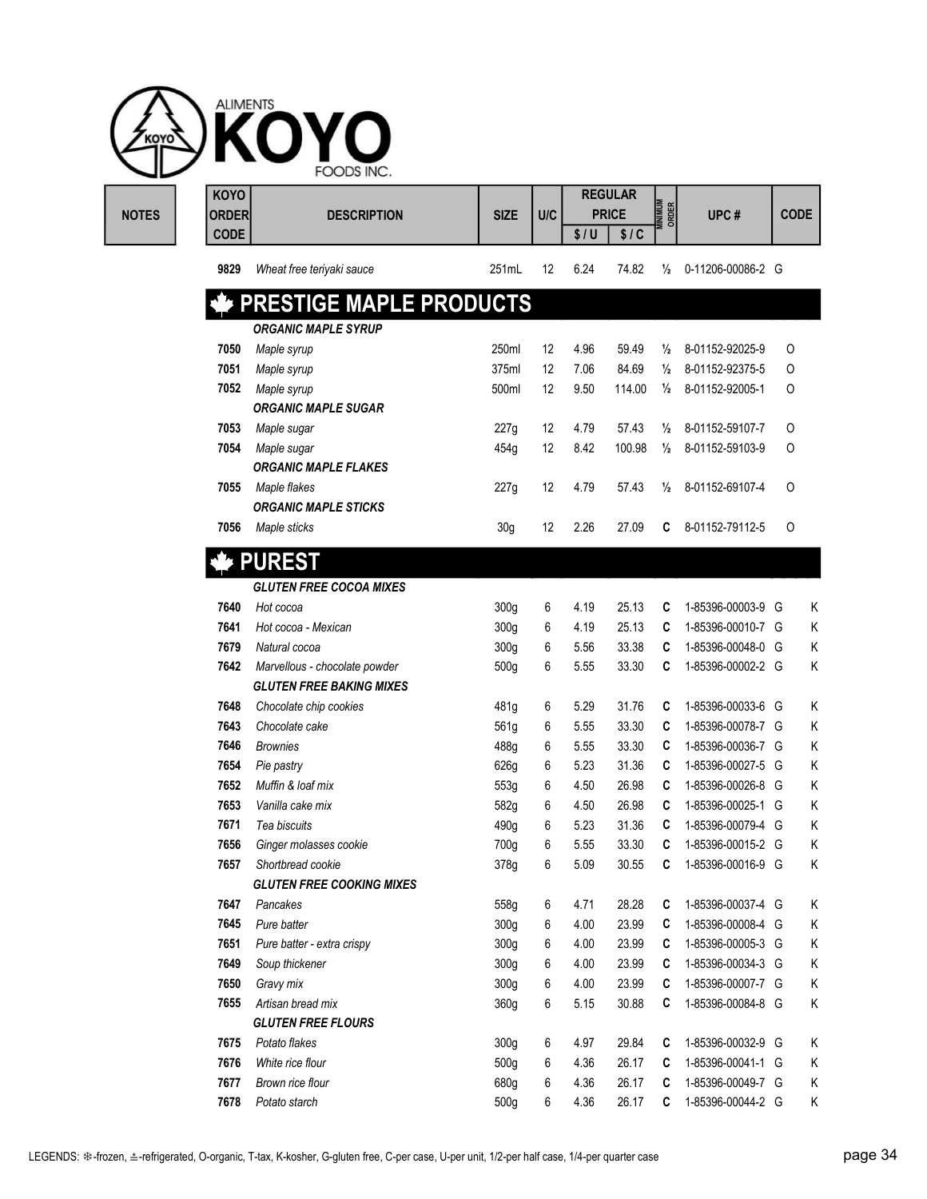| <b>KOYO</b>                 |                                            |                  |     |      | <b>REGULAR</b>       |                         |                   |             |
|-----------------------------|--------------------------------------------|------------------|-----|------|----------------------|-------------------------|-------------------|-------------|
| <b>ORDER</b><br><b>CODE</b> | <b>DESCRIPTION</b>                         | <b>SIZE</b>      | U/C | \$/U | <b>PRICE</b><br>\$1C | <b>MINIMUM</b><br>ORDER | UPC#              | <b>CODE</b> |
| 9829                        | Wheat free teriyaki sauce                  | 251mL            | 12  | 6.24 | 74.82                | $\frac{1}{2}$           | 0-11206-00086-2 G |             |
|                             | PRESTIGE MAPLE PRODUCTS                    |                  |     |      |                      |                         |                   |             |
|                             | <b>ORGANIC MAPLE SYRUP</b>                 |                  |     |      |                      |                         |                   |             |
| 7050                        | Maple syrup                                | 250ml            | 12  | 4.96 | 59.49                | $\frac{1}{2}$           | 8-01152-92025-9   | 0           |
| 7051                        | Maple syrup                                | 375ml            | 12  | 7.06 | 84.69                | $\frac{1}{2}$           | 8-01152-92375-5   | O           |
| 7052                        | Maple syrup                                | 500ml            | 12  | 9.50 | 114.00               | $\frac{1}{2}$           | 8-01152-92005-1   | O           |
|                             | <b>ORGANIC MAPLE SUGAR</b>                 |                  |     |      |                      |                         |                   |             |
| 7053                        | Maple sugar                                | 227g             | 12  | 4.79 | 57.43                | $\frac{1}{2}$           | 8-01152-59107-7   | O           |
| 7054                        | Maple sugar<br><b>ORGANIC MAPLE FLAKES</b> | 454g             | 12  | 8.42 | 100.98               | $\frac{1}{2}$           | 8-01152-59103-9   | O           |
| 7055                        | Maple flakes                               | 227g             | 12  | 4.79 | 57.43                | $\frac{1}{2}$           | 8-01152-69107-4   | O           |
|                             | <b>ORGANIC MAPLE STICKS</b>                |                  |     |      |                      |                         |                   |             |
| 7056                        | Maple sticks                               | 30 <sub>g</sub>  | 12  | 2.26 | 27.09                | C                       | 8-01152-79112-5   | 0           |
|                             | <b>PUREST</b>                              |                  |     |      |                      |                         |                   |             |
|                             | <b>GLUTEN FREE COCOA MIXES</b>             |                  |     |      |                      |                         |                   |             |
| 7640                        | Hot cocoa                                  | 300 <sub>g</sub> | 6   | 4.19 | 25.13                | C                       | 1-85396-00003-9 G | Κ           |
| 7641                        | Hot cocoa - Mexican                        | 300 <sub>g</sub> | 6   | 4.19 | 25.13                | C                       | 1-85396-00010-7 G | Κ           |
| 7679                        | Natural cocoa                              | 300 <sub>g</sub> | 6   | 5.56 | 33.38                | C                       | 1-85396-00048-0 G | K           |
| 7642                        | Marvellous - chocolate powder              | 500g             | 6   | 5.55 | 33.30                | C                       | 1-85396-00002-2 G | Κ           |
|                             | <b>GLUTEN FREE BAKING MIXES</b>            |                  |     |      |                      |                         |                   |             |
| 7648                        | Chocolate chip cookies                     | 481g             | 6   | 5.29 | 31.76                | C                       | 1-85396-00033-6 G | K           |
| 7643                        | Chocolate cake                             | 561g             | 6   | 5.55 | 33.30                | C                       | 1-85396-00078-7 G | K           |
| 7646                        | <b>Brownies</b>                            | 488g             | 6   | 5.55 | 33.30                | C                       | 1-85396-00036-7 G | Κ           |
| 7654                        | Pie pastry                                 | 626g             | 6   | 5.23 | 31.36                | C                       | 1-85396-00027-5 G | Κ           |
| 7652                        | Muffin & loaf mix                          | 553g             | 6   | 4.50 | 26.98                | C                       | 1-85396-00026-8 G | Κ           |
| 7653                        | Vanilla cake mix                           | 582g             | 6   | 4.50 | 26.98                | C                       | 1-85396-00025-1 G | Κ           |
| 7671                        | Tea biscuits                               | 490g             | 6   | 5.23 | 31.36                | C                       | 1-85396-00079-4 G | Κ           |
| 7656                        | Ginger molasses cookie                     | 700g             | 6   | 5.55 | 33.30                | C                       | 1-85396-00015-2 G | Κ           |
| 7657                        | Shortbread cookie                          | 378g             | 6   | 5.09 | 30.55                | C                       | 1-85396-00016-9 G | Κ           |
|                             | <b>GLUTEN FREE COOKING MIXES</b>           |                  |     |      |                      |                         |                   |             |
| 7647                        | Pancakes                                   | 558g             | 6   | 4.71 | 28.28                | C                       | 1-85396-00037-4 G | Κ           |
| 7645                        | Pure batter                                | 300g             | 6   | 4.00 | 23.99                | C                       | 1-85396-00008-4 G | Κ           |
| 7651                        | Pure batter - extra crispy                 | 300 <sub>g</sub> | 6   | 4.00 | 23.99                | C                       | 1-85396-00005-3 G | Κ           |
| 7649                        | Soup thickener                             | 300g             | 6   | 4.00 | 23.99                | C                       | 1-85396-00034-3 G | Κ           |
| 7650                        | Gravy mix                                  | 300g             | 6   | 4.00 | 23.99                | C                       | 1-85396-00007-7 G | Κ           |
| 7655                        | Artisan bread mix                          | 360g             | 6   | 5.15 | 30.88                | C                       | 1-85396-00084-8 G | Κ           |
|                             | <b>GLUTEN FREE FLOURS</b>                  |                  |     |      |                      |                         |                   |             |
| 7675                        | Potato flakes                              | 300 <sub>g</sub> | 6   | 4.97 | 29.84                | C                       | 1-85396-00032-9 G | Κ           |
| 7676                        | White rice flour                           | 500g             | 6   | 4.36 | 26.17                | C                       | 1-85396-00041-1 G | Κ           |
| 7677                        | Brown rice flour                           | 680g             | 6   | 4.36 | 26.17                | C                       | 1-85396-00049-7 G | Κ           |
| 7678                        | Potato starch                              | 500g             | 6   | 4.36 | 26.17                | C                       | 1-85396-00044-2 G | Κ           |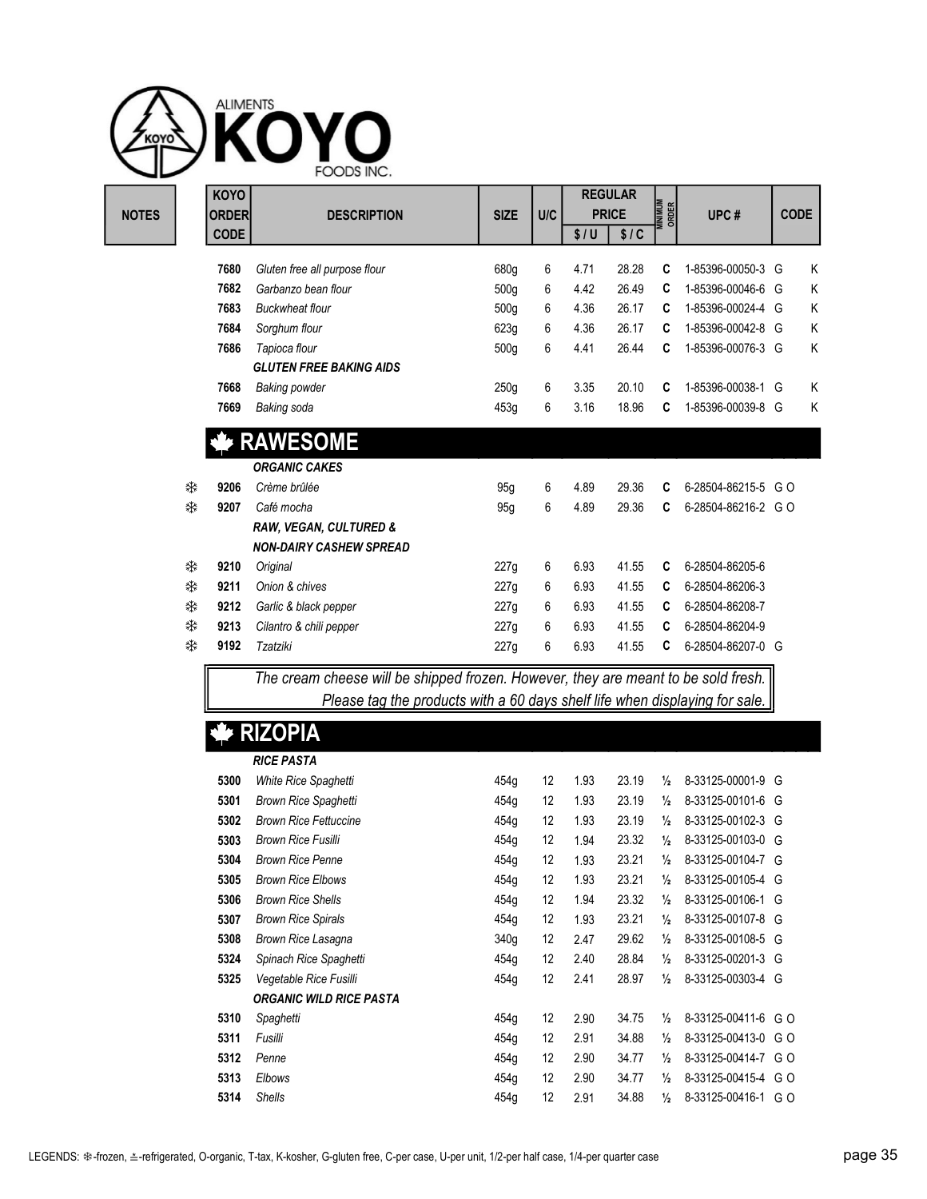|              |        | <b>KOYO</b>  |                                                                                    |             |     |      | <b>REGULAR</b> |                         |                    |             |
|--------------|--------|--------------|------------------------------------------------------------------------------------|-------------|-----|------|----------------|-------------------------|--------------------|-------------|
| <b>NOTES</b> |        | <b>ORDER</b> | <b>DESCRIPTION</b>                                                                 | <b>SIZE</b> | U/C |      | <b>PRICE</b>   | <b>MINIMUM</b><br>Order | UPC#               | <b>CODE</b> |
|              |        | <b>CODE</b>  |                                                                                    |             |     | \$/U | \$1C           |                         |                    |             |
|              |        | 7680         | Gluten free all purpose flour                                                      | 680g        | 6   | 4.71 | 28.28          | C                       | 1-85396-00050-3 G  | K           |
|              |        | 7682         | Garbanzo bean flour                                                                | 500g        | 6   | 4.42 | 26.49          | C                       | 1-85396-00046-6 G  | K           |
|              |        | 7683         | <b>Buckwheat flour</b>                                                             | 500g        | 6   | 4.36 | 26.17          | C                       | 1-85396-00024-4 G  | K           |
|              |        | 7684         | Sorghum flour                                                                      | 623g        | 6   | 4.36 | 26.17          | C                       | 1-85396-00042-8 G  | Κ           |
|              |        | 7686         | Tapioca flour                                                                      | 500g        | 6   | 4.41 | 26.44          | C                       | 1-85396-00076-3 G  | Κ           |
|              |        |              | <b>GLUTEN FREE BAKING AIDS</b>                                                     |             |     |      |                |                         |                    |             |
|              |        | 7668         | <b>Baking powder</b>                                                               | 250g        | 6   | 3.35 | 20.10          | C                       | 1-85396-00038-1 G  | Κ           |
|              |        | 7669         | Baking soda                                                                        | 453g        | 6   | 3.16 | 18.96          | C                       | 1-85396-00039-8 G  | Κ           |
|              |        |              | <b>RAWESOME</b>                                                                    |             |     |      |                |                         |                    |             |
|              |        |              | <b>ORGANIC CAKES</b>                                                               |             |     |      |                |                         |                    |             |
|              |        | 9206         | Crème brûlée                                                                       |             | 6   | 4.89 | 29.36          | C                       | 6-28504-86215-5 GO |             |
|              | ₩<br>₩ | 9207         | Café mocha                                                                         | 95g<br>95g  | 6   | 4.89 | 29.36          | C                       | 6-28504-86216-2 GO |             |
|              |        |              | RAW, VEGAN, CULTURED &                                                             |             |     |      |                |                         |                    |             |
|              |        |              | <b>NON-DAIRY CASHEW SPREAD</b>                                                     |             |     |      |                |                         |                    |             |
|              | ₩      | 9210         | Original                                                                           | 227g        | 6   | 6.93 | 41.55          | C                       | 6-28504-86205-6    |             |
|              | ₩      | 9211         | Onion & chives                                                                     | 227g        | 6   | 6.93 | 41.55          | C                       | 6-28504-86206-3    |             |
|              | ₩      | 9212         | Garlic & black pepper                                                              | 227g        | 6   | 6.93 | 41.55          | C                       | 6-28504-86208-7    |             |
|              | ₩      | 9213         | Cilantro & chili pepper                                                            | 227g        | 6   | 6.93 | 41.55          | C                       | 6-28504-86204-9    |             |
|              | ₩      | 9192         | Tzatziki                                                                           | 227g        | 6   | 6.93 | 41.55          | C                       | 6-28504-86207-0 G  |             |
|              |        |              | The cream cheese will be shipped frozen. However, they are meant to be sold fresh. |             |     |      |                |                         |                    |             |
|              |        |              | Please tag the products with a 60 days shelf life when displaying for sale.        |             |     |      |                |                         |                    |             |
|              |        |              |                                                                                    |             |     |      |                |                         |                    |             |
|              |        |              | <b>RIZOPIA</b>                                                                     |             |     |      |                |                         |                    |             |
|              |        |              | <b>RICE PASTA</b>                                                                  |             |     |      |                |                         |                    |             |
|              |        | 5300         | White Rice Spaghetti                                                               | 454g        | 12  | 1.93 | 23.19          | $\frac{1}{2}$           | 8-33125-00001-9 G  |             |
|              |        | 5301         | <b>Brown Rice Spaghetti</b>                                                        | 454g        | 12  | 1.93 | 23.19          | $\frac{1}{2}$           | 8-33125-00101-6 G  |             |
|              |        | 5302         | <b>Brown Rice Fettuccine</b>                                                       | 454g        | 12  | 1.93 | 23.19          | $\frac{1}{2}$           | 8-33125-00102-3 G  |             |
|              |        | 5303         | <b>Brown Rice Fusilli</b>                                                          | 454g        | 12  | 1.94 | 23.32          | $\frac{1}{2}$           | 8-33125-00103-0 G  |             |
|              |        | 5304         | <b>Brown Rice Penne</b>                                                            | 454g        | 12  | 1.93 | 23.21          | $\frac{1}{2}$           | 8-33125-00104-7 G  |             |
|              |        | 5305         | <b>Brown Rice Elbows</b>                                                           | 454g        | 12  | 1.93 | 23.21          | $\frac{1}{2}$           | 8-33125-00105-4 G  |             |

 Brown Rice Shells 454g 12 1.94 23.32 ½ 8-33125-00106-1 G Brown Rice Spirals 454g 12 1.93 23.21 ½ 8-33125-00107-8 G Brown Rice Lasagna 340g 12 2.47 29.62 ½ 8-33125-00108-5 G Spinach Rice Spaghetti 454g 12 2.40 28.84 ½ 8-33125-00201-3 G Vegetable Rice Fusilli 454g 12 2.41 28.97 ½ 8-33125-00303-4 G

 Spaghetti 454g 12 2.90 34.75 ½ 8-33125-00411-6 G O Fusilli 454g 12 2.91 34.88 ½ 8-33125-00413-0 G O Penne 454g 12 2.90 34.77 ½ 8-33125-00414-7 G O Elbows 454g 12 2.90 34.77 ½ 8-33125-00415-4 G O Shells 454g 12 2.91 34.88 ½ 8-33125-00416-1 G O

LEGENDS: *\**\*-frozen, ≛-refrigerated, O-organic, T-tax, K-kosher, G-gluten free, C-per case, U-per unit, 1/2-per half case, 1/4-per quarter case page 35

ORGANIC WILD RICE PASTA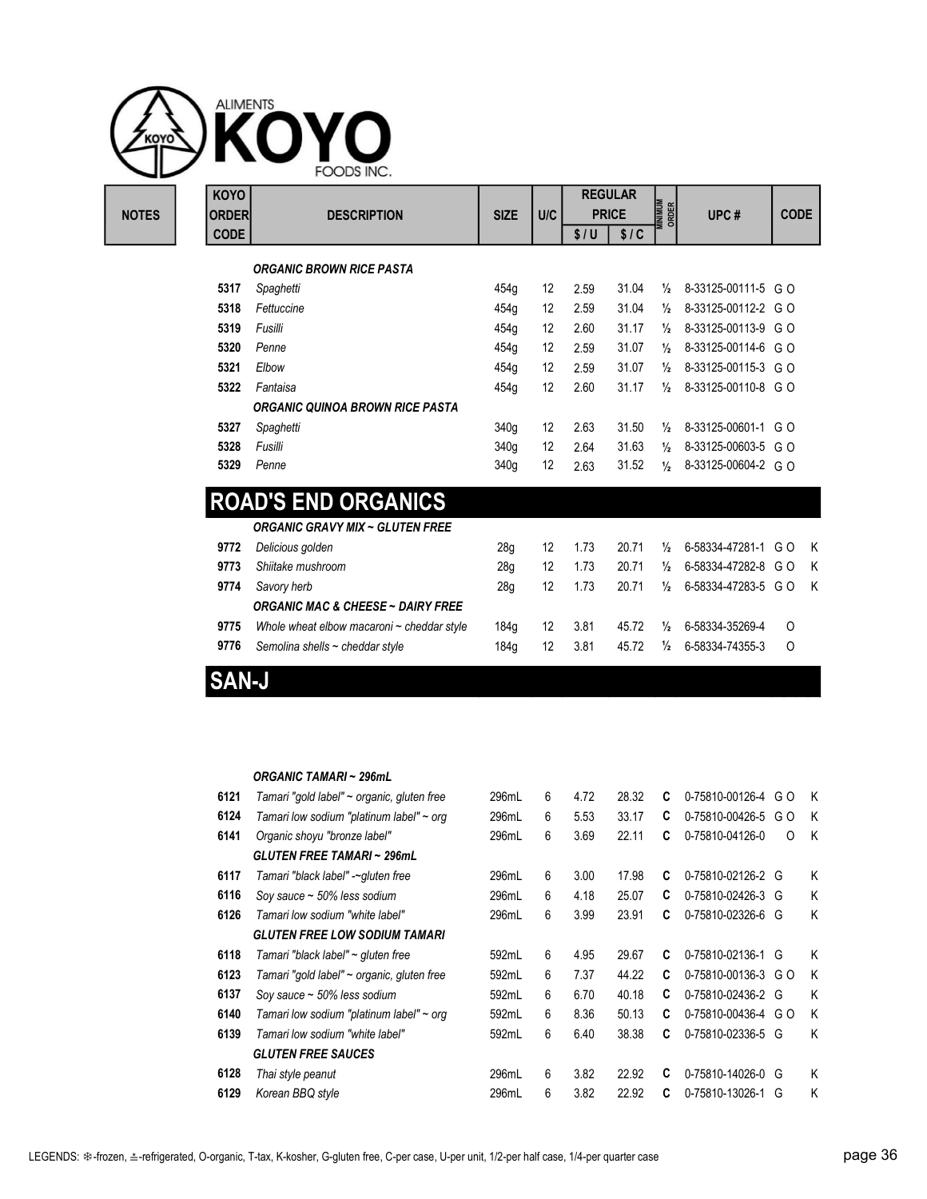![](_page_35_Picture_0.jpeg)

|              | KOYO          |                                        |             |     |      | <b>REGULAR</b> |                         |                     |             |
|--------------|---------------|----------------------------------------|-------------|-----|------|----------------|-------------------------|---------------------|-------------|
| <b>NOTES</b> | <b>ORDERI</b> | <b>DESCRIPTION</b>                     | <b>SIZE</b> | U/C |      | <b>PRICE</b>   | <b>MINIMUM</b><br>ORDER | UPC#                | <b>CODE</b> |
|              | <b>CODE</b>   |                                        |             |     | \$/U | \$/C           |                         |                     |             |
|              |               |                                        |             |     |      |                |                         |                     |             |
|              |               | <b>ORGANIC BROWN RICE PASTA</b>        |             |     |      |                |                         |                     |             |
|              | 5317          | Spaghetti                              | 454g        | 12  | 2.59 | 31.04          | $\frac{1}{2}$           | 8-33125-00111-5 G O |             |
|              | 5318          | Fettuccine                             | 454g        | 12  | 2.59 | 31.04          | $\frac{1}{2}$           | 8-33125-00112-2 GO  |             |
|              | 5319          | Fusilli                                | 454g        | 12  | 2.60 | 31.17          | $\frac{1}{2}$           | 8-33125-00113-9 GO  |             |
|              | 5320          | Penne                                  | 454g        | 12  | 2.59 | 31.07          | $\frac{1}{2}$           | 8-33125-00114-6 GO  |             |
|              | 5321          | Elbow                                  | 454g        | 12  | 2.59 | 31.07          | $\frac{1}{2}$           | 8-33125-00115-3 G O |             |
|              | 5322          | Fantaisa                               | 454g        | 12  | 2.60 | 31.17          | $\frac{1}{2}$           | 8-33125-00110-8 G O |             |
|              |               | <b>ORGANIC QUINOA BROWN RICE PASTA</b> |             |     |      |                |                         |                     |             |
|              | 5327          | Spaghetti                              | 340g        | 12  | 2.63 | 31.50          | $\frac{1}{2}$           | 8-33125-00601-1 G O |             |
|              | 5328          | Fusilli                                | 340g        | 12  | 2.64 | 31.63          | $\frac{1}{2}$           | 8-33125-00603-5 G O |             |
|              | 5329          | Penne                                  | 340g        | 12  | 2.63 | 31.52          | $\frac{1}{2}$           | 8-33125-00604-2 GO  |             |
|              |               | <b>DAIBIA FUR ADAILUAG</b>             |             |     |      |                |                         |                     |             |

### ROAD'S END ORGANICS

ORGANIC GRAVY MIX ~ GLUTEN FREE

| 9772 | Delicious golden                                | 28a  | 12 | 1.73 |       |                                      |  |
|------|-------------------------------------------------|------|----|------|-------|--------------------------------------|--|
| 9773 | Shiitake mushroom                               | 28q  | 12 | 1.73 | 20.71 | 1/ <sub>2</sub> 6-58334-47282-8 GO K |  |
| 9774 | Savory herb                                     | 28a  | 12 | 1.73 |       |                                      |  |
|      | <b>ORGANIC MAC &amp; CHEESE ~ DAIRY FREE</b>    |      |    |      |       |                                      |  |
| 9775 | Whole wheat elbow macaroni $\sim$ cheddar style | 184a | 12 | 3.81 |       |                                      |  |
| 9776 | Semolina shells ~ cheddar style                 | 184a | 12 | 3.81 | 45.72 | $\frac{1}{2}$ 6-58334-74355-3 O      |  |
|      |                                                 |      |    |      |       |                                      |  |

### SAN-J

#### ORGANIC TAMARI ~ 296mL 6121 Tamari "gold label" ~ organic, gluten free 296mL 6 4.72 28.32 C 0-75810-00126-4 G O K 6124 Tamari low sodium "platinum label" ~ org 296mL 6 5.53 33.17 C 0-75810-00426-5 G O K 6141 Organic shoyu "bronze label" 296mL 6 3.69 22.11 C 0-75810-04126-0 O K GLUTEN FREE TAMARI ~ 296mL 6117 Tamari "black label" -~gluten free 296mL 6 3.00 17.98 C 0-75810-02126-2 G K 6116 Soy sauce ~ 50% less sodium 296mL 6 4.18 25.07 C 0-75810-02426-3 G K 6126 Tamari low sodium "white label" 296mL 6 3.99 23.91 C 0-75810-02326-6 G K GLUTEN FREE LOW SODIUM TAMARI 6118 Tamari "black label" ~ gluten free 592mL 6 4.95 29.67 C 0-75810-02136-1 G K 6123 Tamari "gold label" ~ organic, gluten free 592mL 6 7.37 44.22 C 0-75810-00136-3 G O K 6137 Soy sauce ~ 50% less sodium 592mL 6 6.70 40.18 C 0-75810-02436-2 G K 6140 Tamari low sodium "platinum label" ~ org 592mL 6 8.36 50.13 C 0-75810-00436-4 G O K 6139 Tamari low sodium "white label" 592mL 6 6.40 38.38 C 0-75810-02336-5 G K GLUTEN FREE SAUCES 6128 Thai style peanut 296mL 6 3.82 22.92 C 0-75810-14026-0 G K

6129 Korean BBQ style 296mL 6 3.82 22.92 C 0-75810-13026-1 G K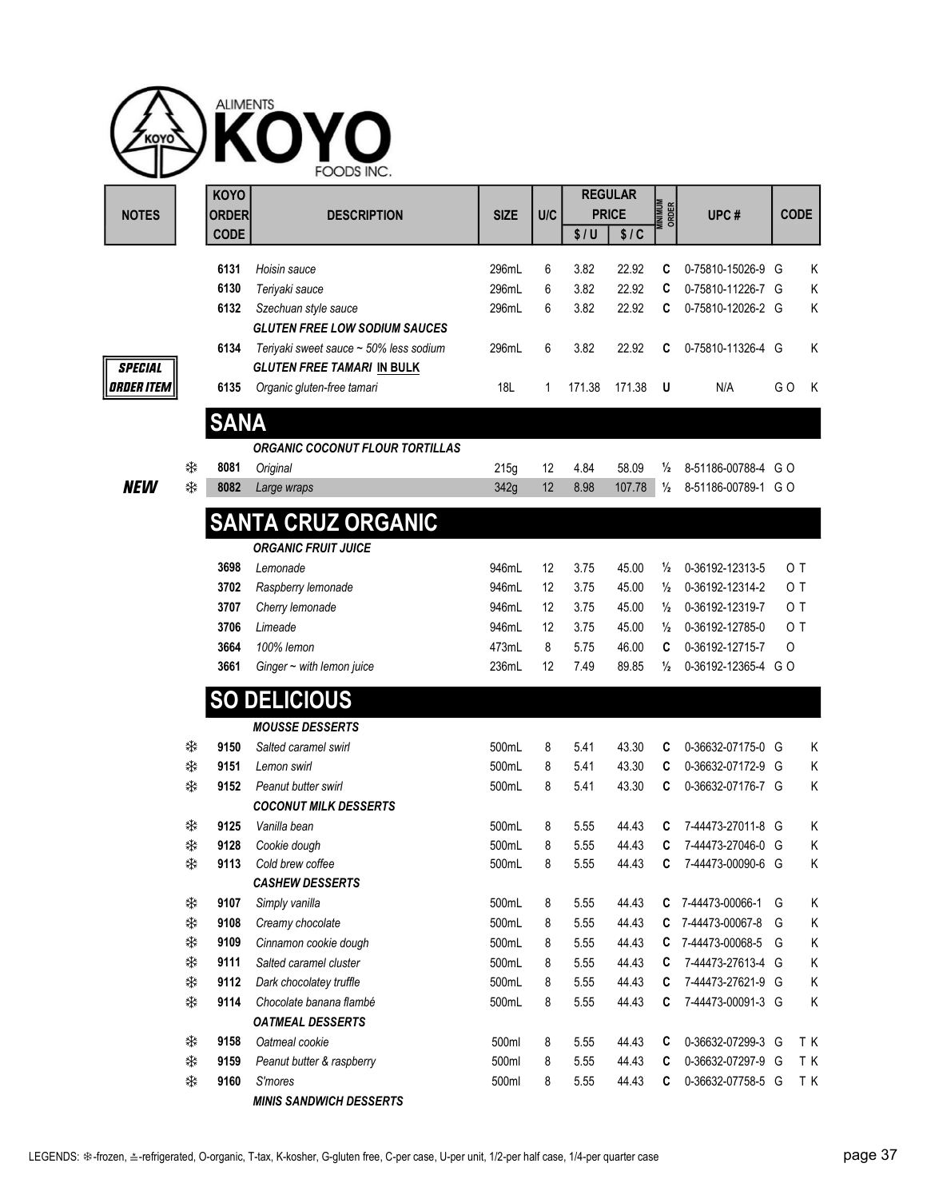| <b>NOTES</b>   |   | <b>KOYO</b><br><b>ORDER</b> | <b>DESCRIPTION</b>                         | <b>SIZE</b> | U/C               |        | <b>REGULAR</b><br><b>PRICE</b> | <b>MINIMUM</b><br>ORDER | UPC#                | <b>CODE</b> |
|----------------|---|-----------------------------|--------------------------------------------|-------------|-------------------|--------|--------------------------------|-------------------------|---------------------|-------------|
|                |   | <b>CODE</b>                 |                                            |             |                   | \$/U   | \$1C                           |                         |                     |             |
|                |   | 6131                        | Hoisin sauce                               | 296mL       | 6                 | 3.82   | 22.92                          | C                       | 0-75810-15026-9 G   | K           |
|                |   | 6130                        | Teriyaki sauce                             | 296mL       | 6                 | 3.82   | 22.92                          | C                       | 0-75810-11226-7 G   | K           |
|                |   | 6132                        | Szechuan style sauce                       | 296mL       | 6                 | 3.82   | 22.92                          | C                       | 0-75810-12026-2 G   | Κ           |
|                |   |                             | <b>GLUTEN FREE LOW SODIUM SAUCES</b>       |             |                   |        |                                |                         |                     |             |
|                |   | 6134                        | Teriyaki sweet sauce ~ 50% less sodium     | 296mL       | 6                 | 3.82   | 22.92                          | C                       | 0-75810-11326-4 G   | K           |
| <b>SPECIAL</b> |   |                             | <b>GLUTEN FREE TAMARI IN BULK</b>          |             |                   |        |                                |                         |                     |             |
| ORDER ITEM     |   | 6135                        | Organic gluten-free tamari                 | 18L         | 1                 | 171.38 | 171.38                         | U                       | N/A                 | GO<br>K     |
|                |   | <b>SANA</b>                 |                                            |             |                   |        |                                |                         |                     |             |
|                |   |                             | <b>ORGANIC COCONUT FLOUR TORTILLAS</b>     |             |                   |        |                                |                         |                     |             |
|                | ₩ | 8081                        | Original                                   | 215g        | 12                | 4.84   | 58.09                          | $\frac{1}{2}$           | 8-51186-00788-4     | G O         |
| <b>NEW</b>     | ₩ | 8082                        | Large wraps                                | 342g        | 12                | 8.98   | 107.78                         | $\frac{1}{2}$           | 8-51186-00789-1 GO  |             |
|                |   |                             | <b>SANTA CRUZ ORGANIC</b>                  |             |                   |        |                                |                         |                     |             |
|                |   |                             | <b>ORGANIC FRUIT JUICE</b>                 |             |                   |        |                                |                         |                     |             |
|                |   | 3698                        | Lemonade                                   | 946mL       | $12 \overline{ }$ | 3.75   | 45.00                          | $\frac{1}{2}$           | 0-36192-12313-5     | 0 T         |
|                |   | 3702                        | Raspberry lemonade                         | 946mL       | 12                | 3.75   | 45.00                          | $\frac{1}{2}$           | 0-36192-12314-2     | 0 T         |
|                |   | 3707                        | Cherry lemonade                            | 946mL       | $12 \overline{ }$ | 3.75   | 45.00                          | $\frac{1}{2}$           | 0-36192-12319-7     | 0 T         |
|                |   | 3706                        | Limeade                                    | 946mL       | 12                | 3.75   | 45.00                          | $\frac{1}{2}$           | 0-36192-12785-0     | O T         |
|                |   | 3664                        | 100% lemon                                 | 473mL       | 8                 | 5.75   | 46.00                          | C                       | 0-36192-12715-7     | O           |
|                |   | 3661                        | Ginger ~ with lemon juice                  | 236mL       | 12                | 7.49   | 89.85                          | ⅛                       | 0-36192-12365-4 GO  |             |
|                |   |                             | <b>SO DELICIOUS</b>                        |             |                   |        |                                |                         |                     |             |
|                |   |                             | <b>MOUSSE DESSERTS</b>                     |             |                   |        |                                |                         |                     |             |
|                | ₩ | 9150                        | Salted caramel swirl                       | 500mL       | 8                 | 5.41   | 43.30                          | C                       | 0-36632-07175-0 G   | K           |
|                | ₩ | 9151                        | Lemon swirl                                | 500mL       | 8                 | 5.41   | 43.30                          | C                       | 0-36632-07172-9 G   | Κ           |
|                | ₩ | 9152                        | Peanut butter swirl                        | 500mL       | 8                 | 5.41   | 43.30                          | C                       | 0-36632-07176-7 G   | Κ           |
|                |   |                             | <b>COCONUT MILK DESSERTS</b>               |             |                   |        |                                |                         |                     |             |
|                | ₩ | 9125                        | Vanilla bean                               | 500mL       | 8                 | 5.55   | 44.43                          | C                       | 7-44473-27011-8 G   | Κ           |
|                | ₩ | 9128                        | Cookie dough                               | 500mL       | 8                 | 5.55   | 44.43                          | C                       | 7-44473-27046-0 G   | Κ           |
|                | ₩ | 9113                        | Cold brew coffee<br><b>CASHEW DESSERTS</b> | 500mL       | 8                 | 5.55   | 44.43                          | C                       | 7-44473-00090-6 G   | Κ           |
|                | ₩ | 9107                        | Simply vanilla                             | 500mL       | 8                 | 5.55   | 44.43                          |                         | C 7-44473-00066-1 G | Κ           |
|                | ₩ | 9108                        | Creamy chocolate                           | 500mL       | 8                 | 5.55   | 44.43                          | C                       | 7-44473-00067-8 G   | Κ           |
|                | ₩ | 9109                        | Cinnamon cookie dough                      | 500mL       | 8                 | 5.55   | 44.43                          | C                       | 7-44473-00068-5 G   | Κ           |
|                | ₩ | 9111                        | Salted caramel cluster                     | 500mL       | 8                 | 5.55   | 44.43                          | C                       | 7-44473-27613-4 G   | Κ           |
|                | ₩ | 9112                        | Dark chocolatey truffle                    | 500mL       | 8                 | 5.55   | 44.43                          | C                       | 7-44473-27621-9 G   | Κ           |
|                | ₩ | 9114                        | Chocolate banana flambé                    | 500mL       | 8                 | 5.55   | 44.43                          | C                       | 7-44473-00091-3 G   | Κ           |
|                |   |                             | <b>OATMEAL DESSERTS</b>                    |             |                   |        |                                |                         |                     |             |
|                | ₩ | 9158                        | Oatmeal cookie                             | 500ml       | 8                 | 5.55   | 44.43                          | C                       | 0-36632-07299-3 G   | T K         |
|                | ₩ | 9159                        | Peanut butter & raspberry                  | 500ml       | 8                 | 5.55   | 44.43                          | C                       | 0-36632-07297-9 G   | T K         |
|                | ₩ | 9160                        | S'mores                                    | 500ml       | 8                 | 5.55   | 44.43                          | C                       | 0-36632-07758-5 G   | T K         |
|                |   |                             | <b>MINIS SANDWICH DESSERTS</b>             |             |                   |        |                                |                         |                     |             |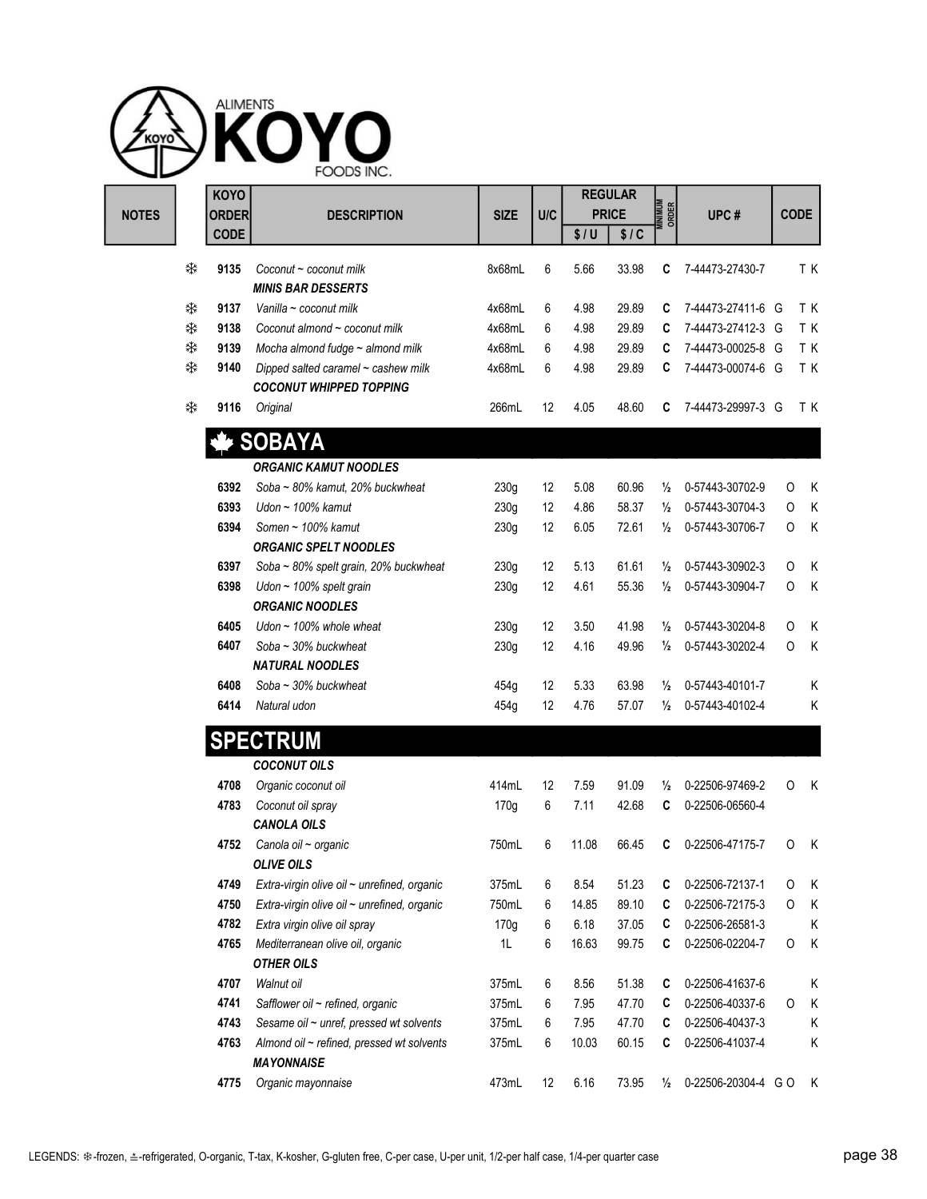|   | <b>KOYO</b>                 |                                                                       |                  |     |       | <b>REGULAR</b><br><b>PRICE</b> | <b>MINIMUM</b><br>ORDER |                    | <b>CODE</b> |     |
|---|-----------------------------|-----------------------------------------------------------------------|------------------|-----|-------|--------------------------------|-------------------------|--------------------|-------------|-----|
|   | <b>ORDER</b><br><b>CODE</b> | <b>DESCRIPTION</b>                                                    | <b>SIZE</b>      | U/C | \$/U  | \$1C                           |                         | UPC#               |             |     |
| ₩ | 9135                        | Coconut ~ coconut milk<br><b>MINIS BAR DESSERTS</b>                   | 8x68mL           | 6   | 5.66  | 33.98                          | C                       | 7-44473-27430-7    |             | T K |
| ₩ | 9137                        | Vanilla ~ coconut milk                                                | 4x68mL           | 6   | 4.98  | 29.89                          | C                       | 7-44473-27411-6 G  |             | T K |
| ₩ | 9138                        | Coconut almond $\sim$ coconut milk                                    | 4x68mL           | 6   | 4.98  | 29.89                          | C                       | 7-44473-27412-3 G  |             | T K |
| ₩ | 9139                        | Mocha almond fudge $\sim$ almond milk                                 | 4x68mL           | 6   | 4.98  | 29.89                          | C                       | 7-44473-00025-8 G  |             | T K |
| ₩ | 9140                        | Dipped salted caramel ~ cashew milk<br><b>COCONUT WHIPPED TOPPING</b> | 4x68mL           | 6   | 4.98  | 29.89                          | C                       | 7-44473-00074-6 G  |             | T K |
| ₩ | 9116                        | Original                                                              | 266mL            | 12  | 4.05  | 48.60                          | C                       | 7-44473-29997-3 G  |             | T K |
|   |                             | <b>SOBAYA</b>                                                         |                  |     |       |                                |                         |                    |             |     |
|   |                             | <b>ORGANIC KAMUT NOODLES</b>                                          |                  |     |       |                                |                         |                    |             |     |
|   | 6392                        | Soba ~ 80% kamut, 20% buckwheat                                       | 230 <sub>g</sub> | 12  | 5.08  | 60.96                          | $\frac{1}{2}$           | 0-57443-30702-9    | O           | K   |
|   | 6393                        | Udon ~ $100\%$ kamut                                                  | 230g             | 12  | 4.86  | 58.37                          | $\frac{1}{2}$           | 0-57443-30704-3    | 0           | Κ   |
|   | 6394                        | Somen ~ $100\%$ kamut                                                 | 230g             | 12  | 6.05  | 72.61                          | $\frac{1}{2}$           | 0-57443-30706-7    | O           | Κ   |
|   |                             | <b>ORGANIC SPELT NOODLES</b>                                          |                  |     |       |                                |                         |                    |             |     |
|   | 6397                        | Soba ~ 80% spelt grain, 20% buckwheat                                 | 230g             | 12  | 5.13  | 61.61                          | $\frac{1}{2}$           | 0-57443-30902-3    | O           | K   |
|   | 6398                        | Udon ~ 100% spelt grain                                               | 230g             | 12  | 4.61  | 55.36                          | $\frac{1}{2}$           | 0-57443-30904-7    | 0           | Κ   |
|   |                             | <b>ORGANIC NOODLES</b>                                                |                  |     |       |                                |                         |                    |             |     |
|   | 6405                        | Udon ~ $100\%$ whole wheat                                            | 230 <sub>g</sub> | 12  | 3.50  | 41.98                          | $\frac{1}{2}$           | 0-57443-30204-8    | 0           | К   |
|   | 6407                        | Soba ~ $30\%$ buckwheat                                               | 230g             | 12  | 4.16  | 49.96                          | $\frac{1}{2}$           | 0-57443-30202-4    | O           | Κ   |
|   |                             | <b>NATURAL NOODLES</b>                                                |                  |     |       |                                |                         |                    |             |     |
|   | 6408                        | $Soba \sim 30\%$ buckwheat                                            | 454g             | 12  | 5.33  | 63.98                          | $\frac{1}{2}$           | 0-57443-40101-7    |             | Κ   |
|   | 6414                        | Natural udon                                                          | 454g             | 12  | 4.76  | 57.07                          | $\frac{1}{2}$           | 0-57443-40102-4    |             | Κ   |
|   |                             | <b>SPECTRUM</b>                                                       |                  |     |       |                                |                         |                    |             |     |
|   |                             | <b>COCONUT OILS</b>                                                   |                  |     |       |                                |                         |                    |             |     |
|   | 4708                        | Organic coconut oil                                                   | 414mL            | 12  | 7.59  | 91.09                          | $\frac{1}{2}$           | 0-22506-97469-2    | O           | K   |
|   | 4783                        | Coconut oil spray                                                     | 170g             | 6   | 7.11  | 42.68                          | C                       | 0-22506-06560-4    |             |     |
|   |                             | <b>CANOLA OILS</b>                                                    |                  |     |       |                                |                         |                    |             |     |
|   | 4752                        | Canola oil ~ organic                                                  | 750mL            | 6   | 11.08 | 66.45                          | C                       | 0-22506-47175-7    | 0           | K   |
|   |                             | <b>OLIVE OILS</b>                                                     |                  |     |       |                                |                         |                    |             |     |
|   | 4749                        | Extra-virgin olive oil ~ unrefined, organic                           | 375mL            | 6   | 8.54  | 51.23                          | C                       | 0-22506-72137-1    | O           | Κ   |
|   | 4750                        | Extra-virgin olive oil ~ unrefined, organic                           | 750mL            | 6   | 14.85 | 89.10                          | C                       | 0-22506-72175-3    | O           | Κ   |
|   | 4782                        | Extra virgin olive oil spray                                          | 170g             | 6   | 6.18  | 37.05                          | C                       | 0-22506-26581-3    |             | Κ   |
|   | 4765                        | Mediterranean olive oil, organic<br><b>OTHER OILS</b>                 | 1L               | 6   | 16.63 | 99.75                          | C                       | 0-22506-02204-7    | 0           | Κ   |
|   | 4707                        | Walnut oil                                                            | 375mL            | 6   | 8.56  | 51.38                          | C                       | 0-22506-41637-6    |             | Κ   |
|   | 4741                        | Safflower oil ~ refined, organic                                      | 375mL            | 6   | 7.95  | 47.70                          | C                       | 0-22506-40337-6    | O           | Κ   |
|   | 4743                        | Sesame oil ~ unref, pressed wt solvents                               | 375mL            | 6   | 7.95  | 47.70                          | C                       | 0-22506-40437-3    |             | Κ   |
|   | 4763                        | Almond oil ~ refined, pressed wt solvents                             | 375mL            | 6   | 10.03 | 60.15                          | C                       | 0-22506-41037-4    |             | Κ   |
|   |                             | <b>MAYONNAISE</b>                                                     |                  |     |       |                                |                         |                    |             |     |
|   |                             | Organic mayonnaise                                                    |                  |     |       |                                |                         | 0-22506-20304-4 GO |             |     |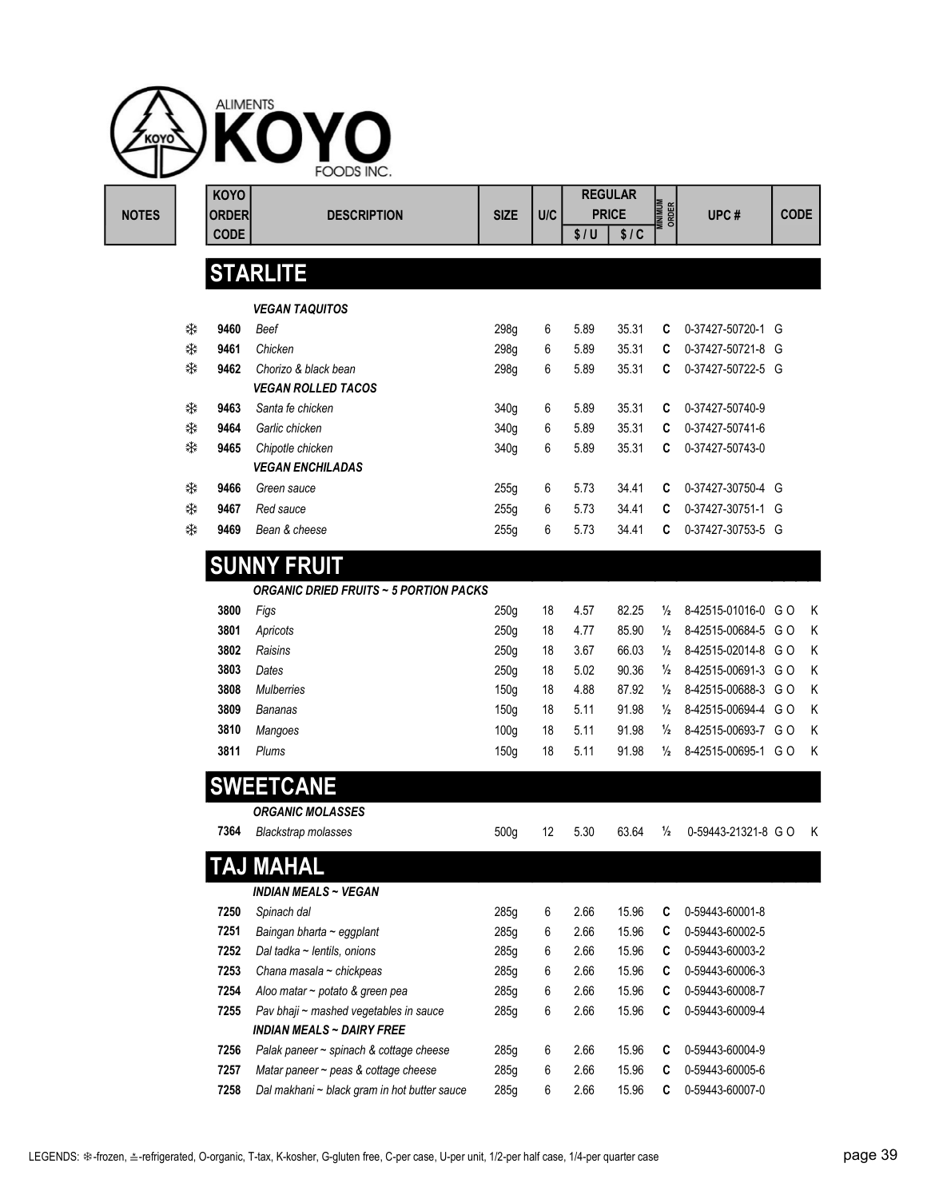|   | <b>KOYO</b>                 |                                               |                  |          |              | <b>REGULAR</b><br><b>PRICE</b> |                                |                                          |             |
|---|-----------------------------|-----------------------------------------------|------------------|----------|--------------|--------------------------------|--------------------------------|------------------------------------------|-------------|
|   | <b>ORDER</b><br><b>CODE</b> | <b>DESCRIPTION</b>                            | <b>SIZE</b>      | U/C      | \$/U         | \$1C                           | <b>MINIMUM</b><br>Order        | UPC#                                     | <b>CODE</b> |
|   |                             | <b>STARLITE</b>                               |                  |          |              |                                |                                |                                          |             |
|   |                             | <b>VEGAN TAQUITOS</b>                         |                  |          |              |                                |                                |                                          |             |
| ₩ | 9460                        | Beef                                          | 298g             | 6        | 5.89         | 35.31                          | C                              | 0-37427-50720-1 G                        |             |
| ₩ | 9461                        | Chicken                                       | 298g             | 6        | 5.89         | 35.31                          | C                              | 0-37427-50721-8 G                        |             |
| ₩ | 9462                        | Chorizo & black bean                          | 298g             | 6        | 5.89         | 35.31                          | C                              | 0-37427-50722-5 G                        |             |
|   |                             | <b>VEGAN ROLLED TACOS</b>                     |                  |          |              |                                |                                |                                          |             |
| ₩ | 9463                        | Santa fe chicken                              | 340g             | 6        | 5.89         | 35.31                          | C                              | 0-37427-50740-9                          |             |
| ₩ | 9464                        | Garlic chicken                                | 340g             | 6        | 5.89         | 35.31                          | С                              | 0-37427-50741-6                          |             |
| ₩ | 9465                        | Chipotle chicken<br><b>VEGAN ENCHILADAS</b>   | 340g             | 6        | 5.89         | 35.31                          | C                              | 0-37427-50743-0                          |             |
| ₩ | 9466                        | Green sauce                                   | 255g             | 6        | 5.73         | 34.41                          | C                              | 0-37427-30750-4 G                        |             |
| ₩ | 9467                        | Red sauce                                     | 255g             | 6        | 5.73         | 34.41                          | С                              | 0-37427-30751-1 G                        |             |
| ₩ | 9469                        | Bean & cheese                                 | 255g             | 6        | 5.73         | 34.41                          | C                              | 0-37427-30753-5 G                        |             |
|   |                             | <b>SUNNY FRUIT</b>                            |                  |          |              |                                |                                |                                          |             |
|   |                             | <b>ORGANIC DRIED FRUITS ~ 5 PORTION PACKS</b> |                  |          |              |                                |                                |                                          |             |
|   | 3800                        | Figs                                          | 250 <sub>g</sub> | 18       | 4.57         | 82.25                          | $\frac{1}{2}$                  | 8-42515-01016-0 GO                       | K           |
|   | 3801                        | Apricots                                      | 250g             | 18       | 4.77         | 85.90                          | $\frac{1}{2}$                  | 8-42515-00684-5 GO                       | Κ           |
|   | 3802<br>3803                | Raisins<br>Dates                              | 250g             | 18<br>18 | 3.67<br>5.02 | 66.03<br>90.36                 | $\frac{1}{2}$                  | 8-42515-02014-8 GO<br>8-42515-00691-3 GO | K<br>Κ      |
|   | 3808                        | <b>Mulberries</b>                             | 250 <sub>g</sub> | 18       | 4.88         | 87.92                          | $\frac{1}{2}$<br>$\frac{1}{2}$ | 8-42515-00688-3 GO                       | Κ           |
|   | 3809                        | Bananas                                       | 150g<br>150g     | 18       | 5.11         | 91.98                          | $\frac{1}{2}$                  | 8-42515-00694-4 GO                       | Κ           |
|   | 3810                        | Mangoes                                       | 100 <sub>g</sub> | 18       | 5.11         | 91.98                          | $\frac{1}{2}$                  | 8-42515-00693-7 GO                       | K           |
|   | 3811                        | Plums                                         | 150 <sub>g</sub> | 18       | 5.11         | 91.98                          | $\frac{1}{2}$                  | 8-42515-00695-1 GO                       | κ           |
|   |                             | <b>SWEETCANE</b>                              |                  |          |              |                                |                                |                                          |             |
|   |                             | <b>ORGANIC MOLASSES</b>                       |                  |          |              |                                |                                |                                          |             |
|   | 7364                        | <b>Blackstrap molasses</b>                    | 500 <sub>g</sub> | 12       | 5.30         | 63.64                          | $\frac{1}{2}$                  | 0-59443-21321-8 G O                      | K           |
|   |                             | <b>TAJ MAHAL</b>                              |                  |          |              |                                |                                |                                          |             |
|   |                             | <b>INDIAN MEALS ~ VEGAN</b>                   |                  |          |              |                                |                                |                                          |             |
|   | 7250                        | Spinach dal                                   | 285g             | 6        | 2.66         | 15.96                          | C                              | 0-59443-60001-8                          |             |
|   | 7251                        | Baingan bharta ~ eggplant                     | 285g             | 6        | 2.66         | 15.96                          | C                              | 0-59443-60002-5                          |             |
|   | 7252                        | Dal tadka ~ lentils, onions                   | 285g             | 6        | 2.66         | 15.96                          | C                              | 0-59443-60003-2                          |             |
|   | 7253                        | Chana masala ~ chickpeas                      | 285g             | 6        | 2.66         | 15.96                          | C                              | 0-59443-60006-3                          |             |
|   | 7254                        | Aloo matar ~ potato & green pea               | 285g             | 6        | 2.66         | 15.96                          | C                              | 0-59443-60008-7                          |             |
|   | 7255                        | Pav bhaji ~ mashed vegetables in sauce        | 285g             | 6        | 2.66         | 15.96                          | C                              | 0-59443-60009-4                          |             |
|   |                             | <b>INDIAN MEALS ~ DAIRY FREE</b>              |                  |          |              |                                |                                |                                          |             |
|   | 7256                        | Palak paneer ~ spinach & cottage cheese       | 285g             | 6        | 2.66         | 15.96                          | C                              | 0-59443-60004-9                          |             |
|   | 7257                        | Matar paneer ~ peas & cottage cheese          | 285g             | 6        | 2.66         | 15.96                          | C                              | 0-59443-60005-6                          |             |
|   | 7258                        | Dal makhani ~ black gram in hot butter sauce  | 285g             | 6        | 2.66         | 15.96                          | C                              | 0-59443-60007-0                          |             |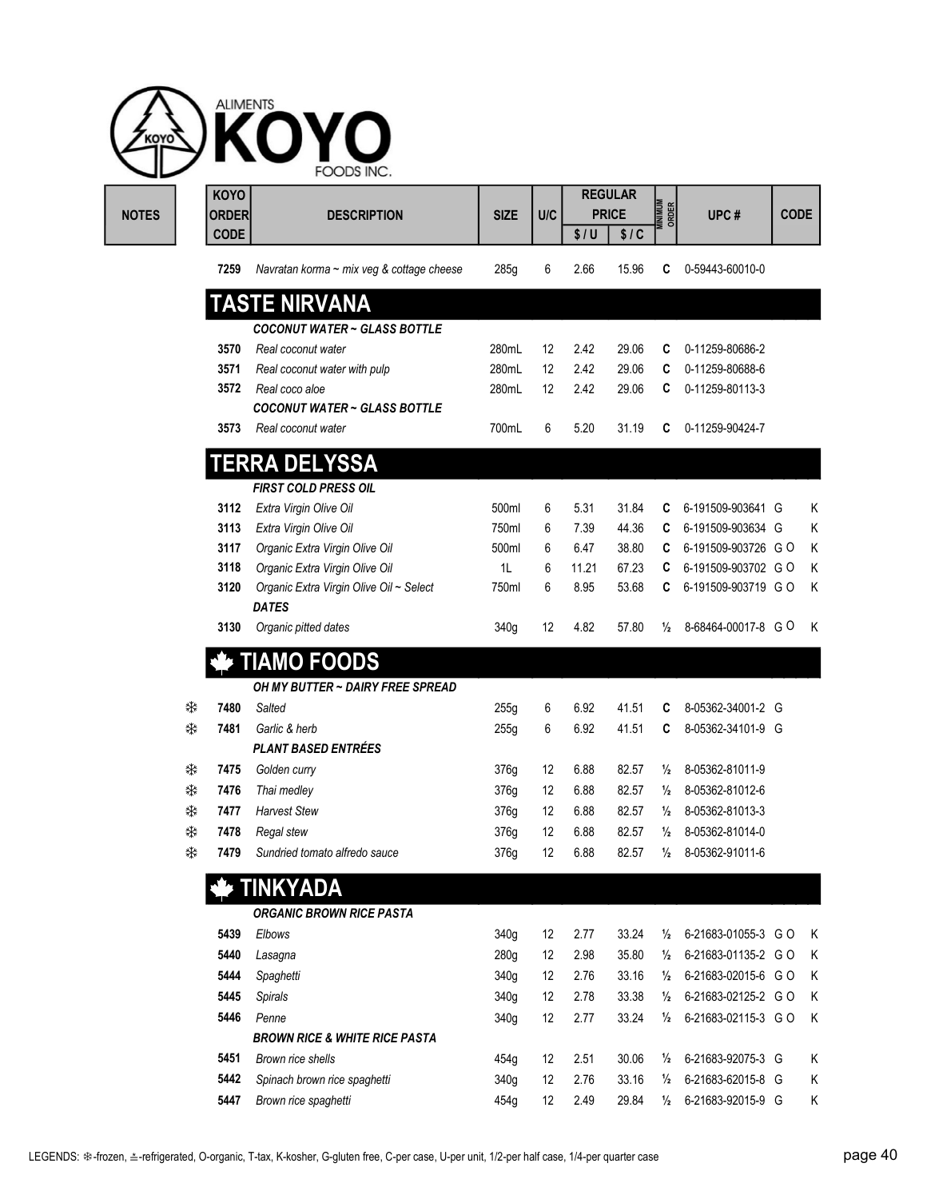| <b>KOYO</b><br><b>ORDER</b> |                                                         | <b>SIZE</b>      | <b>U/C</b> |       | <b>REGULAR</b><br><b>PRICE</b> | <b>MINIMUM</b><br>ORDER | UPC#               | <b>CODE</b> |
|-----------------------------|---------------------------------------------------------|------------------|------------|-------|--------------------------------|-------------------------|--------------------|-------------|
| <b>CODE</b>                 | <b>DESCRIPTION</b>                                      |                  |            | \$/U  | \$1C                           |                         |                    |             |
| 7259                        | Navratan korma ~ mix veg & cottage cheese               | 285g             | 6          | 2.66  | 15.96                          | C                       | 0-59443-60010-0    |             |
|                             | <b>TASTE NIRVANA</b>                                    |                  |            |       |                                |                         |                    |             |
|                             | <b>COCONUT WATER ~ GLASS BOTTLE</b>                     |                  |            |       |                                |                         |                    |             |
| 3570                        | Real coconut water                                      | 280mL            | 12         | 2.42  | 29.06                          | C                       | 0-11259-80686-2    |             |
| 3571                        | Real coconut water with pulp                            | 280mL            | 12         | 2.42  | 29.06                          | C                       | 0-11259-80688-6    |             |
| 3572                        | Real coco aloe<br><b>COCONUT WATER ~ GLASS BOTTLE</b>   | 280mL            | 12         | 2.42  | 29.06                          | C                       | 0-11259-80113-3    |             |
| 3573                        | Real coconut water                                      | 700mL            | 6          | 5.20  | 31.19                          | C                       | 0-11259-90424-7    |             |
|                             | <b>TERRA DELYSSA</b>                                    |                  |            |       |                                |                         |                    |             |
|                             | <b>FIRST COLD PRESS OIL</b>                             |                  |            |       |                                |                         |                    |             |
| 3112                        | Extra Virgin Olive Oil                                  | 500ml            | 6          | 5.31  | 31.84                          | C                       | 6-191509-903641 G  | K           |
| 3113                        | Extra Virgin Olive Oil                                  | 750ml            | 6          | 7.39  | 44.36                          | C                       | 6-191509-903634 G  | K           |
| 3117                        | Organic Extra Virgin Olive Oil                          | 500ml            | 6          | 6.47  | 38.80                          | С                       | 6-191509-903726 GO | K           |
| 3118                        | Organic Extra Virgin Olive Oil                          | 1L               | 6          | 11.21 | 67.23                          | C                       | 6-191509-903702 GO | K           |
| 3120                        | Organic Extra Virgin Olive Oil ~ Select<br><b>DATES</b> | 750ml            | 6          | 8.95  | 53.68                          | C                       | 6-191509-903719 GO | K           |
| 3130                        | Organic pitted dates                                    | 340 <sub>g</sub> | 12         | 4.82  | 57.80                          | $\frac{1}{2}$           | 8-68464-00017-8 GO | K           |
|                             | <b>TIAMO FOODS</b>                                      |                  |            |       |                                |                         |                    |             |
|                             | OH MY BUTTER ~ DAIRY FREE SPREAD                        |                  |            |       |                                |                         |                    |             |
| 7480                        | Salted                                                  | 255g             | 6          | 6.92  | 41.51                          |                         | 8-05362-34001-2 G  |             |
| 7481                        | Garlic & herb                                           | 255g             | 6          | 6.92  | 41.51                          | C                       | 8-05362-34101-9 G  |             |
|                             | <b>PLANT BASED ENTRÉES</b>                              |                  |            |       |                                |                         |                    |             |
| 7475                        | Golden curry                                            | 376g             | 12         | 6.88  | 82.57                          | $\frac{1}{2}$           | 8-05362-81011-9    |             |
| 7476                        | Thai medley                                             | 376g             | 12         | 6.88  | 82.57                          | $\frac{1}{2}$           | 8-05362-81012-6    |             |
| 7477                        | <b>Harvest Stew</b>                                     | 376g             | 12         | 6.88  | 82.57                          | ⅛                       | 8-05362-81013-3    |             |
| 7478                        | Regal stew                                              | 376g             | 12         | 6.88  | 82.57                          | $\frac{1}{2}$           | 8-05362-81014-0    |             |
| 7479                        | Sundried tomato alfredo sauce                           | 376g             | 12         | 6.88  | 82.57                          | $\frac{1}{2}$           | 8-05362-91011-6    |             |
|                             | TINKYADA                                                |                  |            |       |                                |                         |                    |             |
|                             | <b>ORGANIC BROWN RICE PASTA</b>                         |                  |            |       |                                |                         |                    |             |
| 5439                        | Elbows                                                  | 340g             | 12         | 2.77  | 33.24                          | $\frac{1}{2}$           | 6-21683-01055-3 GO | Κ           |
| 5440                        | Lasagna                                                 | 280g             | 12         | 2.98  | 35.80                          | $\frac{1}{2}$           | 6-21683-01135-2 GO | Κ           |
| 5444                        | Spaghetti                                               | 340g             | 12         | 2.76  | 33.16                          | $\frac{1}{2}$           | 6-21683-02015-6 GO | Κ           |
| 5445                        | <b>Spirals</b>                                          | 340g             | 12         | 2.78  | 33.38                          | $\frac{1}{2}$           | 6-21683-02125-2 GO | Κ           |
| 5446                        | Penne                                                   | 340g             | 12         | 2.77  | 33.24                          | $\frac{1}{2}$           | 6-21683-02115-3 GO | Κ           |
|                             | <b>BROWN RICE &amp; WHITE RICE PASTA</b>                |                  |            |       |                                |                         |                    |             |
| 5451                        | Brown rice shells                                       | 454g             | 12         | 2.51  | 30.06                          | $\frac{1}{2}$           | 6-21683-92075-3 G  | Κ           |
| 5442                        | Spinach brown rice spaghetti                            | 340g             | 12         | 2.76  | 33.16                          | $\frac{1}{2}$           | 6-21683-62015-8 G  | Κ           |
| 5447                        | Brown rice spaghetti                                    | 454g             | 12         | 2.49  | 29.84                          | $\frac{1}{2}$           | 6-21683-92015-9 G  | Κ           |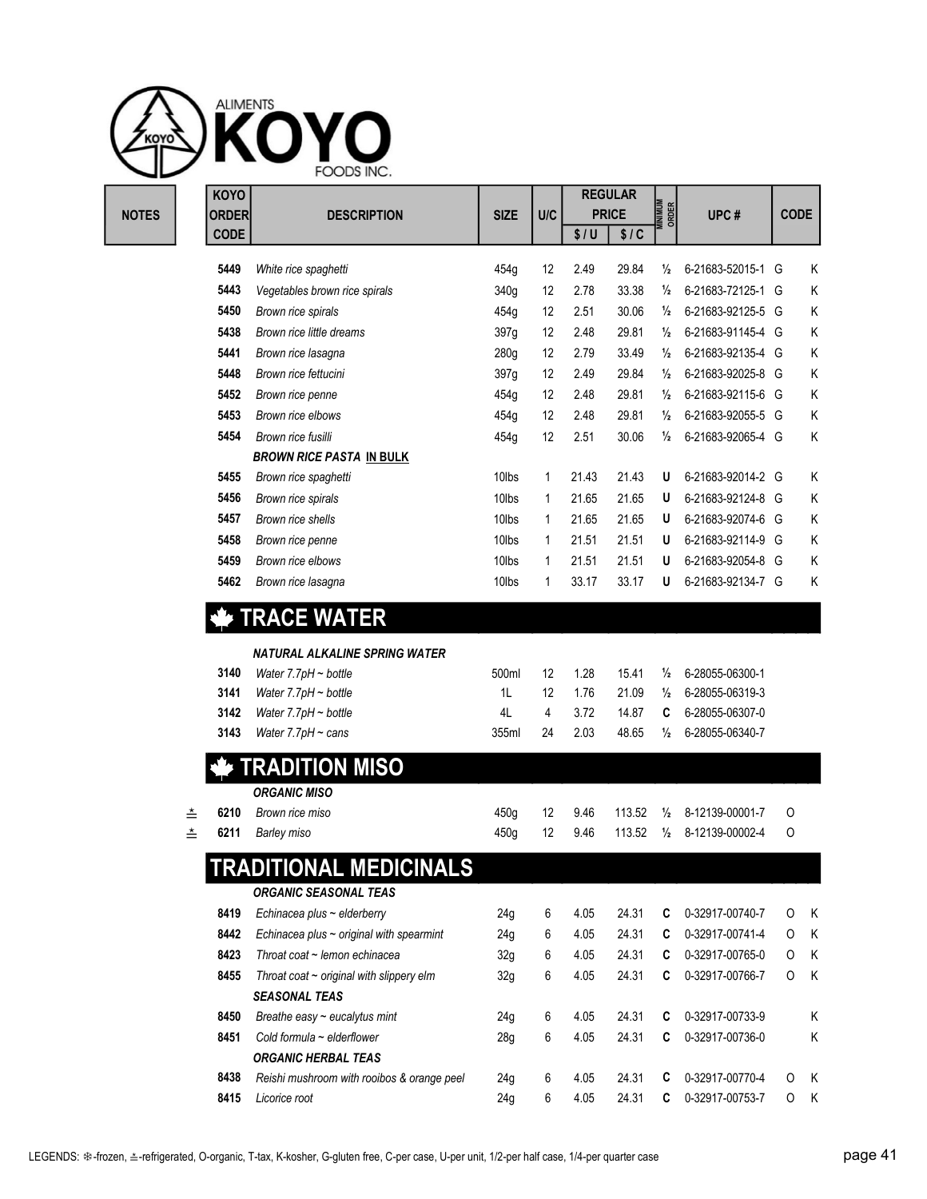![](_page_40_Picture_0.jpeg)

|              | <b>KOYO</b>  |                                 |                   |     |       | <b>REGULAR</b> |                         |                   |             |   |
|--------------|--------------|---------------------------------|-------------------|-----|-------|----------------|-------------------------|-------------------|-------------|---|
| <b>NOTES</b> | <b>ORDER</b> | <b>DESCRIPTION</b>              | <b>SIZE</b>       | U/C |       | <b>PRICE</b>   | <b>MINIMUM</b><br>ORDER | UPC#              | <b>CODE</b> |   |
|              | <b>CODE</b>  |                                 |                   |     | \$/U  | \$1C           |                         |                   |             |   |
|              | 5449         | White rice spaghetti            | 454g              | 12  | 2.49  | 29.84          | $\frac{1}{2}$           | 6-21683-52015-1 G |             | K |
|              | 5443         | Vegetables brown rice spirals   | 340 <sub>g</sub>  | 12  | 2.78  | 33.38          | $\frac{1}{2}$           | 6-21683-72125-1 G |             | K |
|              | 5450         | Brown rice spirals              | 454g              | 12  | 2.51  | 30.06          | $\frac{1}{2}$           | 6-21683-92125-5 G |             | Κ |
|              | 5438         | Brown rice little dreams        | 397g              | 12  | 2.48  | 29.81          | $\frac{1}{2}$           | 6-21683-91145-4 G |             | K |
|              | 5441         | Brown rice lasagna              | 280 <sub>g</sub>  | 12  | 2.79  | 33.49          | $\frac{1}{2}$           | 6-21683-92135-4 G |             | K |
|              | 5448         | Brown rice fettucini            | 397g              | 12  | 2.49  | 29.84          | $\frac{1}{2}$           | 6-21683-92025-8 G |             | K |
|              | 5452         | Brown rice penne                | 454g              | 12  | 2.48  | 29.81          | $\frac{1}{2}$           | 6-21683-92115-6 G |             | K |
|              | 5453         | Brown rice elbows               | 454g              | 12  | 2.48  | 29.81          | $\frac{1}{2}$           | 6-21683-92055-5 G |             | K |
|              | 5454         | Brown rice fusilli              | 454g              | 12  | 2.51  | 30.06          | $\frac{1}{2}$           | 6-21683-92065-4 G |             | K |
|              |              | <b>BROWN RICE PASTA IN BULK</b> |                   |     |       |                |                         |                   |             |   |
|              | 5455         | Brown rice spaghetti            | 10lbs             | 1   | 21.43 | 21.43          | U                       | 6-21683-92014-2 G |             | K |
|              | 5456         | Brown rice spirals              | 10lbs             | 1   | 21.65 | 21.65          | U                       | 6-21683-92124-8 G |             | K |
|              | 5457         | Brown rice shells               | 10lbs             | 1   | 21.65 | 21.65          | U                       | 6-21683-92074-6 G |             | K |
|              | 5458         | Brown rice penne                | 10lbs             | 1   | 21.51 | 21.51          | U                       | 6-21683-92114-9   | G           | K |
|              | 5459         | Brown rice elbows               | 10lbs             | 1   | 21.51 | 21.51          | U                       | 6-21683-92054-8 G |             | K |
|              | 5462         | Brown rice lasagna              | 10 <sub>lbs</sub> | 1   | 33.17 | 33.17          | U                       | 6-21683-92134-7   | G           | K |
|              |              |                                 |                   |     |       |                |                         |                   |             |   |

## **WE TRACE WATER**

|      | <b>NATURAL ALKALINE SPRING WATER</b> |                 |    |      |  |                         |
|------|--------------------------------------|-----------------|----|------|--|-------------------------|
| 3140 | Water 7.7pH $\sim$ bottle            | 500ml           | 12 | 1.28 |  |                         |
|      | 3141 Water $7.7pH \sim$ bottle       | 11              | 12 | 1.76 |  |                         |
| 3142 | Water 7.7pH ~ bottle                 | 41 <b>March</b> | 4  | 3.72 |  | 14.87 C 6-28055-06307-0 |
|      | 3143 Water $7.7pH \sim \text{cans}$  | 355ml           | 24 | 2.03 |  |                         |
|      |                                      |                 |    |      |  |                         |

# **TRADITION MISO**

|  | <b>ORGANIC MISO</b>           |  |  |                                                       |  |
|--|-------------------------------|--|--|-------------------------------------------------------|--|
|  | ≛ <b>6210</b> Brown rice miso |  |  | 450g 12 9.46 113.52 1/ <sub>2</sub> 8-12139-00001-7 O |  |
|  | ≛ 6211 Barley miso            |  |  | 450a 12 9.46 113.52 ½ 8-12139-00002-4 O               |  |

### TRADITIONAL MEDICINALS ORGANIC SEASONAL TEAS

| 8419 | Echinacea plus $\sim$ elderberry              | 24g             | 6 | 4.05 | 24.31 | C | 0-32917-00740-7 | 0 | К |
|------|-----------------------------------------------|-----------------|---|------|-------|---|-----------------|---|---|
| 8442 | Echinacea plus $\sim$ original with spearmint | 24g             | 6 | 4.05 | 24.31 | C | 0-32917-00741-4 | O | К |
| 8423 | Throat coat ~ lemon echinacea                 | 32 <sub>g</sub> | 6 | 4.05 | 24.31 | C | 0-32917-00765-0 | 0 | К |
| 8455 | Throat coat $\sim$ original with slippery elm | 32g             | 6 | 4.05 | 24.31 | C | 0-32917-00766-7 | 0 | К |
|      | <b>SEASONAL TEAS</b>                          |                 |   |      |       |   |                 |   |   |
| 8450 | Breathe easy $\sim$ eucalytus mint            | 24g             | 6 | 4.05 | 24.31 | C | 0-32917-00733-9 |   | K |
| 8451 | Cold formula $\sim$ elderflower               | 28 <sub>g</sub> | 6 | 4.05 | 24.31 | C | 0-32917-00736-0 |   | Κ |
|      | <b>ORGANIC HERBAL TEAS</b>                    |                 |   |      |       |   |                 |   |   |
| 8438 | Reishi mushroom with rooibos & orange peel    | 24g             | 6 | 4.05 | 24.31 | C | 0-32917-00770-4 | 0 | К |
| 8415 | Licorice root                                 | 24g             | 6 | 4.05 | 24.31 | C | 0-32917-00753-7 | O | К |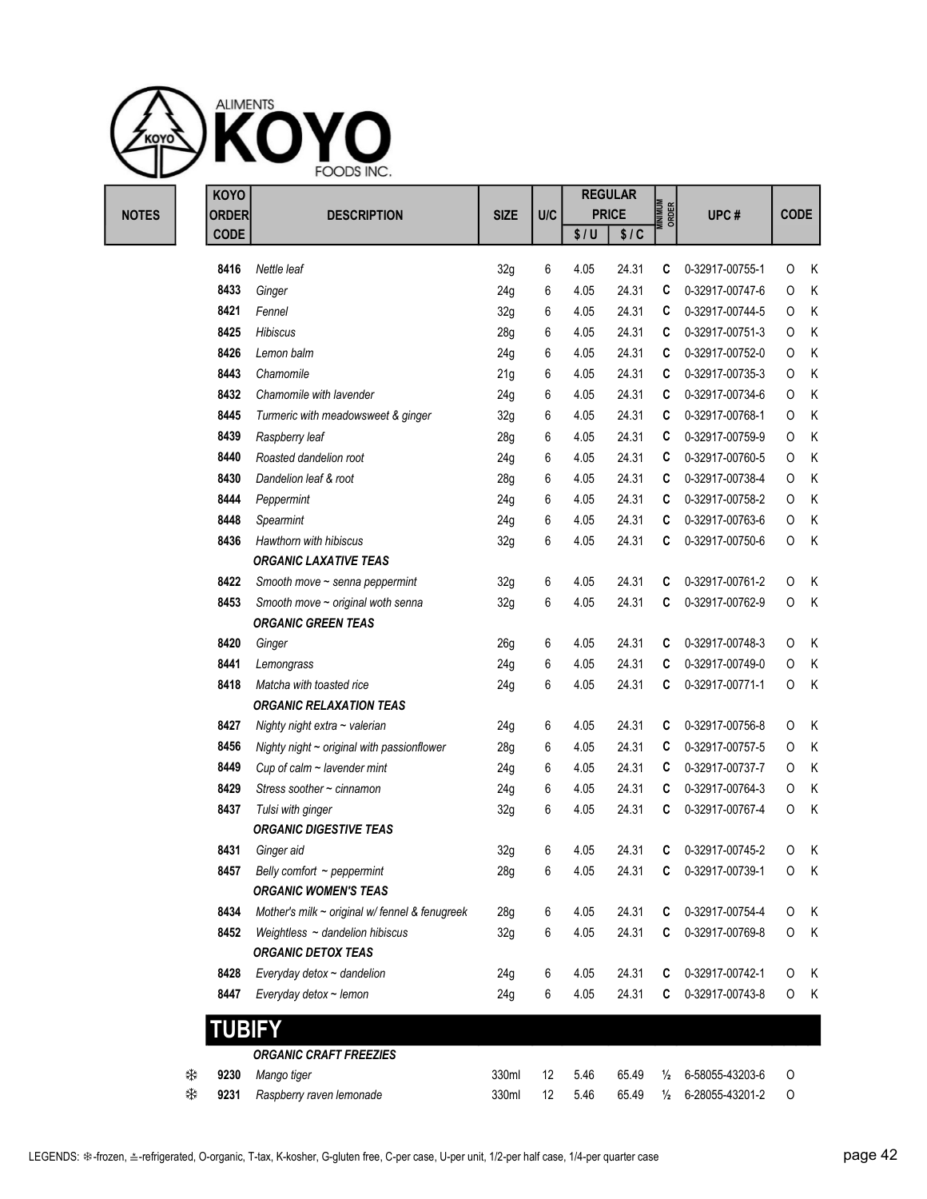![](_page_41_Picture_0.jpeg)

|              |   | <b>KOYO</b>   |                                                 |             |     |      | <b>REGULAR</b> |                         |                 |             |   |
|--------------|---|---------------|-------------------------------------------------|-------------|-----|------|----------------|-------------------------|-----------------|-------------|---|
| <b>NOTES</b> |   | <b>ORDER</b>  | <b>DESCRIPTION</b>                              | <b>SIZE</b> | U/C |      | <b>PRICE</b>   | <b>MINIMUM</b><br>Order | UPC#            | <b>CODE</b> |   |
|              |   | <b>CODE</b>   |                                                 |             |     | \$/U | \$1C           |                         |                 |             |   |
|              |   |               |                                                 |             |     |      |                |                         |                 |             |   |
|              |   | 8416          | Nettle leaf                                     | 32g         | 6   | 4.05 | 24.31          | C                       | 0-32917-00755-1 | 0           | K |
|              |   | 8433          | Ginger                                          | 24g         | 6   | 4.05 | 24.31          | C                       | 0-32917-00747-6 | 0           | K |
|              |   | 8421          | Fennel                                          | 32g         | 6   | 4.05 | 24.31          | C                       | 0-32917-00744-5 | 0           | Κ |
|              |   | 8425          | Hibiscus                                        | 28g         | 6   | 4.05 | 24.31          | C                       | 0-32917-00751-3 | 0           | Κ |
|              |   | 8426          | Lemon balm                                      | 24g         | 6   | 4.05 | 24.31          | C                       | 0-32917-00752-0 | 0           | Κ |
|              |   | 8443          | Chamomile                                       | 21g         | 6   | 4.05 | 24.31          | C                       | 0-32917-00735-3 | 0           | Κ |
|              |   | 8432          | Chamomile with lavender                         | 24g         | 6   | 4.05 | 24.31          | C                       | 0-32917-00734-6 | 0           | Κ |
|              |   | 8445          | Turmeric with meadowsweet & ginger              | 32g         | 6   | 4.05 | 24.31          | C                       | 0-32917-00768-1 | 0           | K |
|              |   | 8439          | Raspberry leaf                                  | 28g         | 6   | 4.05 | 24.31          | C                       | 0-32917-00759-9 | 0           | Κ |
|              |   | 8440          | Roasted dandelion root                          | 24g         | 6   | 4.05 | 24.31          | C                       | 0-32917-00760-5 | 0           | Κ |
|              |   | 8430          | Dandelion leaf & root                           | 28g         | 6   | 4.05 | 24.31          | C                       | 0-32917-00738-4 | 0           | K |
|              |   | 8444          | Peppermint                                      | 24g         | 6   | 4.05 | 24.31          | C                       | 0-32917-00758-2 | 0           | Κ |
|              |   | 8448          | Spearmint                                       | 24g         | 6   | 4.05 | 24.31          | C                       | 0-32917-00763-6 | 0           | Κ |
|              |   | 8436          | Hawthorn with hibiscus                          | 32g         | 6   | 4.05 | 24.31          | C                       | 0-32917-00750-6 | O           | Κ |
|              |   |               | <b>ORGANIC LAXATIVE TEAS</b>                    |             |     |      |                |                         |                 |             |   |
|              |   | 8422          | Smooth move $\sim$ senna peppermint             | 32g         | 6   | 4.05 | 24.31          | C                       | 0-32917-00761-2 | 0           | Κ |
|              |   | 8453          | Smooth move ~ original woth senna               | 32g         | 6   | 4.05 | 24.31          | C                       | 0-32917-00762-9 | O           | Κ |
|              |   |               | <b>ORGANIC GREEN TEAS</b>                       |             |     |      |                |                         |                 |             |   |
|              |   | 8420          | Ginger                                          | 26g         | 6   | 4.05 | 24.31          | C                       | 0-32917-00748-3 | 0           | Κ |
|              |   | 8441          | Lemongrass                                      | 24g         | 6   | 4.05 | 24.31          | C                       | 0-32917-00749-0 | 0           | Κ |
|              |   | 8418          | Matcha with toasted rice                        | 24g         | 6   | 4.05 | 24.31          | C                       | 0-32917-00771-1 | O           | K |
|              |   |               | <b>ORGANIC RELAXATION TEAS</b>                  |             |     |      |                |                         |                 |             |   |
|              |   | 8427          | Nighty night extra $\sim$ valerian              | 24g         | 6   | 4.05 | 24.31          | C                       | 0-32917-00756-8 | 0           | K |
|              |   | 8456          | Nighty night $\sim$ original with passionflower | 28g         | 6   | 4.05 | 24.31          | C                       | 0-32917-00757-5 | 0           | Κ |
|              |   | 8449          | Cup of calm $\sim$ lavender mint                | 24g         | 6   | 4.05 | 24.31          | C                       | 0-32917-00737-7 | 0           | Κ |
|              |   | 8429          | Stress soother ~ cinnamon                       | 24g         | 6   | 4.05 | 24.31          | C                       | 0-32917-00764-3 | 0           | Κ |
|              |   | 8437          | Tulsi with ginger                               | 32g         | 6   | 4.05 | 24.31          | C                       | 0-32917-00767-4 | O           | Κ |
|              |   |               | <b>ORGANIC DIGESTIVE TEAS</b>                   |             |     |      |                |                         |                 |             |   |
|              |   | 8431          | Ginger aid                                      | 32g         | 6   | 4.05 | 24.31          | C                       | 0-32917-00745-2 | 0           | Κ |
|              |   | 8457          | Belly comfort $\sim$ peppermint                 | 28g         | 6   | 4.05 | 24.31          | C                       | 0-32917-00739-1 | 0           | К |
|              |   |               | <b>ORGANIC WOMEN'S TEAS</b>                     |             |     |      |                |                         |                 |             |   |
|              |   | 8434          | Mother's milk ~ original w/fennel & fenugreek   | 28g         | 6   | 4.05 | 24.31          | C                       | 0-32917-00754-4 | 0           | Κ |
|              |   | 8452          | Weightless $\sim$ dandelion hibiscus            | 32g         | 6   | 4.05 | 24.31          | C                       | 0-32917-00769-8 | 0           | Κ |
|              |   |               | <b>ORGANIC DETOX TEAS</b>                       |             |     |      |                |                         |                 |             |   |
|              |   | 8428          | Everyday detox ~ dandelion                      | 24g         | 6   | 4.05 | 24.31          | C                       | 0-32917-00742-1 | 0           | Κ |
|              |   | 8447          | Everyday detox ~ lemon                          | 24g         | 6   | 4.05 | 24.31          | С                       | 0-32917-00743-8 | 0           | K |
|              |   |               |                                                 |             |     |      |                |                         |                 |             |   |
|              |   | <b>TUBIFY</b> |                                                 |             |     |      |                |                         |                 |             |   |
|              |   |               | <b>ORGANIC CRAFT FREEZIES</b>                   |             |     |      |                |                         |                 |             |   |
|              | ₩ | 9230          | Mango tiger                                     | 330ml       | 12  | 5.46 | 65.49          | $\frac{1}{2}$           | 6-58055-43203-6 | 0           |   |
|              | ₩ | 9231          | Raspberry raven lemonade                        | 330ml       | 12  | 5.46 | 65.49          | $\frac{1}{2}$           | 6-28055-43201-2 | 0           |   |
|              |   |               |                                                 |             |     |      |                |                         |                 |             |   |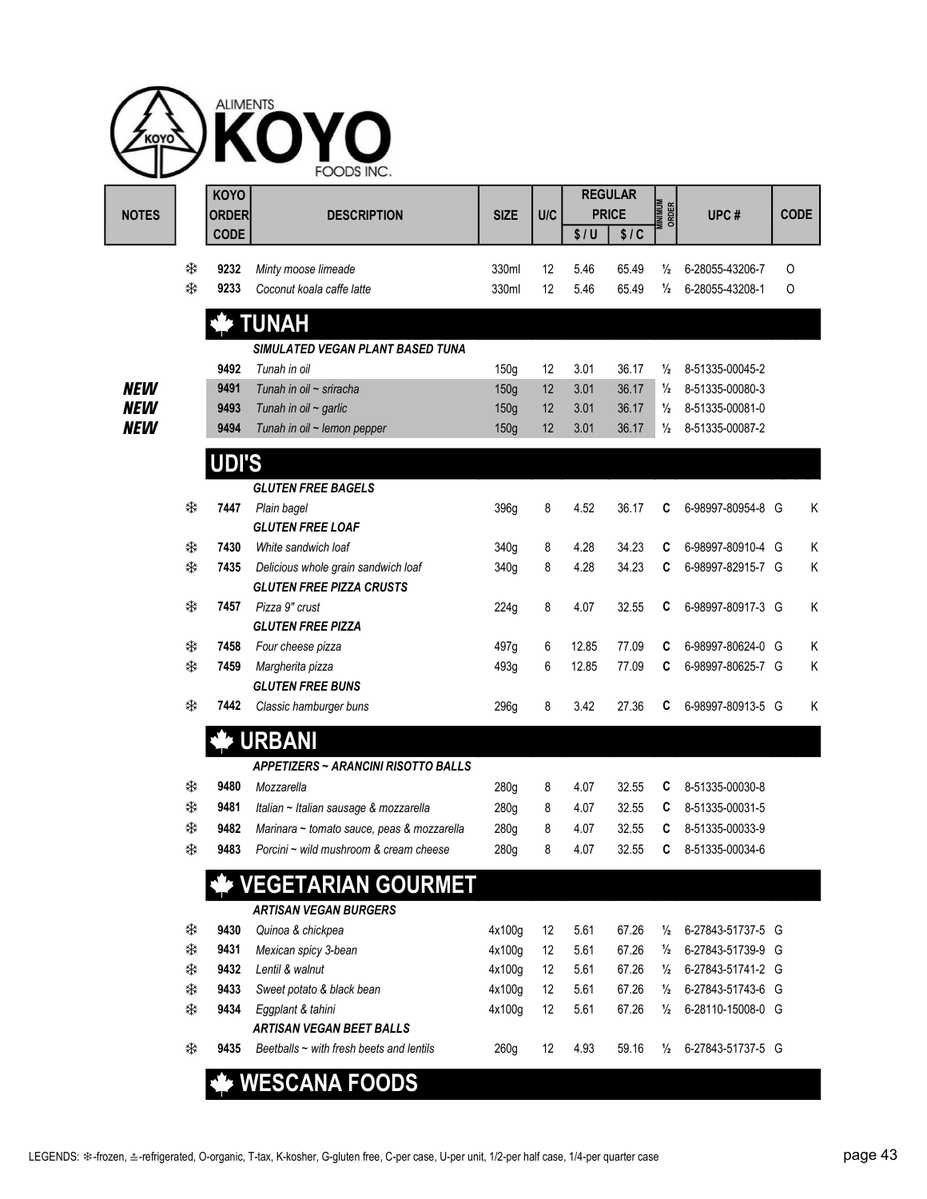| <b>NOTES</b> |        | <b>KOYO</b><br>ORDER | <b>DESCRIPTION</b>                               | <b>SIZE</b>    | U/C      |              | <b>REGULAR</b><br><b>PRICE</b> | <b>MINIMUM</b><br>Order        | UPC#                               | <b>CODE</b> |
|--------------|--------|----------------------|--------------------------------------------------|----------------|----------|--------------|--------------------------------|--------------------------------|------------------------------------|-------------|
|              |        | <b>CODE</b>          |                                                  |                |          | \$/U         | \$1C                           |                                |                                    |             |
|              |        |                      |                                                  |                |          |              |                                |                                |                                    |             |
|              | ₩<br>₩ | 9232<br>9233         | Minty moose limeade<br>Coconut koala caffe latte | 330ml<br>330ml | 12<br>12 | 5.46<br>5.46 | 65.49<br>65.49                 | $\frac{1}{2}$<br>$\frac{1}{2}$ | 6-28055-43206-7<br>6-28055-43208-1 | O<br>O      |
|              |        |                      |                                                  |                |          |              |                                |                                |                                    |             |
|              |        |                      | TUNAH                                            |                |          |              |                                |                                |                                    |             |
|              |        |                      | SIMULATED VEGAN PLANT BASED TUNA                 |                |          |              |                                |                                |                                    |             |
|              |        | 9492                 | Tunah in oil                                     | 150g           | 12       | 3.01         | 36.17                          | $\frac{1}{2}$                  | 8-51335-00045-2                    |             |
| <b>NEW</b>   |        | 9491                 | Tunah in oil ~ sriracha                          | 150g           | 12       | 3.01         | 36.17                          | $\frac{1}{2}$                  | 8-51335-00080-3                    |             |
| <b>NEW</b>   |        | 9493                 | Tunah in oil $\sim$ garlic                       | 150g           | 12       | 3.01         | 36.17                          | $\frac{1}{2}$                  | 8-51335-00081-0                    |             |
| <b>NEW</b>   |        | 9494                 | Tunah in oil ~ lemon pepper                      | 150g           | 12       | 3.01         | 36.17                          | $\frac{1}{2}$                  | 8-51335-00087-2                    |             |
|              |        |                      |                                                  |                |          |              |                                |                                |                                    |             |
|              |        | UDI'S                |                                                  |                |          |              |                                |                                |                                    |             |
|              |        |                      | <b>GLUTEN FREE BAGELS</b>                        |                |          |              |                                |                                |                                    |             |
|              | ₩      | 7447                 | Plain bagel                                      | 396g           | 8        | 4.52         | 36.17                          | C                              | 6-98997-80954-8 G                  | Κ           |
|              |        |                      | <b>GLUTEN FREE LOAF</b>                          |                |          |              |                                |                                |                                    |             |
|              | ₩      | 7430                 | White sandwich loaf                              | 340g           | 8        | 4.28         | 34.23                          | C                              | 6-98997-80910-4 G                  | K           |
|              | ₩      | 7435                 | Delicious whole grain sandwich loaf              | 340g           | 8        | 4.28         | 34.23                          | C                              | 6-98997-82915-7 G                  | Κ           |
|              |        |                      | <b>GLUTEN FREE PIZZA CRUSTS</b>                  |                |          |              |                                |                                |                                    |             |
|              | ₩      | 7457                 | Pizza 9" crust                                   | 224g           | 8        | 4.07         | 32.55                          | C                              | 6-98997-80917-3 G                  | K           |
|              | ₩      | 7458                 | <b>GLUTEN FREE PIZZA</b><br>Four cheese pizza    |                | 6        | 12.85        | 77.09                          | C                              | 6-98997-80624-0 G                  | Κ           |
|              | ₩      | 7459                 | Margherita pizza                                 | 497g<br>493g   | 6        | 12.85        | 77.09                          | C                              | 6-98997-80625-7 G                  | Κ           |
|              |        |                      | <b>GLUTEN FREE BUNS</b>                          |                |          |              |                                |                                |                                    |             |
|              | ₩      | 7442                 | Classic hamburger buns                           | 296g           | 8        | 3.42         | 27.36                          | C                              | 6-98997-80913-5 G                  | Κ           |
|              |        |                      |                                                  |                |          |              |                                |                                |                                    |             |
|              |        |                      | URBANI                                           |                |          |              |                                |                                |                                    |             |
|              |        |                      | APPETIZERS ~ ARANCINI RISOTTO BALLS              |                |          |              |                                |                                |                                    |             |
|              | ₩      | 9480                 | Mozzarella                                       | 280g           | 8        | 4.07         | 32.55                          | C                              | 8-51335-00030-8                    |             |
|              | ₩      | 9481                 | Italian ~ Italian sausage & mozzarella           | 280g           | 8        | 4.07         | 32.55                          | C                              | 8-51335-00031-5                    |             |
|              | ₩      | 9482                 | Marinara ~ tomato sauce, peas & mozzarella       | 280g           | 8        | 4.07         | 32.55                          | C                              | 8-51335-00033-9                    |             |
|              | ₩      | 9483                 | Porcini ~ wild mushroom & cream cheese           | 280g           | 8        | 4.07         | 32.55                          | C                              | 8-51335-00034-6                    |             |
|              |        |                      |                                                  |                |          |              |                                |                                |                                    |             |
|              |        |                      | <b>VEGETARIAN GOURMET</b>                        |                |          |              |                                |                                |                                    |             |
|              |        |                      | <b>ARTISAN VEGAN BURGERS</b>                     |                |          |              |                                |                                |                                    |             |
|              | ₩      | 9430                 | Quinoa & chickpea                                | 4x100g         | 12       | 5.61         | 67.26                          | $\frac{1}{2}$                  | 6-27843-51737-5 G                  |             |
|              | ₩      | 9431                 | Mexican spicy 3-bean                             | 4x100g         | 12       | 5.61         | 67.26                          | $\frac{1}{2}$                  | 6-27843-51739-9 G                  |             |
|              | ₩      | 9432                 | Lentil & walnut                                  | 4x100g         | 12       | 5.61         | 67.26                          | $\frac{1}{2}$                  | 6-27843-51741-2 G                  |             |
|              | ₩      | 9433                 | Sweet potato & black bean                        | 4x100g         | 12       | 5.61         | 67.26                          | $\frac{1}{2}$                  | 6-27843-51743-6 G                  |             |
|              | ₩      | 9434                 | Eggplant & tahini                                | 4x100g         | 12       | 5.61         | 67.26                          | $\frac{1}{2}$                  | 6-28110-15008-0 G                  |             |
|              |        |                      | <b>ARTISAN VEGAN BEET BALLS</b>                  |                |          |              |                                |                                |                                    |             |
|              | ₩      | 9435                 | Beetballs $\sim$ with fresh beets and lentils    | 260g           | 12       | 4.93         | 59.16                          | $\frac{1}{2}$                  | 6-27843-51737-5 G                  |             |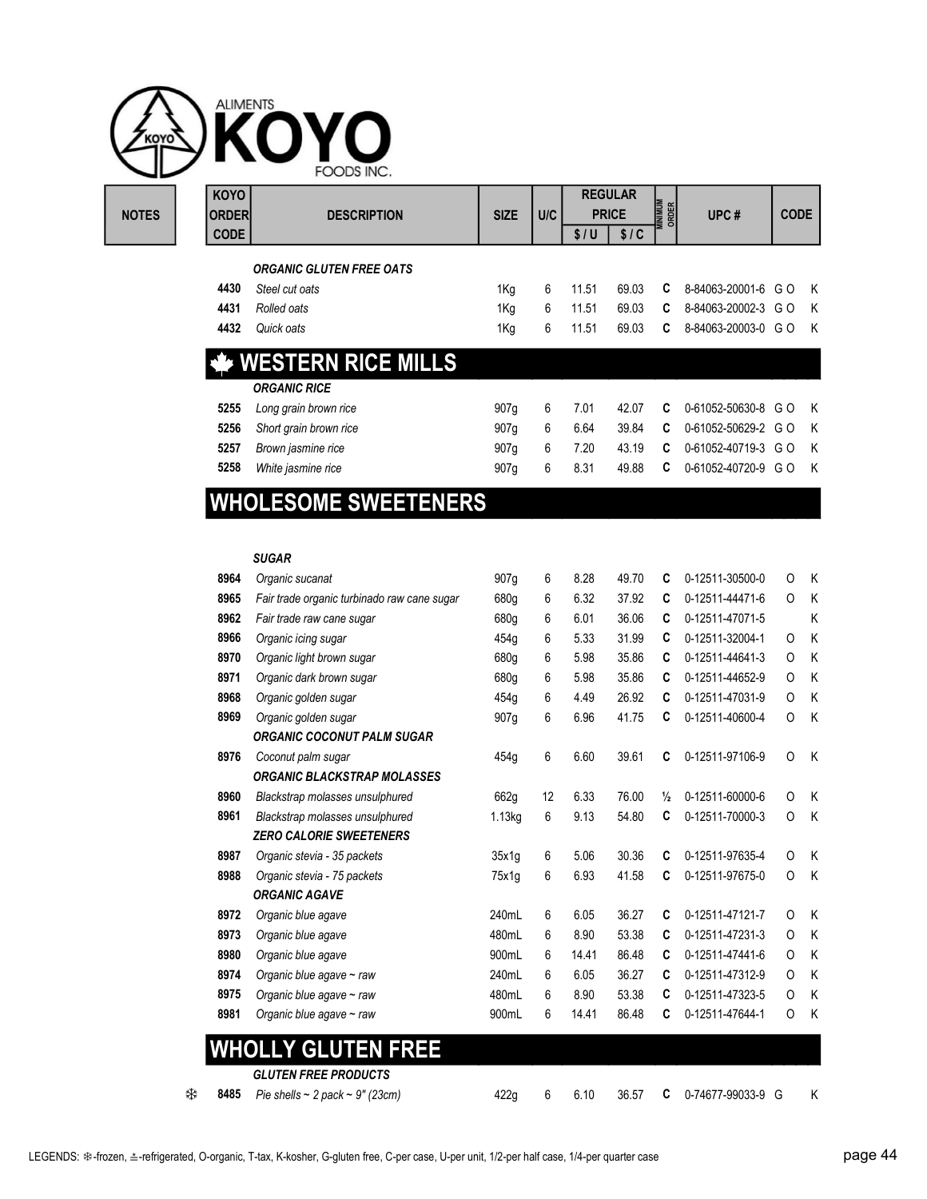| <b>KOYO</b>  | <b>ALIMENTS</b>                     | FOODS INC.                                   |             |            |       |                                        |                         |                    |             |   |
|--------------|-------------------------------------|----------------------------------------------|-------------|------------|-------|----------------------------------------|-------------------------|--------------------|-------------|---|
| <b>NOTES</b> | <b>KOYO</b><br>ORDER<br><b>CODE</b> | <b>DESCRIPTION</b>                           | <b>SIZE</b> | <b>U/C</b> | \$/U  | <b>REGULAR</b><br><b>PRICE</b><br>\$1C | <b>MINIMUM</b><br>ORDER | UPC#               | <b>CODE</b> |   |
|              |                                     | <b>ORGANIC GLUTEN FREE OATS</b>              |             |            |       |                                        |                         |                    |             |   |
|              | 4430                                | Steel cut oats                               | 1Kg         | 6          | 11.51 | 69.03                                  | C                       | 8-84063-20001-6 GO |             | K |
|              | 4431                                | Rolled oats                                  | 1Kg         | 6          | 11.51 | 69.03                                  | C                       | 8-84063-20002-3 GO |             | K |
|              | 4432                                | Quick oats                                   | 1Kg         | 6          | 11.51 | 69.03                                  | C                       | 8-84063-20003-0 GO |             | K |
|              |                                     | <b>WESTERN RICE MILLS</b>                    |             |            |       |                                        |                         |                    |             |   |
|              | 5255                                | <b>ORGANIC RICE</b><br>Long grain brown rice | 907g        | 6          | 7.01  | 42.07                                  | C                       | 0-61052-50630-8 GO |             | K |
|              | 5256                                | Short grain brown rice                       | 907g        | 6          | 6.64  | 39.84                                  | C                       | 0-61052-50629-2 GO |             | K |
|              |                                     |                                              |             |            |       |                                        |                         | 0-61052-40719-3 GO |             | K |
|              | 5257                                | Brown jasmine rice                           | 907g        | 6          | 7.20  | 43.19                                  | C                       |                    |             |   |

# WHOLESOME SWEETENERS

|   |      | <b>SUGAR</b>                                |        |    |       |       |               |                 |          |   |
|---|------|---------------------------------------------|--------|----|-------|-------|---------------|-----------------|----------|---|
|   | 8964 | Organic sucanat                             | 907q   | 6  | 8.28  | 49.70 | C             | 0-12511-30500-0 | O        | K |
|   | 8965 | Fair trade organic turbinado raw cane sugar | 680q   | 6  | 6.32  | 37.92 | C             | 0-12511-44471-6 | $\Omega$ | K |
|   | 8962 | Fair trade raw cane sugar                   | 680q   | 6  | 6.01  | 36.06 | C             | 0-12511-47071-5 |          | K |
|   | 8966 | Organic icing sugar                         | 454q   | 6  | 5.33  | 31.99 | C             | 0-12511-32004-1 | $\circ$  | K |
|   | 8970 | Organic light brown sugar                   | 680g   | 6  | 5.98  | 35.86 | C             | 0-12511-44641-3 | $\Omega$ | K |
|   | 8971 | Organic dark brown sugar                    | 680q   | 6  | 5.98  | 35.86 | C             | 0-12511-44652-9 | $\circ$  | K |
|   | 8968 | Organic golden sugar                        | 454q   | 6  | 4.49  | 26.92 | C             | 0-12511-47031-9 | 0        | K |
|   | 8969 | Organic golden sugar                        | 907g   | 6  | 6.96  | 41.75 | C             | 0-12511-40600-4 | $\circ$  | K |
|   |      | <b>ORGANIC COCONUT PALM SUGAR</b>           |        |    |       |       |               |                 |          |   |
|   | 8976 | Coconut palm sugar                          | 454g   | 6  | 6.60  | 39.61 | C             | 0-12511-97106-9 | $\circ$  | K |
|   |      | <b>ORGANIC BLACKSTRAP MOLASSES</b>          |        |    |       |       |               |                 |          |   |
|   | 8960 | Blackstrap molasses unsulphured             | 662q   | 12 | 6.33  | 76.00 | $\frac{1}{2}$ | 0-12511-60000-6 | $\circ$  | K |
|   | 8961 | Blackstrap molasses unsulphured             | 1.13kg | 6  | 9.13  | 54.80 | C             | 0-12511-70000-3 | O        | K |
|   |      | <b>ZERO CALORIE SWEETENERS</b>              |        |    |       |       |               |                 |          |   |
|   | 8987 | Organic stevia - 35 packets                 | 35x1q  | 6  | 5.06  | 30.36 | C             | 0-12511-97635-4 | $\circ$  | K |
|   | 8988 | Organic stevia - 75 packets                 | 75x1g  | 6  | 6.93  | 41.58 | C             | 0-12511-97675-0 | O        | Κ |
|   |      | <b>ORGANIC AGAVE</b>                        |        |    |       |       |               |                 |          |   |
|   | 8972 | Organic blue agave                          | 240mL  | 6  | 6.05  | 36.27 | C             | 0-12511-47121-7 | $\circ$  | K |
|   | 8973 | Organic blue agave                          | 480mL  | 6  | 8.90  | 53.38 | C             | 0-12511-47231-3 | $\Omega$ | K |
|   | 8980 | Organic blue agave                          | 900mL  | 6  | 14.41 | 86.48 | C             | 0-12511-47441-6 | $\circ$  | K |
|   | 8974 | Organic blue agave $\sim$ raw               | 240mL  | 6  | 6.05  | 36.27 | C             | 0-12511-47312-9 | O        | K |
|   | 8975 | Organic blue agave $\sim$ raw               | 480mL  | 6  | 8.90  | 53.38 | C             | 0-12511-47323-5 | $\circ$  | K |
|   | 8981 | Organic blue agave $\sim$ raw               | 900mL  | 6  | 14.41 | 86.48 | C             | 0-12511-47644-1 | O        | K |
|   |      |                                             |        |    |       |       |               |                 |          |   |
|   |      | <b>WHOLLY GLUTEN FREE</b>                   |        |    |       |       |               |                 |          |   |
|   |      | <b>GLUTEN FREE PRODUCTS</b>                 |        |    |       |       |               |                 |          |   |
| ₩ | 8485 | Pie shells ~ 2 pack ~ $9''$ (23cm)          | 422q   | 6  | 6.10  | 36.57 | C             | 0-74677-99033-9 | G        | K |